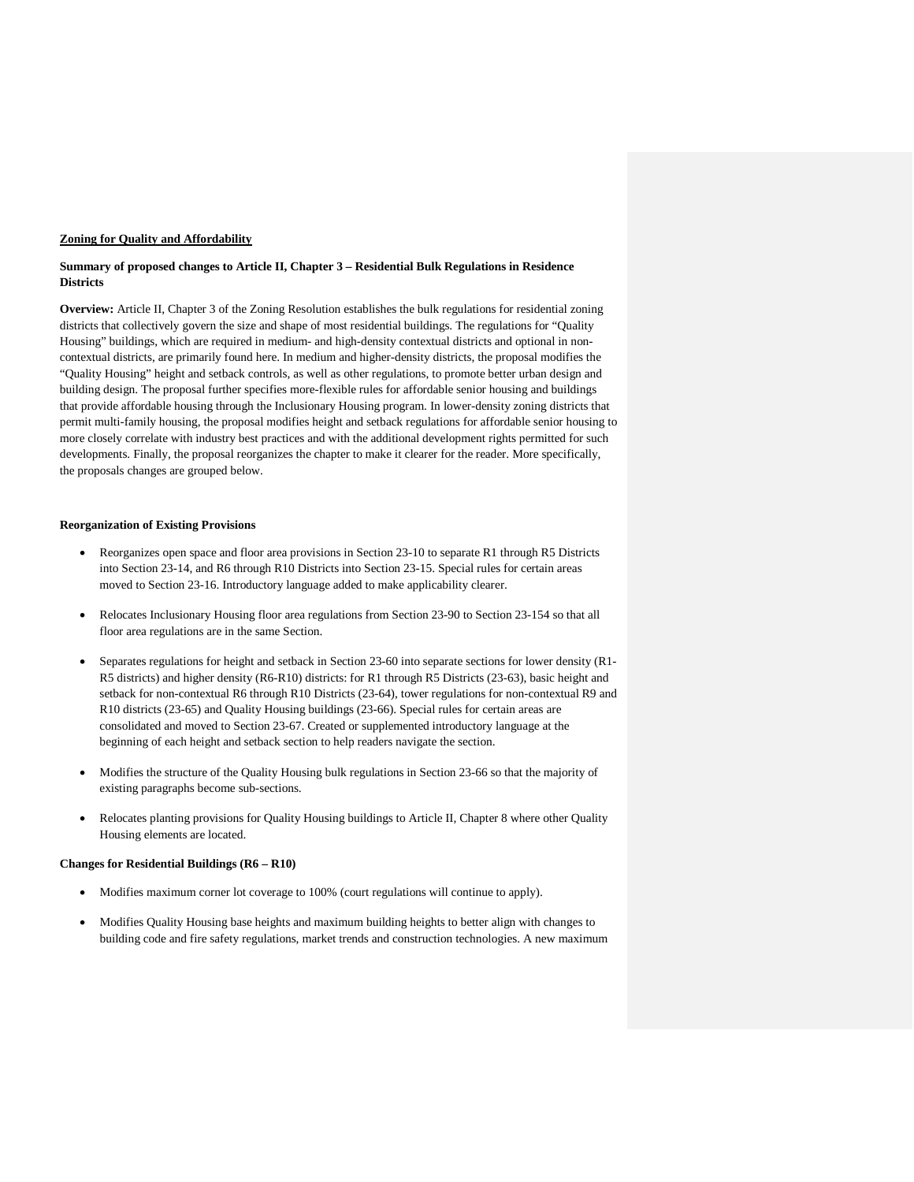#### **Zoning for Quality and Affordability**

### **Summary of proposed changes to Article II, Chapter 3 – Residential Bulk Regulations in Residence Districts**

**Overview:** Article II, Chapter 3 of the Zoning Resolution establishes the bulk regulations for residential zoning districts that collectively govern the size and shape of most residential buildings. The regulations for "Quality Housing" buildings, which are required in medium- and high-density contextual districts and optional in noncontextual districts, are primarily found here. In medium and higher-density districts, the proposal modifies the "Quality Housing" height and setback controls, as well as other regulations, to promote better urban design and building design. The proposal further specifies more-flexible rules for affordable senior housing and buildings that provide affordable housing through the Inclusionary Housing program. In lower-density zoning districts that permit multi-family housing, the proposal modifies height and setback regulations for affordable senior housing to more closely correlate with industry best practices and with the additional development rights permitted for such developments. Finally, the proposal reorganizes the chapter to make it clearer for the reader. More specifically, the proposals changes are grouped below.

## **Reorganization of Existing Provisions**

- Reorganizes open space and floor area provisions in Section 23-10 to separate R1 through R5 Districts into Section 23-14, and R6 through R10 Districts into Section 23-15. Special rules for certain areas moved to Section 23-16. Introductory language added to make applicability clearer.
- Relocates Inclusionary Housing floor area regulations from Section 23-90 to Section 23-154 so that all floor area regulations are in the same Section.
- Separates regulations for height and setback in Section 23-60 into separate sections for lower density (R1- R5 districts) and higher density (R6-R10) districts: for R1 through R5 Districts (23-63), basic height and setback for non-contextual R6 through R10 Districts (23-64), tower regulations for non-contextual R9 and R10 districts (23-65) and Quality Housing buildings (23-66). Special rules for certain areas are consolidated and moved to Section 23-67. Created or supplemented introductory language at the beginning of each height and setback section to help readers navigate the section.
- Modifies the structure of the Quality Housing bulk regulations in Section 23-66 so that the majority of existing paragraphs become sub-sections.
- Relocates planting provisions for Quality Housing buildings to Article II, Chapter 8 where other Quality Housing elements are located.

#### **Changes for Residential Buildings (R6 – R10)**

- Modifies maximum corner lot coverage to 100% (court regulations will continue to apply).
- Modifies Quality Housing base heights and maximum building heights to better align with changes to building code and fire safety regulations, market trends and construction technologies. A new maximum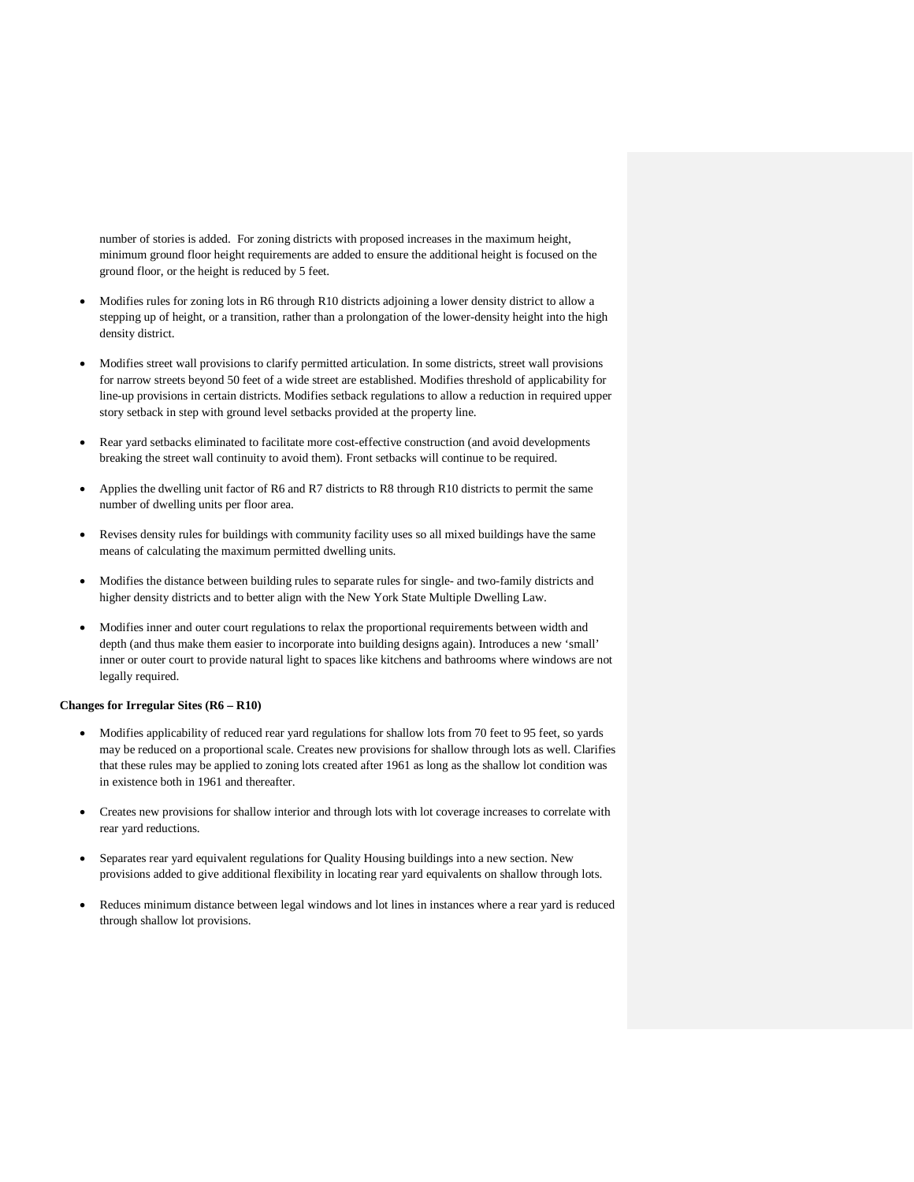number of stories is added. For zoning districts with proposed increases in the maximum height, minimum ground floor height requirements are added to ensure the additional height is focused on the ground floor, or the height is reduced by 5 feet.

- Modifies rules for zoning lots in R6 through R10 districts adjoining a lower density district to allow a stepping up of height, or a transition, rather than a prolongation of the lower-density height into the high density district.
- Modifies street wall provisions to clarify permitted articulation. In some districts, street wall provisions for narrow streets beyond 50 feet of a wide street are established. Modifies threshold of applicability for line-up provisions in certain districts. Modifies setback regulations to allow a reduction in required upper story setback in step with ground level setbacks provided at the property line.
- Rear yard setbacks eliminated to facilitate more cost-effective construction (and avoid developments breaking the street wall continuity to avoid them). Front setbacks will continue to be required.
- Applies the dwelling unit factor of R6 and R7 districts to R8 through R10 districts to permit the same number of dwelling units per floor area.
- Revises density rules for buildings with community facility uses so all mixed buildings have the same means of calculating the maximum permitted dwelling units.
- Modifies the distance between building rules to separate rules for single- and two-family districts and higher density districts and to better align with the New York State Multiple Dwelling Law.
- Modifies inner and outer court regulations to relax the proportional requirements between width and depth (and thus make them easier to incorporate into building designs again). Introduces a new 'small' inner or outer court to provide natural light to spaces like kitchens and bathrooms where windows are not legally required.

## **Changes for Irregular Sites (R6 – R10)**

- Modifies applicability of reduced rear yard regulations for shallow lots from 70 feet to 95 feet, so yards may be reduced on a proportional scale. Creates new provisions for shallow through lots as well. Clarifies that these rules may be applied to zoning lots created after 1961 as long as the shallow lot condition was in existence both in 1961 and thereafter.
- Creates new provisions for shallow interior and through lots with lot coverage increases to correlate with rear yard reductions.
- Separates rear yard equivalent regulations for Quality Housing buildings into a new section. New provisions added to give additional flexibility in locating rear yard equivalents on shallow through lots.
- Reduces minimum distance between legal windows and lot lines in instances where a rear yard is reduced through shallow lot provisions.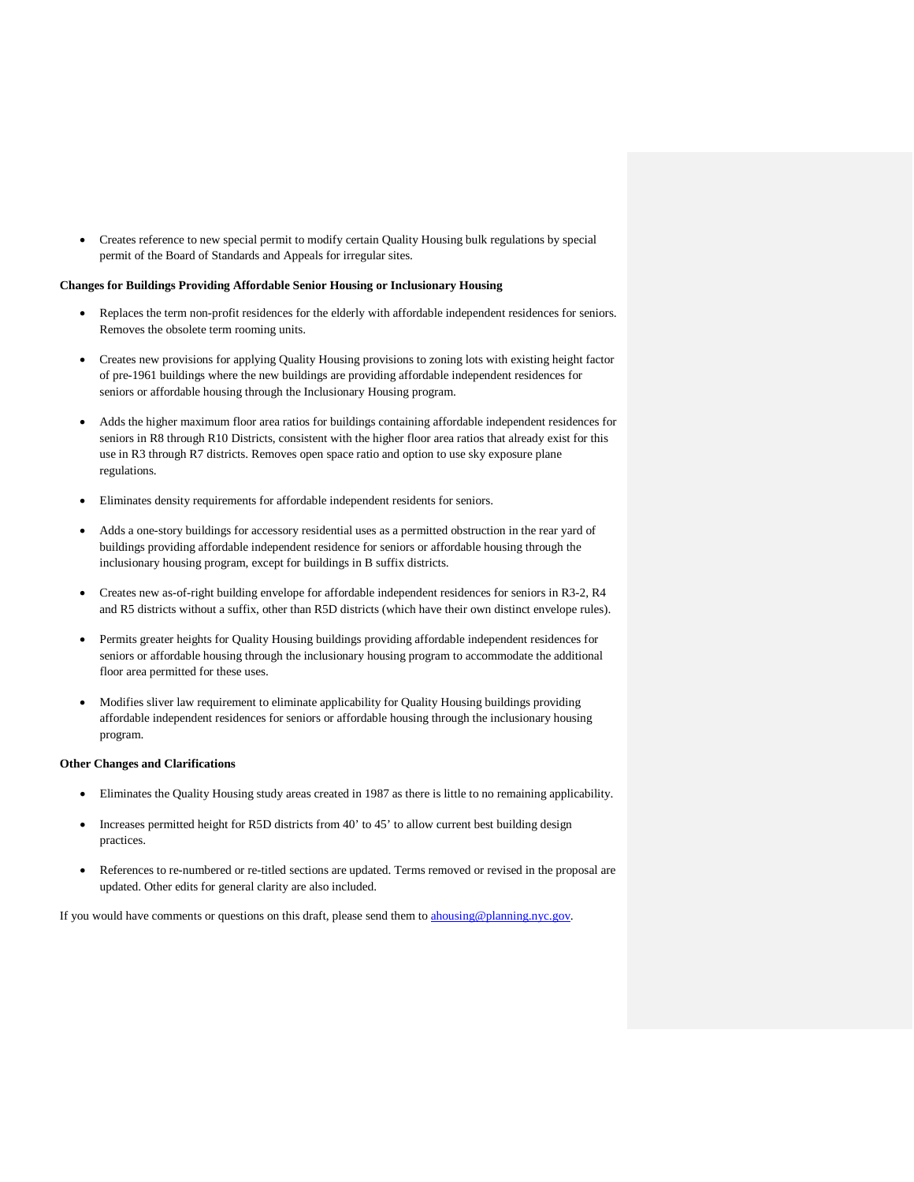• Creates reference to new special permit to modify certain Quality Housing bulk regulations by special permit of the Board of Standards and Appeals for irregular sites.

### **Changes for Buildings Providing Affordable Senior Housing or Inclusionary Housing**

- Replaces the term non-profit residences for the elderly with affordable independent residences for seniors. Removes the obsolete term rooming units.
- Creates new provisions for applying Quality Housing provisions to zoning lots with existing height factor of pre-1961 buildings where the new buildings are providing affordable independent residences for seniors or affordable housing through the Inclusionary Housing program.
- Adds the higher maximum floor area ratios for buildings containing affordable independent residences for seniors in R8 through R10 Districts, consistent with the higher floor area ratios that already exist for this use in R3 through R7 districts. Removes open space ratio and option to use sky exposure plane regulations.
- Eliminates density requirements for affordable independent residents for seniors.
- Adds a one-story buildings for accessory residential uses as a permitted obstruction in the rear yard of buildings providing affordable independent residence for seniors or affordable housing through the inclusionary housing program, except for buildings in B suffix districts.
- Creates new as-of-right building envelope for affordable independent residences for seniors in R3-2, R4 and R5 districts without a suffix, other than R5D districts (which have their own distinct envelope rules).
- Permits greater heights for Quality Housing buildings providing affordable independent residences for seniors or affordable housing through the inclusionary housing program to accommodate the additional floor area permitted for these uses.
- Modifies sliver law requirement to eliminate applicability for Quality Housing buildings providing affordable independent residences for seniors or affordable housing through the inclusionary housing program.

#### **Other Changes and Clarifications**

- Eliminates the Quality Housing study areas created in 1987 as there is little to no remaining applicability.
- Increases permitted height for R5D districts from 40' to 45' to allow current best building design practices.
- References to re-numbered or re-titled sections are updated. Terms removed or revised in the proposal are updated. Other edits for general clarity are also included.

If you would have comments or questions on this draft, please send them to [ahousing@planning.nyc.gov.](mailto:ahousing@planning.nyc.gov)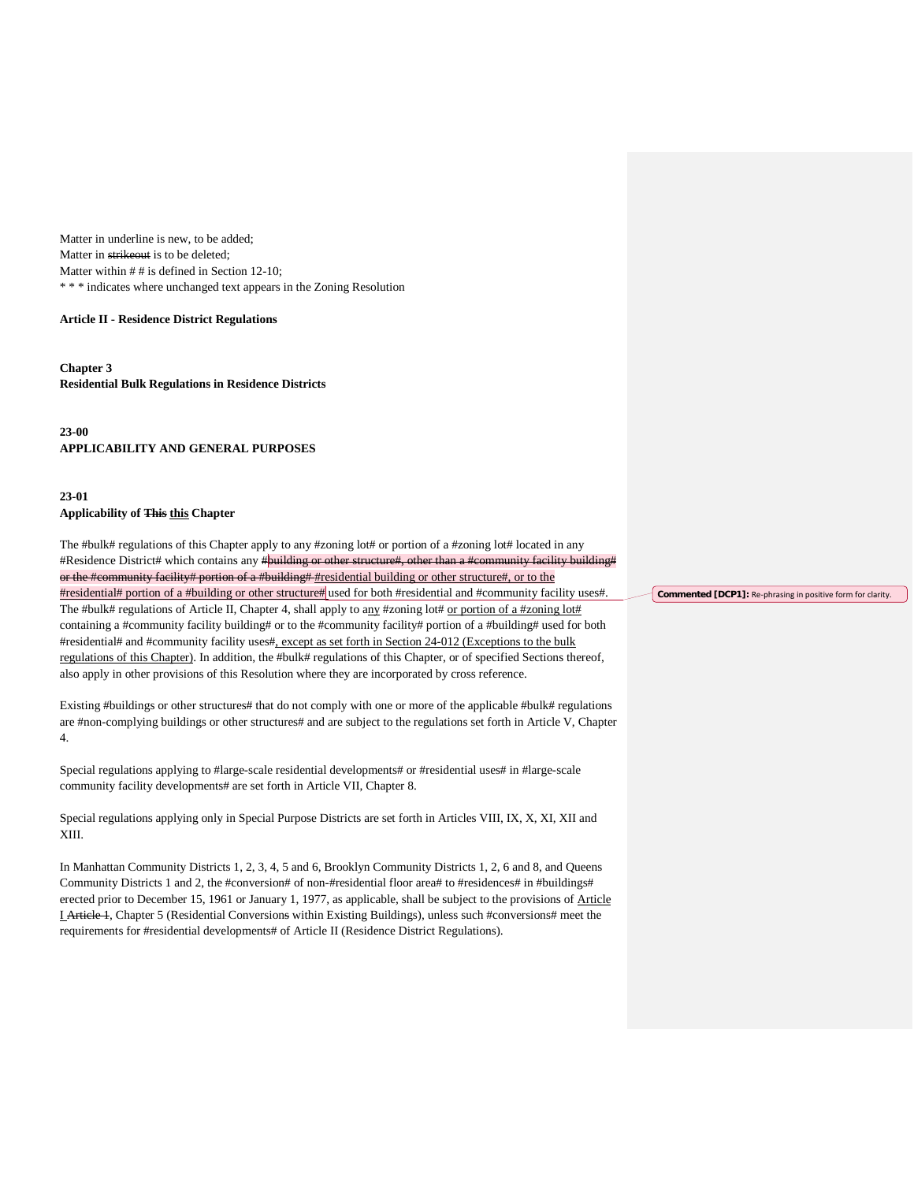Matter in underline is new, to be added; Matter in strikeout is to be deleted; Matter within  $# #$  is defined in Section 12-10; \* \* \* indicates where unchanged text appears in the Zoning Resolution

### **Article II - Residence District Regulations**

**Chapter 3 Residential Bulk Regulations in Residence Districts**

**23-00 APPLICABILITY AND GENERAL PURPOSES**

# **23-01**

# **Applicability of This this Chapter**

The #bulk# regulations of this Chapter apply to any #zoning lot# or portion of a #zoning lot# located in any #Residence District# which contains any #**building or other structure#**, other than a #community facility building# or the #community facility# portion of a #building# #residential building or other structure#, or to the #residential# portion of a #building or other structure# used for both #residential and #community facility uses#. The #bulk# regulations of Article II, Chapter 4, shall apply to any #zoning lot# or portion of a #zoning lot# containing a #community facility building# or to the #community facility# portion of a #building# used for both #residential# and #community facility uses#, except as set forth in Section 24-012 (Exceptions to the bulk regulations of this Chapter). In addition, the #bulk# regulations of this Chapter, or of specified Sections thereof, also apply in other provisions of this Resolution where they are incorporated by cross reference.

Existing #buildings or other structures# that do not comply with one or more of the applicable #bulk# regulations are #non-complying buildings or other structures# and are subject to the regulations set forth in Article V, Chapter 4.

Special regulations applying to #large-scale residential developments# or #residential uses# in #large-scale community facility developments# are set forth in Article VII, Chapter 8.

Special regulations applying only in Special Purpose Districts are set forth in Articles VIII, IX, X, XI, XII and XIII.

In Manhattan Community Districts 1, 2, 3, 4, 5 and 6, Brooklyn Community Districts 1, 2, 6 and 8, and Queens Community Districts 1 and 2, the #conversion# of non-#residential floor area# to #residences# in #buildings# erected prior to December 15, 1961 or January 1, 1977, as applicable, shall be subject to the provisions of Article I Article 1, Chapter 5 (Residential Conversions within Existing Buildings), unless such #conversions# meet the requirements for #residential developments# of Article II (Residence District Regulations).

**Commented [DCP1]:** Re-phrasing in positive form for clarity.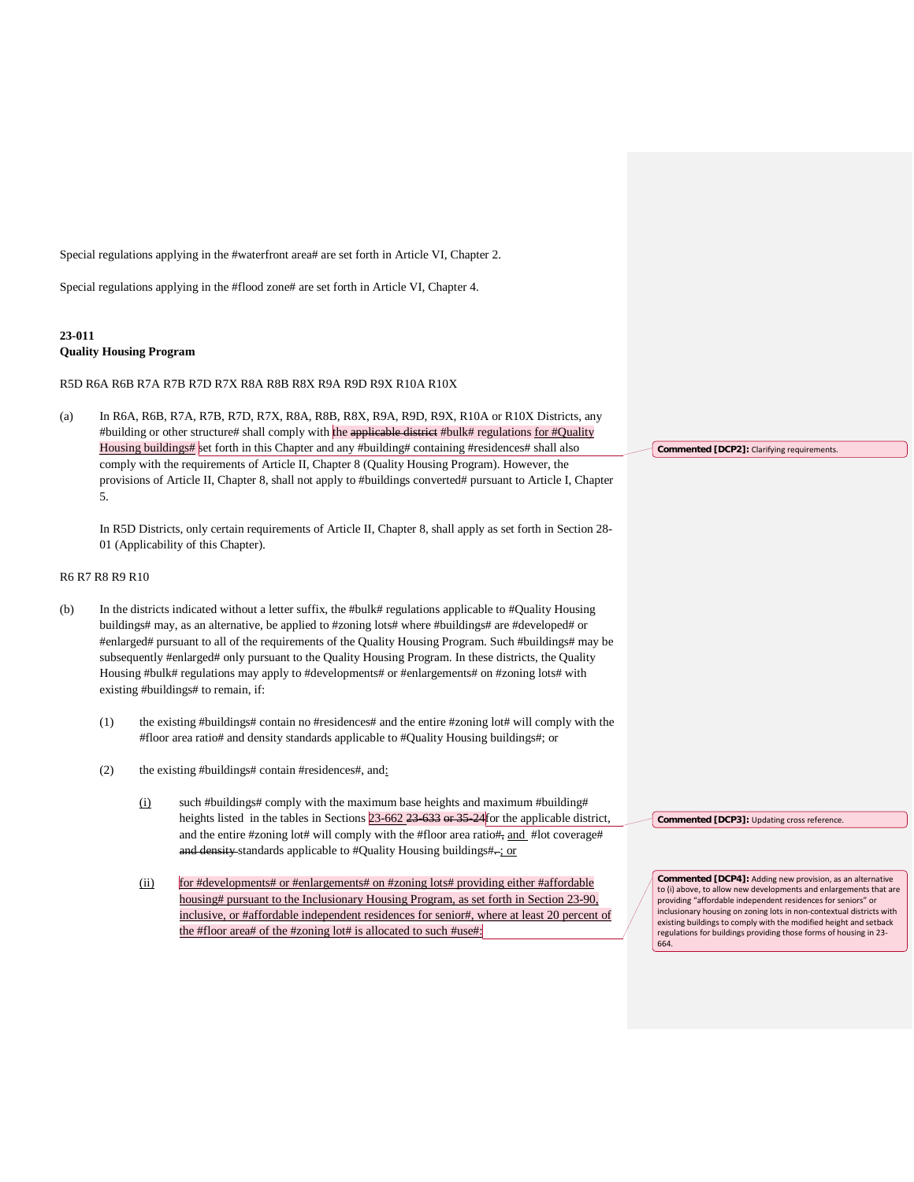Special regulations applying in the #waterfront area# are set forth in Article VI, Chapter 2.

Special regulations applying in the #flood zone# are set forth in Article VI, Chapter 4.

# **23-011 Quality Housing Program**

R5D R6A R6B R7A R7B R7D R7X R8A R8B R8X R9A R9D R9X R10A R10X

(a) In R6A, R6B, R7A, R7B, R7D, R7X, R8A, R8B, R8X, R9A, R9D, R9X, R10A or R10X Districts, any #building or other structure# shall comply with the applicable district #bulk# regulations for #Quality Housing buildings# set forth in this Chapter and any #building# containing #residences# shall also comply with the requirements of Article II, Chapter 8 (Quality Housing Program). However, the provisions of Article II, Chapter 8, shall not apply to #buildings converted# pursuant to Article I, Chapter 5.

In R5D Districts, only certain requirements of Article II, Chapter 8, shall apply as set forth in Section 28- 01 (Applicability of this Chapter).

## R6 R7 R8 R9 R10

- (b) In the districts indicated without a letter suffix, the #bulk# regulations applicable to #Quality Housing buildings# may, as an alternative, be applied to #zoning lots# where #buildings# are #developed# or #enlarged# pursuant to all of the requirements of the Quality Housing Program. Such #buildings# may be subsequently #enlarged# only pursuant to the Quality Housing Program. In these districts, the Quality Housing #bulk# regulations may apply to #developments# or #enlargements# on #zoning lots# with existing #buildings# to remain, if:
	- (1) the existing #buildings# contain no #residences# and the entire #zoning lot# will comply with the #floor area ratio# and density standards applicable to #Quality Housing buildings#; or
	- (2) the existing #buildings# contain #residences#, and:
		- $(i)$  such #buildings# comply with the maximum base heights and maximum #building# heights listed in the tables in Sections 23-662 23-633 or 35-24 for the applicable district, and the entire #zoning lot# will comply with the #floor area ratio#, and #lot coverage# and density standards applicable to #Quality Housing buildings#-; or
		- (ii) for #developments# or #enlargements# on #zoning lots# providing either #affordable housing# pursuant to the Inclusionary Housing Program, as set forth in Section 23-90, inclusive, or #affordable independent residences for senior#, where at least 20 percent of the #floor area# of the #zoning lot# is allocated to such #use#:

**Commented [DCP3]:** Updating cross reference.

**Commented [DCP2]:** Clarifying requirements.

**Commented [DCP4]:** Adding new provision, as an alternative to (i) above, to allow new developments and enlargements that are providing "affordable independent residences for seniors" or inclusionary housing on zoning lots in non-contextual districts with existing buildings to comply with the modified height and setback regulations for buildings providing those forms of housing in 23- 664.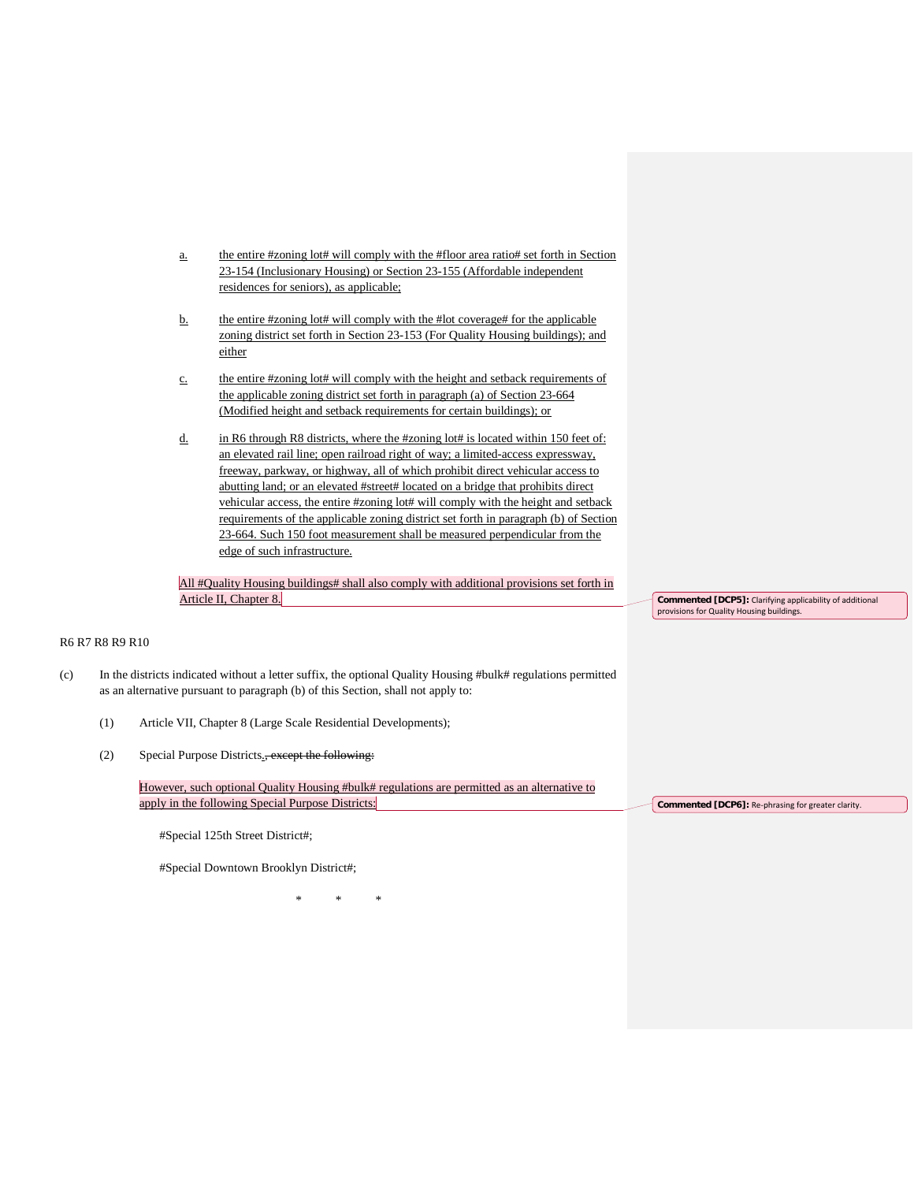- a. the entire #zoning lot# will comply with the #floor area ratio# set forth in Section 23-154 (Inclusionary Housing) or Section 23-155 (Affordable independent residences for seniors), as applicable;
- b. the entire #zoning lot# will comply with the #lot coverage# for the applicable zoning district set forth in Section 23-153 (For Quality Housing buildings); and either
- c. the entire #zoning lot# will comply with the height and setback requirements of the applicable zoning district set forth in paragraph (a) of Section 23-664 (Modified height and setback requirements for certain buildings); or
- d. in R6 through R8 districts, where the #zoning lot# is located within 150 feet of: an elevated rail line; open railroad right of way; a limited-access expressway, freeway, parkway, or highway, all of which prohibit direct vehicular access to abutting land; or an elevated #street# located on a bridge that prohibits direct vehicular access, the entire #zoning lot# will comply with the height and setback requirements of the applicable zoning district set forth in paragraph (b) of Section 23-664. Such 150 foot measurement shall be measured perpendicular from the edge of such infrastructure.

All #Quality Housing buildings# shall also comply with additional provisions set forth in Article II, Chapter 8.

## R6 R7 R8 R9 R10

- (c) In the districts indicated without a letter suffix, the optional Quality Housing #bulk# regulations permitted as an alternative pursuant to paragraph (b) of this Section, shall not apply to:
	- (1) Article VII, Chapter 8 (Large Scale Residential Developments);
	- (2) Special Purpose Districts., except the following:

However, such optional Quality Housing #bulk# regulations are permitted as an alternative to apply in the following Special Purpose Districts:

#Special 125th Street District#;

#Special Downtown Brooklyn District#;

\* \* \*

**Commented [DCP5]:** Clarifying applicability of additional provisions for Quality Housing buildings.

**Commented [DCP6]:** Re-phrasing for greater clarity.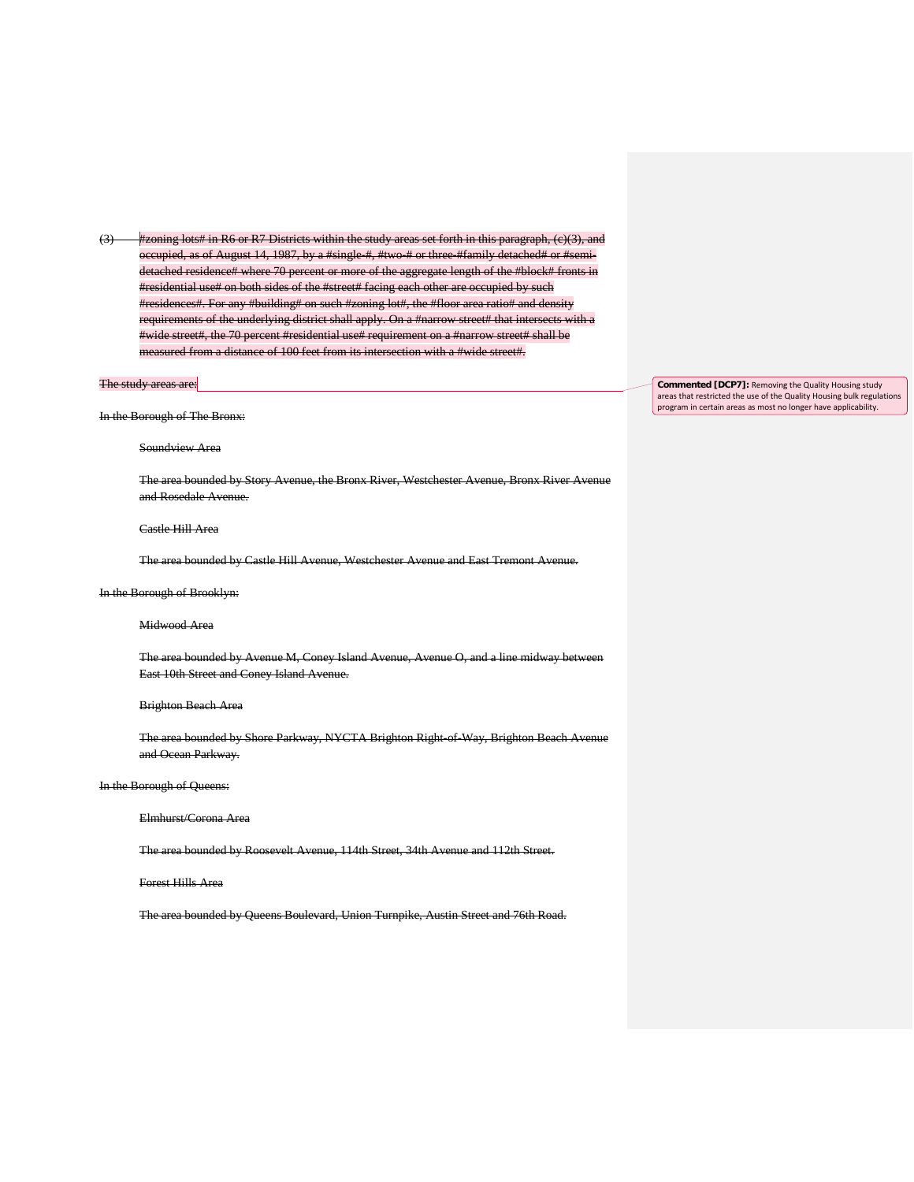$(3)$  #zoning lots# in R6 or R7 Districts within the study areas set forth in this paragraph,  $(e)(3)$ , occupied, as of August 14, 1987, by a #single #, #two # or three #family detach detached residence# where 70 percent or more of the aggregate length of the #block# fronts in #residential use# on both sides of the #street# facing each other are occupied by such #residences#. For any #building# on such #zoning lot#, the #floor area ratio# and density requirements of the underlying district shall apply. On a #narrow street# that intersects with a #wide street#, the 70 percent #residential use# requirement on a #narrow street# shall be measured from a distance of 100 feet from its intersection with a #wide street#.

# The study areas are:

In the Borough of The Bronx:

#### Soundview Area

The area bounded by Story Avenue, the Bronx River, Westchester Avenue, Bronx River Avenue and Rosedale Avenue.

#### Castle Hill Area

The area bounded by Castle Hill Avenue, Westchester Avenue and East Tremont Avenue.

#### In the Borough of Brooklyn:

#### Midwood Area

The area bounded by Avenue M, Coney Island Avenue, Avenue O, and a line midway between East 10th Street and Coney Island Avenue.

#### Brighton Beach Area

The area bounded by Shore Parkway, NYCTA Brighton Right-of-Way, Brighton Beach Avenue and Ocean Parkway.

In the Borough of Queens:

Elmhurst/Corona Area

The area bounded by Roosevelt Avenue, 114th Street, 34th Avenue and 112th Street.

#### Forest Hills Area

The area bounded by Queens Boulevard, Union Turnpike, Austin Street and 76th Road.

**Commented [DCP7]:** Removing the Quality Housing study areas that restricted the use of the Quality Housing bulk regulations program in certain areas as most no longer have applicability.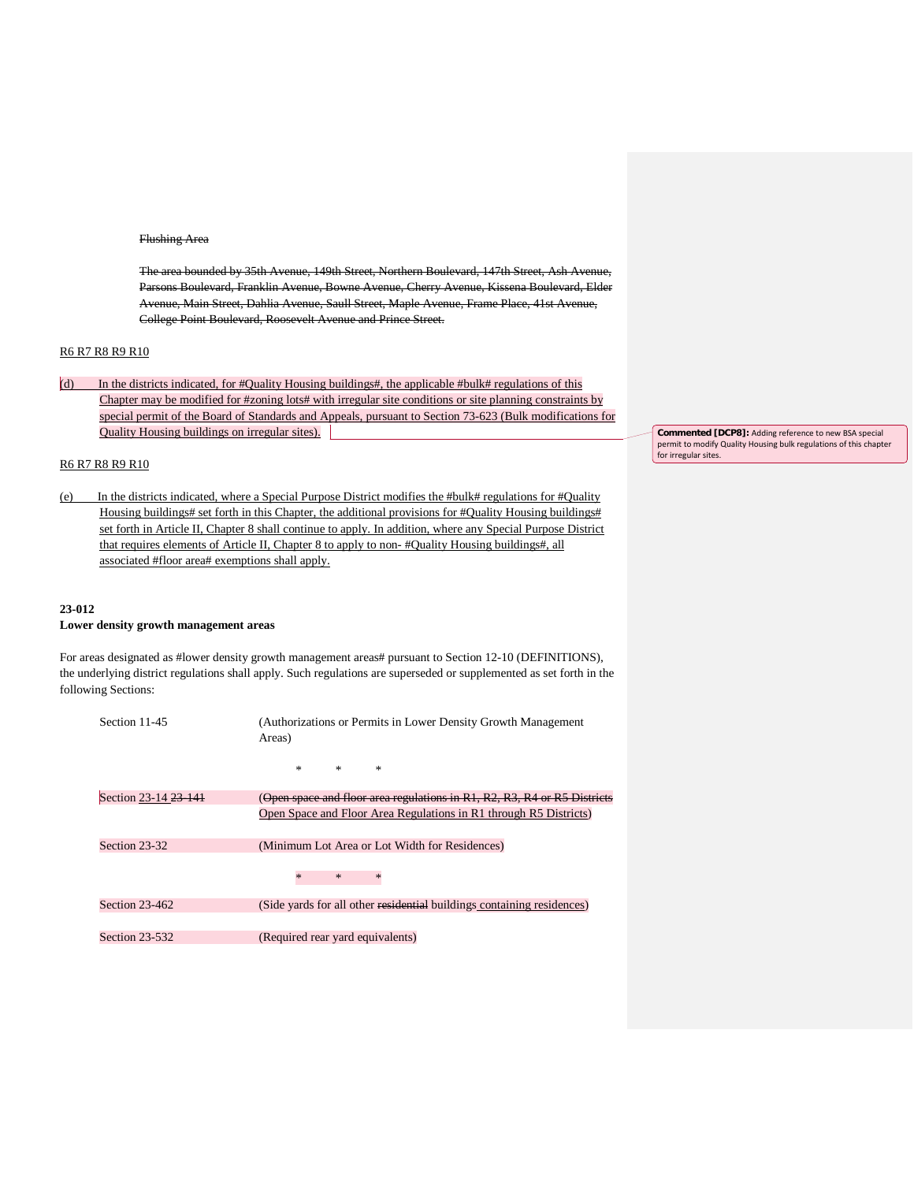#### Flushing Area

The area bounded by 35th Avenue, 149th Street, Northern Boulevard, 147th Street, Ash Avenue, Parsons Boulevard, Franklin Avenue, Bowne Avenue, Cherry Avenue, Kissena Boulevard, Elder Avenue, Main Street, Dahlia Avenue, Saull Street, Maple Avenue, Frame Place, 41st Avenue, College Point Boulevard, Roosevelt Avenue and Prince Street.

## R6 R7 R8 R9 R10

(d) In the districts indicated, for #Quality Housing buildings#, the applicable #bulk# regulations of this Chapter may be modified for #zoning lots# with irregular site conditions or site planning constraints by special permit of the Board of Standards and Appeals, pursuant to Section 73-623 (Bulk modifications for Quality Housing buildings on irregular sites).

#### R6 R7 R8 R9 R10

(e) In the districts indicated, where a Special Purpose District modifies the #bulk# regulations for #Quality Housing buildings# set forth in this Chapter, the additional provisions for #Quality Housing buildings# set forth in Article II, Chapter 8 shall continue to apply. In addition, where any Special Purpose District that requires elements of Article II, Chapter 8 to apply to non- #Quality Housing buildings#, all associated #floor area# exemptions shall apply.

## **23-012**

#### **Lower density growth management areas**

For areas designated as #lower density growth management areas# pursuant to Section 12-10 (DEFINITIONS), the underlying district regulations shall apply. Such regulations are superseded or supplemented as set forth in the following Sections:

| Section 11-45        | (Authorizations or Permits in Lower Density Growth Management)<br>Areas) |  |  |  |
|----------------------|--------------------------------------------------------------------------|--|--|--|
|                      | $\ast$<br>$\ast$<br>$\ast$                                               |  |  |  |
| Section 23-14 23 141 | (Open space and floor area regulations in R1, R2, R3, R4 or R5 Districts |  |  |  |
|                      | Open Space and Floor Area Regulations in R1 through R5 Districts)        |  |  |  |
| Section 23-32        | (Minimum Lot Area or Lot Width for Residences)                           |  |  |  |
|                      | $\ast$<br>$\ast$                                                         |  |  |  |
| Section 23-462       | (Side yards for all other residential buildings containing residences)   |  |  |  |
|                      |                                                                          |  |  |  |
| Section 23-532       | (Required rear yard equivalents)                                         |  |  |  |

**Commented [DCP8]:** Adding reference to new BSA special permit to modify Quality Housing bulk regulations of this chapter for irregular sites.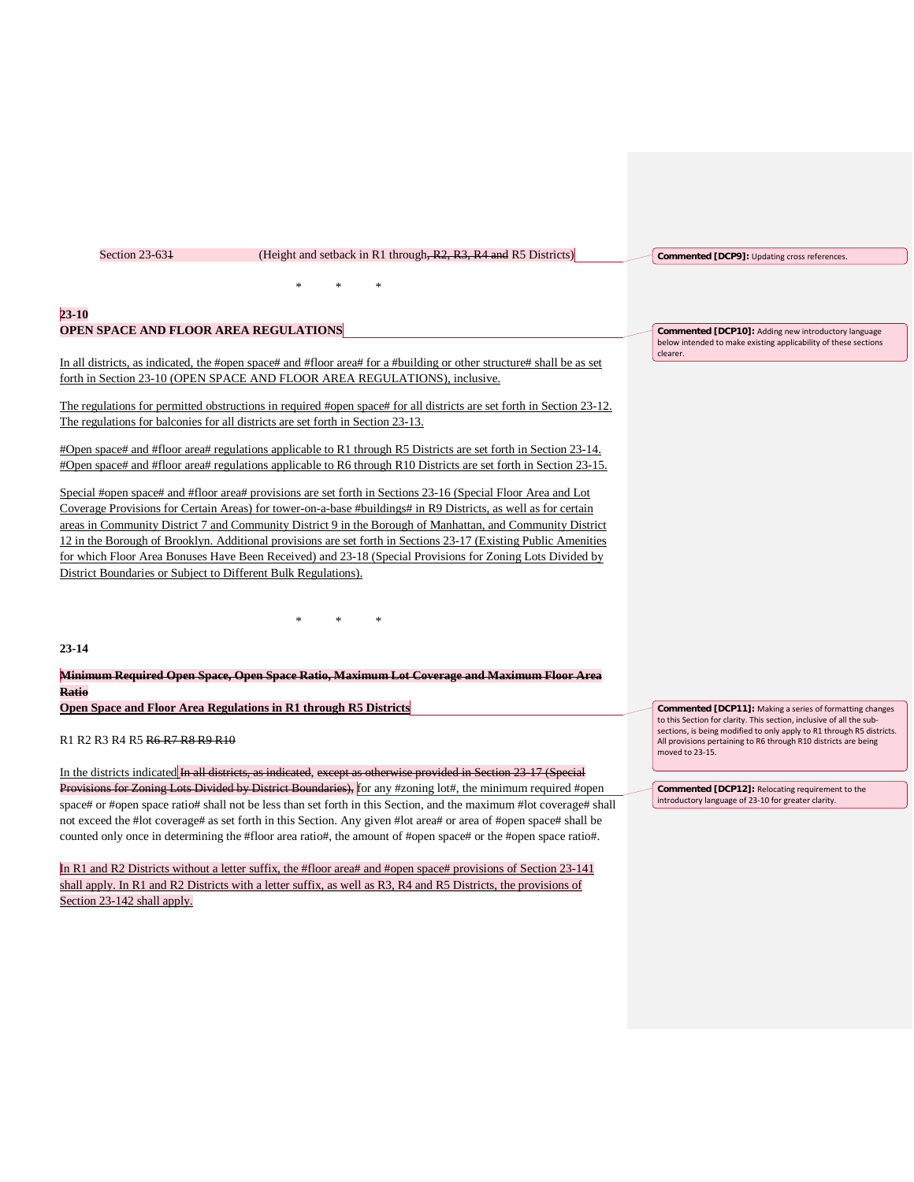| Section 23-631                                                 | (Height and setback in R1 through, R2, R3, R4 and R5 Districts)                                                                                                                                                                                                                                                                                     | Commented [DCP9]: Updating cross references.                                |
|----------------------------------------------------------------|-----------------------------------------------------------------------------------------------------------------------------------------------------------------------------------------------------------------------------------------------------------------------------------------------------------------------------------------------------|-----------------------------------------------------------------------------|
|                                                                |                                                                                                                                                                                                                                                                                                                                                     |                                                                             |
| $23 - 10$                                                      |                                                                                                                                                                                                                                                                                                                                                     |                                                                             |
| OPEN SPACE AND FLOOR AREA REGULATIONS                          |                                                                                                                                                                                                                                                                                                                                                     | Commented [DCP10]: Adding new introductory language                         |
|                                                                | In all districts, as indicated, the #open space# and #floor area# for a #building or other structure# shall be as set<br>forth in Section 23-10 (OPEN SPACE AND FLOOR AREA REGULATIONS), inclusive.                                                                                                                                                 | below intended to make existing applicability of these sections<br>clearer. |
|                                                                | The regulations for permitted obstructions in required #open space# for all districts are set forth in Section 23-12.                                                                                                                                                                                                                               |                                                                             |
|                                                                | The regulations for balconies for all districts are set forth in Section 23-13.                                                                                                                                                                                                                                                                     |                                                                             |
|                                                                | #Open space# and #floor area# regulations applicable to R1 through R5 Districts are set forth in Section 23-14.<br>#Open space# and #floor area# regulations applicable to R6 through R10 Districts are set forth in Section 23-15.<br>Special #open space# and #floor area# provisions are set forth in Sections 23-16 (Special Floor Area and Lot |                                                                             |
|                                                                | Coverage Provisions for Certain Areas) for tower-on-a-base #buildings# in R9 Districts, as well as for certain                                                                                                                                                                                                                                      |                                                                             |
|                                                                | areas in Community District 7 and Community District 9 in the Borough of Manhattan, and Community District<br>12 in the Borough of Brooklyn. Additional provisions are set forth in Sections 23-17 (Existing Public Amenities                                                                                                                       |                                                                             |
|                                                                | for which Floor Area Bonuses Have Been Received) and 23-18 (Special Provisions for Zoning Lots Divided by                                                                                                                                                                                                                                           |                                                                             |
| District Boundaries or Subject to Different Bulk Regulations). |                                                                                                                                                                                                                                                                                                                                                     |                                                                             |
|                                                                | $\ast$                                                                                                                                                                                                                                                                                                                                              |                                                                             |
| 23-14                                                          |                                                                                                                                                                                                                                                                                                                                                     |                                                                             |

**Minimum Required Open Space, Open Space Ratio, Maximum Lot Coverage and Maximum Floor Area Ratio**

**Open Space and Floor Area Regulations in R1 through R5 Districts**

R1 R2 R3 R4 R5 R6 R7 R8 R9 R10

In the districts indicated In all districts, as indicated, except as otherwise provided in Section 23-17 (Special Provisions for Zoning Lots Divided by District Boundaries), for any #zoning lot#, the minimum required #open space# or #open space ratio# shall not be less than set forth in this Section, and the maximum #lot coverage# shall not exceed the #lot coverage# as set forth in this Section. Any given #lot area# or area of #open space# shall be counted only once in determining the #floor area ratio#, the amount of #open space# or the #open space ratio#.

In R1 and R2 Districts without a letter suffix, the #floor area# and #open space# provisions of Section 23-141 shall apply. In R1 and R2 Districts with a letter suffix, as well as R3, R4 and R5 Districts, the provisions of Section 23-142 shall apply.

**Commented [DCP11]:** Making a series of formatting changes to this Section for clarity. This section, inclusive of all the subsections, is being modified to only apply to R1 through R5 districts. All provisions pertaining to R6 through R10 districts are being moved to 23-15.

**Commented [DCP12]:** Relocating requirement to the introductory language of 23-10 for greater clarity.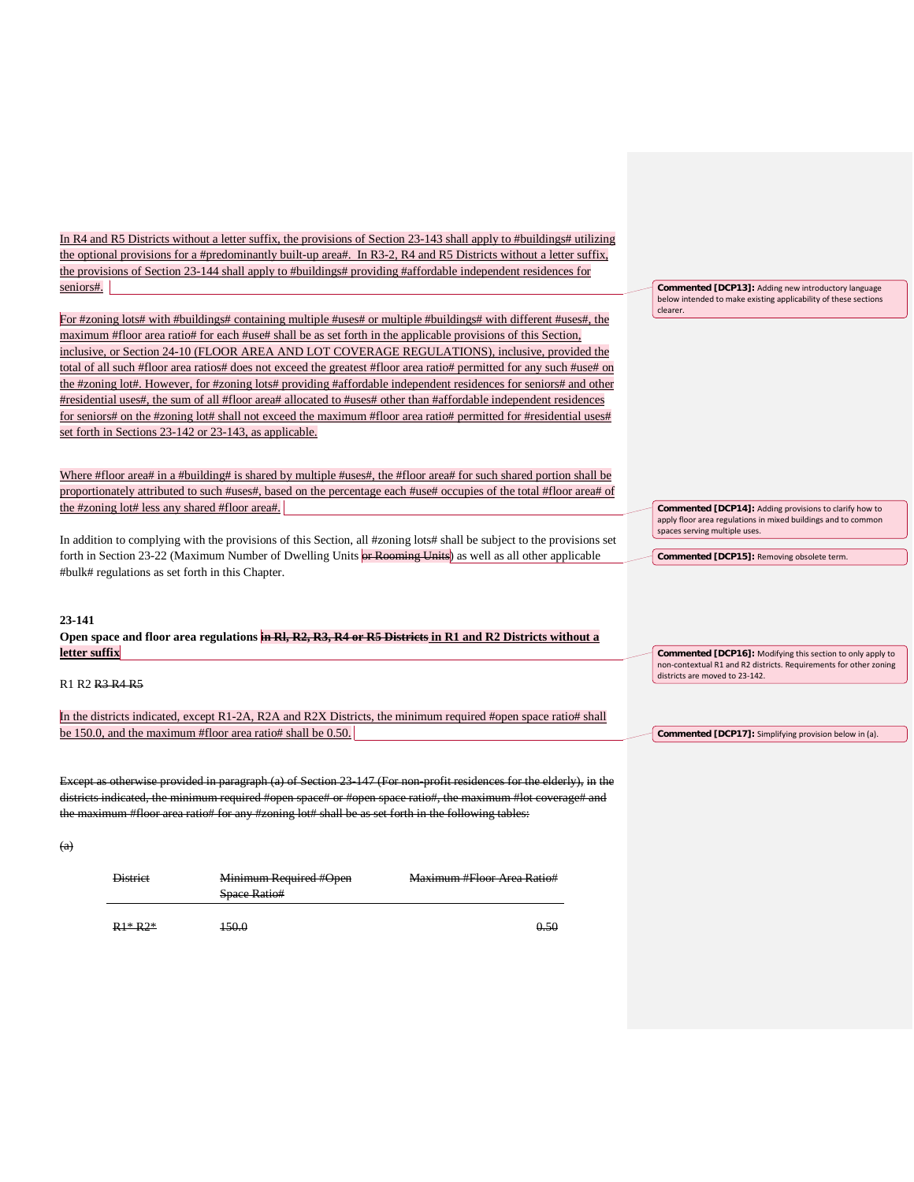In R4 and R5 Districts without a letter suffix, the provisions of Section 23-143 shall apply to #buildings# utilizing the optional provisions for a #predominantly built-up area#. In R3-2, R4 and R5 Districts without a letter suffix, the provisions of Section 23-144 shall apply to #buildings# providing #affordable independent residences for seniors#.

For #zoning lots# with #buildings# containing multiple #uses# or multiple #buildings# with different #uses#, the maximum #floor area ratio# for each #use# shall be as set forth in the applicable provisions of this Section, inclusive, or Section 24-10 (FLOOR AREA AND LOT COVERAGE REGULATIONS), inclusive, provided the total of all such #floor area ratios# does not exceed the greatest #floor area ratio# permitted for any such #use# on the #zoning lot#. However, for #zoning lots# providing #affordable independent residences for seniors# and other #residential uses#, the sum of all #floor area# allocated to #uses# other than #affordable independent residences for seniors# on the #zoning lot# shall not exceed the maximum #floor area ratio# permitted for #residential uses# set forth in Sections 23-142 or 23-143, as applicable.

Where #floor area# in a #building# is shared by multiple #uses#, the #floor area# for such shared portion shall be proportionately attributed to such #uses#, based on the percentage each #use# occupies of the total #floor area# of the #zoning lot# less any shared #floor area#.

In addition to complying with the provisions of this Section, all #zoning lots# shall be subject to the provisions set forth in Section 23-22 (Maximum Number of Dwelling Units **or Rooming Units**) as well as all other applicable #bulk# regulations as set forth in this Chapter.

## **23-141 Open space and floor area regulations in Rl, R2, R3, R4 or R5 Districts in R1 and R2 Districts without a letter suffix**

R1 R2 R3 R4 R5

In the districts indicated, except R1-2A, R2A and R2X Districts, the minimum required #open space ratio# shall be 150.0, and the maximum #floor area ratio# shall be 0.50.

Except as otherwise provided in paragraph (a) of Section 23-147 (For non-profit residences for the elderly), in the districts indicated, the minimum required #open space# or #open space ratio#, the maximum #lot coverage# and the maximum #floor area ratio# for any #zoning lot# shall be as set forth in the following tables:

(a)

| <b>District</b> | Minimum Required #Open | Maximum #Floor Area Ratio# |
|-----------------|------------------------|----------------------------|
|                 | <b>Space Ratio#</b>    |                            |
|                 |                        |                            |

 $R1* R2*$  150.0 150.0

**Commented [DCP13]:** Adding new introductory language below intended to make existing applicability of these sections clearer.

**Commented [DCP14]:** Adding provisions to clarify how to apply floor area regulations in mixed buildings and to common spaces serving multiple uses.

**Commented [DCP15]:** Removing obsolete term.

**Commented [DCP16]:** Modifying this section to only apply to non-contextual R1 and R2 districts. Requirements for other zoning districts are moved to 23-142.

**Commented [DCP17]:** Simplifying provision below in (a).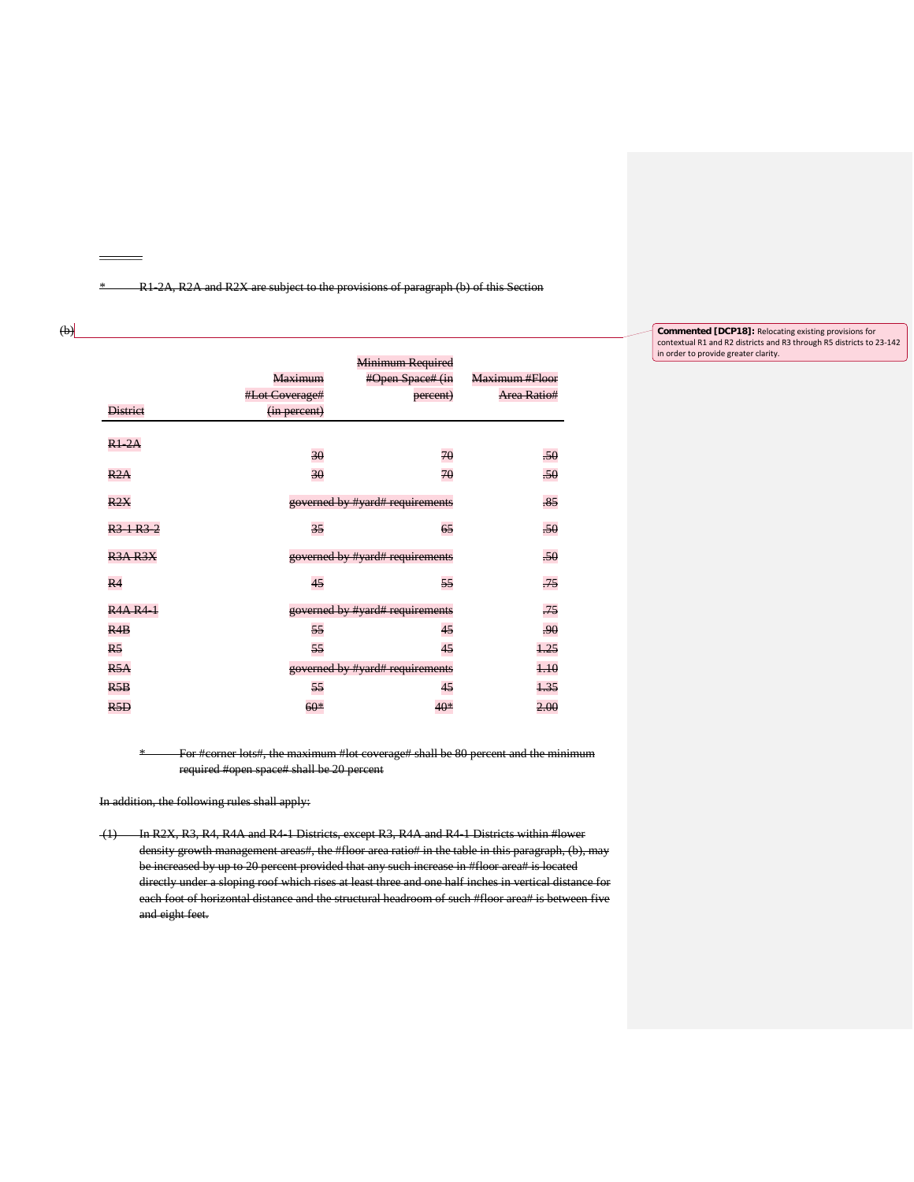\* R1-2A, R2A and R2X are subject to the provisions of paragraph (b) of this Section

# $\leftrightarrow$

 $\equiv$ 

|                                   |                | Minimum Required                |                |
|-----------------------------------|----------------|---------------------------------|----------------|
|                                   | <b>Maximum</b> | #Open Space# (in                | Maximum #Floor |
|                                   | #Lot Coverage# | percent)                        | Area Ratio#    |
| <b>District</b>                   | (in percent)   |                                 |                |
| R12A                              |                |                                 |                |
|                                   | 30             | 70                              | .50            |
| R2A                               | 30             | 70                              | $-50$          |
| R2X                               |                | governed by #yard# requirements | .85            |
| R <sub>3</sub> 1 R <sub>3</sub> 2 | 35             | 65                              | .50            |
| <b>R3A R3X</b>                    |                | governed by #yard# requirements | $-50$          |
| R4                                | 45             | 55                              | $-75$          |
| <b>R4A R4 1</b>                   |                | governed by #yard# requirements | .75            |
| R4B                               | 55             | 45                              | .90            |
| R <sub>5</sub>                    | 55             | 45                              | 1.25           |
| R5A                               |                | governed by #yard# requirements | $+10$          |
| R5B                               | 55             | 45                              | 1.35           |
| R5D                               | $60*$          | 40*                             | 2.00           |

\* For #corner lots#, the maximum #lot coverage# shall be 80 percent and the minimum required #open space# shall be 20 percent

In addition, the following rules shall apply:

(1) In R2X, R3, R4, R4A and R4-1 Districts, except R3, R4A and R4-1 Districts within #lower density growth management areas#, the #floor area ratio# in the table in this paragraph, (b), may be increased by up to 20 percent provided that any such increase in #floor area# is located directly under a sloping roof which rises at least three and one half inches in vertical distance for each foot of horizontal distance and the structural headroom of such #floor area# is between five and eight feet.

#### **Commented [DCP18]:** Relocating existing provisions for contextual R1 and R2 districts and R3 through R5 districts to 23-142 in order to provide greater clarity.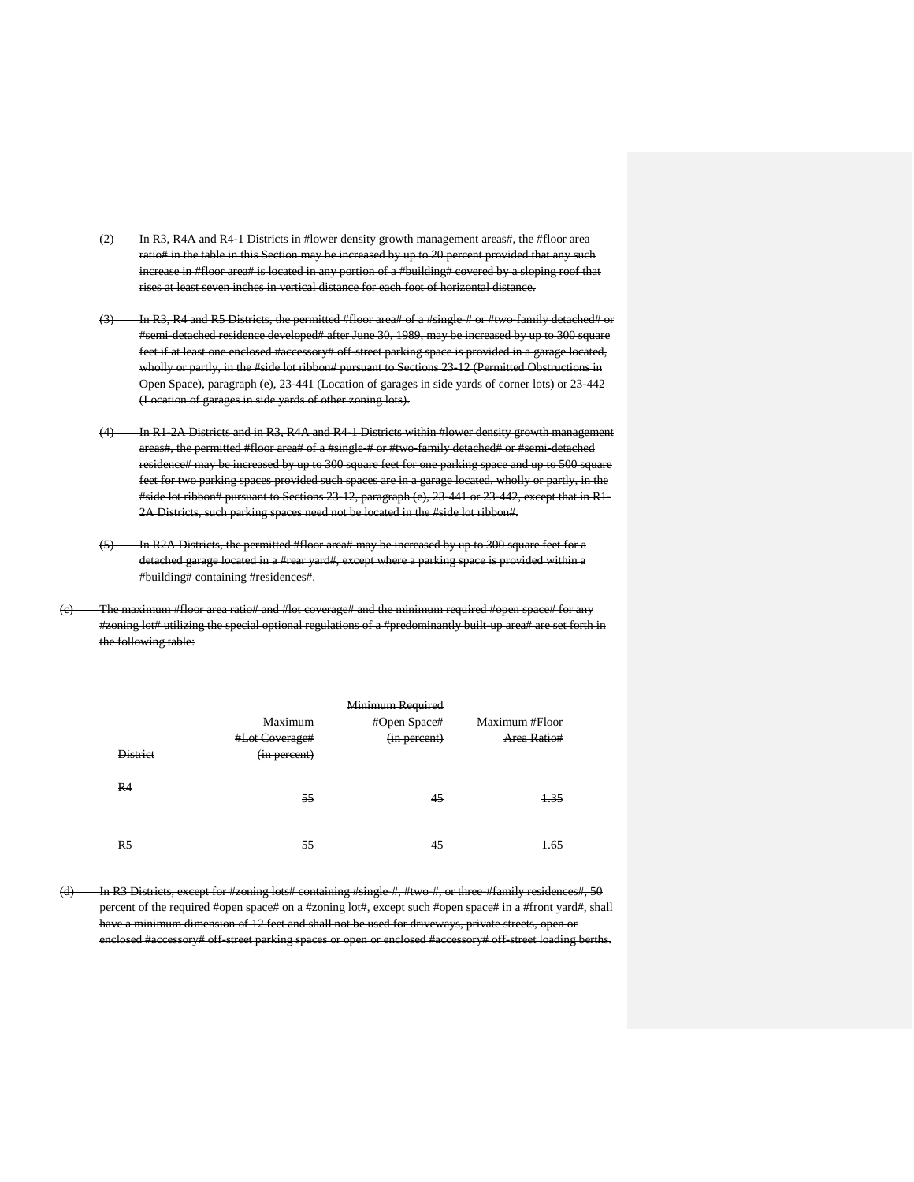- (2) In R3, R4A and R4-1 Districts in #lower density growth management areas#, the #floor area ratio# in the table in this Section may be increased by up to 20 percent provided that any such increase in #floor area# is located in any portion of a #building# covered by a sloping roof that rises at least seven inches in vertical distance for each foot of horizontal distance.
- (3) In R3, R4 and R5 Districts, the permitted #floor area# of a #single-# or #two-family detached# or #semi-detached residence developed# after June 30, 1989, may be increased by up to 300 square feet if at least one enclosed #accessory# off-street parking space is provided in a garage located, wholly or partly, in the #side lot ribbon# pursuant to Sections 23-12 (Permitted Obstructions in Open Space), paragraph (e), 23-441 (Location of garages in side yards of corner lots) or 23-442 (Location of garages in side yards of other zoning lots).
- (4) In R1-2A Districts and in R3, R4A and R4-1 Districts within #lower density growth management areas#, the permitted #floor area# of a #single # or #two-family detached# or #semi-detached residence# may be increased by up to 300 square feet for one parking space and up to 500 square feet for two parking spaces provided such spaces are in a garage located, wholly or partly, in the #side lot ribbon# pursuant to Sections 23-12, paragraph (e), 23-441 or 23-442, except that in R1- 2A Districts, such parking spaces need not be located in the #side lot ribbon#.
- (5) In R2A Districts, the permitted #floor area# may be increased by up to 300 square feet for a detached garage located in a #rear yard#, except where a parking space is provided within a #building# containing #residences#.
- The maximum #floor area ratio# and #lot coverage# and the minimum required #open space# for any #zoning lot# utilizing the special optional regulations of a #predominantly built-up area# are set forth in the following table:

|                 |                | Minimum Required |                |
|-----------------|----------------|------------------|----------------|
|                 | Maximum        | #Open Space#     | Maximum #Floor |
|                 | #Lot Coverage# | (in percent)     | Area Ratio#    |
| <b>District</b> | (in percent)   |                  |                |
| R4              | 55             | 45               | 1.35           |
| R <sub>5</sub>  | 55             | 45               | 1.65           |

(d) In R3 Districts, except for #zoning lots# containing #single #, #two #, or three #family residences#, 50 percent of the required #open space# on a #zoning lot#, except such #open space# in a #front yard#, shall have a minimum dimension of 12 feet and shall not be used for driveways, private streets, open or enclosed #accessory# off-street parking spaces or open or enclosed #accessory# off-street loading berths.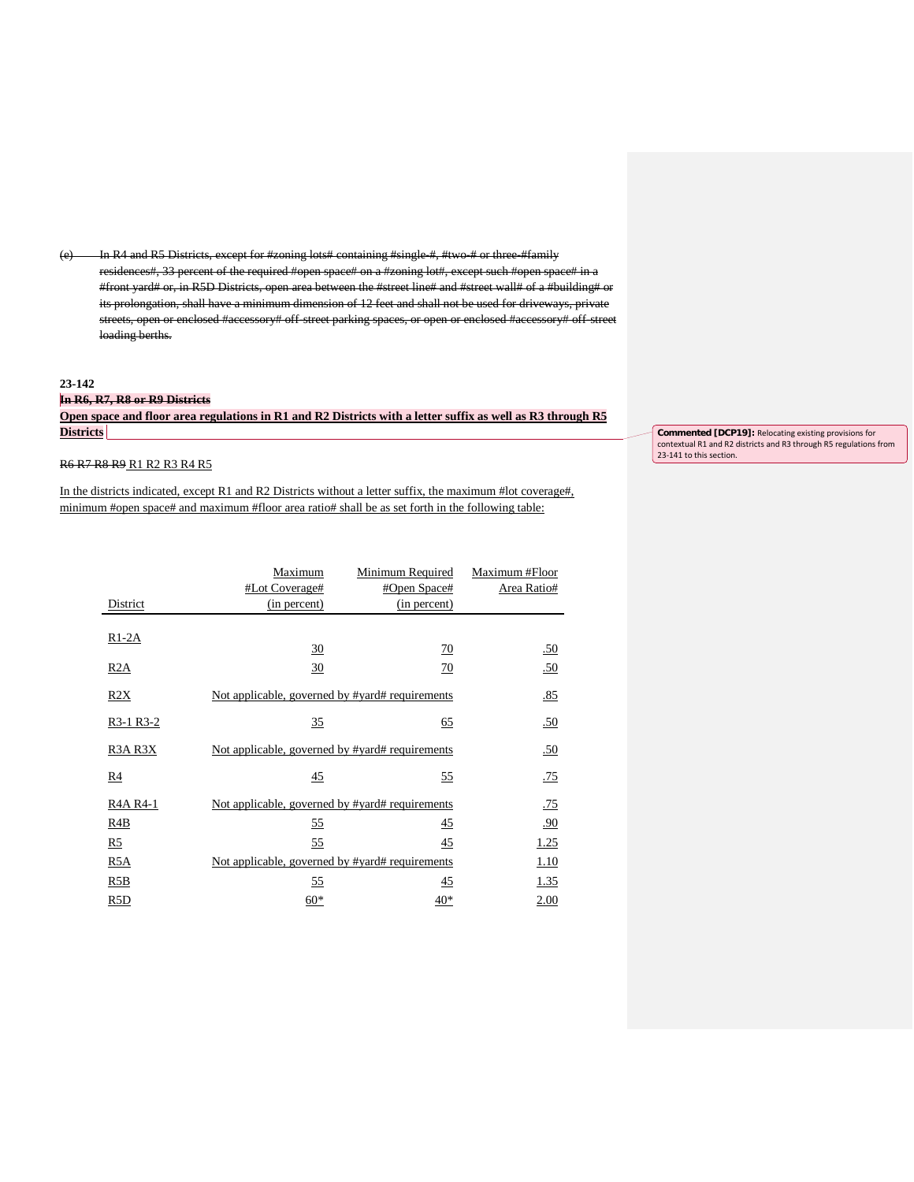(e) In R4 and R5 Districts, except for #zoning lots# containing #single #, #two # or three #family residences#, 33 percent of the required #open space# on a #zoning lot#, except such #open space# in a #front yard# or, in R5D Districts, open area between the #street line# and #street wall# of a #building# or its prolongation, shall have a minimum dimension of 12 feet and shall not be used for driveways, private streets, open or enclosed #accessory# off-street parking spaces, or open or enclosed #accessory# off-street loading berths.

#### **23-142**

# **In R6, R7, R8 or R9 Districts Open space and floor area regulations in R1 and R2 Districts with a letter suffix as well as R3 through R5 Districts**

R6 R7 R8 R9 R1 R2 R3 R4 R5

In the districts indicated, except R1 and R2 Districts without a letter suffix, the maximum #lot coverage#, minimum #open space# and maximum #floor area ratio# shall be as set forth in the following table:

|                | Maximum                                         | Minimum Required | Maximum #Floor |
|----------------|-------------------------------------------------|------------------|----------------|
|                | #Lot Coverage#                                  | #Open Space#     | Area Ratio#    |
| District       | (in percent)                                    | (in percent)     |                |
| $R1-2A$        |                                                 |                  |                |
|                | 30                                              | $\overline{10}$  | .50            |
| R2A            | $\frac{30}{5}$                                  | $\overline{10}$  | .50            |
| R2X            | Not applicable, governed by #yard# requirements |                  | .85            |
| R3-1 R3-2      | 35                                              | 65               | .50            |
| R3A R3X        | Not applicable, governed by #yard# requirements |                  | .50            |
| R4             | 45                                              | <u>55</u>        | .75            |
| R4A R4-1       | Not applicable, governed by #yard# requirements |                  | .75            |
| R4B            | <u>55</u>                                       | 45               | .90            |
| R <sub>5</sub> | 55                                              | 45               | 1.25           |
| R5A            | Not applicable, governed by #yard# requirements |                  | 1.10           |
| R5B            | $\frac{55}{2}$                                  | 45               | <u>1.35</u>    |
| R5D            | $60*$                                           | 40*              | 2.00           |

**Commented [DCP19]:** Relocating existing provisions for contextual R1 and R2 districts and R3 through R5 regulations from 23-141 to this section.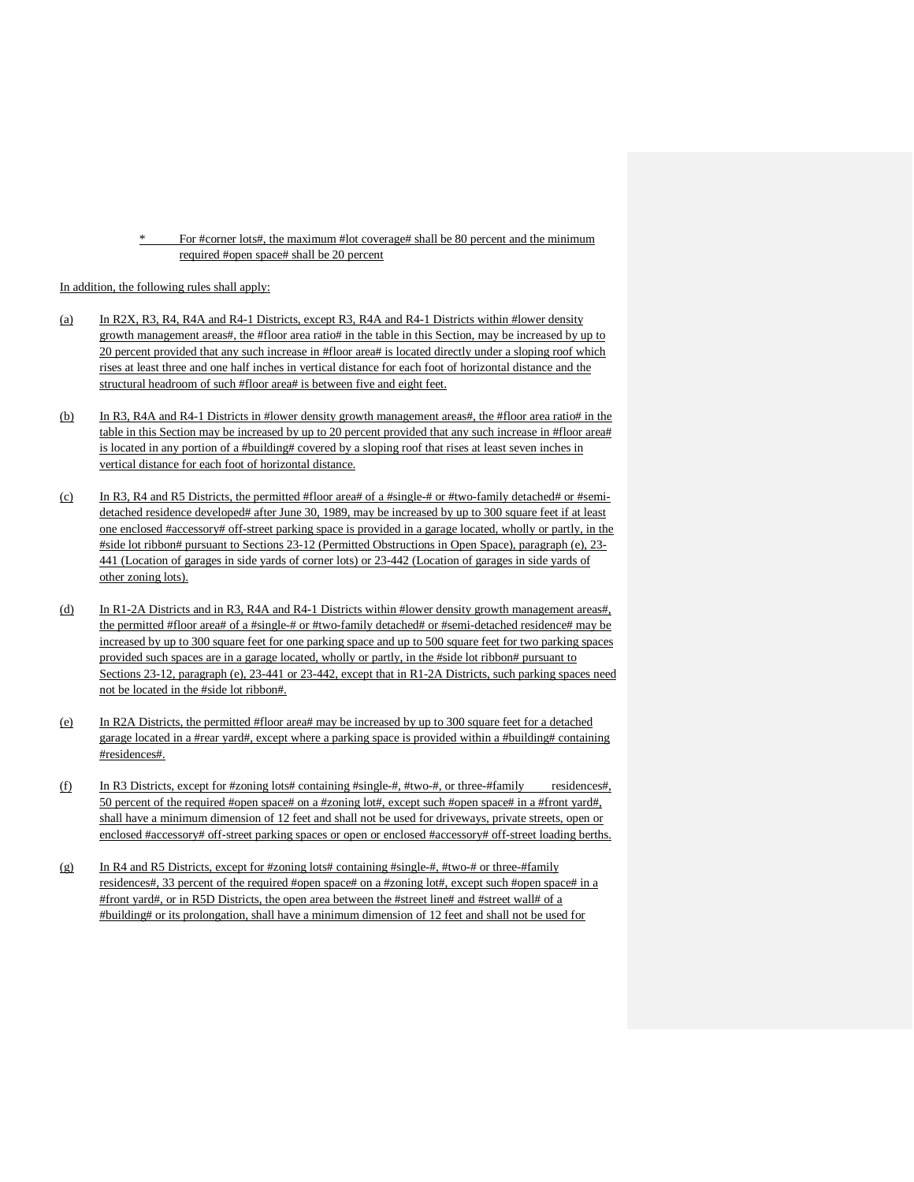For #corner lots#, the maximum #lot coverage# shall be 80 percent and the minimum required #open space# shall be 20 percent

In addition, the following rules shall apply:

- (a) In R2X, R3, R4, R4A and R4-1 Districts, except R3, R4A and R4-1 Districts within #lower density growth management areas#, the #floor area ratio# in the table in this Section, may be increased by up to 20 percent provided that any such increase in #floor area# is located directly under a sloping roof which rises at least three and one half inches in vertical distance for each foot of horizontal distance and the structural headroom of such #floor area# is between five and eight feet.
- (b) In R3, R4A and R4-1 Districts in #lower density growth management areas#, the #floor area ratio# in the table in this Section may be increased by up to 20 percent provided that any such increase in #floor area# is located in any portion of a #building# covered by a sloping roof that rises at least seven inches in vertical distance for each foot of horizontal distance.
- (c) In R3, R4 and R5 Districts, the permitted #floor area# of a #single-# or #two-family detached# or #semidetached residence developed# after June 30, 1989, may be increased by up to 300 square feet if at least one enclosed #accessory# off-street parking space is provided in a garage located, wholly or partly, in the #side lot ribbon# pursuant to Sections 23-12 (Permitted Obstructions in Open Space), paragraph (e), 23- 441 (Location of garages in side yards of corner lots) or 23-442 (Location of garages in side yards of other zoning lots).
- (d) In R1-2A Districts and in R3, R4A and R4-1 Districts within #lower density growth management areas#, the permitted #floor area# of a #single-# or #two-family detached# or #semi-detached residence# may be increased by up to 300 square feet for one parking space and up to 500 square feet for two parking spaces provided such spaces are in a garage located, wholly or partly, in the #side lot ribbon# pursuant to Sections 23-12, paragraph (e), 23-441 or 23-442, except that in R1-2A Districts, such parking spaces need not be located in the #side lot ribbon#.
- (e) In R2A Districts, the permitted #floor area# may be increased by up to 300 square feet for a detached garage located in a #rear yard#, except where a parking space is provided within a #building# containing #residences#.
- (f) In R3 Districts, except for #zoning lots# containing #single-#, #two-#, or three-#family residences#, 50 percent of the required #open space# on a #zoning lot#, except such #open space# in a #front yard#, shall have a minimum dimension of 12 feet and shall not be used for driveways, private streets, open or enclosed #accessory# off-street parking spaces or open or enclosed #accessory# off-street loading berths.
- (g) In R4 and R5 Districts, except for #zoning lots# containing #single-#, #two-# or three-#family residences#, 33 percent of the required #open space# on a #zoning lot#, except such #open space# in a #front yard#, or in R5D Districts, the open area between the #street line# and #street wall# of a #building# or its prolongation, shall have a minimum dimension of 12 feet and shall not be used for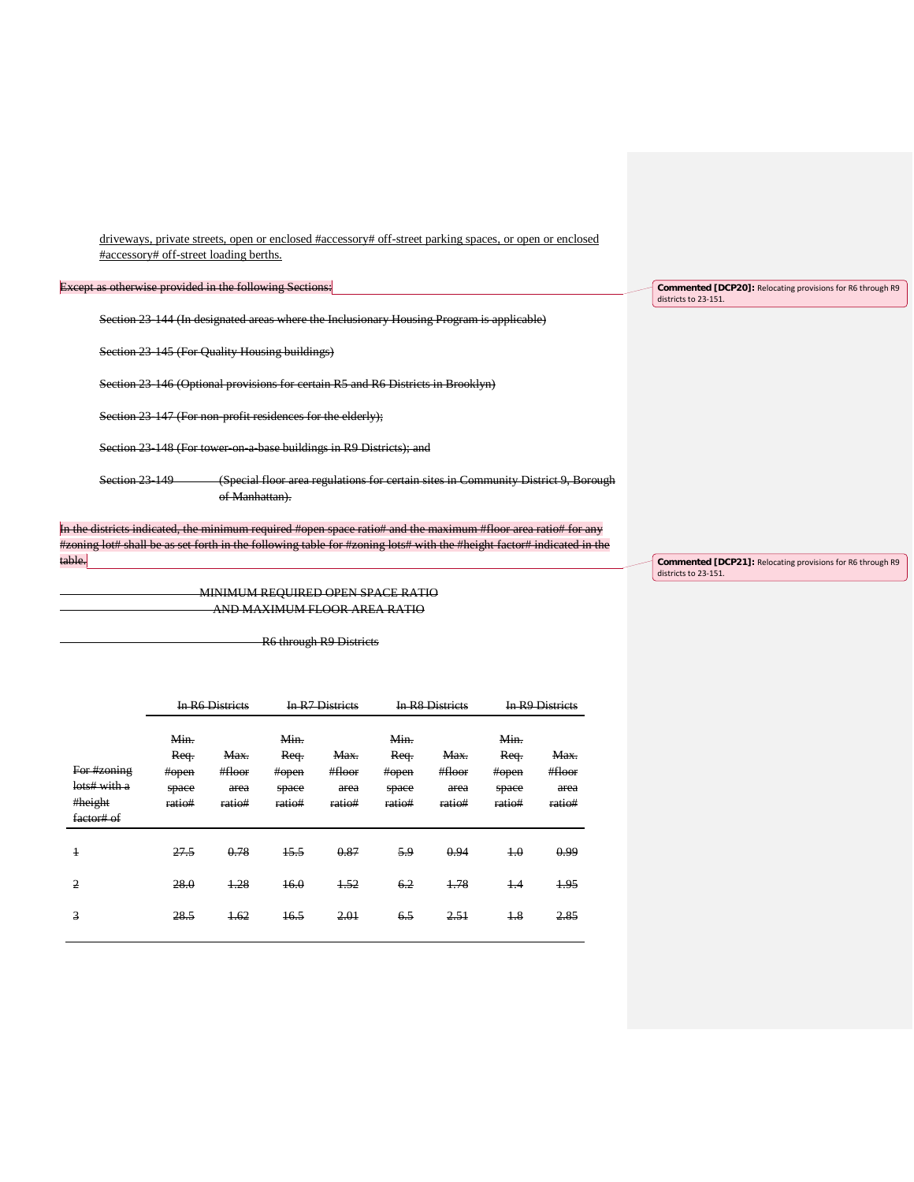driveways, private streets, open or enclosed #accessory# off-street parking spaces, or open or enclosed #accessory# off-street loading berths.

Except as otherwise provided in the following Sections:

Section 23-144 (In designated areas where the Inclusionary Housing Program is applicable)

Section 23-145 (For Quality Housing buildings)

Section 23-146 (Optional provisions for certain R5 and R6 Districts in Brooklyn)

Section 23-147 (For non-profit residences for the elderly);

Section 23-148 (For tower-on-a-base buildings in R9 Districts); and

Section 23-149 (Special floor area regulations for certain sites in Community District 9, Borough of Manhattan).

In the districts indicated, the minimum required #open space ratio# and the maximum #floor area ratio# for any #zoning lot# shall be as set forth in the following table for #zoning lots# with the #height factor# indicated in the table.

> MINIMUM REQUIRED OPEN SPACE RATIO AND MAXIMUM FLOOR AREA RATIO

> > R6 through R9 Districts

|                                                      |                                          | <b>In R6 Districts</b>           |                                          | In R7 Districts                  |                                          | <b>In R8 Districts</b>           |                                          | <b>In R9 Districts</b>           |
|------------------------------------------------------|------------------------------------------|----------------------------------|------------------------------------------|----------------------------------|------------------------------------------|----------------------------------|------------------------------------------|----------------------------------|
| For #zoning<br>lots# with a<br>#height<br>factor# of | Min.<br>Req.<br>#open<br>space<br>ratio# | Max.<br>#floor<br>area<br>ratio# | Min.<br>Req.<br>#open<br>space<br>ratio# | Max.<br>#floor<br>area<br>ratio# | Min.<br>Req.<br>#open<br>space<br>ratio# | Max.<br>#floor<br>area<br>ratio# | Min.<br>Req.<br>#open<br>space<br>ratio# | Max.<br>#floor<br>area<br>ratio# |
| $\overline{1}$                                       | 27.5                                     | 0.78                             | 15.5                                     | 0.87                             | 5.9                                      | 0.94                             | 4.0                                      | 0.99                             |
| $\overline{2}$                                       | 28.0                                     | 1.28                             | 16.0                                     | 1.52                             | 6.2                                      | 1.78                             | $+4$                                     | 1.95                             |
| 3                                                    | 28.5                                     | 1.62                             | 16.5                                     | 2.01                             | 6.5                                      | 2.51                             | $+8$                                     | 2.85                             |
|                                                      |                                          |                                  |                                          |                                  |                                          |                                  |                                          |                                  |

**Commented [DCP20]:** Relocating provisions for R6 through R9

districts to 23-151.

**Commented [DCP21]:** Relocating provisions for R6 through R9 districts to 23-151.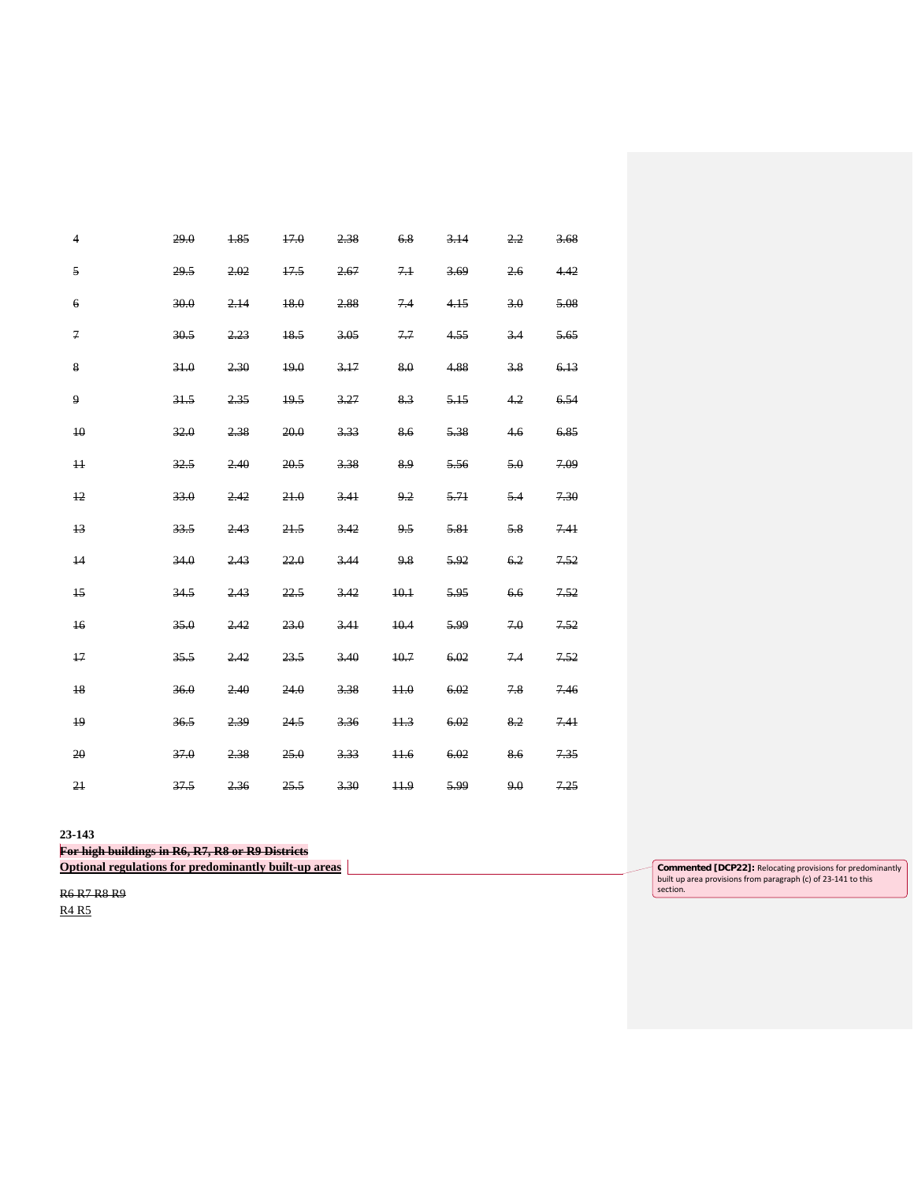| $\overline{4}$   | 29.0 | 1.85 | 17.0 | 2.38 | 6.8    | 3.14 | 2,2 | 3.68 |
|------------------|------|------|------|------|--------|------|-----|------|
| 5                | 29.5 | 2.02 | 17.5 | 2.67 | 7.1    | 3.69 | 2.6 | 4.42 |
| $\boldsymbol{6}$ | 30.0 | 2.14 | 18.0 | 2.88 | 74     | 4.15 | 3.0 | 5.08 |
| $\overline{7}$   | 30.5 | 2.23 | 18.5 | 3.05 | 7.7    | 4.55 | 3.4 | 5.65 |
| 8                | 31.0 | 2.30 | 19.0 | 3.17 | 8.0    | 4.88 | 3.8 | 6.13 |
| 9                | 31.5 | 2.35 | 19.5 | 3.27 | 8.3    | 5.15 | 4.2 | 6.54 |
| 40               | 32.0 | 2.38 | 20.0 | 3.33 | 8.6    | 5.38 | 4.6 | 6.85 |
| $\overline{11}$  | 32.5 | 2.40 | 20.5 | 3.38 | 8.9    | 5.56 | 5.0 | 7.09 |
| $+2$             | 33.0 | 2.42 | 21.0 | 3.41 | 9.2    | 5.71 | 5.4 | 7.30 |
| 13               | 33.5 | 2.43 | 21.5 | 3.42 | 9.5    | 5.81 | 5.8 | 741  |
| 14               | 34.0 | 2,43 | 22.0 | 3.44 | 9.8    | 5.92 | 6.2 | 7.52 |
| $\overline{15}$  | 34.5 | 2.43 | 22.5 | 3.42 | 10.1   | 5.95 | 6.6 | 7.52 |
| $+6$             | 35.0 | 2.42 | 23.0 | 3.41 | 10.4   | 5.99 | 7.0 | 7.52 |
| 17               | 35.5 | 2,42 | 23.5 | 3.40 | 10.7   | 6.02 | 7.4 | 7.52 |
| 18               | 36.0 | 2.40 | 24.0 | 3.38 | 44.0   | 6.02 | 7.8 | 7.46 |
| 19               | 36.5 | 2.39 | 24.5 | 3.36 | 11.3   | 6.02 | 8.2 | 7.41 |
| 20               | 37.0 | 2.38 | 25.0 | 3.33 | $+1.6$ | 6.02 | 8.6 | 7.35 |
| 21               | 37.5 | 2.36 | 25.5 | 3.30 | 11.9   | 5.99 | 9.0 | 7.25 |

**23-143**

**For high buildings in R6, R7, R8 or R9 Districts**

**Optional regulations for predominantly built-up areas** 

R6 R7 R8 R9

R4 R5

**Commented [DCP22]:** Relocating provisions for predominantly built up area provisions from paragraph (c) of 23-141 to this section.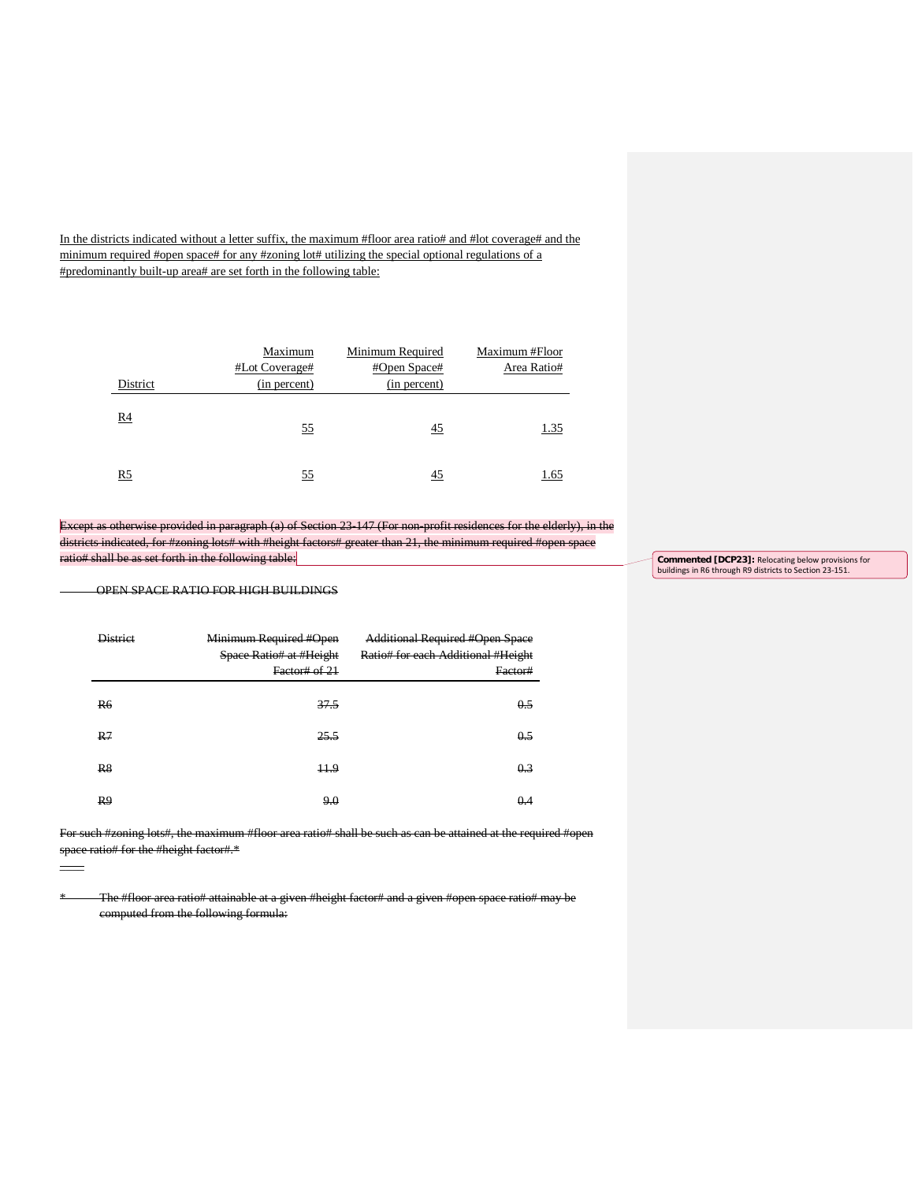In the districts indicated without a letter suffix, the maximum #floor area ratio# and #lot coverage# and the minimum required #open space# for any #zoning lot# utilizing the special optional regulations of a #predominantly built-up area# are set forth in the following table:

| District       | Maximum<br>#Lot Coverage#<br>(in percent) | Minimum Required<br>#Open Space#<br>(in percent) | Maximum #Floor<br>Area Ratio# |
|----------------|-------------------------------------------|--------------------------------------------------|-------------------------------|
| R4             | 55                                        | 45                                               | 1.35                          |
| R <sub>5</sub> | 55                                        | 45                                               | 1.65                          |

Except as otherwise provided in paragraph (a) of Section 23-147 (For non-profit residences for the elderly), in the districts indicated, for #zoning lots# with #height factors# greater than 21, the minimum required #open space ratio# shall be as set forth in the following table:

OPEN SPACE RATIO FOR HIGH BUILDINGS

\_\_\_\_

| <b>District</b> | Minimum Required #Open<br>Space Ratio# at #Height<br>Factor# of 21 | <b>Additional Required #Open Space</b><br>Ratio# for each Additional #Height<br>Factor# |
|-----------------|--------------------------------------------------------------------|-----------------------------------------------------------------------------------------|
| <b>R6</b>       | 37.5                                                               | 0.5                                                                                     |
| R <sub>7</sub>  | 25.5                                                               | 0.5                                                                                     |
| R <sub>8</sub>  | 11.9                                                               | 0.3                                                                                     |
| R9              | 9.0                                                                | 0.4                                                                                     |

For such #zoning lots#, the maximum #floor area ratio# shall be such as can be attained at the required #open space ratio# for the #height factor#.\*

\* The #floor area ratio# attainable at a given #height factor# and a given #open space ratio# may be computed from the following formula:

**Commented [DCP23]:** Relocating below provisions for buildings in R6 through R9 districts to Section 23-151.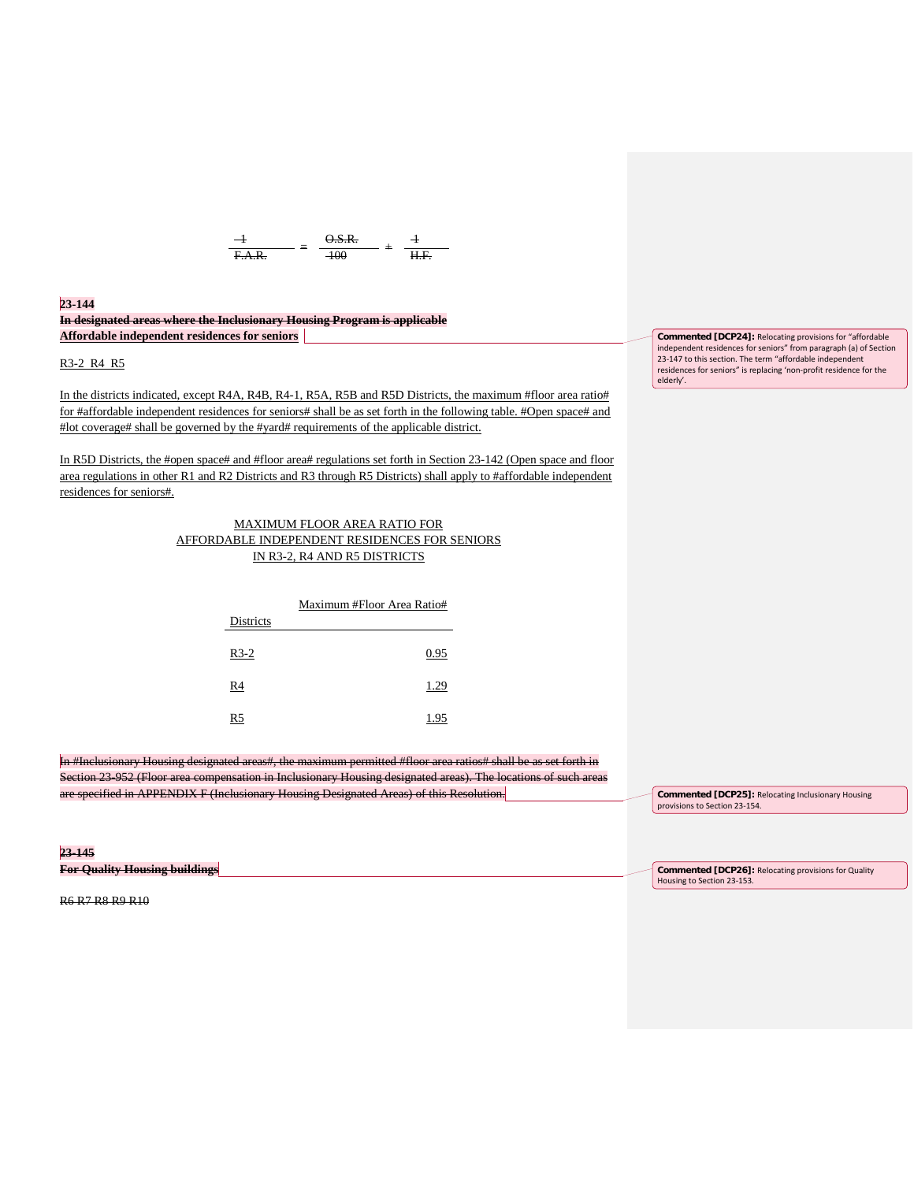

**23-144**

# **In designated areas where the Inclusionary Housing Program is applicable Affordable independent residences for seniors**

R3-2 R4 R5

In the districts indicated, except R4A, R4B, R4-1, R5A, R5B and R5D Districts, the maximum #floor area ratio# for #affordable independent residences for seniors# shall be as set forth in the following table. #Open space# and #lot coverage# shall be governed by the #yard# requirements of the applicable district.

In R5D Districts, the #open space# and #floor area# regulations set forth in Section 23-142 (Open space and floor area regulations in other R1 and R2 Districts and R3 through R5 Districts) shall apply to #affordable independent residences for seniors#.

## MAXIMUM FLOOR AREA RATIO FOR AFFORDABLE INDEPENDENT RESIDENCES FOR SENIORS IN R3-2, R4 AND R5 DISTRICTS

|           | Maximum #Floor Area Ratio# |  |  |
|-----------|----------------------------|--|--|
| Districts |                            |  |  |
| $R3-2$    | 0.95                       |  |  |
| R4        | 1.29                       |  |  |
| R5        | 1.95                       |  |  |

In #Inclusionary Housing designated areas#, the maximum permitted #floor area ratios# shall be as set forth in Section 23-952 (Floor area compensation in Inclusionary Housing designated areas). The locations of such areas are specified in APPENDIX F (Inclusionary Housing Designated Areas) of this Resolution.

**23-145 For Quality Housing buildings**

**Commented [DCP24]:** Relocating provisions for "affordable independent residences for seniors" from paragraph (a) of Section 23-147 to this section. The term "affordable independent residences for seniors" is replacing 'non-profit residence for the elderly'.

**Commented [DCP25]:** Relocating Inclusionary Housing provisions to Section 23-154.

**Commented [DCP26]:** Relocating provisions for Quality Housing to Section 23-153.

R6 R7 R8 R9 R10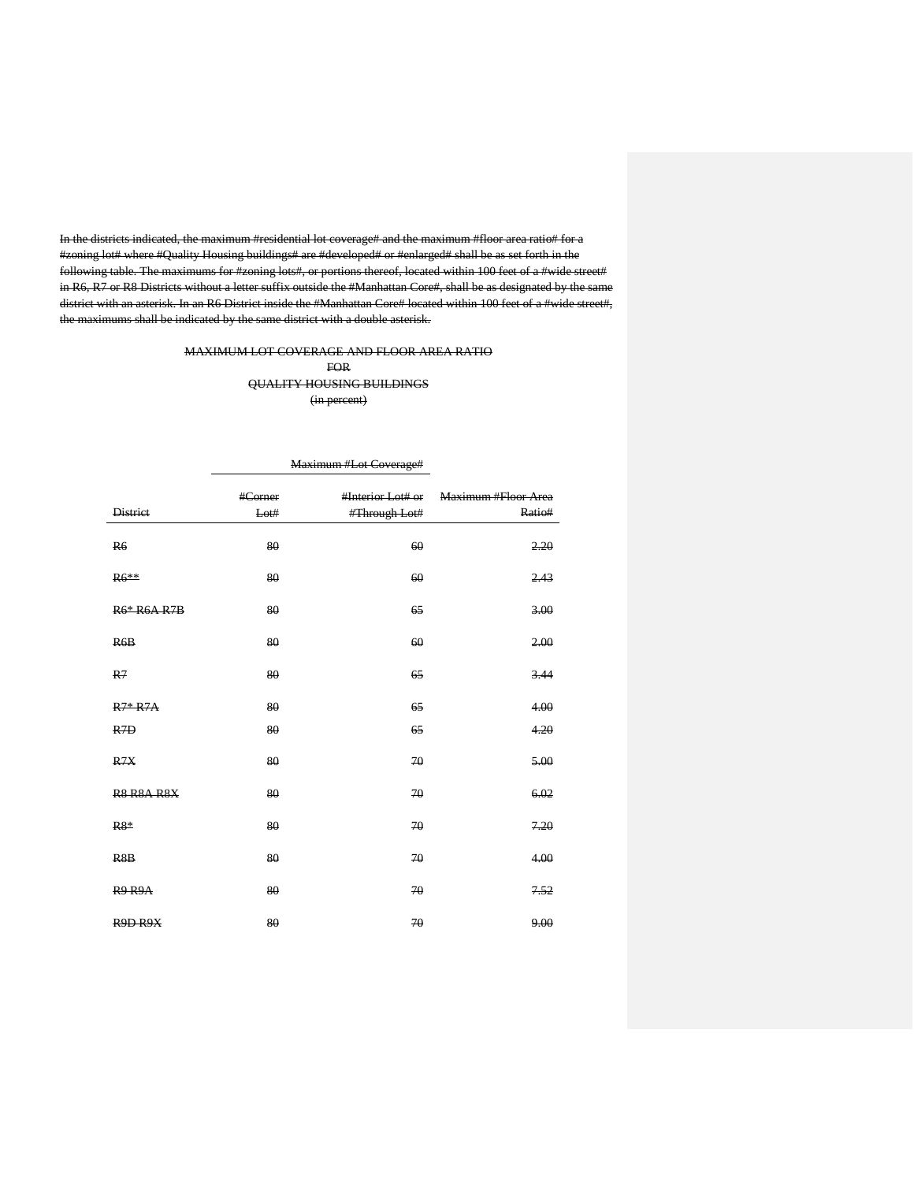In the districts indicated, the maximum #residential lot coverage# and the maximum #floor area ratio# for a #zoning lot# where #Quality Housing buildings# are #developed# or #enlarged# shall be as set forth in the following table. The maximums for #zoning lots#, or portions thereof, located within 100 feet of a #wide street# in R6, R7 or R8 Districts without a letter suffix outside the #Manhattan Core#, shall be as designated by the same district with an asterisk. In an R6 District inside the #Manhattan Core# located within 100 feet of a #wide street#, the maximums shall be indicated by the same district with a double asterisk.

# MAXIMUM LOT COVERAGE AND FLOOR AREA RATIO FOR QUALITY HOUSING BUILDINGS (in percent)

|                    | <b>Maximum</b> "Lot Coverage" |                   |                     |
|--------------------|-------------------------------|-------------------|---------------------|
|                    | #Corner                       | #Interior Lot# or | Maximum #Floor Area |
| <b>District</b>    | Lot#                          | #Through Lot#     | Ratio#              |
| <b>R6</b>          | 80                            | 60                | 2,20                |
| $R6**$             | 80                            | 60                | 2.43                |
| <b>R6* R6A R7B</b> | 80                            | 65                | 3.00                |
| R6B                | 80                            | 60                | 2.00                |
| R <sub>7</sub>     | 80                            | 65                | 3.44                |
| $R7*R7A$           | 80                            | 65                | 4.00                |
| R <sub>7D</sub>    | 80                            | 65                | 4.20                |
| R7X                | 80                            | 70                | 5.00                |
| <b>R8 R8A R8X</b>  | 80                            | 70                | 6.02                |
| $R8*$              | 80                            | 70                | 7.20                |
| R <sub>8</sub> B   | 80                            | 70                | 4.00                |
| <b>R9 R9A</b>      | 80                            | 70                | 7.52                |
| R9D R9X            | 80                            | 70                | 9.00                |

# Maximum #Lot Coverage#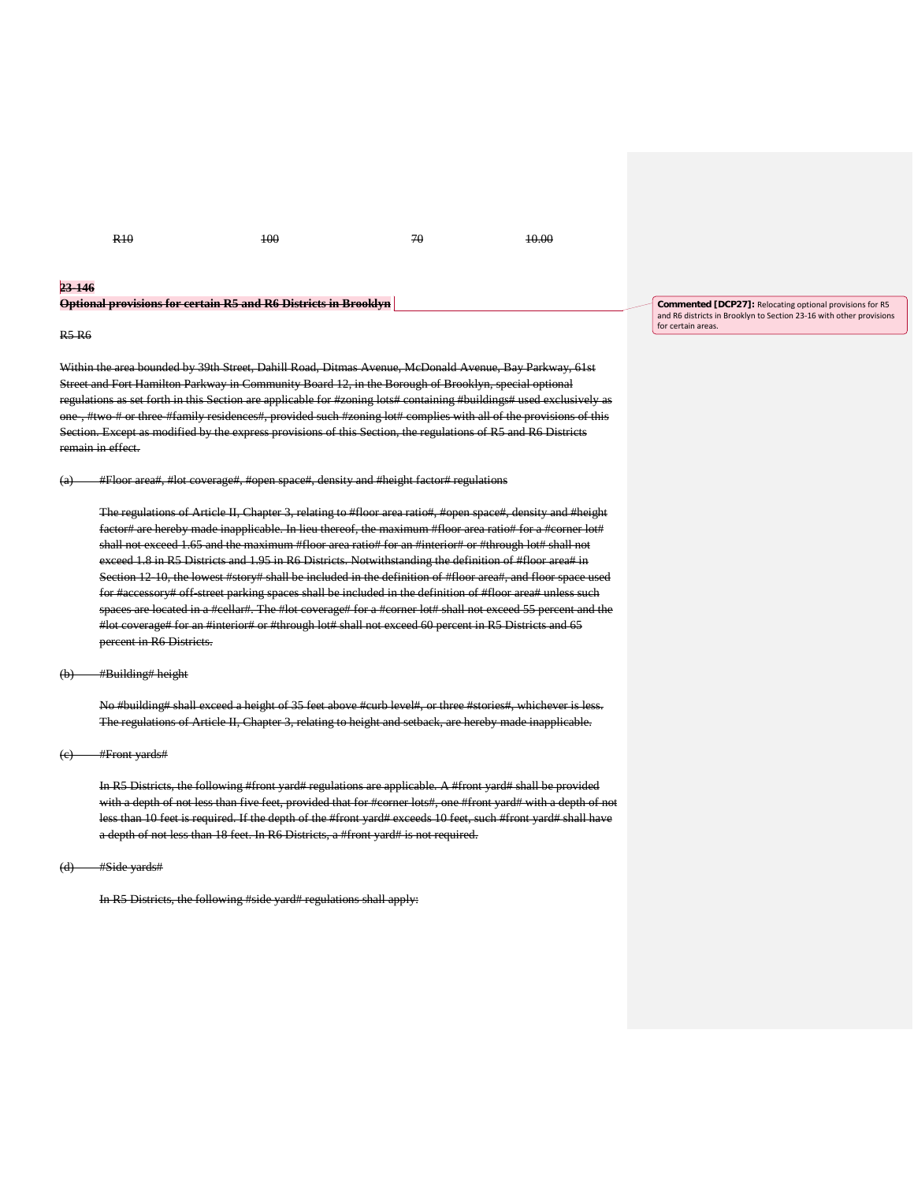R10 100 100 70 10.00

#### **23-146**

|  |  | Optional provisions for cortain <b>D5 and D6 Districts in Regalizm</b> |
|--|--|------------------------------------------------------------------------|
|  |  | <del>Ориона рготыми юг сегани ко ана ко пытка ні птому н</del>         |

### R5 R6

Within the area bounded by 39th Street, Dahill Road, Ditmas Avenue, McDonald Avenue, Bay Parkway, 61st Street and Fort Hamilton Parkway in Community Board 12, in the Borough of Brooklyn, special optional regulations as set forth in this Section are applicable for #zoning lots# containing #buildings# used exclusively as one, #two # or three #family residences#, provided such #zoning lot# complies with all of the provisions of this Section. Except as modified by the express provisions of this Section, the regulations of R5 and R6 Districts remain in effect.

(a) #Floor area#, #lot coverage#, #open space#, density and #height factor# regulations

The regulations of Article II, Chapter 3, relating to #floor area ratio#, #open space#, density and #height factor# are hereby made inapplicable. In lieu thereof, the maximum #floor area ratio# for a #corner lot# shall not exceed 1.65 and the maximum #floor area ratio# for an #interior# or #through lot# shall not exceed 1.8 in R5 Districts and 1.95 in R6 Districts. Notwithstanding the definition of #floor area# in Section 12-10, the lowest #story# shall be included in the definition of #floor area#, and floor space used for #accessory# off-street parking spaces shall be included in the definition of #floor area# unless such spaces are located in a #cellar#. The #lot coverage# for a #corner lot# shall not exceed 55 percent and the #lot coverage# for an #interior# or #through lot# shall not exceed 60 percent in R5 Districts and 65 percent in R6 Districts.

## (b) #Building# height

No #building# shall exceed a height of 35 feet above #curb level#, or three #stories#, whichever is less. The regulations of Article II, Chapter 3, relating to height and setback, are hereby made inapplicable.

#### (c) #Front yards#

In R5 Districts, the following #front yard# regulations are applicable. A #front yard# shall be provided with a depth of not less than five feet, provided that for #corner lots#, one #front yard# with a depth of not less than 10 feet is required. If the depth of the #front yard# exceeds 10 feet, such #front yard# shall have a depth of not less than 18 feet. In R6 Districts, a #front yard# is not required.

#### (d) #Side yards#

In R5 Districts, the following #side yard# regulations shall apply:

**Commented [DCP27]:** Relocating optional provisions for R5 and R6 districts in Brooklyn to Section 23-16 with other provisions for certain areas.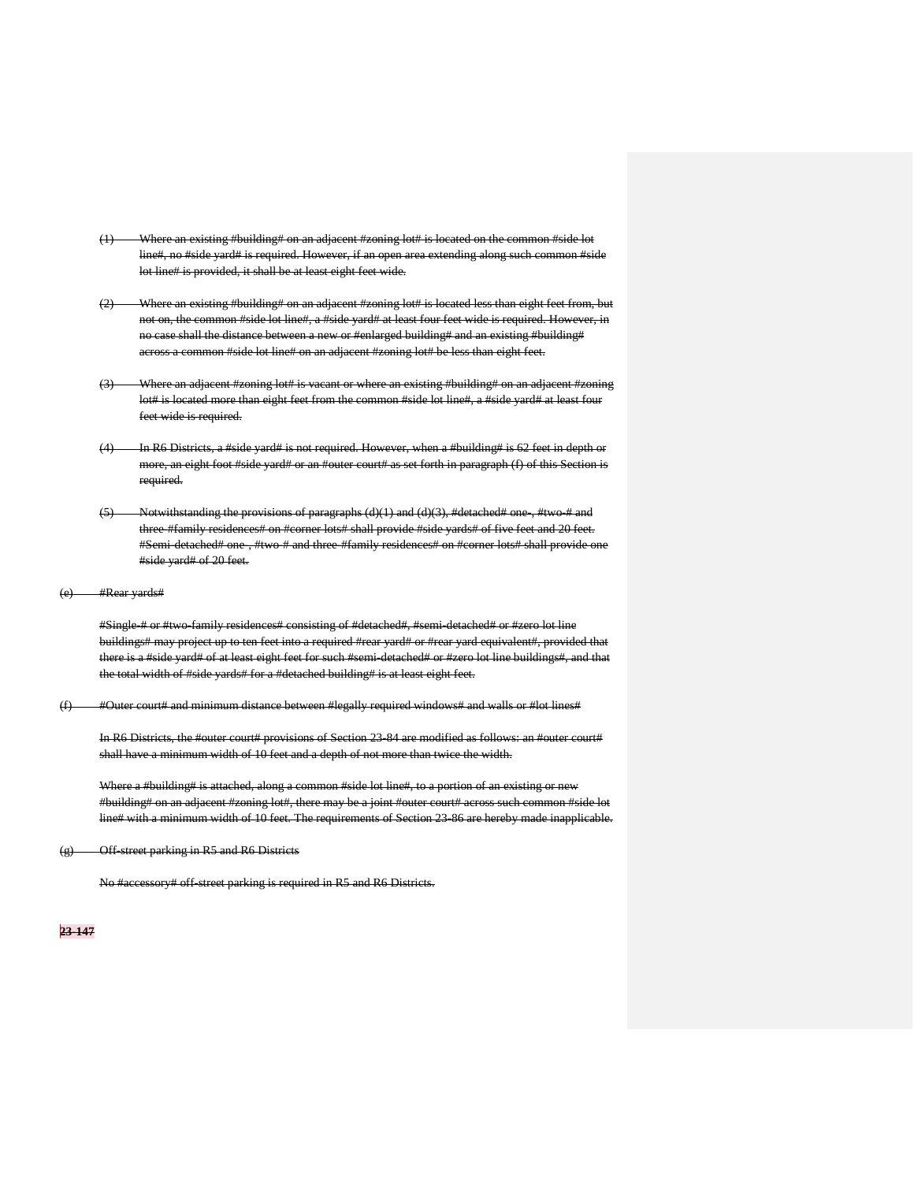- (1) Where an existing #building# on an adjacent #zoning lot# is located on the common #side lot line#, no #side yard# is required. However, if an open area extending along such lot line# is provided, it shall be at least eight feet wide.
- (2) Where an existing #building# on an adjacent #zoning lot# is located less than eight feet from, but not on, the common #side lot line#, a #side yard# at least four feet wide is required. However, in no case shall the distance between a new or #enlarged building# and an existing #building# across a common #side lot line# on an adjacent #zoning lot# be less than eight feet.
- (3) Where an adjacent #zoning lot# is vacant or where an existing #building# on an adjacent #zoning lot# is located more than eight feet from the common #side lot line#, a #side yard# at least four feet wide is required.
- (4) In R6 Districts, a #side yard# is not required. However, when a #building# is 62 feet in depth or more, an eight foot #side yard# or an #outer court# as set forth in paragraph (f) of this Section is required.
- $(5)$  Notwithstanding the provisions of paragraphs  $(d)(1)$  and  $(d)(3)$ , #detached# one, #two-# and three #family residences# on #corner lots# shall provide #side yards# of five feet and 20 feet. #Semi-detached# one-, #two-# and three-#family residences# on #corner lots# shall provide one #side yard# of 20 feet.
- (e) #Rear yards#

#Single-# or #two-family residences# consisting of #detached#, #semi-detached# or #zero lot line buildings# may project up to ten feet into a required #rear yard# or #rear yard equivalent#, provided that there is a #side yard# of at least eight feet for such #semi-detached# or #zero lot line buildings#, and that the total width of #side yards# for a #detached building# is at least eight feet.

(f) #Outer court# and minimum distance between #legally required windows# and walls or #lot lines#

In R6 Districts, the #outer court# provisions of Section 23-84 are modified as follows: an #outer court# shall have a minimum width of 10 feet and a depth of not more than twice the width.

Where a #building# is attached, along a common #side lot line#, to a portion of an existing or new #building# on an adjacent #zoning lot#, there may be a joint #outer court# across such common #side lot line# with a minimum width of 10 feet. The requirements of Section 23-86 are hereby made inapplicable.

(g) Off-street parking in R5 and R6 Districts

No #accessory# off-street parking is required in R5 and R6 Districts.

### **23-147**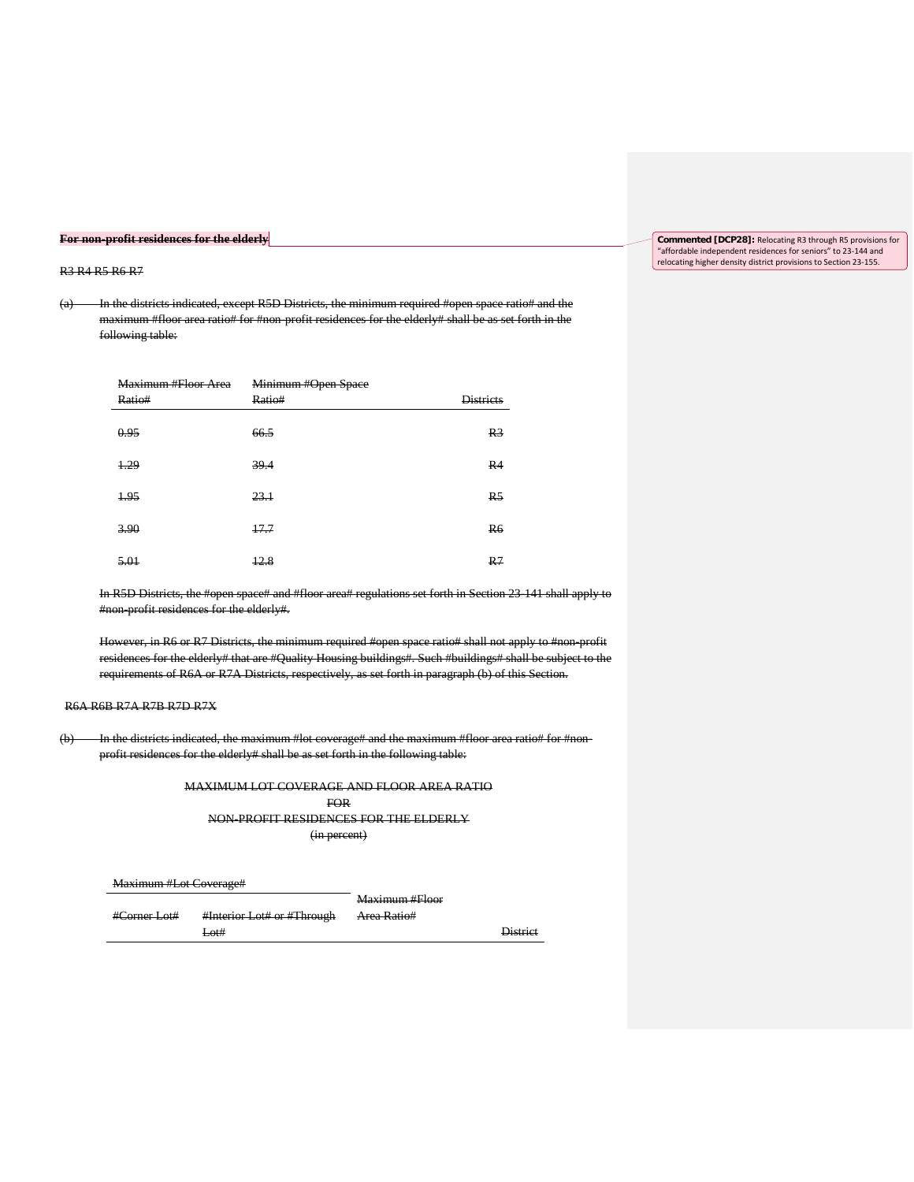## **For non-profit residences for the elderly**

### R3 R4 R5 R6 R7

(a) In the districts indicated, except R5D Districts, the minimum required #open space ratio# and the maximum #floor area ratio# for #non-profit residences for the elderly# shall be as set forth in the following table:

| Maximum #Floor Area | Minimum #Open Space |                  |
|---------------------|---------------------|------------------|
| Ratio#              | Ratio#              | <b>Districts</b> |
| 0.95                | 66.5                | R <sub>3</sub>   |
| 1.29                | 39.4                | R <sub>4</sub>   |
| 1.95                | 23.1                | R <sub>5</sub>   |
| 3.90                | 17.7                | <b>R6</b>        |
| 5.01                | 12.8                | R <sub>7</sub>   |

In R5D Districts, the #open space# and #floor area# regulations set forth in Section 23-141 shall apply to #non-profit residences for the elderly#.

However, in R6 or R7 Districts, the minimum required #open space ratio# shall not apply to #non-profit residences for the elderly# that are #Quality Housing buildings#. Such #buildings# shall be subject to the requirements of R6A or R7A Districts, respectively, as set forth in paragraph (b) of this Section.

# R6A R6B R7A R7B R7D R7X

(b) In the districts indicated, the maximum #lot coverage# and the maximum #floor area ratio# for #nonprofit residences for the elderly# shall be as set forth in the following table:

# MAXIMUM LOT COVERAGE AND FLOOR AREA RATIO FOR NON-PROFIT RESIDENCES FOR THE ELDERLY

(in percent)

|                                                     |                            | Maximum #Floor                         |                 |
|-----------------------------------------------------|----------------------------|----------------------------------------|-----------------|
| $\rm H$ Cornor I ot $\rm H$<br><del>"Come Lou</del> | #Interior Lot# or #Through | $Area$ $Data$<br><del>noa Kauo "</del> |                 |
|                                                     | <del>Lot#</del>            |                                        | <b>District</b> |

**Commented [DCP28]:** Relocating R3 through R5 provisions for "affordable independent residences for seniors" to 23-144 and relocating higher density district provisions to Section 23-155.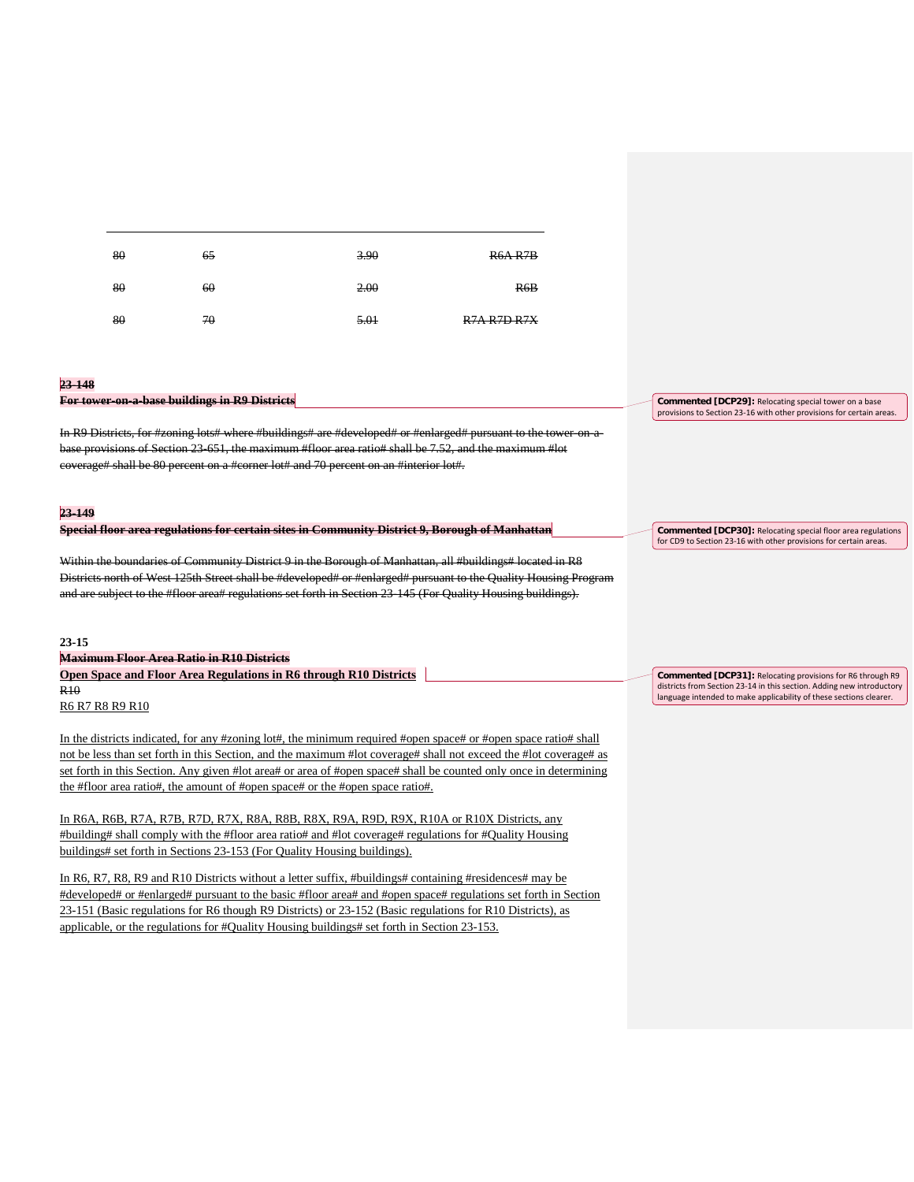| 80 | 65 | 3.90 | R6A R7B            |
|----|----|------|--------------------|
| 80 | 60 | 2.00 | R6B                |
| 80 | 70 | 5.01 | <b>R7A R7D R7X</b> |

#### **23-148**

#### **For tower-on-a-base buildings in R9 Districts**

In R9 Districts, for #zoning lots# where #buildings# are #developed# or #enlarged# pursuant to the tower-on-abase provisions of Section 23-651, the maximum #floor area ratio# shall be 7.52, and the maximum #lot coverage# shall be 80 percent on a #corner lot# and 70 percent on an #interior lot#.

## **23-149**

|  |  | Special floor area regulations for certain sites in Community District Q Rorough of Manhattan |  |
|--|--|-----------------------------------------------------------------------------------------------|--|
|  |  | opeem nool area regulations for certain sites in community District 2, Dorough of Manhattan   |  |

Within the boundaries of Community District 9 in the Borough of Manhattan, all #buildings# located in R8 Districts north of West 125th Street shall be #developed# or #enlarged# pursuant to the Quality Housing Program and are subject to the #floor area# regulations set forth in Section 23-145 (For Quality Housing buildings).

#### **23-15**

**Maximum Floor Area Ratio in R10 Districts Open Space and Floor Area Regulations in R6 through R10 Districts** R10 R6 R7 R8 R9 R10 **Commented [DCP31]:** Relocating provisions for R6 through R9 districts from Section 23-14 in this section. Adding new introductory language intended to make applicability of these sections clearer.

**Commented [DCP29]:** Relocating special tower on a base provisions to Section 23-16 with other provisions for certain areas.

**Commented [DCP30]:** Relocating special floor area regulations for CD9 to Section 23-16 with other provisions for certain areas.

In the districts indicated, for any #zoning lot#, the minimum required #open space# or #open space ratio# shall not be less than set forth in this Section, and the maximum #lot coverage# shall not exceed the #lot coverage# as set forth in this Section. Any given #lot area# or area of #open space# shall be counted only once in determining the #floor area ratio#, the amount of #open space# or the #open space ratio#.

In R6A, R6B, R7A, R7B, R7D, R7X, R8A, R8B, R8X, R9A, R9D, R9X, R10A or R10X Districts, any #building# shall comply with the #floor area ratio# and #lot coverage# regulations for #Quality Housing buildings# set forth in Sections 23-153 (For Quality Housing buildings).

In R6, R7, R8, R9 and R10 Districts without a letter suffix, #buildings# containing #residences# may be #developed# or #enlarged# pursuant to the basic #floor area# and #open space# regulations set forth in Section 23-151 (Basic regulations for R6 though R9 Districts) or 23-152 (Basic regulations for R10 Districts), as applicable, or the regulations for #Quality Housing buildings# set forth in Section 23-153.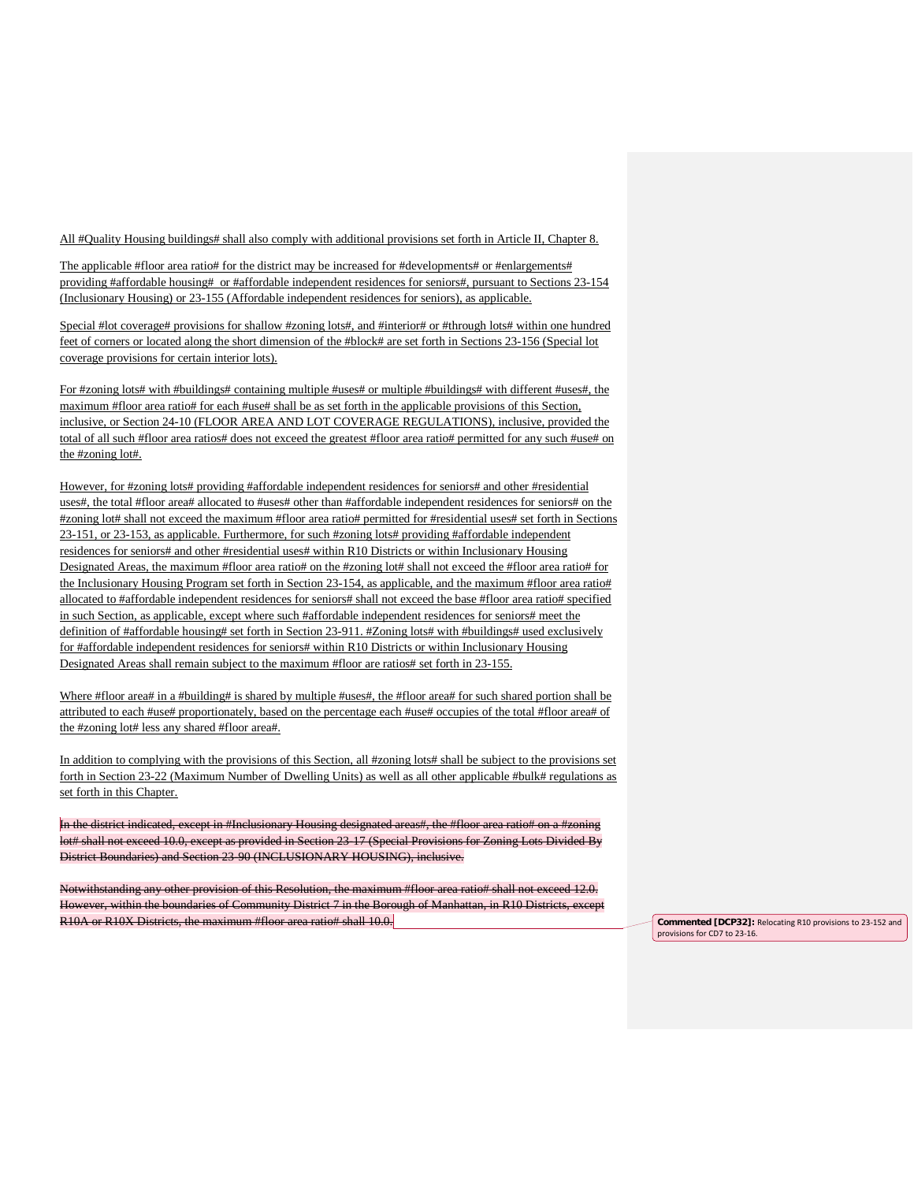All #Quality Housing buildings# shall also comply with additional provisions set forth in Article II, Chapter 8.

The applicable #floor area ratio# for the district may be increased for #developments# or #enlargements# providing #affordable housing# or #affordable independent residences for seniors#, pursuant to Sections 23-154 (Inclusionary Housing) or 23-155 (Affordable independent residences for seniors), as applicable.

Special #lot coverage# provisions for shallow #zoning lots#, and #interior# or #through lots# within one hundred feet of corners or located along the short dimension of the #block# are set forth in Sections 23-156 (Special lot coverage provisions for certain interior lots).

For #zoning lots# with #buildings# containing multiple #uses# or multiple #buildings# with different #uses#, the maximum #floor area ratio# for each #use# shall be as set forth in the applicable provisions of this Section, inclusive, or Section 24-10 (FLOOR AREA AND LOT COVERAGE REGULATIONS), inclusive, provided the total of all such #floor area ratios# does not exceed the greatest #floor area ratio# permitted for any such #use# on the #zoning lot#.

However, for #zoning lots# providing #affordable independent residences for seniors# and other #residential uses#, the total #floor area# allocated to #uses# other than #affordable independent residences for seniors# on the #zoning lot# shall not exceed the maximum #floor area ratio# permitted for #residential uses# set forth in Sections 23-151, or 23-153, as applicable. Furthermore, for such #zoning lots# providing #affordable independent residences for seniors# and other #residential uses# within R10 Districts or within Inclusionary Housing Designated Areas, the maximum #floor area ratio# on the #zoning lot# shall not exceed the #floor area ratio# for the Inclusionary Housing Program set forth in Section 23-154, as applicable, and the maximum #floor area ratio# allocated to #affordable independent residences for seniors# shall not exceed the base #floor area ratio# specified in such Section, as applicable, except where such #affordable independent residences for seniors# meet the definition of #affordable housing# set forth in Section 23-911. #Zoning lots# with #buildings# used exclusively for #affordable independent residences for seniors# within R10 Districts or within Inclusionary Housing Designated Areas shall remain subject to the maximum #floor are ratios# set forth in 23-155.

Where #floor area# in a #building# is shared by multiple #uses#, the #floor area# for such shared portion shall be attributed to each #use# proportionately, based on the percentage each #use# occupies of the total #floor area# of the #zoning lot# less any shared #floor area#.

In addition to complying with the provisions of this Section, all #zoning lots# shall be subject to the provisions set forth in Section 23-22 (Maximum Number of Dwelling Units) as well as all other applicable #bulk# regulations as set forth in this Chapter.

In the district indicated, except in #Inclusionary Housing designated areas#, the #floor area ratio# on a #zoning lot# shall not exceed 10.0, except as provided in Section 23-17 (Special Provisions for Zoning Lots Divided By District Boundaries) and Section 23-90 (INCLUSIONARY HOUSING), inclusive.

Notwithstanding any other provision of this Resolution, the maximum #floor area ratio# shall not exceed 12.0. However, within the boundaries of Community District 7 in the Borough of Manhattan, in R10 Districts, except R10A or R10X Districts, the maximum #floor area ratio# shall 10.0. **Commented [DCP32]:** Relocating R10 provisions to 23-152 and

provisions for CD7 to 23-16.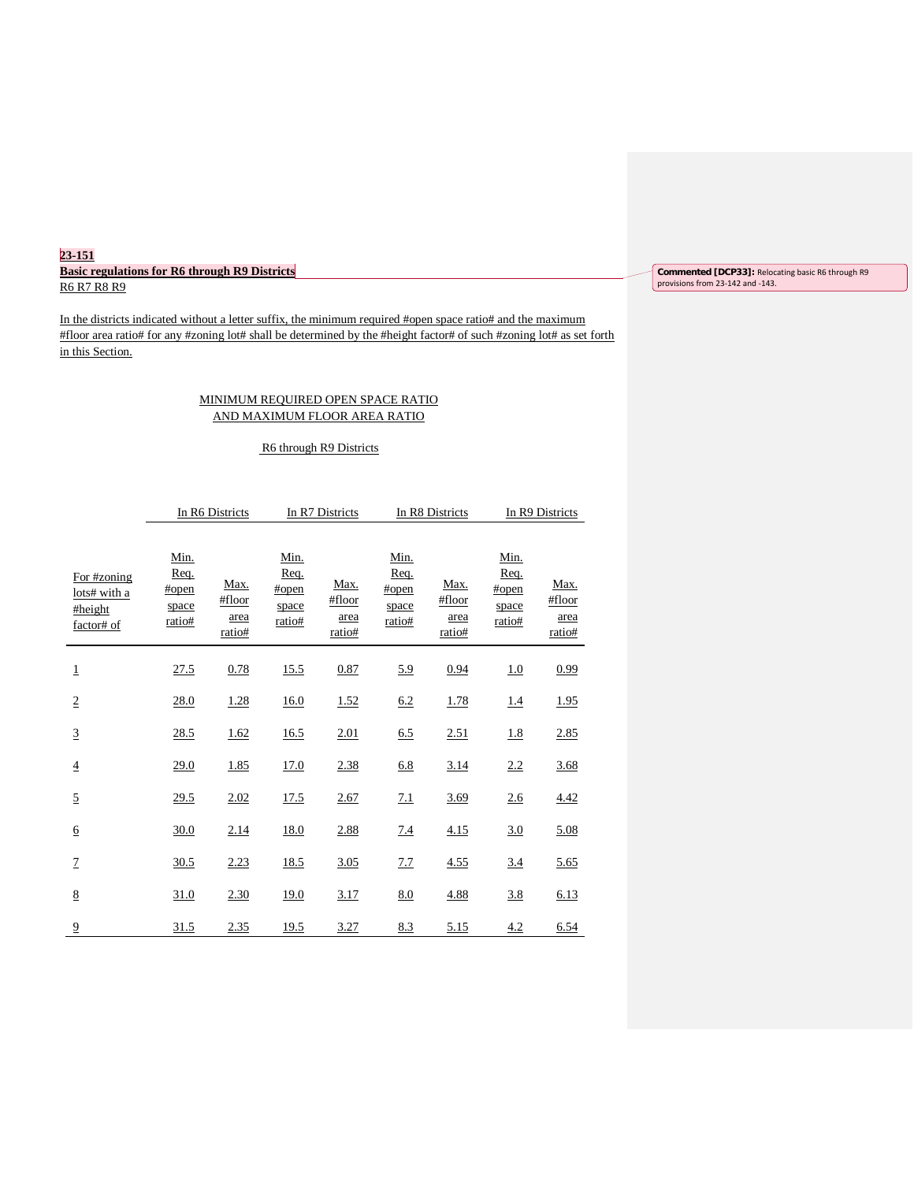# **23-151 Basic regulations for R6 through R9 Districts** R6 R7 R8 R9

In the districts indicated without a letter suffix, the minimum required #open space ratio# and the maximum #floor area ratio# for any #zoning lot# shall be determined by the #height factor# of such #zoning lot# as set forth in this Section.

# MINIMUM REQUIRED OPEN SPACE RATIO AND MAXIMUM FLOOR AREA RATIO

# R6 through R9 Districts

|                                                      |                                          | In R6 Districts                  |                                          | In R7 Districts                  |                                          | In R8 Districts                  |                                          | In R9 Districts                  |
|------------------------------------------------------|------------------------------------------|----------------------------------|------------------------------------------|----------------------------------|------------------------------------------|----------------------------------|------------------------------------------|----------------------------------|
| For #zoning<br>lots# with a<br>#height<br>factor# of | Min.<br>Req.<br>#open<br>space<br>ratio# | Max.<br>#floor<br>area<br>ratio# | Min.<br>Req.<br>#open<br>space<br>ratio# | Max.<br>#floor<br>area<br>ratio# | Min.<br>Req.<br>#open<br>space<br>ratio# | Max.<br>#floor<br>area<br>ratio# | Min.<br>Req.<br>#open<br>space<br>ratio# | Max.<br>#floor<br>area<br>ratio# |
| $\mathbf 1$                                          | 27.5                                     | 0.78                             | 15.5                                     | 0.87                             | 5.9                                      | 0.94                             | 1.0                                      | 0.99                             |
| $\overline{2}$                                       | 28.0                                     | 1.28                             | 16.0                                     | 1.52                             | 6.2                                      | 1.78                             | 1.4                                      | 1.95                             |
| $\overline{3}$                                       | 28.5                                     | 1.62                             | 16.5                                     | 2.01                             | 6.5                                      | 2.51                             | 1.8                                      | 2.85                             |
| $\overline{4}$                                       | 29.0                                     | 1.85                             | 17.0                                     | 2.38                             | 6.8                                      | 3.14                             | 2.2                                      | 3.68                             |
| $\overline{5}$                                       | 29.5                                     | 2.02                             | 17.5                                     | 2.67                             | 7.1                                      | 3.69                             | 2.6                                      | 4.42                             |
| $\underline{6}$                                      | 30.0                                     | 2.14                             | 18.0                                     | 2.88                             | 7.4                                      | 4.15                             | 3.0                                      | 5.08                             |
| $\overline{1}$                                       | 30.5                                     | 2.23                             | 18.5                                     | 3.05                             | 7.7                                      | 4.55                             | 3.4                                      | 5.65                             |
| $\underline{8}$                                      | 31.0                                     | 2.30                             | 19.0                                     | 3.17                             | 8.0                                      | 4.88                             | 3.8                                      | 6.13                             |
| $\overline{9}$                                       | 31.5                                     | 2.35                             | 19.5                                     | 3.27                             | 8.3                                      | 5.15                             | 4.2                                      | 6.54                             |

**Commented [DCP33]:** Relocating basic R6 through R9 provisions from 23-142 and -143.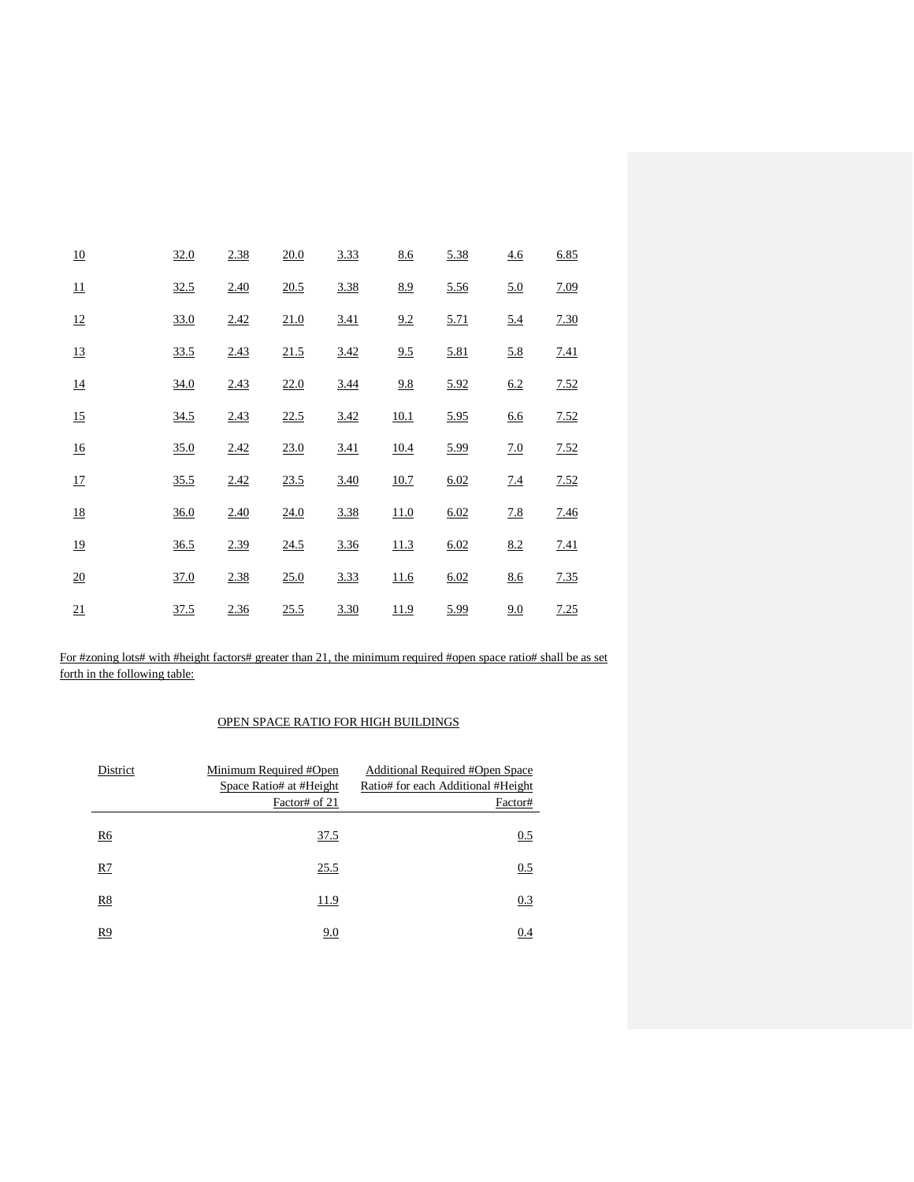| 10               | 32.0 | 2.38 | 20.0 | 3.33 | 8.6         | 5.38 | 4.6        | 6.85 |
|------------------|------|------|------|------|-------------|------|------------|------|
| 11               | 32.5 | 2.40 | 20.5 | 3.38 | 8.9         | 5.56 | 5.0        | 7.09 |
| 12               | 33.0 | 2.42 | 21.0 | 3.41 | 9.2         | 5.71 | 5.4        | 7.30 |
| 13               | 33.5 | 2.43 | 21.5 | 3.42 | 9.5         | 5.81 | 5.8        | 7.41 |
| 14               | 34.0 | 2.43 | 22.0 | 3.44 | 9.8         | 5.92 | 6.2        | 7.52 |
| 15               | 34.5 | 2.43 | 22.5 | 3.42 | 10.1        | 5.95 | <u>6.6</u> | 7.52 |
| 16               | 35.0 | 2.42 | 23.0 | 3.41 | <u>10.4</u> | 5.99 | 7.0        | 7.52 |
| $17\,$           | 35.5 | 2.42 | 23.5 | 3.40 | 10.7        | 6.02 | 7.4        | 7.52 |
| 18               | 36.0 | 2.40 | 24.0 | 3.38 | 11.0        | 6.02 | 7.8        | 7.46 |
| 19               | 36.5 | 2.39 | 24.5 | 3.36 | 11.3        | 6.02 | 8.2        | 7.41 |
| $\underline{20}$ | 37.0 | 2.38 | 25.0 | 3.33 | 11.6        | 6.02 | 8.6        | 7.35 |
| 21               | 37.5 | 2.36 | 25.5 | 3.30 | 11.9        | 5.99 | 9.0        | 7.25 |

For #zoning lots# with #height factors# greater than 21, the minimum required #open space ratio# shall be as set forth in the following table:

# OPEN SPACE RATIO FOR HIGH BUILDINGS

| District | Minimum Required #Open<br>Space Ratio# at #Height<br>Factor# of 21 | Additional Required #Open Space<br>Ratio# for each Additional #Height<br>Factor# |
|----------|--------------------------------------------------------------------|----------------------------------------------------------------------------------|
| R6       | 37.5                                                               | 0.5                                                                              |
| R7       | 25.5                                                               | 0.5                                                                              |
| R8       | 11.9                                                               | 0.3                                                                              |
| R9       | 9.0                                                                | 0.4                                                                              |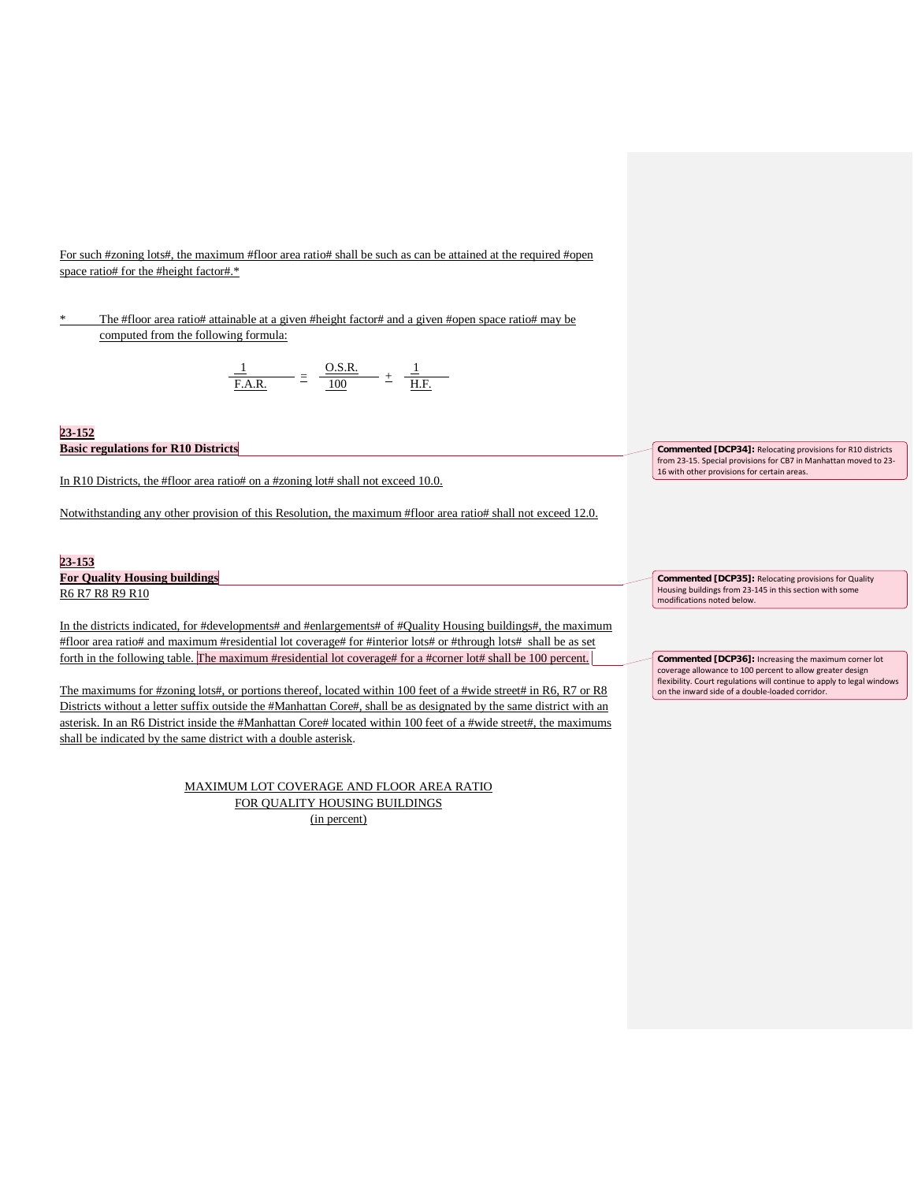For such #zoning lots#, the maximum #floor area ratio# shall be such as can be attained at the required #open space ratio# for the #height factor#.\*

The #floor area ratio# attainable at a given #height factor# and a given #open space ratio# may be computed from the following formula:

$$
\frac{1}{\underline{F.A.R.}} = \frac{0.S.R.}{100} \pm \frac{1}{\underline{H.F.}}
$$

## **23-152 Basic regulations for R10 Districts**

In R10 Districts, the #floor area ratio# on a #zoning lot# shall not exceed 10.0.

Notwithstanding any other provision of this Resolution, the maximum #floor area ratio# shall not exceed 12.0.

# **23-153**

**For Quality Housing buildings** R6 R7 R8 R9 R10

In the districts indicated, for #developments# and #enlargements# of #Quality Housing buildings#, the maximum #floor area ratio# and maximum #residential lot coverage# for #interior lots# or #through lots# shall be as set forth in the following table. The maximum #residential lot coverage# for a #corner lot# shall be 100 percent.

The maximums for #zoning lots#, or portions thereof, located within 100 feet of a #wide street# in R6, R7 or R8 Districts without a letter suffix outside the #Manhattan Core#, shall be as designated by the same district with an asterisk. In an R6 District inside the #Manhattan Core# located within 100 feet of a #wide street#, the maximums shall be indicated by the same district with a double asterisk.

> MAXIMUM LOT COVERAGE AND FLOOR AREA RATIO FOR QUALITY HOUSING BUILDINGS (in percent)

**Commented [DCP34]:** Relocating provisions for R10 districts from 23-15. Special provisions for CB7 in Manhattan moved to 23- 16 with other provisions for certain areas.

**Commented [DCP35]:** Relocating provisions for Quality Housing buildings from 23-145 in this section with some modifications noted below.

**Commented [DCP36]:** Increasing the maximum corner lot coverage allowance to 100 percent to allow greater design flexibility. Court regulations will continue to apply to legal windows on the inward side of a double-loaded corridor.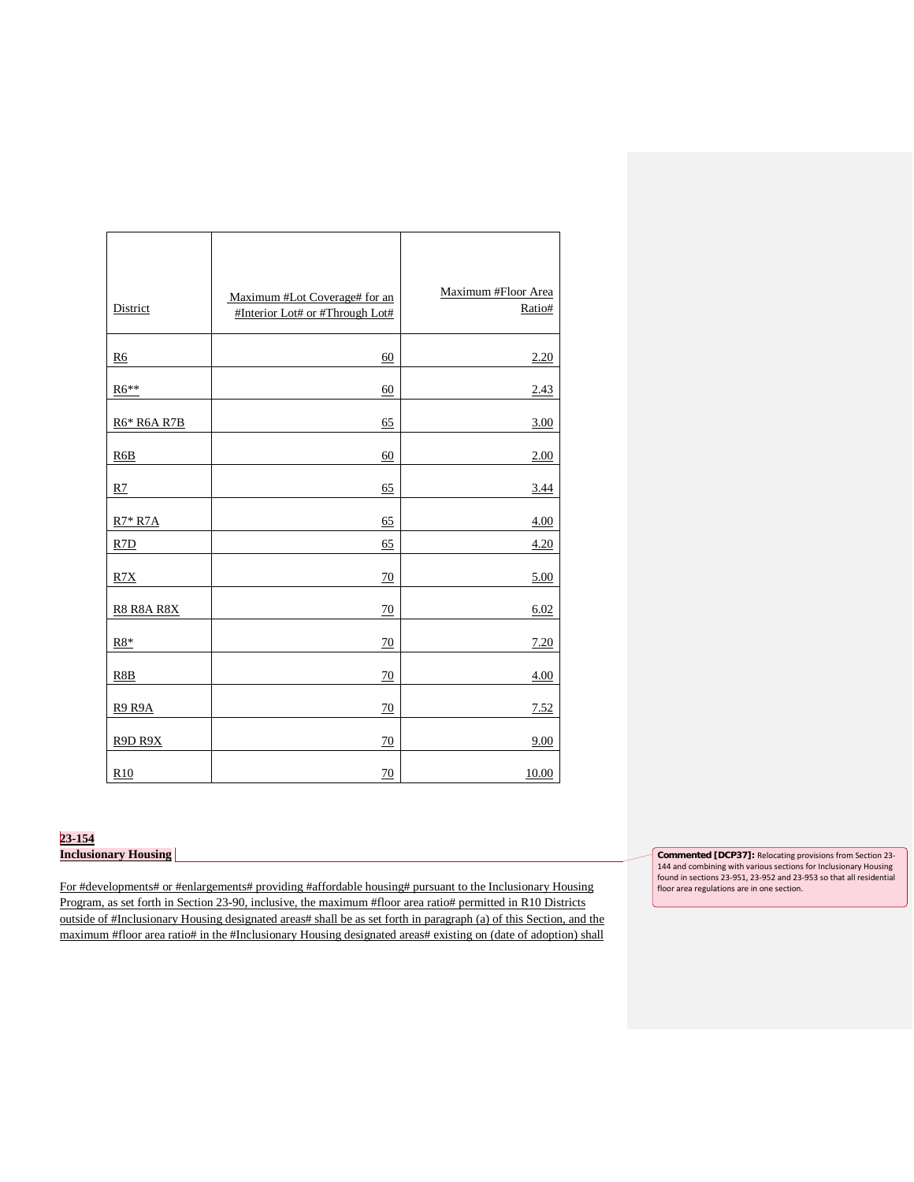| District          | Maximum #Lot Coverage# for an<br>#Interior Lot# or #Through Lot# | Maximum #Floor Area<br>Ratio# |
|-------------------|------------------------------------------------------------------|-------------------------------|
| R <sub>6</sub>    | 60                                                               | 2.20                          |
| R6**              | 60                                                               | 2.43                          |
| R6* R6A R7B       | 65                                                               | 3.00                          |
| R <sub>6</sub> B  | 60                                                               | 2.00                          |
| R7                | 65                                                               | 3.44                          |
| $R7*R7A$          | 65                                                               | 4.00                          |
| R7D               | 65                                                               | 4.20                          |
| R7X               | 70                                                               | 5.00                          |
| <b>R8 R8A R8X</b> | 70                                                               | 6.02                          |
| $R8*$             | 70                                                               | 7.20                          |
| R8B               | 70                                                               | 4.00                          |
| <b>R9 R9A</b>     | 70                                                               | 7.52                          |
| R9D R9X           | 70                                                               | 9.00                          |
| R <sub>10</sub>   | 70                                                               | 10.00                         |

# **23-154**

**Inclusionary Housing** 

For #developments# or #enlargements# providing #affordable housing# pursuant to the Inclusionary Housing Program, as set forth in Section 23-90, inclusive, the maximum #floor area ratio# permitted in R10 Districts outside of #Inclusionary Housing designated areas# shall be as set forth in paragraph (a) of this Section, and the maximum #floor area ratio# in the #Inclusionary Housing designated areas# existing on (date of adoption) shall

**Commented [DCP37]:** Relocating provisions from Section 23- 144 and combining with various sections for Inclusionary Housing found in sections 23-951, 23-952 and 23-953 so that all residential floor area regulations are in one section.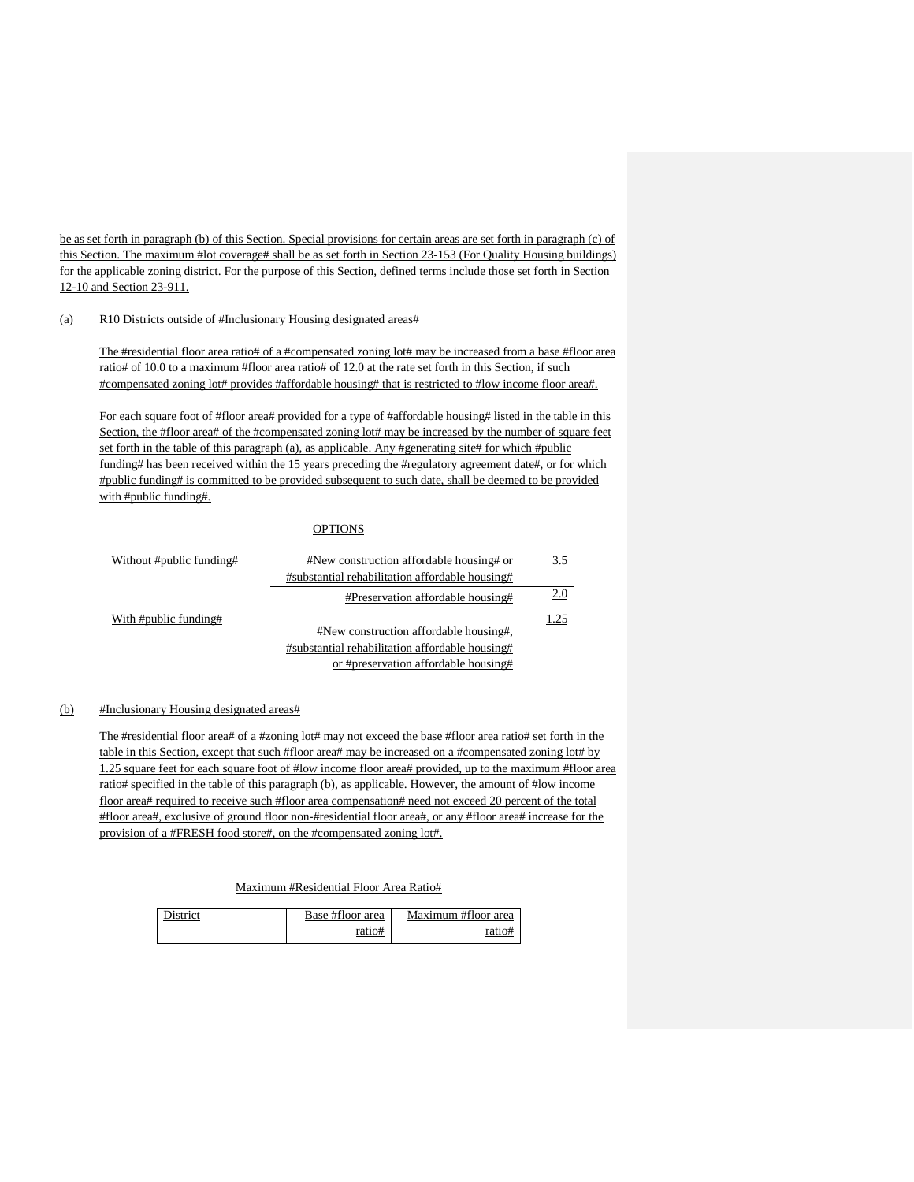be as set forth in paragraph (b) of this Section. Special provisions for certain areas are set forth in paragraph (c) of this Section. The maximum #lot coverage# shall be as set forth in Section 23-153 (For Quality Housing buildings) for the applicable zoning district. For the purpose of this Section, defined terms include those set forth in Section 12-10 and Section 23-911.

# (a) R10 Districts outside of #Inclusionary Housing designated areas#

The #residential floor area ratio# of a #compensated zoning lot# may be increased from a base #floor area ratio# of 10.0 to a maximum #floor area ratio# of 12.0 at the rate set forth in this Section, if such #compensated zoning lot# provides #affordable housing# that is restricted to #low income floor area#.

For each square foot of #floor area# provided for a type of #affordable housing# listed in the table in this Section, the #floor area# of the #compensated zoning lot# may be increased by the number of square feet set forth in the table of this paragraph (a), as applicable. Any #generating site# for which #public funding# has been received within the 15 years preceding the #regulatory agreement date#, or for which #public funding# is committed to be provided subsequent to such date, shall be deemed to be provided with #public funding#.

# **OPTIONS**

| Without #public funding# | #New construction affordable housing# or        | 3.5  |
|--------------------------|-------------------------------------------------|------|
|                          | #substantial rehabilitation affordable housing# |      |
|                          | #Preservation affordable housing#               | 2.0  |
| With #public funding#    |                                                 | 1.25 |
|                          | #New construction affordable housing#,          |      |
|                          | #substantial rehabilitation affordable housing# |      |
|                          | or #preservation affordable housing#            |      |

### (b) #Inclusionary Housing designated areas#

The #residential floor area# of a #zoning lot# may not exceed the base #floor area ratio# set forth in the table in this Section, except that such #floor area# may be increased on a #compensated zoning lot# by 1.25 square feet for each square foot of #low income floor area# provided, up to the maximum #floor area ratio# specified in the table of this paragraph (b), as applicable. However, the amount of #low income floor area# required to receive such #floor area compensation# need not exceed 20 percent of the total #floor area#, exclusive of ground floor non-#residential floor area#, or any #floor area# increase for the provision of a #FRESH food store#, on the #compensated zoning lot#.

# Maximum #Residential Floor Area Ratio#

| District | Base #floor area | Maximum #floor area |
|----------|------------------|---------------------|
|          | ratio#           |                     |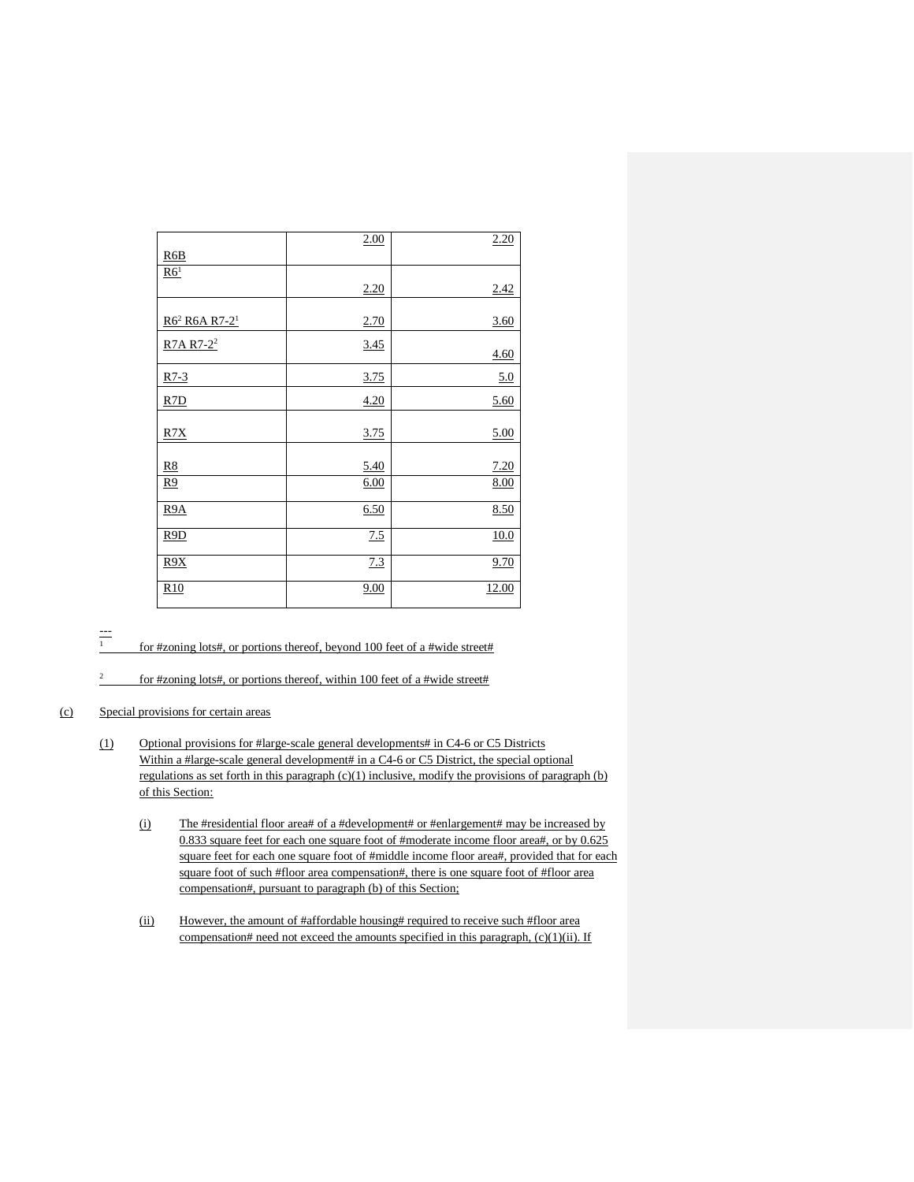|                                       | 2.00 | 2.20  |
|---------------------------------------|------|-------|
| R6B                                   |      |       |
| R6 <sup>1</sup>                       |      |       |
|                                       | 2.20 | 2.42  |
|                                       |      |       |
| R6 <sup>2</sup> R6A R7-2 <sup>1</sup> | 2.70 | 3.60  |
| R7A R7-2 <sup>2</sup>                 | 3.45 | 4.60  |
| $R7-3$                                | 3.75 | 5.0   |
| R7D                                   | 4.20 | 5.60  |
|                                       |      |       |
| R7X                                   | 3.75 | 5.00  |
|                                       |      |       |
| R8                                    | 5.40 | 7.20  |
| <u>R9</u>                             | 6.00 | 8.00  |
| R <sub>9</sub> A                      | 6.50 | 8.50  |
| R9D                                   | 7.5  | 10.0  |
| R9X                                   | 7.3  | 9.70  |
| R10                                   | 9.00 | 12.00 |

 $\frac{1}{1}$ 

for #zoning lots#, or portions thereof, beyond 100 feet of a #wide street#

for #zoning lots#, or portions thereof, within 100 feet of a #wide street#

## (c) Special provisions for certain areas

- (1) Optional provisions for #large-scale general developments# in C4-6 or C5 Districts Within a #large-scale general development# in a C4-6 or C5 District, the special optional regulations as set forth in this paragraph  $(c)(1)$  inclusive, modify the provisions of paragraph (b) of this Section:
	- (i) The #residential floor area# of a #development# or #enlargement# may be increased by 0.833 square feet for each one square foot of #moderate income floor area#, or by 0.625 square feet for each one square foot of #middle income floor area#, provided that for each square foot of such #floor area compensation#, there is one square foot of #floor area compensation#, pursuant to paragraph (b) of this Section;
	- (ii) However, the amount of #affordable housing# required to receive such #floor area compensation# need not exceed the amounts specified in this paragraph, (c)(1)(ii). If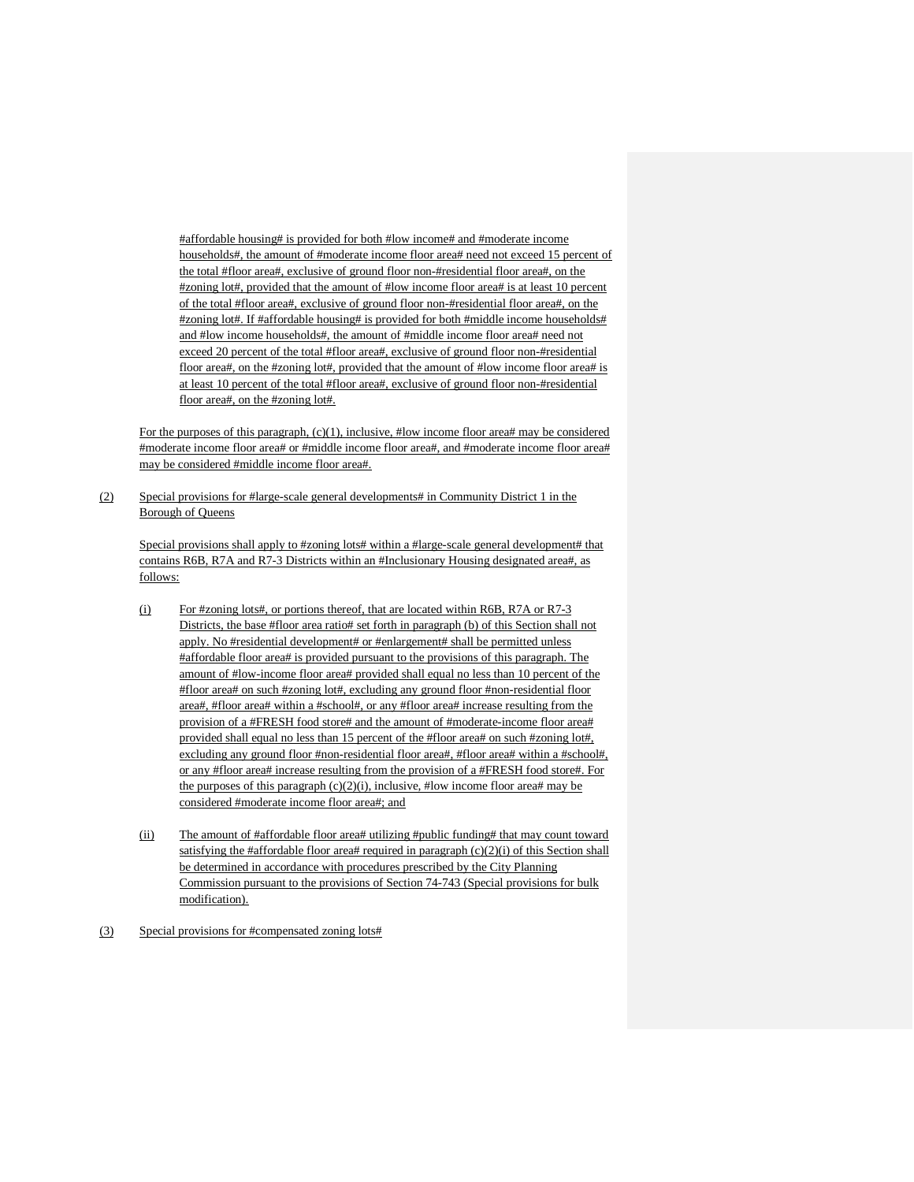#affordable housing# is provided for both #low income# and #moderate income households#, the amount of #moderate income floor area# need not exceed 15 percent of the total #floor area#, exclusive of ground floor non-#residential floor area#, on the #zoning lot#, provided that the amount of #low income floor area# is at least 10 percent of the total #floor area#, exclusive of ground floor non-#residential floor area#, on the #zoning lot#. If #affordable housing# is provided for both #middle income households# and #low income households#, the amount of #middle income floor area# need not exceed 20 percent of the total #floor area#, exclusive of ground floor non-#residential floor area#, on the #zoning lot#, provided that the amount of #low income floor area# is at least 10 percent of the total #floor area#, exclusive of ground floor non-#residential floor area#, on the #zoning lot#.

For the purposes of this paragraph, (c)(1), inclusive, #low income floor area# may be considered #moderate income floor area# or #middle income floor area#, and #moderate income floor area# may be considered #middle income floor area#.

(2) Special provisions for #large-scale general developments# in Community District 1 in the Borough of Queens

Special provisions shall apply to #zoning lots# within a #large-scale general development# that contains R6B, R7A and R7-3 Districts within an #Inclusionary Housing designated area#, as follows:

- (i) For #zoning lots#, or portions thereof, that are located within R6B, R7A or R7-3 Districts, the base #floor area ratio# set forth in paragraph (b) of this Section shall not apply. No #residential development# or #enlargement# shall be permitted unless #affordable floor area# is provided pursuant to the provisions of this paragraph. The amount of #low-income floor area# provided shall equal no less than 10 percent of the #floor area# on such #zoning lot#, excluding any ground floor #non-residential floor area#, #floor area# within a #school#, or any #floor area# increase resulting from the provision of a #FRESH food store# and the amount of #moderate-income floor area# provided shall equal no less than 15 percent of the #floor area# on such #zoning lot#, excluding any ground floor #non-residential floor area#, #floor area# within a #school#, or any #floor area# increase resulting from the provision of a #FRESH food store#. For the purposes of this paragraph  $(c)(2)(i)$ , inclusive, #low income floor area# may be considered #moderate income floor area#; and
- (ii) The amount of #affordable floor area# utilizing #public funding# that may count toward satisfying the #affordable floor area# required in paragraph  $(c)(2)(i)$  of this Section shall be determined in accordance with procedures prescribed by the City Planning Commission pursuant to the provisions of Section 74-743 (Special provisions for bulk modification).
- (3) Special provisions for #compensated zoning lots#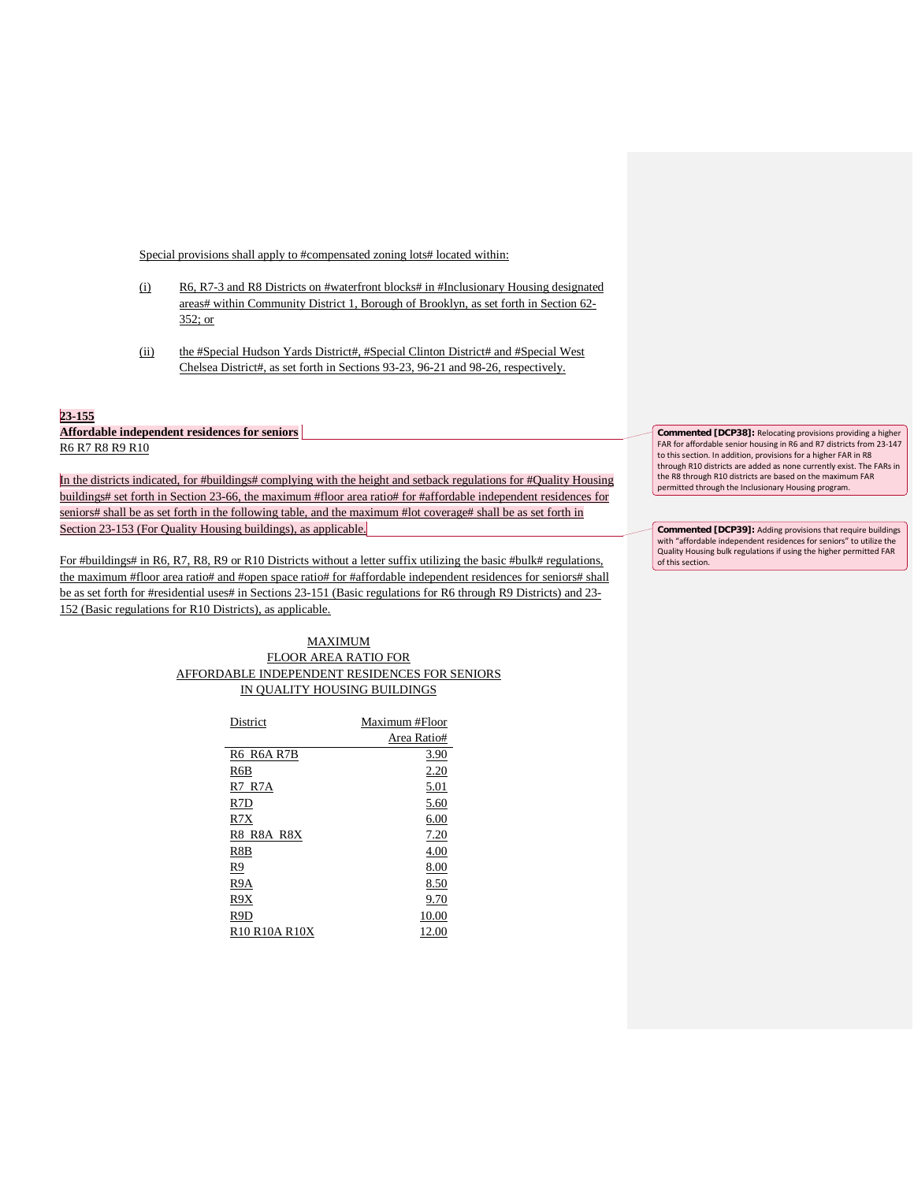Special provisions shall apply to #compensated zoning lots# located within:

- (i) R6, R7-3 and R8 Districts on #waterfront blocks# in #Inclusionary Housing designated areas# within Community District 1, Borough of Brooklyn, as set forth in Section 62- 352; or
- (ii) the #Special Hudson Yards District#, #Special Clinton District# and #Special West Chelsea District#, as set forth in Sections 93-23, 96-21 and 98-26, respectively.

### **23-155**

**Affordable independent residences for seniors** R6 R7 R8 R9 R10

In the districts indicated, for #buildings# complying with the height and setback regulations for #Quality Housing buildings# set forth in Section 23-66, the maximum #floor area ratio# for #affordable independent residences for seniors# shall be as set forth in the following table, and the maximum #lot coverage# shall be as set forth in Section 23-153 (For Quality Housing buildings), as applicable.

For #buildings# in R6, R7, R8, R9 or R10 Districts without a letter suffix utilizing the basic #bulk# regulations, the maximum #floor area ratio# and #open space ratio# for #affordable independent residences for seniors# shall be as set forth for #residential uses# in Sections 23-151 (Basic regulations for R6 through R9 Districts) and 23- 152 (Basic regulations for R10 Districts), as applicable.

> MAXIMUM FLOOR AREA RATIO FOR AFFORDABLE INDEPENDENT RESIDENCES FOR SENIORS IN QUALITY HOUSING BUILDINGS

| District                                            | Maximum #Floor |  |
|-----------------------------------------------------|----------------|--|
|                                                     | Area Ratio#    |  |
| R6 R6A R7B                                          | 3.90           |  |
| R6B                                                 | 2.20           |  |
| R7 R7A                                              | 5.01           |  |
| R7D                                                 | 5.60           |  |
| R7X                                                 | 6.00           |  |
| R8 R8A R8X                                          | 7.20           |  |
| R8B                                                 | 4.00           |  |
| R9                                                  | 8.00           |  |
| R9A                                                 | 8.50           |  |
| R9X                                                 | 9.70           |  |
| R9D                                                 | 10.00          |  |
| R <sub>10</sub> R <sub>10</sub> A R <sub>10</sub> X | 12.00          |  |

**Commented [DCP38]:** Relocating provisions providing a higher FAR for affordable senior housing in R6 and R7 districts from 23-147 to this section. In addition, provisions for a higher FAR in R8 through R10 districts are added as none currently exist. The FARs in the R8 through R10 districts are based on the maximum FAR permitted through the Inclusionary Housing program.

**Commented [DCP39]:** Adding provisions that require buildings with "affordable independent residences for seniors" to utilize the Quality Housing bulk regulations if using the higher permitted FAR of this section.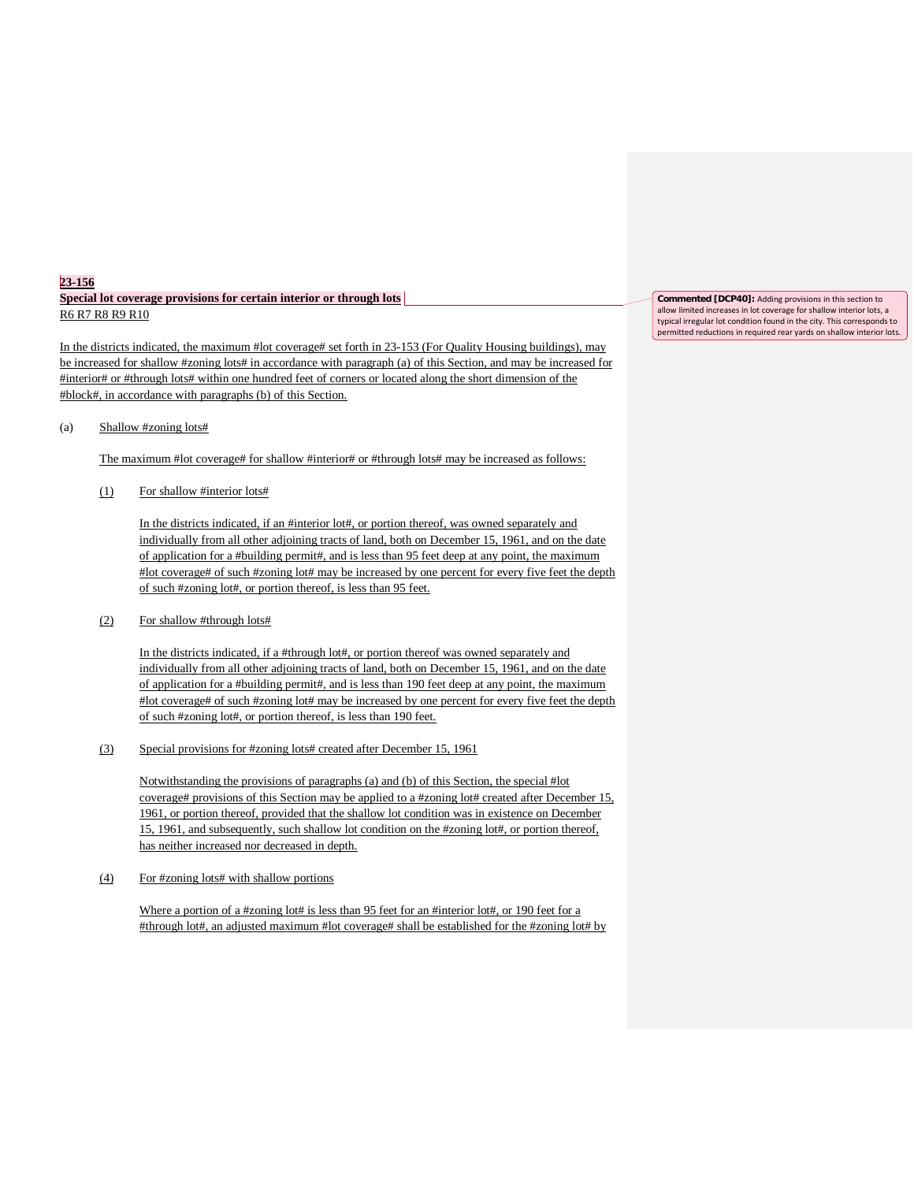## **23-156 Special lot coverage provisions for certain interior or through lots** R6 R7 R8 R9 R10

In the districts indicated, the maximum #lot coverage# set forth in 23-153 (For Quality Housing buildings), may be increased for shallow #zoning lots# in accordance with paragraph (a) of this Section, and may be increased for #interior# or #through lots# within one hundred feet of corners or located along the short dimension of the #block#, in accordance with paragraphs (b) of this Section.

(a) Shallow #zoning lots#

The maximum #lot coverage# for shallow #interior# or #through lots# may be increased as follows:

(1) For shallow #interior lots#

In the districts indicated, if an #interior lot#, or portion thereof, was owned separately and individually from all other adjoining tracts of land, both on December 15, 1961, and on the date of application for a #building permit#, and is less than 95 feet deep at any point, the maximum #lot coverage# of such #zoning lot# may be increased by one percent for every five feet the depth of such #zoning lot#, or portion thereof, is less than 95 feet.

(2) For shallow #through lots#

In the districts indicated, if a #through lot#, or portion thereof was owned separately and individually from all other adjoining tracts of land, both on December 15, 1961, and on the date of application for a #building permit#, and is less than 190 feet deep at any point, the maximum #lot coverage# of such #zoning lot# may be increased by one percent for every five feet the depth of such #zoning lot#, or portion thereof, is less than 190 feet.

(3) Special provisions for #zoning lots# created after December 15, 1961

Notwithstanding the provisions of paragraphs (a) and (b) of this Section, the special #lot coverage# provisions of this Section may be applied to a #zoning lot# created after December 15, 1961, or portion thereof, provided that the shallow lot condition was in existence on December 15, 1961, and subsequently, such shallow lot condition on the #zoning lot#, or portion thereof, has neither increased nor decreased in depth.

(4) For #zoning lots# with shallow portions

Where a portion of a #zoning lot# is less than 95 feet for an #interior lot#, or 190 feet for a #through lot#, an adjusted maximum #lot coverage# shall be established for the #zoning lot# by **Commented [DCP40]:** Adding provisions in this section to allow limited increases in lot coverage for shallow interior lots, a typical irregular lot condition found in the city. This corresponds to permitted reductions in required rear yards on shallow interior lots.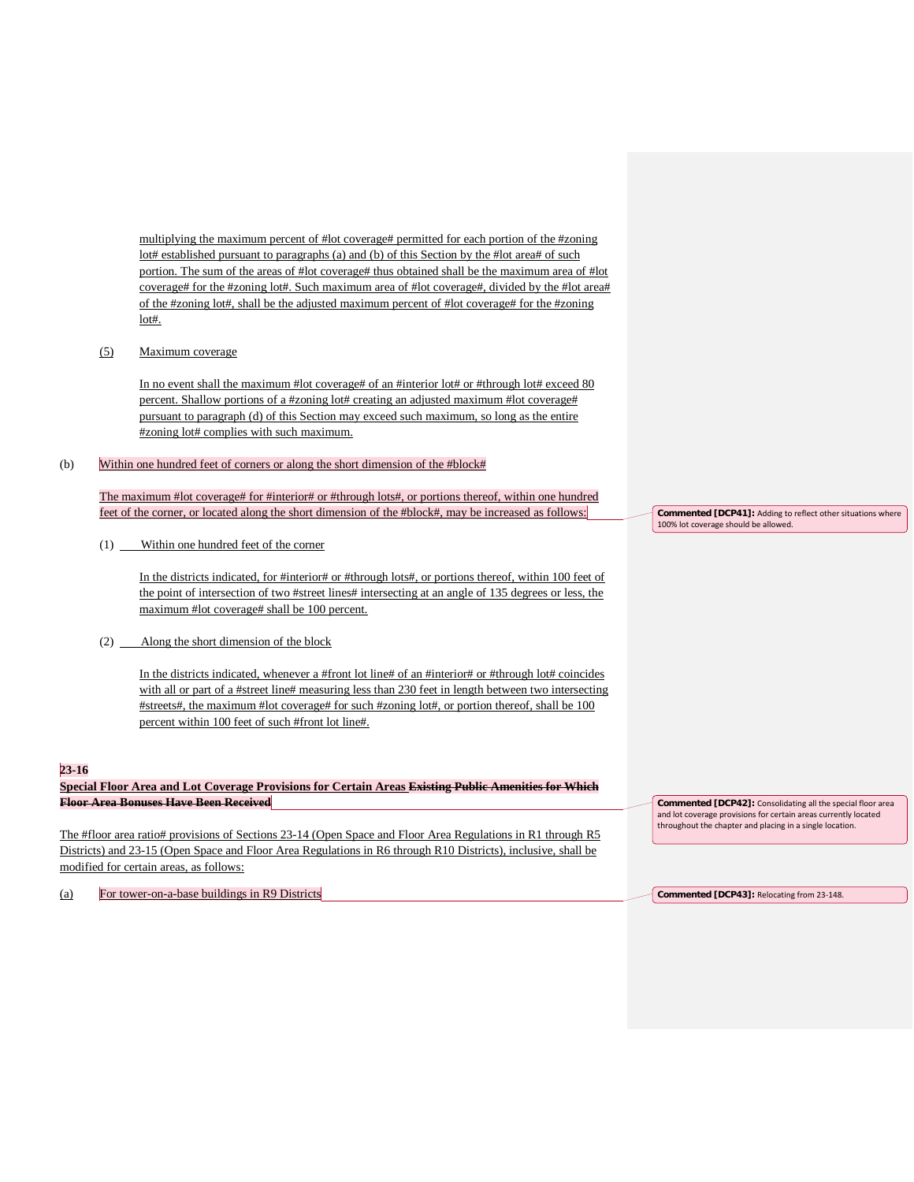multiplying the maximum percent of #lot coverage# permitted for each portion of the #zoning lot# established pursuant to paragraphs (a) and (b) of this Section by the #lot area# of such portion. The sum of the areas of #lot coverage# thus obtained shall be the maximum area of #lot coverage# for the #zoning lot#. Such maximum area of #lot coverage#, divided by the #lot area# of the #zoning lot#, shall be the adjusted maximum percent of #lot coverage# for the #zoning lot#.

## (5) Maximum coverage

In no event shall the maximum #lot coverage# of an #interior lot# or #through lot# exceed 80 percent. Shallow portions of a #zoning lot# creating an adjusted maximum #lot coverage# pursuant to paragraph (d) of this Section may exceed such maximum, so long as the entire #zoning lot# complies with such maximum.

#### (b) Within one hundred feet of corners or along the short dimension of the #block#

The maximum #lot coverage# for #interior# or #through lots#, or portions thereof, within one hundred feet of the corner, or located along the short dimension of the #block#, may be increased as follows:

(1) Within one hundred feet of the corner

In the districts indicated, for #interior# or #through lots#, or portions thereof, within 100 feet of the point of intersection of two #street lines# intersecting at an angle of 135 degrees or less, the maximum #lot coverage# shall be 100 percent.

(2) Along the short dimension of the block

In the districts indicated, whenever a #front lot line# of an #interior# or #through lot# coincides with all or part of a #street line# measuring less than 230 feet in length between two intersecting #streets#, the maximum #lot coverage# for such #zoning lot#, or portion thereof, shall be 100 percent within 100 feet of such #front lot line#.

## **23-16**

**Special Floor Area and Lot Coverage Provisions for Certain Areas Existing Public Amenities for Which Floor Area Bonuses Have Been Received**

The #floor area ratio# provisions of Sections 23-14 (Open Space and Floor Area Regulations in R1 through R5 Districts) and 23-15 (Open Space and Floor Area Regulations in R6 through R10 Districts), inclusive, shall be modified for certain areas, as follows:

(a) For tower-on-a-base buildings in R9 Districts

**Commented [DCP41]:** Adding to reflect other situations where 100% lot coverage should be allowed.

**Commented [DCP42]:** Consolidating all the special floor area and lot coverage provisions for certain areas currently located throughout the chapter and placing in a single location.

**Commented [DCP43]:** Relocating from 23-148.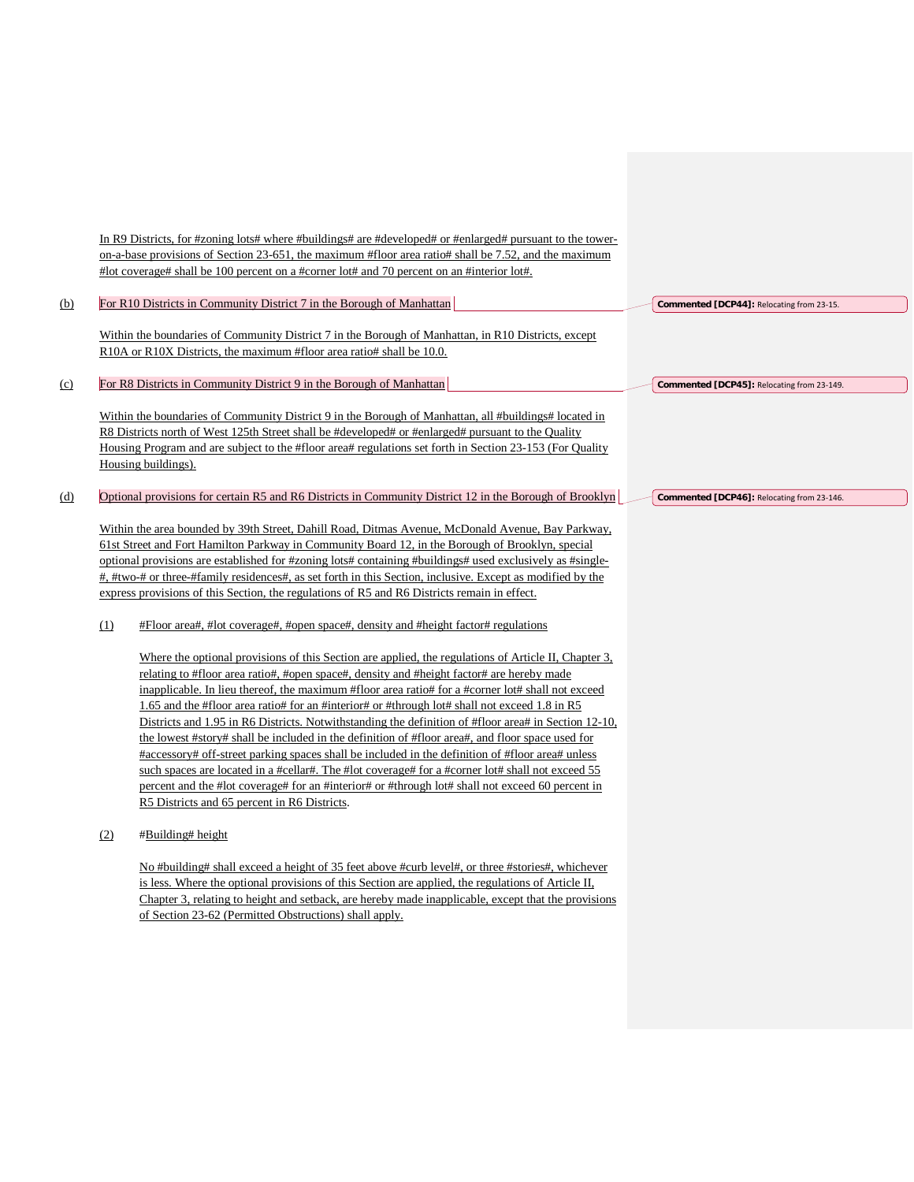In R9 Districts, for #zoning lots# where #buildings# are #developed# or #enlarged# pursuant to the toweron-a-base provisions of Section 23-651, the maximum #floor area ratio# shall be 7.52, and the maximum #lot coverage# shall be 100 percent on a #corner lot# and 70 percent on an #interior lot#.

| (b) |     | For R10 Districts in Community District 7 in the Borough of Manhattan                                      | Commented [DCP44]: Relocating from 23-15.  |
|-----|-----|------------------------------------------------------------------------------------------------------------|--------------------------------------------|
|     |     | Within the boundaries of Community District 7 in the Borough of Manhattan, in R10 Districts, except        |                                            |
|     |     | R10A or R10X Districts, the maximum #floor area ratio# shall be 10.0.                                      |                                            |
| (c) |     | For R8 Districts in Community District 9 in the Borough of Manhattan                                       | Commented [DCP45]: Relocating from 23-149. |
|     |     | Within the boundaries of Community District 9 in the Borough of Manhattan, all #buildings# located in      |                                            |
|     |     | R8 Districts north of West 125th Street shall be #developed# or #enlarged# pursuant to the Quality         |                                            |
|     |     | Housing Program and are subject to the #floor area# regulations set forth in Section 23-153 (For Quality   |                                            |
|     |     | Housing buildings).                                                                                        |                                            |
| (d) |     | Optional provisions for certain R5 and R6 Districts in Community District 12 in the Borough of Brooklyn    | Commented [DCP46]: Relocating from 23-146. |
|     |     |                                                                                                            |                                            |
|     |     | Within the area bounded by 39th Street, Dahill Road, Ditmas Avenue, McDonald Avenue, Bay Parkway,          |                                            |
|     |     | 61st Street and Fort Hamilton Parkway in Community Board 12, in the Borough of Brooklyn, special           |                                            |
|     |     | optional provisions are established for #zoning lots# containing #buildings# used exclusively as #single-  |                                            |
|     |     | #, #two-# or three-#family residences#, as set forth in this Section, inclusive. Except as modified by the |                                            |
|     |     | express provisions of this Section, the regulations of R5 and R6 Districts remain in effect.               |                                            |
|     | (1) | #Floor area#, #lot coverage#, #open space#, density and #height factor# regulations                        |                                            |
|     |     | Where the optional provisions of this Section are applied, the regulations of Article II, Chapter 3,       |                                            |
|     |     | relating to #floor area ratio#, #open space#, density and #height factor# are hereby made                  |                                            |
|     |     | inapplicable. In lieu thereof, the maximum #floor area ratio# for a #corner lot# shall not exceed          |                                            |
|     |     | 1.65 and the #floor area ratio# for an #interior# or #through lot# shall not exceed 1.8 in R5              |                                            |
|     |     |                                                                                                            |                                            |
|     |     | Districts and 1.95 in R6 Districts. Notwithstanding the definition of #floor area# in Section 12-10,       |                                            |
|     |     | the lowest #story# shall be included in the definition of #floor area#, and floor space used for           |                                            |
|     |     | #accessory# off-street parking spaces shall be included in the definition of #floor area# unless           |                                            |
|     |     | such spaces are located in a #cellar#. The #lot coverage# for a #corner lot# shall not exceed 55           |                                            |
|     |     | percent and the #lot coverage# for an #interior# or #through lot# shall not exceed 60 percent in           |                                            |
|     |     | R5 Districts and 65 percent in R6 Districts.                                                               |                                            |
|     | (2) | #Building# height                                                                                          |                                            |
|     |     |                                                                                                            |                                            |
|     |     | No #building# shall exceed a height of 35 feet above #curb level#, or three #stories#, whichever           |                                            |
|     |     | is less. Where the optional provisions of this Section are applied, the regulations of Article II,         |                                            |
|     |     | Chapter 3, relating to height and setback, are hereby made inapplicable, except that the provisions        |                                            |
|     |     | of Section 23-62 (Permitted Obstructions) shall apply.                                                     |                                            |
|     |     |                                                                                                            |                                            |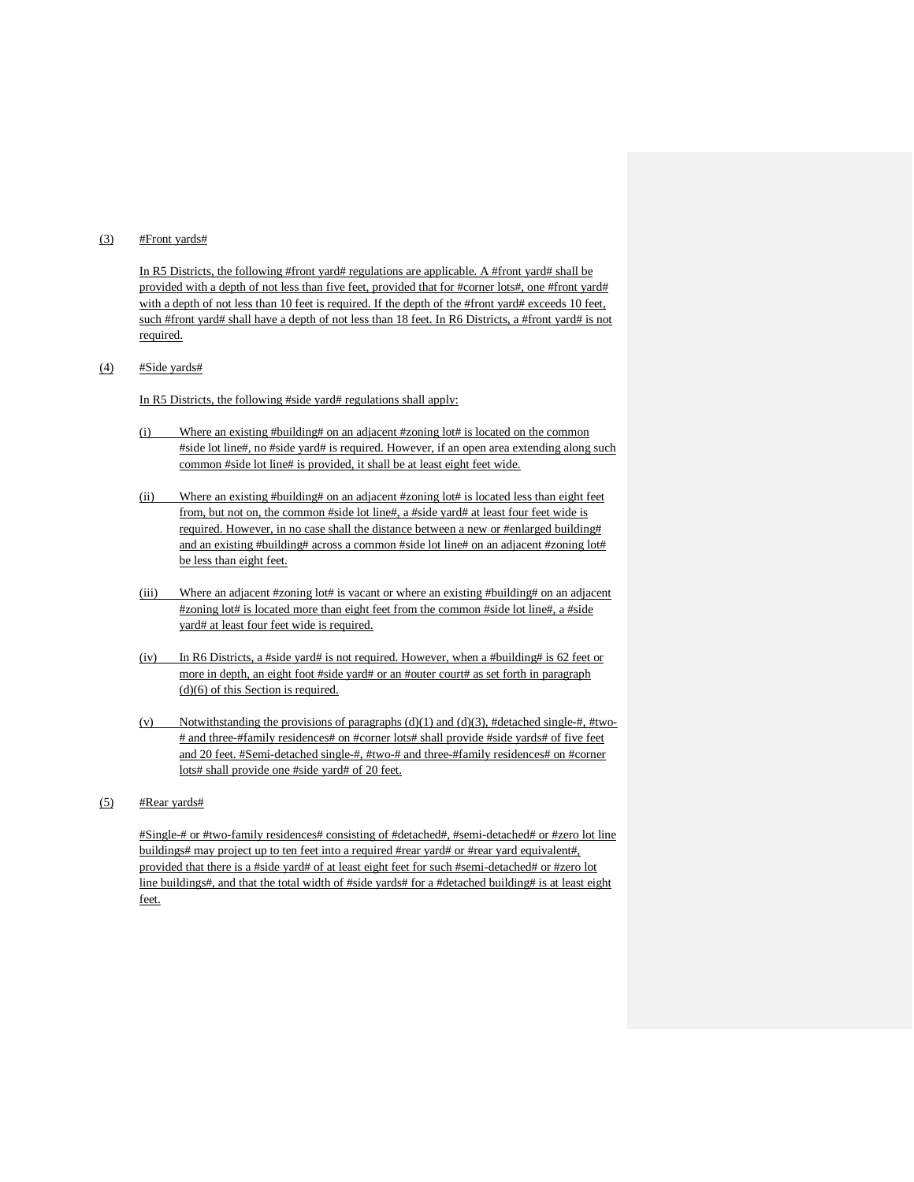## $\frac{4}{5}$  #Front yards#

In R5 Districts, the following #front yard# regulations are applicable. A #front yard# shall be provided with a depth of not less than five feet, provided that for #corner lots#, one #front yard# with a depth of not less than 10 feet is required. If the depth of the #front yard# exceeds 10 feet, such #front yard# shall have a depth of not less than 18 feet. In R6 Districts, a #front yard# is not required.

(4) #Side yards#

In R5 Districts, the following #side yard# regulations shall apply:

- (i) Where an existing #building# on an adjacent #zoning lot# is located on the common #side lot line#, no #side yard# is required. However, if an open area extending along such common #side lot line# is provided, it shall be at least eight feet wide.
- (ii) Where an existing #building# on an adjacent #zoning lot# is located less than eight feet from, but not on, the common #side lot line#, a #side yard# at least four feet wide is required. However, in no case shall the distance between a new or #enlarged building# and an existing #building# across a common #side lot line# on an adjacent #zoning lot# be less than eight feet.
- (iii) Where an adjacent #zoning lot# is vacant or where an existing #building# on an adjacent #zoning lot# is located more than eight feet from the common #side lot line#, a #side yard# at least four feet wide is required.
- (iv) In R6 Districts, a #side yard# is not required. However, when a #building# is 62 feet or more in depth, an eight foot #side yard# or an #outer court# as set forth in paragraph (d)(6) of this Section is required.
- (v) Notwithstanding the provisions of paragraphs  $(d)(1)$  and  $(d)(3)$ , #detached single-#, #two-# and three-#family residences# on #corner lots# shall provide #side yards# of five feet and 20 feet. #Semi-detached single-#, #two-# and three-#family residences# on #corner lots# shall provide one #side yard# of 20 feet.
- $(5)$  #Rear yards#

#Single-# or #two-family residences# consisting of #detached#, #semi-detached# or #zero lot line buildings# may project up to ten feet into a required #rear yard# or #rear yard equivalent#, provided that there is a #side yard# of at least eight feet for such #semi-detached# or #zero lot line buildings#, and that the total width of #side yards# for a #detached building# is at least eight feet.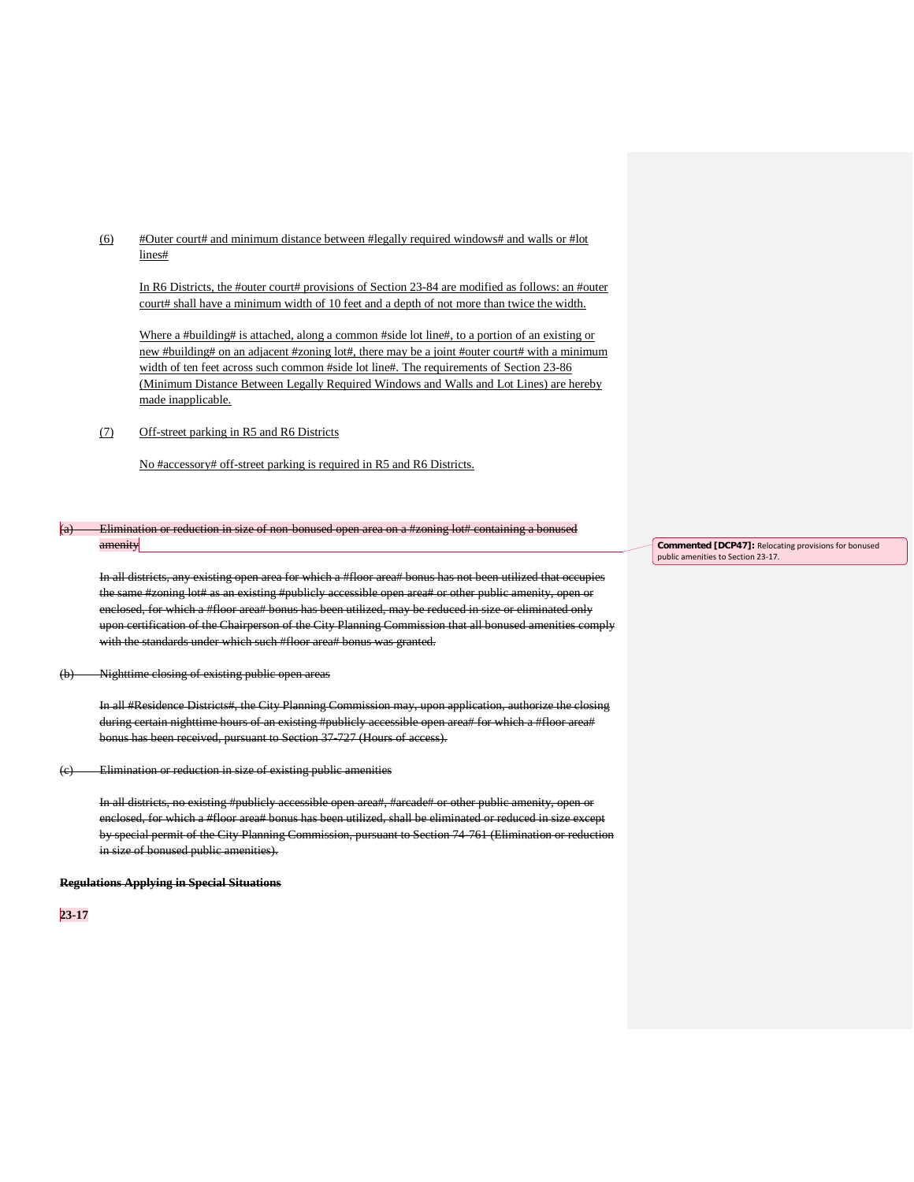(6) #Outer court# and minimum distance between #legally required windows# and walls or #lot lines#

In R6 Districts, the #outer court# provisions of Section 23-84 are modified as follows: an #outer court# shall have a minimum width of 10 feet and a depth of not more than twice the width.

Where a #building# is attached, along a common #side lot line#, to a portion of an existing or new #building# on an adjacent #zoning lot#, there may be a joint #outer court# with a minimum width of ten feet across such common #side lot line#. The requirements of Section 23-86 (Minimum Distance Between Legally Required Windows and Walls and Lot Lines) are hereby made inapplicable.

(7) Off-street parking in R5 and R6 Districts

No #accessory# off-street parking is required in R5 and R6 Districts.

### $(a)$  Elimination or reduction in size of non-bonused open area on a #zoning lot# containing a bonused amenity

In all districts, any existing open area for which a #floor area# bonus has not been utilized that occupies the same #zoning lot# as an existing #publicly accessible open area# or other public amenity, open or enclosed, for which a #floor area# bonus has been utilized, may be reduced in size or eliminated only upon certification of the Chairperson of the City Planning Commission that all bonused amenities comply with the standards under which such #floor area# bonus was granted.

#### (b) Nighttime closing of existing public open areas

In all #Residence Districts#, the City Planning Commission may, upon application, authorize the closing during certain nighttime hours of an existing #publicly accessible open area# for which a #floor area# bonus has been received, pursuant to Section 37-727 (Hours of access).

(c) Elimination or reduction in size of existing public amenities

In all districts, no existing #publicly accessible open area#, #arcade# or other public amenity, open or enclosed, for which a #floor area# bonus has been utilized, shall be eliminated or reduced in size except by special permit of the City Planning Commission, pursuant to Section 74-761 (Elimination or reduction in size of bonused public amenities).

#### **Regulations Applying in Special Situations**

**23-17**

**Commented [DCP47]:** Relocating provisions for bonused public amenities to Section 23-17.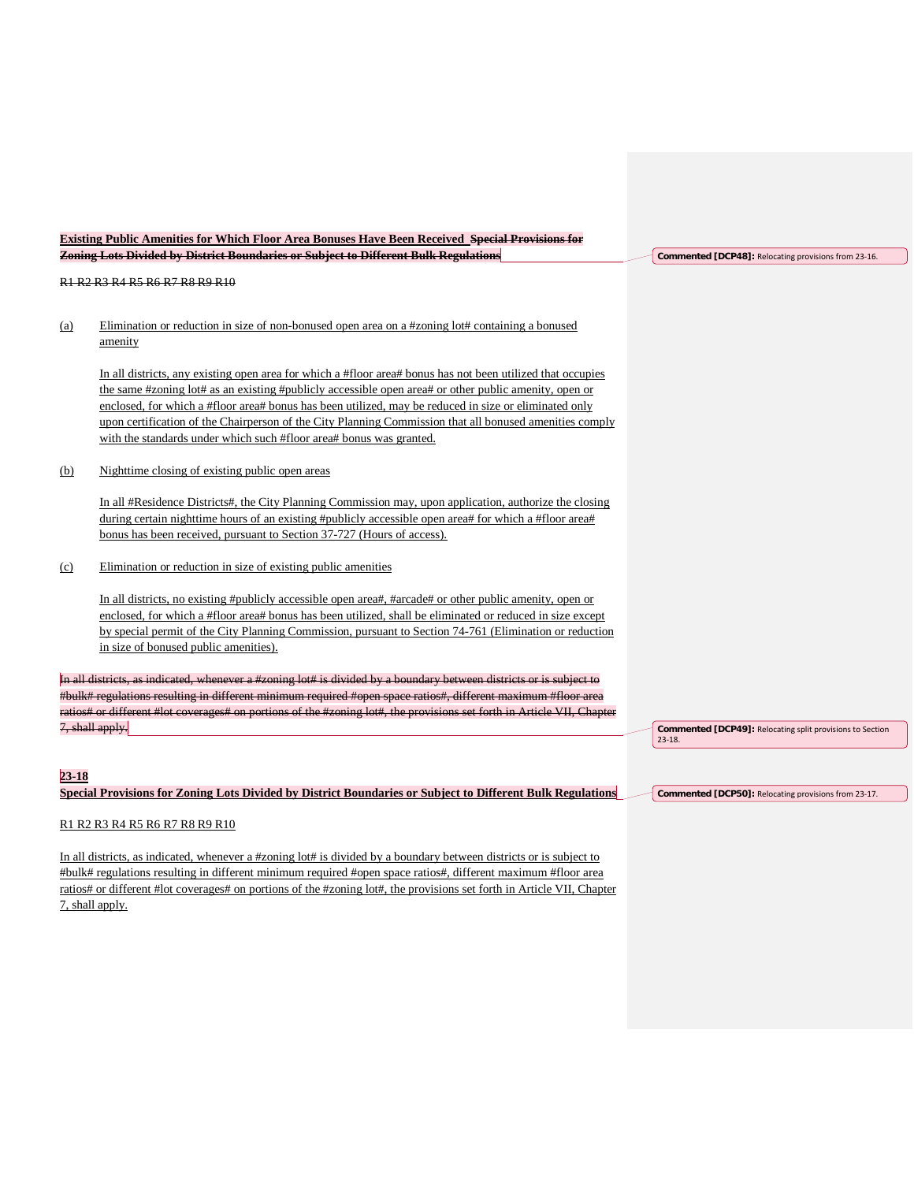|           | <b>Existing Public Amenities for Which Floor Area Bonuses Have Been Received Special Provisions for</b>                                                                                                                                                                                                                                                                                                                                                                                                         |                                                                         |
|-----------|-----------------------------------------------------------------------------------------------------------------------------------------------------------------------------------------------------------------------------------------------------------------------------------------------------------------------------------------------------------------------------------------------------------------------------------------------------------------------------------------------------------------|-------------------------------------------------------------------------|
|           | Zoning Lots Divided by District Boundaries or Subject to Different Bulk Regulations                                                                                                                                                                                                                                                                                                                                                                                                                             | Commented [DCP48]: Relocating provisions from 23-16.                    |
|           | R1 R2 R3 R4 R5 R6 R7 R8 R9 R10                                                                                                                                                                                                                                                                                                                                                                                                                                                                                  |                                                                         |
| (a)       | Elimination or reduction in size of non-bonused open area on a #zoning lot# containing a bonused<br>amenity                                                                                                                                                                                                                                                                                                                                                                                                     |                                                                         |
|           | In all districts, any existing open area for which a #floor area# bonus has not been utilized that occupies<br>the same #zoning lot# as an existing #publicly accessible open area# or other public amenity, open or<br>enclosed, for which a #floor area# bonus has been utilized, may be reduced in size or eliminated only<br>upon certification of the Chairperson of the City Planning Commission that all bonused amenities comply<br>with the standards under which such #floor area# bonus was granted. |                                                                         |
| (b)       | Nighttime closing of existing public open areas                                                                                                                                                                                                                                                                                                                                                                                                                                                                 |                                                                         |
|           | In all #Residence Districts#, the City Planning Commission may, upon application, authorize the closing<br>during certain nighttime hours of an existing #publicly accessible open area# for which a #floor area#<br>bonus has been received, pursuant to Section 37-727 (Hours of access).                                                                                                                                                                                                                     |                                                                         |
| (c)       | Elimination or reduction in size of existing public amenities                                                                                                                                                                                                                                                                                                                                                                                                                                                   |                                                                         |
|           | In all districts, no existing #publicly accessible open area#, #arcade# or other public amenity, open or<br>enclosed, for which a #floor area# bonus has been utilized, shall be eliminated or reduced in size except<br>by special permit of the City Planning Commission, pursuant to Section 74-761 (Elimination or reduction<br>in size of bonused public amenities).                                                                                                                                       |                                                                         |
|           | In all districts, as indicated, whenever a #zoning lot# is divided by a boundary between districts or is subject to                                                                                                                                                                                                                                                                                                                                                                                             |                                                                         |
|           | #bulk# regulations resulting in different minimum required #open space ratios#, different maximum #floor area<br>ratios# or different #lot coverages# on portions of the #zoning lot#, the provisions set forth in Article VII, Chapter                                                                                                                                                                                                                                                                         |                                                                         |
|           | 7, shall apply.                                                                                                                                                                                                                                                                                                                                                                                                                                                                                                 | Commented [DCP49]: Relocating split provisions to Section<br>$23 - 18.$ |
| $23 - 18$ |                                                                                                                                                                                                                                                                                                                                                                                                                                                                                                                 |                                                                         |
|           | Special Provisions for Zoning Lots Divided by District Boundaries or Subject to Different Bulk Regulations                                                                                                                                                                                                                                                                                                                                                                                                      | Commented [DCP50]: Relocating provisions from 23-17.                    |
|           | R1 R2 R3 R4 R5 R6 R7 R8 R9 R10                                                                                                                                                                                                                                                                                                                                                                                                                                                                                  |                                                                         |
|           | In all districts, as indicated, whenever a #zoning lot# is divided by a boundary between districts or is subject to<br>#bulk# regulations resulting in different minimum required #open space ratios#, different maximum #floor area                                                                                                                                                                                                                                                                            |                                                                         |

ratios# or different #lot coverages# on portions of the #zoning lot#, the provisions set forth in Article VII, Chapter

7, shall apply.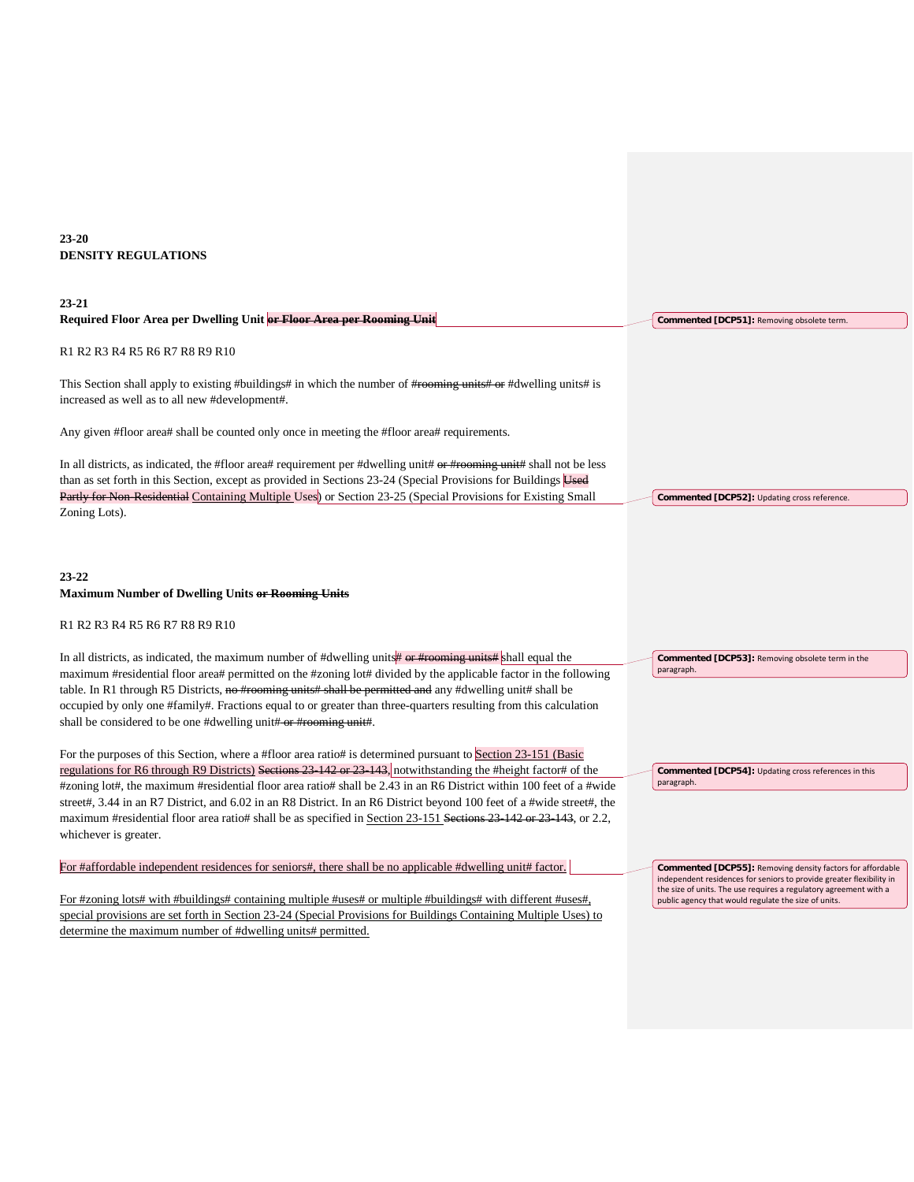# **23-20 DENSITY REGULATIONS**

| Required Floor Area per Dwelling Unit or Floor Area per Rooming Unit<br>Commented [DCP51]: Removing obsolete term.<br>R1 R2 R3 R4 R5 R6 R7 R8 R9 R10                                                                                                                                                                                                   |  |
|--------------------------------------------------------------------------------------------------------------------------------------------------------------------------------------------------------------------------------------------------------------------------------------------------------------------------------------------------------|--|
|                                                                                                                                                                                                                                                                                                                                                        |  |
|                                                                                                                                                                                                                                                                                                                                                        |  |
| This Section shall apply to existing #buildings# in which the number of #reening units# or #dwelling units# is<br>increased as well as to all new #development#.                                                                                                                                                                                       |  |
| Any given #floor area# shall be counted only once in meeting the #floor area# requirements.                                                                                                                                                                                                                                                            |  |
| In all districts, as indicated, the #floor area# requirement per #dwelling unit# or #rooming unit# shall not be less<br>than as set forth in this Section, except as provided in Sections 23-24 (Special Provisions for Buildings Used<br>Partly for Non-Residential Containing Multiple Uses) or Section 23-25 (Special Provisions for Existing Small |  |
| Commented [DCP52]: Updating cross reference.<br>Zoning Lots).                                                                                                                                                                                                                                                                                          |  |
|                                                                                                                                                                                                                                                                                                                                                        |  |
| $23 - 22$<br><b>Maximum Number of Dwelling Units or Rooming Units</b>                                                                                                                                                                                                                                                                                  |  |
| R1 R2 R3 R4 R5 R6 R7 R8 R9 R10                                                                                                                                                                                                                                                                                                                         |  |
| In all districts, as indicated, the maximum number of #dwelling units $\#$ or #rooming units is shall equal the<br>Commented [DCP53]: Removing obsolete term in the<br>paragraph.<br>maximum #residential floor area# permitted on the #zoning lot# divided by the applicable factor in the following                                                  |  |
| table. In R1 through R5 Districts, no #rooming units# shall be permitted and any #dwelling unit# shall be                                                                                                                                                                                                                                              |  |
| occupied by only one #family#. Fractions equal to or greater than three-quarters resulting from this calculation                                                                                                                                                                                                                                       |  |
| shall be considered to be one #dwelling unit#-or #rooming unit#.                                                                                                                                                                                                                                                                                       |  |
| For the purposes of this Section, where a #floor area ratio# is determined pursuant to Section 23-151 (Basic                                                                                                                                                                                                                                           |  |
| regulations for R6 through R9 Districts) Sections 23 142 or 23 143, notwithstanding the #height factor# of the<br>Commented [DCP54]: Updating cross references in this<br>paragraph.                                                                                                                                                                   |  |
| #zoning lot#, the maximum #residential floor area ratio# shall be 2.43 in an R6 District within 100 feet of a #wide<br>street#, 3.44 in an R7 District, and 6.02 in an R8 District. In an R6 District beyond 100 feet of a #wide street#, the                                                                                                          |  |
| maximum #residential floor area ratio# shall be as specified in Section 23-151 Sections 23 142 or 23 143, or 2.2,                                                                                                                                                                                                                                      |  |
| whichever is greater.                                                                                                                                                                                                                                                                                                                                  |  |
|                                                                                                                                                                                                                                                                                                                                                        |  |
| For #affordable independent residences for seniors#, there shall be no applicable #dwelling unit# factor.<br>Commented [DCP55]: Removing density factors for affordable<br>independent residences for seniors to provide greater flexibility in<br>the size of units. The use requires a regulatory agreement with a                                   |  |
| For #zoning lots# with #buildings# containing multiple #uses# or multiple #buildings# with different #uses#,<br>public agency that would regulate the size of units.                                                                                                                                                                                   |  |
| special provisions are set forth in Section 23-24 (Special Provisions for Buildings Containing Multiple Uses) to<br>determine the maximum number of #dwelling units# permitted.                                                                                                                                                                        |  |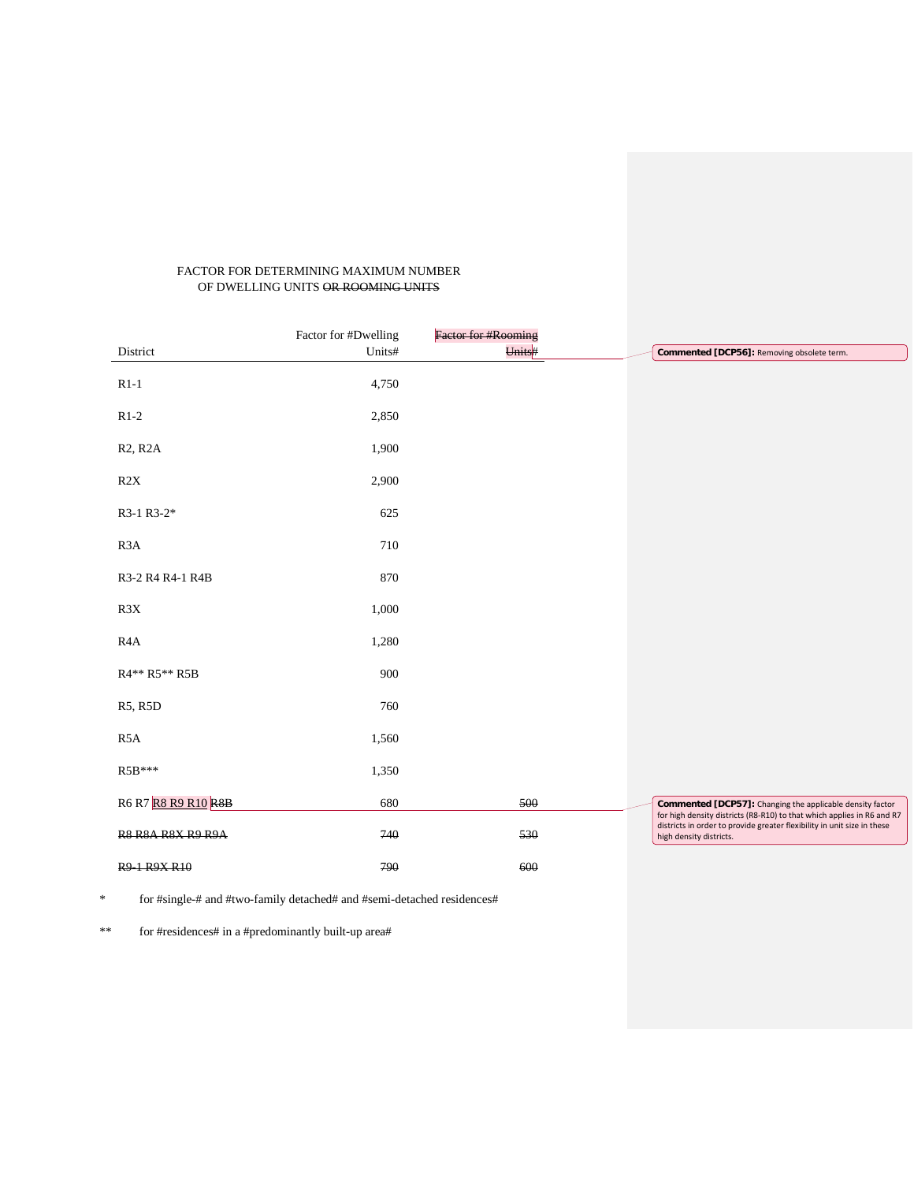# FACTOR FOR DETERMINING MAXIMUM NUMBER OF DWELLING UNITS OR ROOMING UNITS

|                                   | Factor for #Dwelling | <b>Factor for #Rooming</b> |                                                                                                                                     |
|-----------------------------------|----------------------|----------------------------|-------------------------------------------------------------------------------------------------------------------------------------|
| District                          | Units#               | Units#                     | Commented [DCP56]: Removing obsolete term.                                                                                          |
| $R1-1$                            | 4,750                |                            |                                                                                                                                     |
| $R1-2$                            | 2,850                |                            |                                                                                                                                     |
| R <sub>2</sub> , R <sub>2</sub> A | 1,900                |                            |                                                                                                                                     |
| R2X                               | 2,900                |                            |                                                                                                                                     |
| R3-1 R3-2*                        | 625                  |                            |                                                                                                                                     |
| R <sub>3</sub> A                  | 710                  |                            |                                                                                                                                     |
| R3-2 R4 R4-1 R4B                  | 870                  |                            |                                                                                                                                     |
| R3X                               | 1,000                |                            |                                                                                                                                     |
| R <sub>4</sub> A                  | 1,280                |                            |                                                                                                                                     |
| R4** R5** R5B                     | 900                  |                            |                                                                                                                                     |
| R5, R5D                           | 760                  |                            |                                                                                                                                     |
| R <sub>5</sub> A                  | 1,560                |                            |                                                                                                                                     |
| R5B***                            | 1,350                |                            |                                                                                                                                     |
| R6 R7 R8 R9 R10 R8B               | 680                  | 500                        | Commented [DCP57]: Changing the applicable density factor<br>for high density districts (R8-R10) to that which applies in R6 and R7 |
| <b>R8 R8A R8X R9 R9A</b>          | 740                  | 530                        | districts in order to provide greater flexibility in unit size in these<br>high density districts.                                  |
| R9 1 R9X R10                      | 790                  | 600                        |                                                                                                                                     |

\* for #single-# and #two-family detached# and #semi-detached residences#

\*\* for #residences# in a #predominantly built-up area#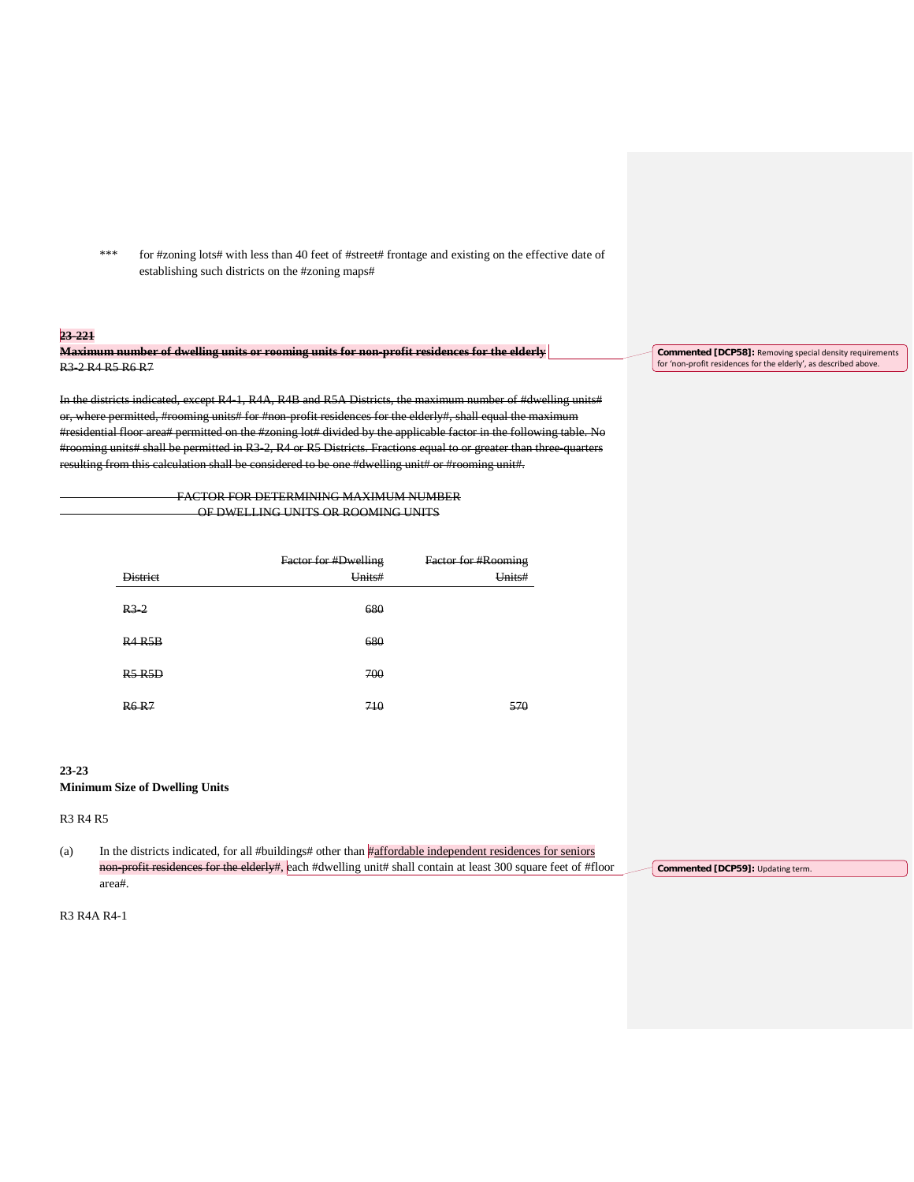\*\*\* for #zoning lots# with less than 40 feet of #street# frontage and existing on the effective date of establishing such districts on the #zoning maps#

# **23-221**

**Maximum number of dwelling units or rooming units for non-profit residences for the elderly** R3-2 R4 R5 R6 R7

In the districts indicated, except R4-1, R4A, R4B and R5A Districts, the maximum number of #dwelling units# or, where permitted, #rooming units# for #non-profit residences for the elderly#, shall equal the maximum #residential floor area# permitted on the #zoning lot# divided by the applicable factor in the following table. No #rooming units# shall be permitted in R3-2, R4 or R5 Districts. Fractions equal to or greater than three-quarters resulting from this calculation shall be considered to be one #dwelling unit# or #rooming unit#.

> FACTOR FOR DETERMINING MAXIMUM NUMBER OF DWELLING UNITS OR ROOMING UNITS

|                 | Factor for #Dwelling | <b>Factor for #Rooming</b> |
|-----------------|----------------------|----------------------------|
| <b>District</b> | Units#               | Units#                     |
|                 |                      |                            |
| $R3$ 2          | 680                  |                            |
| R4 R5B          | 680                  |                            |
|                 |                      |                            |
| R5 R5D          | 700                  |                            |
|                 |                      |                            |
| <b>R6 R7</b>    | 710                  | 570                        |

# **23-23**

### **Minimum Size of Dwelling Units**

R3 R4 R5

(a) In the districts indicated, for all #buildings# other than #affordable independent residences for seniors non-profit residences for the elderly#, each #dwelling unit# shall contain at least 300 square feet of #floor area#. **Commented [DCP59]:** Updating term.

R3 R4A R4-1

**Commented [DCP58]:** Removing special density requirements for 'non-profit residences for the elderly', as described above.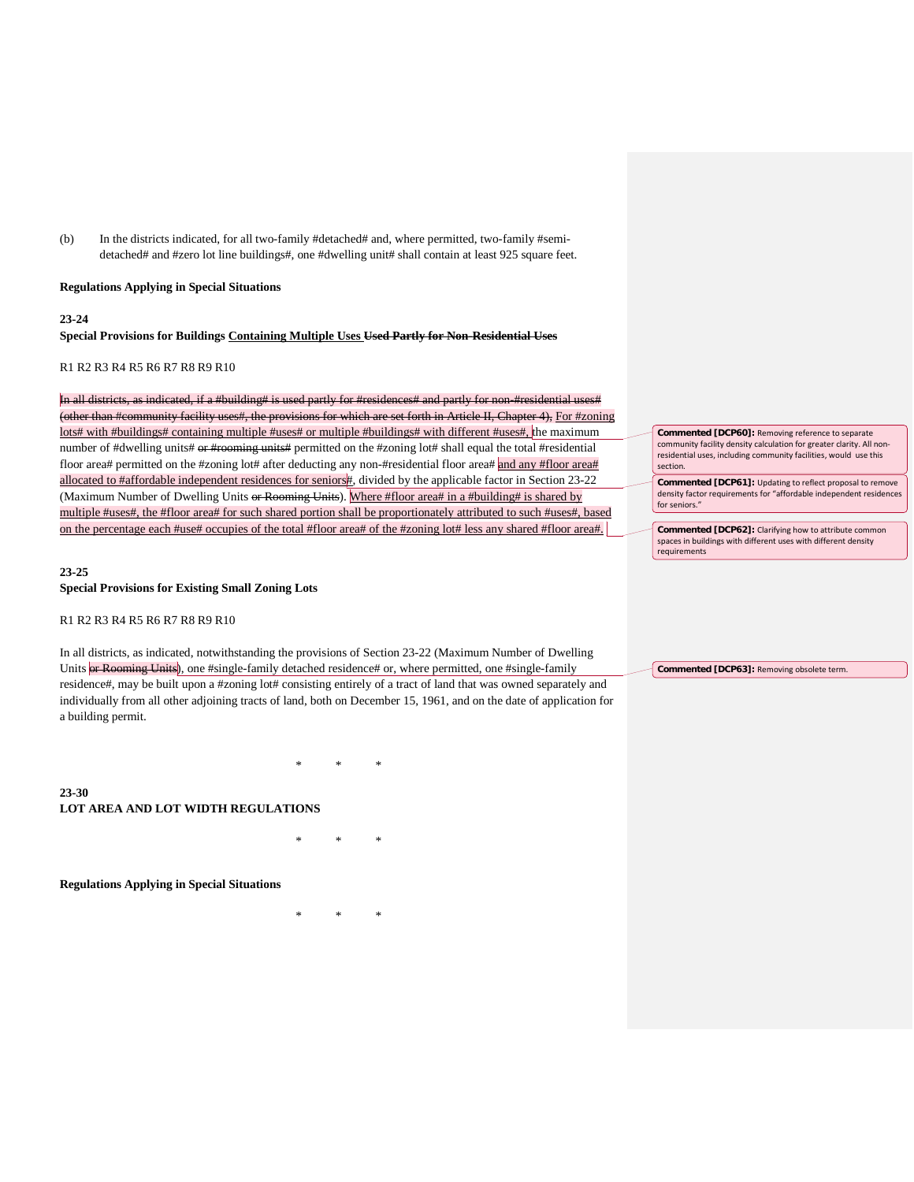(b) In the districts indicated, for all two-family #detached# and, where permitted, two-family #semidetached# and #zero lot line buildings#, one #dwelling unit# shall contain at least 925 square feet.

#### **Regulations Applying in Special Situations**

#### **23-24**

**23-30**

# **Special Provisions for Buildings Containing Multiple Uses Used Partly for Non-Residential Uses**

# R1 R2 R3 R4 R5 R6 R7 R8 R9 R10

In all districts, as indicated, if a #building# is used partly for #residene (other than #community facility uses#, the provisions for which are set forth in Article II, Chapter 4), For #zoning lots# with #buildings# containing multiple #uses# or multiple #buildings# with different #uses#, the maximum number of #dwelling units# or #rooming units# permitted on the #zoning lot# shall equal the total #residential floor area# permitted on the #zoning lot# after deducting any non-#residential floor area# and any #floor area# allocated to #affordable independent residences for seniors#, divided by the applicable factor in Section 23-22 (Maximum Number of Dwelling Units or Rooming Units). Where #floor area# in a #building# is shared by multiple #uses#, the #floor area# for such shared portion shall be proportionately attributed to such #uses#, based on the percentage each #use# occupies of the total #floor area# of the #zoning lot# less any shared #floor area#.

# **23-25 Special Provisions for Existing Small Zoning Lots**

#### R1 R2 R3 R4 R5 R6 R7 R8 R9 R10

In all districts, as indicated, notwithstanding the provisions of Section 23-22 (Maximum Number of Dwelling Units or Rooming Units), one #single-family detached residence# or, where permitted, one #single-family residence#, may be built upon a #zoning lot# consisting entirely of a tract of land that was owned separately and individually from all other adjoining tracts of land, both on December 15, 1961, and on the date of application for a building permit.

\* \* \* **LOT AREA AND LOT WIDTH REGULATIONS** 

\* \* \*

#### **Regulations Applying in Special Situations**

\* \* \*

**Commented [DCP60]:** Removing reference to separate community facility density calculation for greater clarity. All nonresidential uses, including community facilities, would use this section. **Commented [DCP61]:** Updating to reflect proposal to remove

density factor requirements for "affordable independent residences for seniors.

**Commented [DCP62]:** Clarifying how to attribute common spaces in buildings with different uses with different density requirements

**Commented [DCP63]:** Removing obsolete term.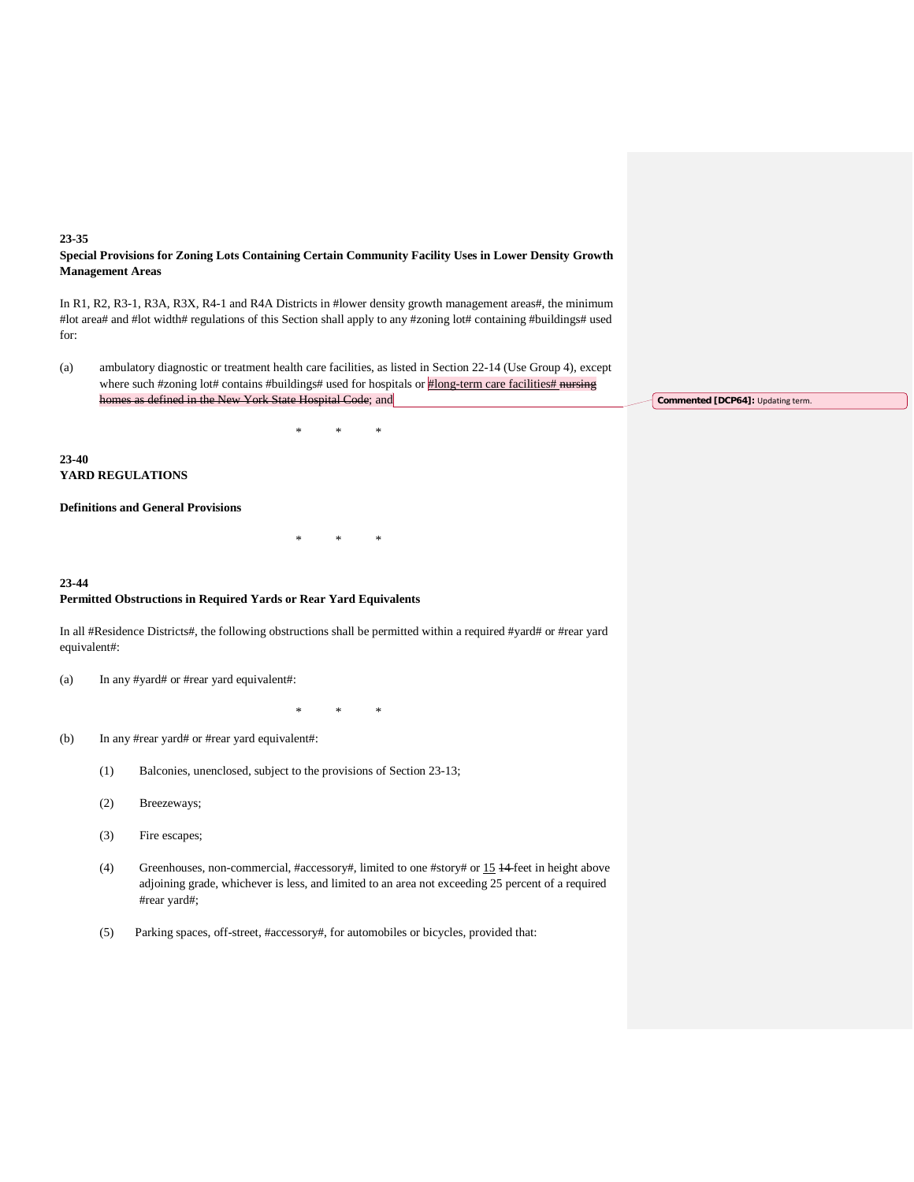# **23-35 Special Provisions for Zoning Lots Containing Certain Community Facility Uses in Lower Density Growth Management Areas**

In R1, R2, R3-1, R3A, R3X, R4-1 and R4A Districts in #lower density growth management areas#, the minimum #lot area# and #lot width# regulations of this Section shall apply to any #zoning lot# containing #buildings# used for:

(a) ambulatory diagnostic or treatment health care facilities, as listed in Section 22-14 (Use Group 4), except where such #zoning lot# contains #buildings# used for hospitals or #long-term care facilities# nursing homes as defined in the New York State Hospital Code; and

\* \* \*

\* \* \*

# **23-40 YARD REGULATIONS**

# **Definitions and General Provisions**

# **23-44 Permitted Obstructions in Required Yards or Rear Yard Equivalents**

In all #Residence Districts#, the following obstructions shall be permitted within a required #yard# or #rear yard equivalent#:

(a) In any #yard# or #rear yard equivalent#:

\* \* \*

- (b) In any #rear yard# or #rear yard equivalent#:
	- (1) Balconies, unenclosed, subject to the provisions of Section 23-13;
	- (2) Breezeways;
	- (3) Fire escapes;
	- (4) Greenhouses, non-commercial, #accessory#, limited to one #story# or 15 14 feet in height above adjoining grade, whichever is less, and limited to an area not exceeding 25 percent of a required #rear yard#;
	- (5) Parking spaces, off-street, #accessory#, for automobiles or bicycles, provided that:

**Commented [DCP64]: Updating term.**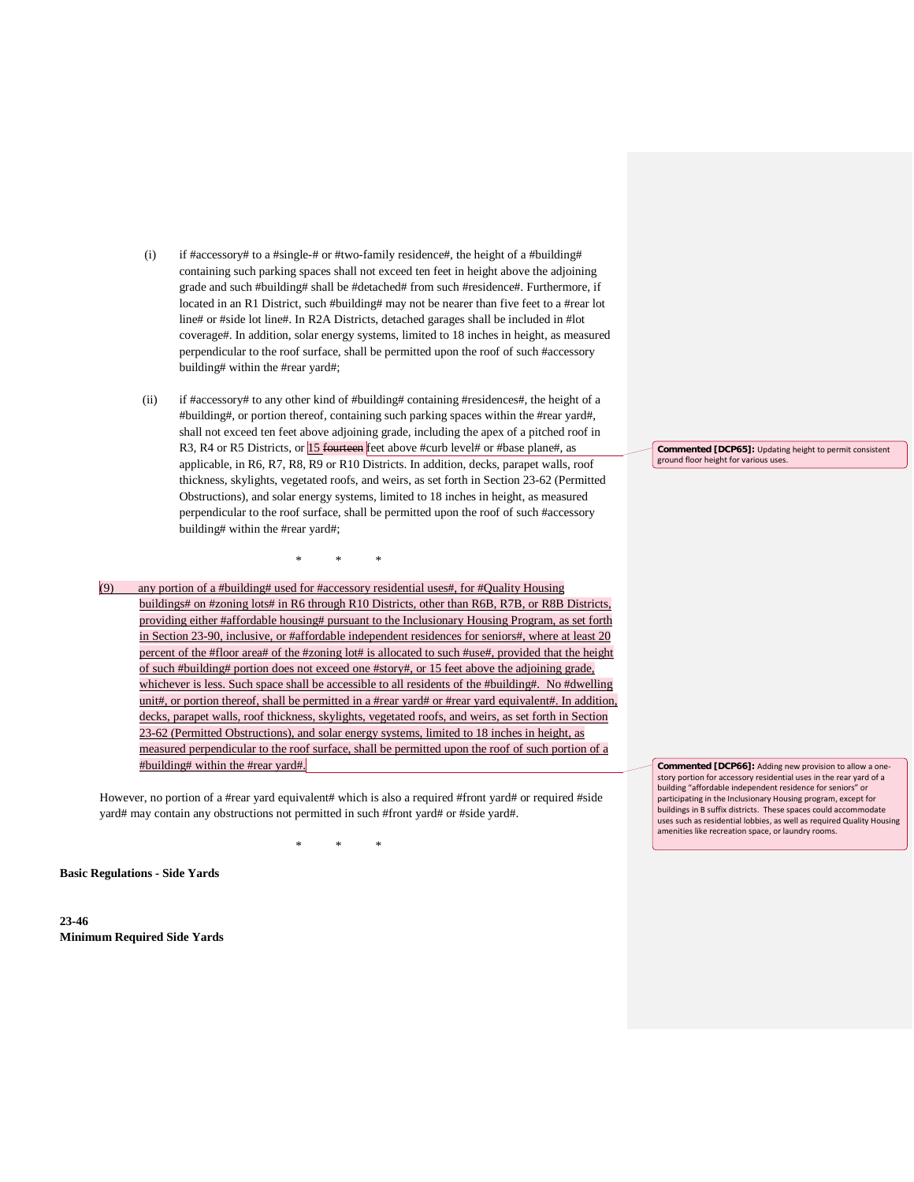- (i) if #accessory# to a #single-# or #two-family residence#, the height of a #building# containing such parking spaces shall not exceed ten feet in height above the adjoining grade and such #building# shall be #detached# from such #residence#. Furthermore, if located in an R1 District, such #building# may not be nearer than five feet to a #rear lot line# or #side lot line#. In R2A Districts, detached garages shall be included in #lot coverage#. In addition, solar energy systems, limited to 18 inches in height, as measured perpendicular to the roof surface, shall be permitted upon the roof of such #accessory building# within the #rear yard#;
- (ii) if #accessory# to any other kind of #building# containing #residences#, the height of a #building#, or portion thereof, containing such parking spaces within the #rear yard#, shall not exceed ten feet above adjoining grade, including the apex of a pitched roof in R3, R4 or R5 Districts, or **15 fourteen** feet above #curb level# or #base plane#, as applicable, in R6, R7, R8, R9 or R10 Districts. In addition, decks, parapet walls, roof thickness, skylights, vegetated roofs, and weirs, as set forth in Section 23-62 (Permitted Obstructions), and solar energy systems, limited to 18 inches in height, as measured perpendicular to the roof surface, shall be permitted upon the roof of such #accessory building# within the #rear yard#;
- (9) any portion of a #building# used for #accessory residential uses#, for #Quality Housing buildings# on #zoning lots# in R6 through R10 Districts, other than R6B, R7B, or R8B Districts, providing either #affordable housing# pursuant to the Inclusionary Housing Program, as set forth in Section 23-90, inclusive, or #affordable independent residences for seniors#, where at least 20 percent of the #floor area# of the #zoning lot# is allocated to such #use#, provided that the height of such #building# portion does not exceed one #story#, or 15 feet above the adjoining grade, whichever is less. Such space shall be accessible to all residents of the #building#. No #dwelling unit#, or portion thereof, shall be permitted in a #rear yard# or #rear yard equivalent#. In addition, decks, parapet walls, roof thickness, skylights, vegetated roofs, and weirs, as set forth in Section 23-62 (Permitted Obstructions), and solar energy systems, limited to 18 inches in height, as measured perpendicular to the roof surface, shall be permitted upon the roof of such portion of a #building# within the #rear yard#.

\* \* \*

However, no portion of a #rear yard equivalent# which is also a required #front yard# or required #side yard# may contain any obstructions not permitted in such #front yard# or #side yard#.

\* \* \*

**Basic Regulations - Side Yards**

**23-46 Minimum Required Side Yards** **Commented [DCP65]:** Updating height to permit consistent ground floor height for various uses.

**Commented [DCP66]:** Adding new provision to allow a onestory portion for accessory residential uses in the rear yard of a building "affordable independent residence for seniors" or participating in the Inclusionary Housing program, except for buildings in B suffix districts. These spaces could accommodate uses such as residential lobbies, as well as required Quality Housing amenities like recreation space, or laundry rooms.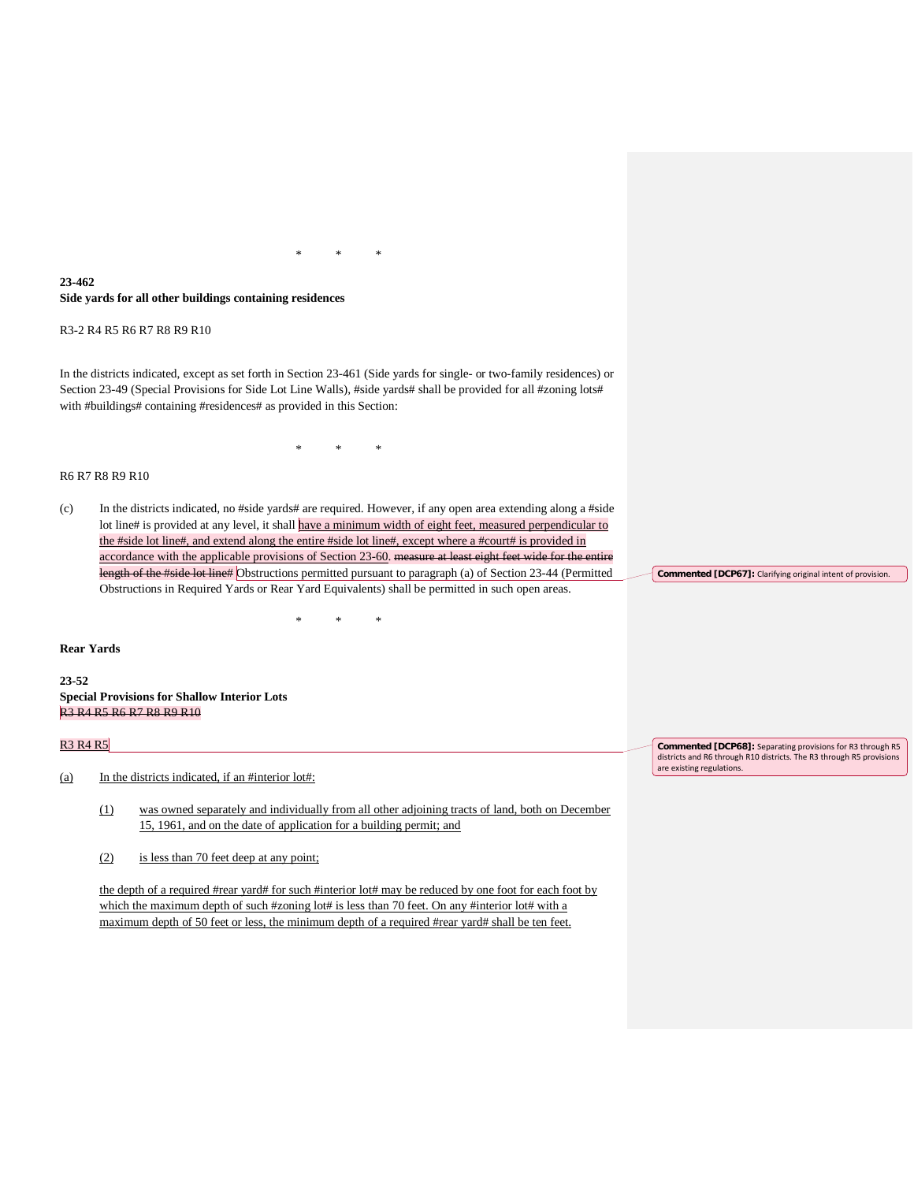# **23-462 Side yards for all other buildings containing residences**

R3-2 R4 R5 R6 R7 R8 R9 R10

In the districts indicated, except as set forth in Section 23-461 (Side yards for single- or two-family residences) or Section 23-49 (Special Provisions for Side Lot Line Walls), #side yards# shall be provided for all #zoning lots# with #buildings# containing #residences# as provided in this Section:

\* \* \*

\* \* \*

#### R6 R7 R8 R9 R10

(c) In the districts indicated, no #side yards# are required. However, if any open area extending along a #side lot line# is provided at any level, it shall have a minimum width of eight feet, measured perpendicular to the #side lot line#, and extend along the entire #side lot line#, except where a #court# is provided in accordance with the applicable provisions of Section 23-60. measure at least eight feet wide for the entire length of the #side lot line# Obstructions permitted pursuant to paragraph (a) of Section 23-44 (Permitted Obstructions in Required Yards or Rear Yard Equivalents) shall be permitted in such open areas.

\* \* \*

## **Rear Yards**

**23-52 Special Provisions for Shallow Interior Lots** R3 R4 R5 R6 R7 R8 R9 R10

#### R3 R4 R5

- (a) In the districts indicated, if an #interior lot#:
	- (1) was owned separately and individually from all other adjoining tracts of land, both on December 15, 1961, and on the date of application for a building permit; and
	- (2) is less than 70 feet deep at any point;

the depth of a required #rear yard# for such #interior lot# may be reduced by one foot for each foot by which the maximum depth of such #zoning lot# is less than 70 feet. On any #interior lot# with a maximum depth of 50 feet or less, the minimum depth of a required #rear yard# shall be ten feet.

**Commented [DCP67]:** Clarifying original intent of provision.

**Commented [DCP68]:** Separating provisions for R3 through R5 districts and R6 through R10 districts. The R3 through R5 provisions are existing regulations.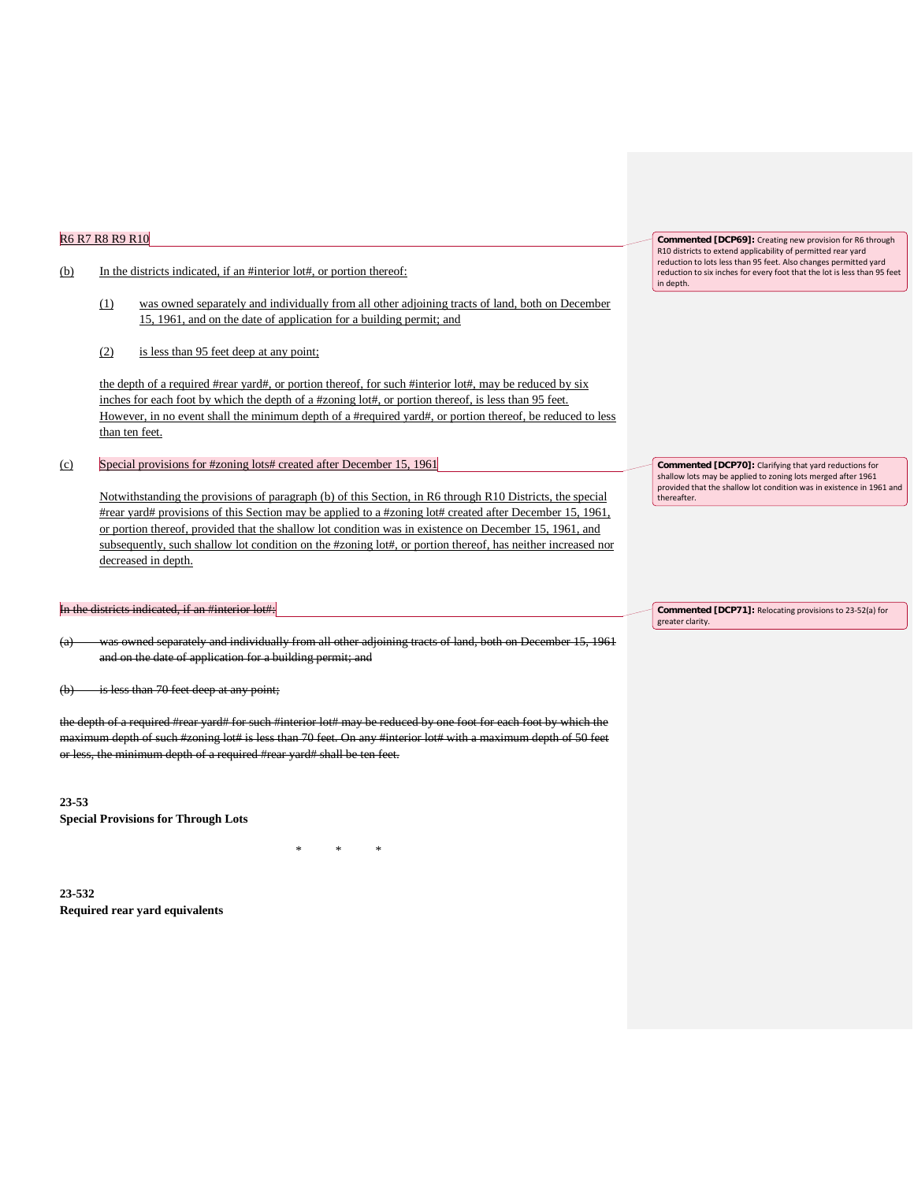# R6 R7 R8 R9 R10

## (b) In the districts indicated, if an #interior lot#, or portion thereof:

- (1) was owned separately and individually from all other adjoining tracts of land, both on December 15, 1961, and on the date of application for a building permit; and
- (2) is less than 95 feet deep at any point;

the depth of a required #rear yard#, or portion thereof, for such #interior lot#, may be reduced by six inches for each foot by which the depth of a #zoning lot#, or portion thereof, is less than 95 feet. However, in no event shall the minimum depth of a #required yard#, or portion thereof, be reduced to less than ten feet.

(c) Special provisions for #zoning lots# created after December 15, 1961

Notwithstanding the provisions of paragraph (b) of this Section, in R6 through R10 Districts, the special #rear yard# provisions of this Section may be applied to a #zoning lot# created after December 15, 1961, or portion thereof, provided that the shallow lot condition was in existence on December 15, 1961, and subsequently, such shallow lot condition on the #zoning lot#, or portion thereof, has neither increased nor decreased in depth.

# the districts indicated, if an #interior lot#:

(a) was owned separately and individually from all other adjoining tracts of land, both on December 15, 1961 and on the date of application for a building permit; and

(b) is less than 70 feet deep at any point;

the depth of a required #rear yard# for such #interior lot# may be reduced by one foot for each foot by which the maximum depth of such #zoning lot# is less than 70 feet. On any #interior lot# with a maximum depth of 50 feet or less, the minimum depth of a required #rear yard# shall be ten feet.

\* \* \*

**23-53 Special Provisions for Through Lots**

**23-532 Required rear yard equivalents** **Commented [DCP69]:** Creating new provision for R6 through R10 districts to extend applicability of permitted rear yard reduction to lots less than 95 feet. Also changes permitted yard reduction to six inches for every foot that the lot is less than 95 feet in depth.

**Commented [DCP70]:** Clarifying that yard reductions for shallow lots may be applied to zoning lots merged after 1961 provided that the shallow lot condition was in existence in 1961 and thereafter.

**Commented [DCP71]:** Relocating provisions to 23-52(a) for greater clarity.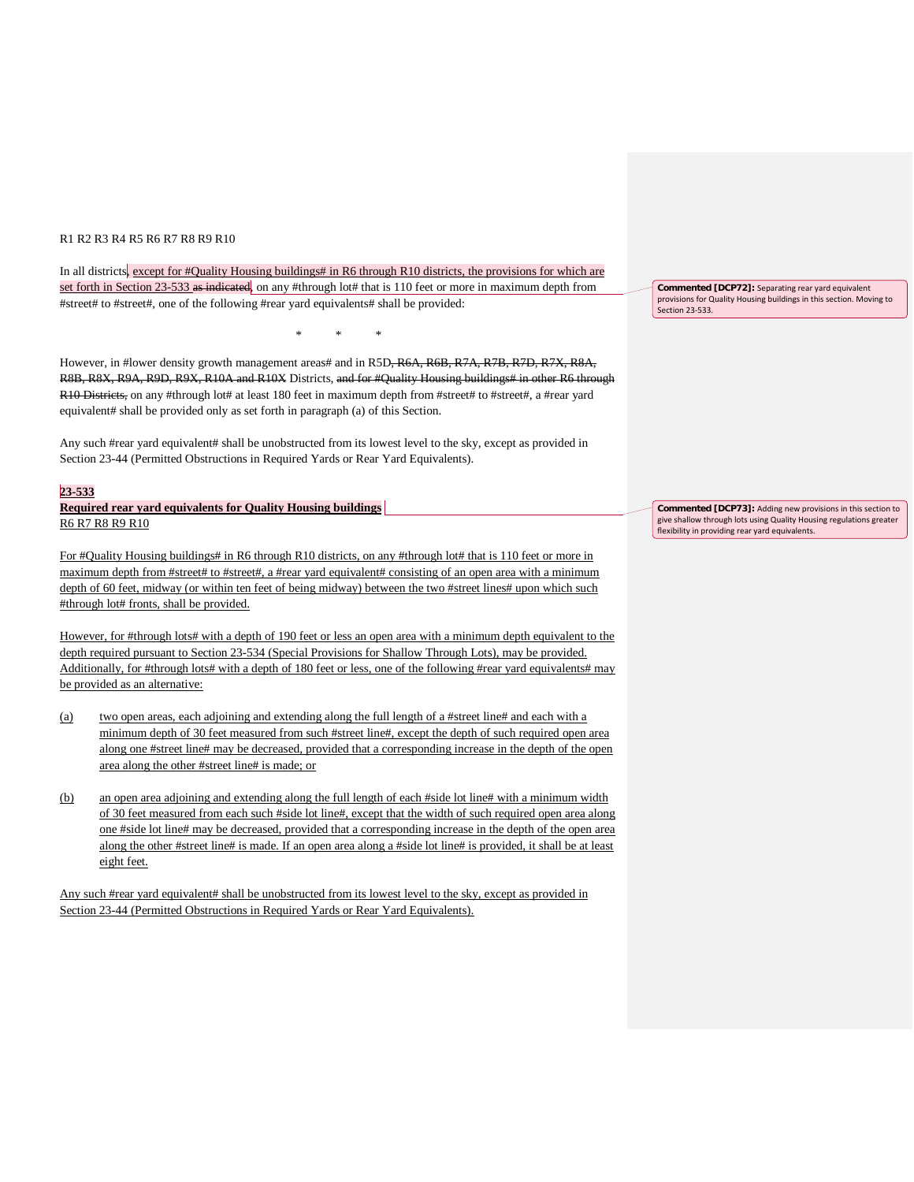# R1 R2 R3 R4 R5 R6 R7 R8 R9 R10

In all districts, except for #Quality Housing buildings# in R6 through R10 districts, the provisions for which are set forth in Section 23-533 as indicated, on any #through lot# that is 110 feet or more in maximum depth from #street# to #street#, one of the following #rear yard equivalents# shall be provided:

However, in #lower density growth management areas# and in R5D, R6A, R6B, R7A, R7B, R7D, R7X, R8A, R8B, R8X, R9A, R9D, R9X, R10A and R10X Districts, and for #Quality Housing buildings# in other R6 through R10 Districts, on any #through lot# at least 180 feet in maximum depth from #street# to #street#, a #rear yard equivalent# shall be provided only as set forth in paragraph (a) of this Section.

\* \* \*

Any such #rear yard equivalent# shall be unobstructed from its lowest level to the sky, except as provided in Section 23-44 (Permitted Obstructions in Required Yards or Rear Yard Equivalents).

#### **23-533**

**Required rear yard equivalents for Quality Housing buildings**  R6 R7 R8 R9 R10

For #Quality Housing buildings# in R6 through R10 districts, on any #through lot# that is 110 feet or more in maximum depth from #street# to #street#, a #rear yard equivalent# consisting of an open area with a minimum depth of 60 feet, midway (or within ten feet of being midway) between the two #street lines# upon which such #through lot# fronts, shall be provided.

However, for #through lots# with a depth of 190 feet or less an open area with a minimum depth equivalent to the depth required pursuant to Section 23-534 (Special Provisions for Shallow Through Lots), may be provided. Additionally, for #through lots# with a depth of 180 feet or less, one of the following #rear yard equivalents# may be provided as an alternative:

- (a) two open areas, each adjoining and extending along the full length of a #street line# and each with a minimum depth of 30 feet measured from such #street line#, except the depth of such required open area along one #street line# may be decreased, provided that a corresponding increase in the depth of the open area along the other #street line# is made; or
- (b) an open area adjoining and extending along the full length of each #side lot line# with a minimum width of 30 feet measured from each such #side lot line#, except that the width of such required open area along one #side lot line# may be decreased, provided that a corresponding increase in the depth of the open area along the other #street line# is made. If an open area along a #side lot line# is provided, it shall be at least eight feet.

Any such #rear yard equivalent# shall be unobstructed from its lowest level to the sky, except as provided in Section 23-44 (Permitted Obstructions in Required Yards or Rear Yard Equivalents).

**Commented [DCP72]:** Separating rear yard equivalent provisions for Quality Housing buildings in this section. Moving to Section 23-533.

**Commented [DCP73]:** Adding new provisions in this section to give shallow through lots using Quality Housing regulations greater flexibility in providing rear yard equivalents.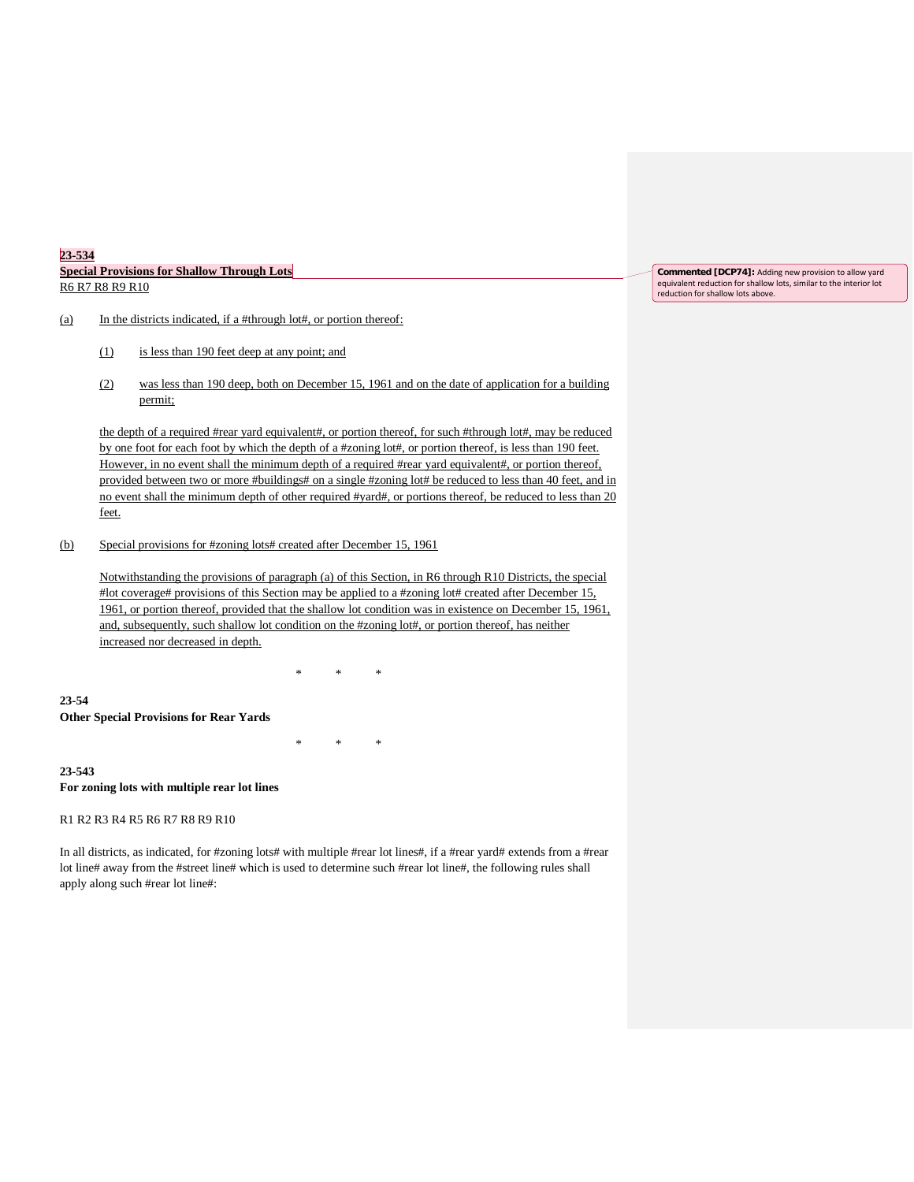| 23-534                                                                      |  |
|-----------------------------------------------------------------------------|--|
| <b>Special Provisions for Shallow Through Lots</b>                          |  |
| R <sub>6</sub> R <sub>7</sub> R <sub>8</sub> R <sub>9</sub> R <sub>10</sub> |  |

# (a) In the districts indicated, if a #through lot#, or portion thereof:

- (1) is less than 190 feet deep at any point; and
- (2) was less than 190 deep, both on December 15, 1961 and on the date of application for a building permit;

the depth of a required #rear yard equivalent#, or portion thereof, for such #through lot#, may be reduced by one foot for each foot by which the depth of a #zoning lot#, or portion thereof, is less than 190 feet. However, in no event shall the minimum depth of a required #rear yard equivalent#, or portion thereof, provided between two or more #buildings# on a single #zoning lot# be reduced to less than 40 feet, and in no event shall the minimum depth of other required #yard#, or portions thereof, be reduced to less than 20 feet.

#### (b) Special provisions for #zoning lots# created after December 15, 1961

Notwithstanding the provisions of paragraph (a) of this Section, in R6 through R10 Districts, the special #lot coverage# provisions of this Section may be applied to a #zoning lot# created after December 15, 1961, or portion thereof, provided that the shallow lot condition was in existence on December 15, 1961, and, subsequently, such shallow lot condition on the #zoning lot#, or portion thereof, has neither increased nor decreased in depth.

\* \* \*

\* \* \*

**23-54 Other Special Provisions for Rear Yards**

**23-543 For zoning lots with multiple rear lot lines**

R1 R2 R3 R4 R5 R6 R7 R8 R9 R10

In all districts, as indicated, for #zoning lots# with multiple #rear lot lines#, if a #rear yard# extends from a #rear lot line# away from the #street line# which is used to determine such #rear lot line#, the following rules shall apply along such #rear lot line#:

**Commented [DCP74]:** Adding new provision to allow yard equivalent reduction for shallow lots, similar to the interior lot reduction for shallow lots above.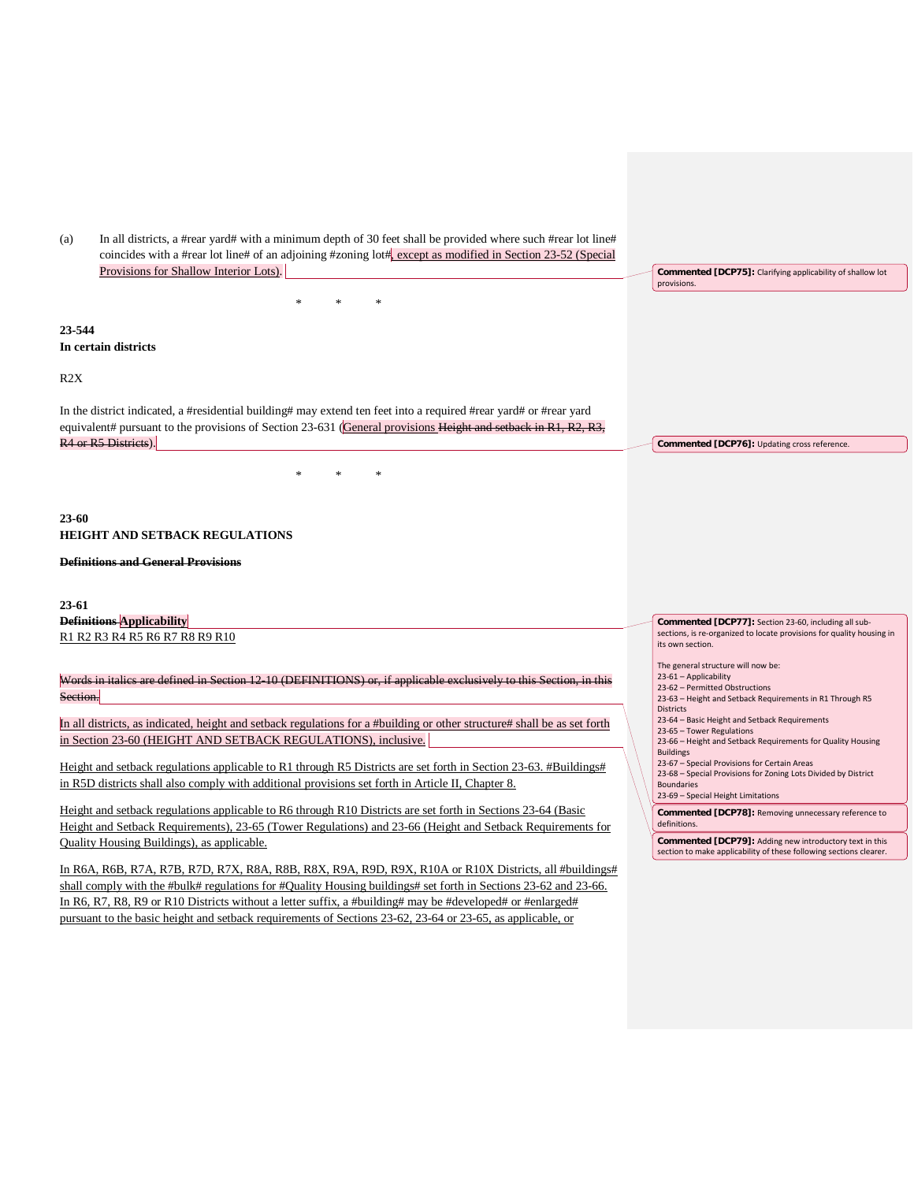| In all districts, a #rear yard# with a minimum depth of 30 feet shall be provided where such #rear lot line#<br>(a)<br>coincides with a #rear lot line# of an adjoining #zoning lot# $\frac{1}{k}$ except as modified in Section 23-52 (Special<br>Provisions for Shallow Interior Lots).<br>Commented [DCP75]: Clarifying applicability of shallow lot<br>provisions.<br>23-544<br>In certain districts<br>R2X<br>In the district indicated, a #residential building# may extend ten feet into a required #rear yard# or #rear yard<br>equivalent# pursuant to the provisions of Section 23-631 (General provisions Height and setback in $R1$ , $R2$ , $R3$ ,<br>R4 or R5 Districts).<br>Commented [DCP76]: Updating cross reference.<br>23-60<br><b>HEIGHT AND SETBACK REGULATIONS</b><br><b>Definitions and General Provisions</b><br>23-61<br><b>Definitions Applicability</b><br>Commented [DCP77]: Section 23-60, including all sub-<br>sections, is re-organized to locate provisions for quality housing in<br>R1 R2 R3 R4 R5 R6 R7 R8 R9 R10<br>its own section.<br>The general structure will now be:<br>23-61 - Applicability<br>Words in italics are defined in Section 12 10 (DEFINITIONS) or, if applicable exclusively to this Section, in this |
|-----------------------------------------------------------------------------------------------------------------------------------------------------------------------------------------------------------------------------------------------------------------------------------------------------------------------------------------------------------------------------------------------------------------------------------------------------------------------------------------------------------------------------------------------------------------------------------------------------------------------------------------------------------------------------------------------------------------------------------------------------------------------------------------------------------------------------------------------------------------------------------------------------------------------------------------------------------------------------------------------------------------------------------------------------------------------------------------------------------------------------------------------------------------------------------------------------------------------------------------------------------------|
|                                                                                                                                                                                                                                                                                                                                                                                                                                                                                                                                                                                                                                                                                                                                                                                                                                                                                                                                                                                                                                                                                                                                                                                                                                                                 |
|                                                                                                                                                                                                                                                                                                                                                                                                                                                                                                                                                                                                                                                                                                                                                                                                                                                                                                                                                                                                                                                                                                                                                                                                                                                                 |
|                                                                                                                                                                                                                                                                                                                                                                                                                                                                                                                                                                                                                                                                                                                                                                                                                                                                                                                                                                                                                                                                                                                                                                                                                                                                 |
|                                                                                                                                                                                                                                                                                                                                                                                                                                                                                                                                                                                                                                                                                                                                                                                                                                                                                                                                                                                                                                                                                                                                                                                                                                                                 |
|                                                                                                                                                                                                                                                                                                                                                                                                                                                                                                                                                                                                                                                                                                                                                                                                                                                                                                                                                                                                                                                                                                                                                                                                                                                                 |
|                                                                                                                                                                                                                                                                                                                                                                                                                                                                                                                                                                                                                                                                                                                                                                                                                                                                                                                                                                                                                                                                                                                                                                                                                                                                 |
|                                                                                                                                                                                                                                                                                                                                                                                                                                                                                                                                                                                                                                                                                                                                                                                                                                                                                                                                                                                                                                                                                                                                                                                                                                                                 |
|                                                                                                                                                                                                                                                                                                                                                                                                                                                                                                                                                                                                                                                                                                                                                                                                                                                                                                                                                                                                                                                                                                                                                                                                                                                                 |
|                                                                                                                                                                                                                                                                                                                                                                                                                                                                                                                                                                                                                                                                                                                                                                                                                                                                                                                                                                                                                                                                                                                                                                                                                                                                 |
|                                                                                                                                                                                                                                                                                                                                                                                                                                                                                                                                                                                                                                                                                                                                                                                                                                                                                                                                                                                                                                                                                                                                                                                                                                                                 |
|                                                                                                                                                                                                                                                                                                                                                                                                                                                                                                                                                                                                                                                                                                                                                                                                                                                                                                                                                                                                                                                                                                                                                                                                                                                                 |
|                                                                                                                                                                                                                                                                                                                                                                                                                                                                                                                                                                                                                                                                                                                                                                                                                                                                                                                                                                                                                                                                                                                                                                                                                                                                 |
|                                                                                                                                                                                                                                                                                                                                                                                                                                                                                                                                                                                                                                                                                                                                                                                                                                                                                                                                                                                                                                                                                                                                                                                                                                                                 |
|                                                                                                                                                                                                                                                                                                                                                                                                                                                                                                                                                                                                                                                                                                                                                                                                                                                                                                                                                                                                                                                                                                                                                                                                                                                                 |
|                                                                                                                                                                                                                                                                                                                                                                                                                                                                                                                                                                                                                                                                                                                                                                                                                                                                                                                                                                                                                                                                                                                                                                                                                                                                 |
|                                                                                                                                                                                                                                                                                                                                                                                                                                                                                                                                                                                                                                                                                                                                                                                                                                                                                                                                                                                                                                                                                                                                                                                                                                                                 |
|                                                                                                                                                                                                                                                                                                                                                                                                                                                                                                                                                                                                                                                                                                                                                                                                                                                                                                                                                                                                                                                                                                                                                                                                                                                                 |
|                                                                                                                                                                                                                                                                                                                                                                                                                                                                                                                                                                                                                                                                                                                                                                                                                                                                                                                                                                                                                                                                                                                                                                                                                                                                 |
|                                                                                                                                                                                                                                                                                                                                                                                                                                                                                                                                                                                                                                                                                                                                                                                                                                                                                                                                                                                                                                                                                                                                                                                                                                                                 |
|                                                                                                                                                                                                                                                                                                                                                                                                                                                                                                                                                                                                                                                                                                                                                                                                                                                                                                                                                                                                                                                                                                                                                                                                                                                                 |
|                                                                                                                                                                                                                                                                                                                                                                                                                                                                                                                                                                                                                                                                                                                                                                                                                                                                                                                                                                                                                                                                                                                                                                                                                                                                 |
|                                                                                                                                                                                                                                                                                                                                                                                                                                                                                                                                                                                                                                                                                                                                                                                                                                                                                                                                                                                                                                                                                                                                                                                                                                                                 |
|                                                                                                                                                                                                                                                                                                                                                                                                                                                                                                                                                                                                                                                                                                                                                                                                                                                                                                                                                                                                                                                                                                                                                                                                                                                                 |
|                                                                                                                                                                                                                                                                                                                                                                                                                                                                                                                                                                                                                                                                                                                                                                                                                                                                                                                                                                                                                                                                                                                                                                                                                                                                 |
|                                                                                                                                                                                                                                                                                                                                                                                                                                                                                                                                                                                                                                                                                                                                                                                                                                                                                                                                                                                                                                                                                                                                                                                                                                                                 |
|                                                                                                                                                                                                                                                                                                                                                                                                                                                                                                                                                                                                                                                                                                                                                                                                                                                                                                                                                                                                                                                                                                                                                                                                                                                                 |
|                                                                                                                                                                                                                                                                                                                                                                                                                                                                                                                                                                                                                                                                                                                                                                                                                                                                                                                                                                                                                                                                                                                                                                                                                                                                 |
| 23-62 - Permitted Obstructions                                                                                                                                                                                                                                                                                                                                                                                                                                                                                                                                                                                                                                                                                                                                                                                                                                                                                                                                                                                                                                                                                                                                                                                                                                  |
| Section.<br>23-63 - Height and Setback Requirements in R1 Through R5<br><b>Districts</b>                                                                                                                                                                                                                                                                                                                                                                                                                                                                                                                                                                                                                                                                                                                                                                                                                                                                                                                                                                                                                                                                                                                                                                        |
| 23-64 - Basic Height and Setback Requirements<br>In all districts, as indicated, height and setback regulations for a #building or other structure# shall be as set forth                                                                                                                                                                                                                                                                                                                                                                                                                                                                                                                                                                                                                                                                                                                                                                                                                                                                                                                                                                                                                                                                                       |
| 23-65 - Tower Regulations<br>in Section 23-60 (HEIGHT AND SETBACK REGULATIONS), inclusive.<br>23-66 - Height and Setback Requirements for Quality Housing                                                                                                                                                                                                                                                                                                                                                                                                                                                                                                                                                                                                                                                                                                                                                                                                                                                                                                                                                                                                                                                                                                       |
| <b>Buildings</b>                                                                                                                                                                                                                                                                                                                                                                                                                                                                                                                                                                                                                                                                                                                                                                                                                                                                                                                                                                                                                                                                                                                                                                                                                                                |
| 23-67 - Special Provisions for Certain Areas<br>Height and setback regulations applicable to R1 through R5 Districts are set forth in Section 23-63. #Buildings#<br>23-68 - Special Provisions for Zoning Lots Divided by District                                                                                                                                                                                                                                                                                                                                                                                                                                                                                                                                                                                                                                                                                                                                                                                                                                                                                                                                                                                                                              |
| in R5D districts shall also comply with additional provisions set forth in Article II, Chapter 8.<br><b>Boundaries</b>                                                                                                                                                                                                                                                                                                                                                                                                                                                                                                                                                                                                                                                                                                                                                                                                                                                                                                                                                                                                                                                                                                                                          |
| 23-69 - Special Height Limitations                                                                                                                                                                                                                                                                                                                                                                                                                                                                                                                                                                                                                                                                                                                                                                                                                                                                                                                                                                                                                                                                                                                                                                                                                              |
| Height and setback regulations applicable to R6 through R10 Districts are set forth in Sections 23-64 (Basic<br>Commented [DCP78]: Removing unnecessary reference to<br>definitions.                                                                                                                                                                                                                                                                                                                                                                                                                                                                                                                                                                                                                                                                                                                                                                                                                                                                                                                                                                                                                                                                            |
| Height and Setback Requirements), 23-65 (Tower Regulations) and 23-66 (Height and Setback Requirements for<br>Commented [DCP79]: Adding new introductory text in this                                                                                                                                                                                                                                                                                                                                                                                                                                                                                                                                                                                                                                                                                                                                                                                                                                                                                                                                                                                                                                                                                           |
| Quality Housing Buildings), as applicable.<br>section to make applicability of these following sections clearer.                                                                                                                                                                                                                                                                                                                                                                                                                                                                                                                                                                                                                                                                                                                                                                                                                                                                                                                                                                                                                                                                                                                                                |
|                                                                                                                                                                                                                                                                                                                                                                                                                                                                                                                                                                                                                                                                                                                                                                                                                                                                                                                                                                                                                                                                                                                                                                                                                                                                 |
| In R6A, R6B, R7A, R7B, R7D, R7X, R8A, R8B, R8X, R9A, R9D, R9X, R10A or R10X Districts, all #buildings#                                                                                                                                                                                                                                                                                                                                                                                                                                                                                                                                                                                                                                                                                                                                                                                                                                                                                                                                                                                                                                                                                                                                                          |

In R6, R7, R8, R9 or R10 Districts without a letter suffix, a #building# may be #developed# or #enlarged# pursuant to the basic height and setback requirements of Sections 23-62, 23-64 or 23-65, as applicable, or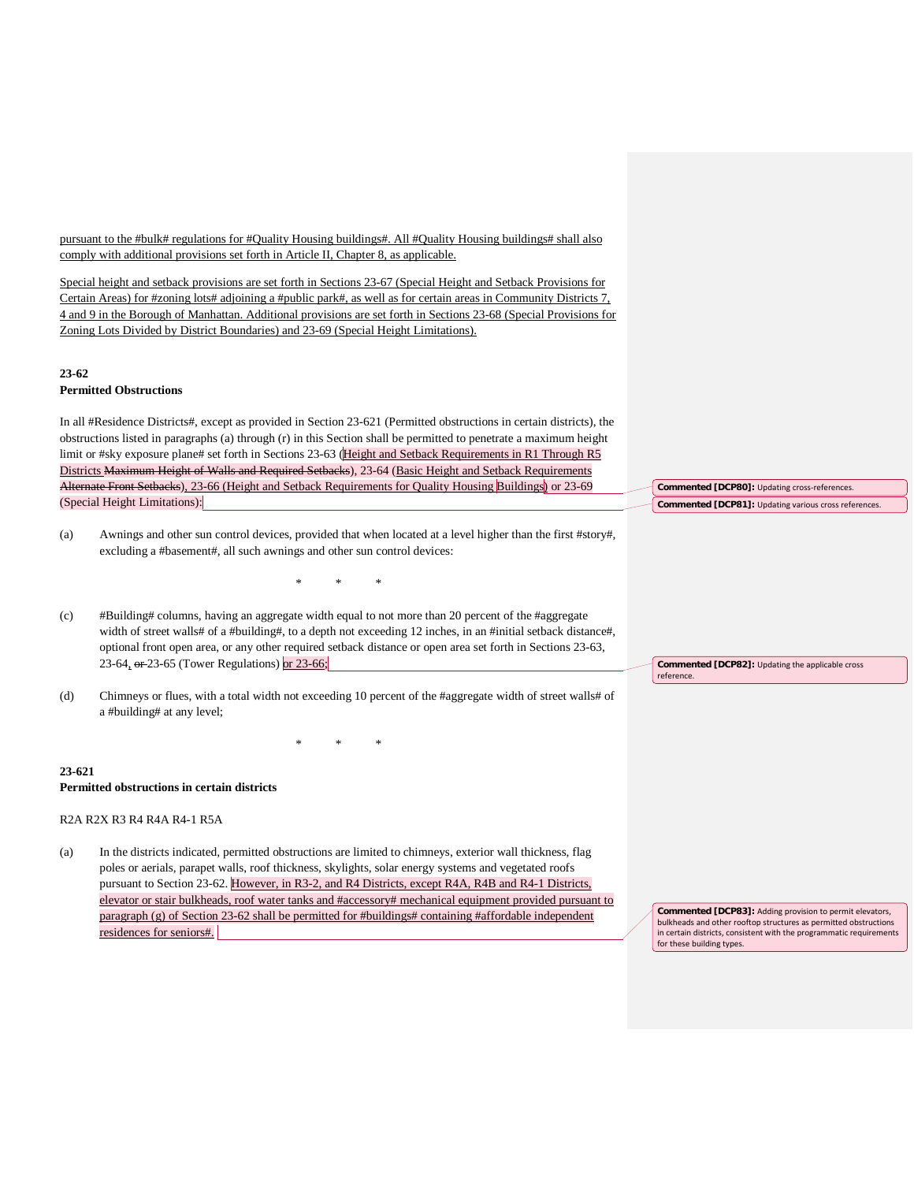pursuant to the #bulk# regulations for #Quality Housing buildings#. All #Quality Housing buildings# shall also comply with additional provisions set forth in Article II, Chapter 8, as applicable.

Special height and setback provisions are set forth in Sections 23-67 (Special Height and Setback Provisions for Certain Areas) for #zoning lots# adjoining a #public park#, as well as for certain areas in Community Districts 7, 4 and 9 in the Borough of Manhattan. Additional provisions are set forth in Sections 23-68 (Special Provisions for Zoning Lots Divided by District Boundaries) and 23-69 (Special Height Limitations).

# **23-62**

# **Permitted Obstructions**

In all #Residence Districts#, except as provided in Section 23-621 (Permitted obstructions in certain districts), the obstructions listed in paragraphs (a) through (r) in this Section shall be permitted to penetrate a maximum height limit or #sky exposure plane# set forth in Sections 23-63 (Height and Setback Requirements in R1 Through R5 Districts Maximum Height of Walls and Required Setbacks), 23-64 (Basic Height and Setback Requirements Alternate Front Setbacks), 23-66 (Height and Setback Requirements for Quality Housing Buildings) or 23-69 (Special Height Limitations):

(a) Awnings and other sun control devices, provided that when located at a level higher than the first #story#, excluding a #basement#, all such awnings and other sun control devices:

\* \* \*

(c) #Building# columns, having an aggregate width equal to not more than 20 percent of the #aggregate width of street walls# of a #building#, to a depth not exceeding 12 inches, in an #initial setback distance#, optional front open area, or any other required setback distance or open area set forth in Sections 23-63, 23-64, or 23-65 (Tower Regulations) or 23-66;

(d) Chimneys or flues, with a total width not exceeding 10 percent of the #aggregate width of street walls# of a #building# at any level;

\* \* \*

**23-621 Permitted obstructions in certain districts**

# R2A R2X R3 R4 R4A R4-1 R5A

(a) In the districts indicated, permitted obstructions are limited to chimneys, exterior wall thickness, flag poles or aerials, parapet walls, roof thickness, skylights, solar energy systems and vegetated roofs pursuant to Section 23-62. However, in R3-2, and R4 Districts, except R4A, R4B and R4-1 Districts, elevator or stair bulkheads, roof water tanks and #accessory# mechanical equipment provided pursuant to paragraph (g) of Section 23-62 shall be permitted for #buildings# containing #affordable independent residences for seniors#.

**Commented [DCP82]:** Updating the applicable cross

reference.

**Commented [DCP80]:** Updating cross-references. **Commented [DCP81]:** Updating various cross references.

**Commented [DCP83]:** Adding provision to permit elevators, bulkheads and other rooftop structures as permitted obstructions in certain districts, consistent with the programmatic requirements for these building types.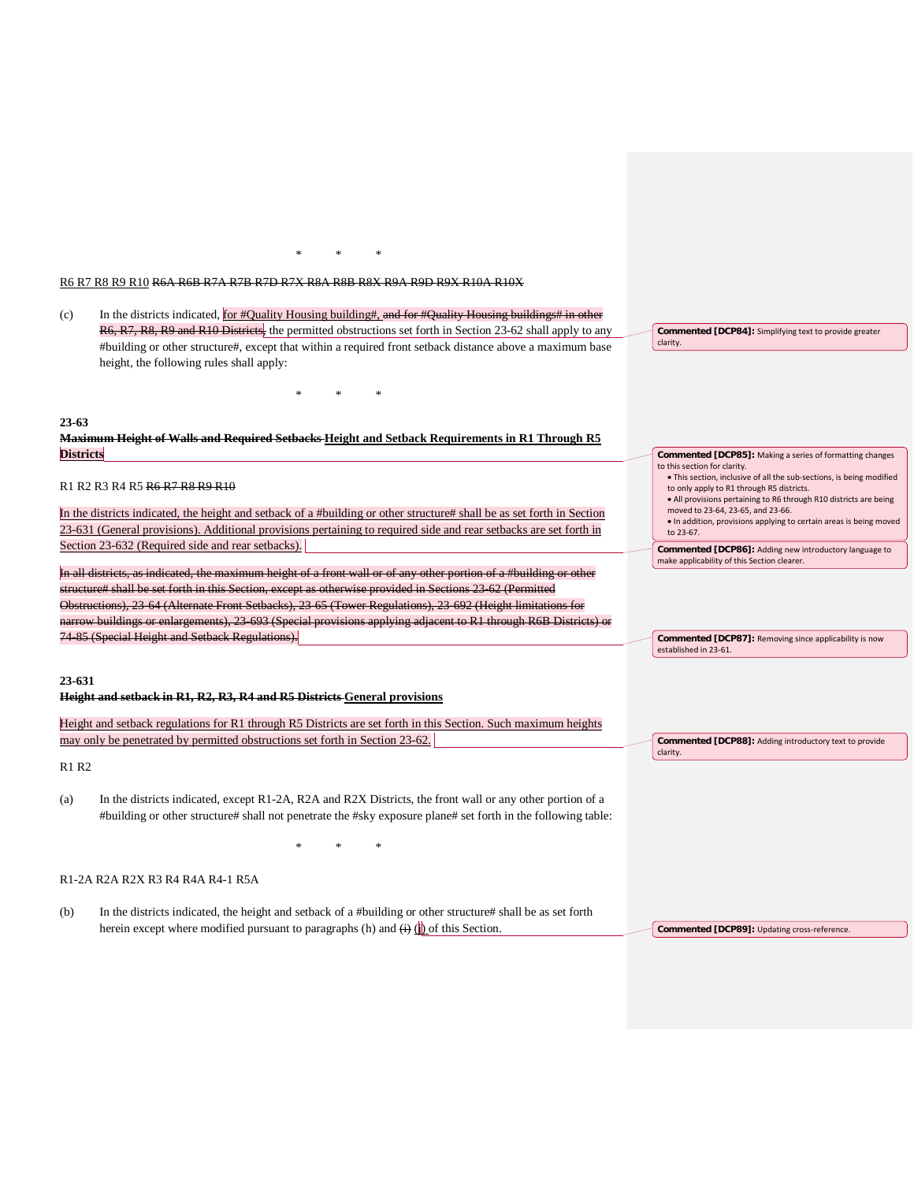R6 R7 R8 R9 R10 R6A R6B R7A R7B R7D R7X R8A R8B R8X R9A R9D R9X R10A R10X

\* \* \*

| (c)              | In the districts indicated, for #Quality Housing building#, and for #Quality Housing buildings# in other                                                                                                                                    |                                                                                                                                                                                                                        |
|------------------|---------------------------------------------------------------------------------------------------------------------------------------------------------------------------------------------------------------------------------------------|------------------------------------------------------------------------------------------------------------------------------------------------------------------------------------------------------------------------|
|                  | R6, R7, R8, R9 and R10 Districts, the permitted obstructions set forth in Section 23-62 shall apply to any                                                                                                                                  | Commented [DCP84]: Simplifying text to provide greater                                                                                                                                                                 |
|                  | #building or other structure#, except that within a required front setback distance above a maximum base<br>height, the following rules shall apply:                                                                                        | clarity.                                                                                                                                                                                                               |
|                  |                                                                                                                                                                                                                                             |                                                                                                                                                                                                                        |
| $23 - 63$        |                                                                                                                                                                                                                                             |                                                                                                                                                                                                                        |
|                  | <b>Maximum Height of Walls and Required Setbacks-Height and Setback Requirements in R1 Through R5</b>                                                                                                                                       |                                                                                                                                                                                                                        |
| <b>Districts</b> |                                                                                                                                                                                                                                             | <b>Commented [DCP85]:</b> Making a series of formatting changes                                                                                                                                                        |
|                  | R1 R2 R3 R4 R5 R6 R7 R8 R9 R10                                                                                                                                                                                                              | to this section for clarity.<br>. This section, inclusive of all the sub-sections, is being modified<br>to only apply to R1 through R5 districts.<br>• All provisions pertaining to R6 through R10 districts are being |
|                  | In the districts indicated, the height and setback of a #building or other structure# shall be as set forth in Section<br>23-631 (General provisions). Additional provisions pertaining to required side and rear setbacks are set forth in | moved to 23-64, 23-65, and 23-66.<br>• In addition, provisions applying to certain areas is being moved                                                                                                                |
|                  | Section 23-632 (Required side and rear setbacks).                                                                                                                                                                                           | to 23-67.                                                                                                                                                                                                              |
|                  |                                                                                                                                                                                                                                             | Commented [DCP86]: Adding new introductory language to<br>make applicability of this Section clearer.                                                                                                                  |
|                  | In all districts, as indicated, the maximum height of a front wall or of any other portion of a #building or other                                                                                                                          |                                                                                                                                                                                                                        |
|                  | structure# shall be set forth in this Section, except as otherwise provided in Sections 23-62 (Permitted                                                                                                                                    |                                                                                                                                                                                                                        |
|                  | Obstructions), 23 64 (Alternate Front Setbacks), 23 65 (Tower Regulations), 23 692 (Height limitations for                                                                                                                                  |                                                                                                                                                                                                                        |
|                  | narrow buildings or enlargements), 23 693 (Special provisions applying adjacent to R1 through R6B Districts) or                                                                                                                             |                                                                                                                                                                                                                        |
|                  | 74 85 (Special Height and Setback Regulations).                                                                                                                                                                                             | Commented [DCP87]: Removing since applicability is now<br>established in 23-61.                                                                                                                                        |
| 23-631           | Height and setback in R1, R2, R3, R4 and R5 Districts General provisions                                                                                                                                                                    |                                                                                                                                                                                                                        |
|                  | Height and setback regulations for R1 through R5 Districts are set forth in this Section. Such maximum heights                                                                                                                              |                                                                                                                                                                                                                        |
|                  | may only be penetrated by permitted obstructions set forth in Section 23-62.                                                                                                                                                                | Commented [DCP88]: Adding introductory text to provide<br>clarity.                                                                                                                                                     |
| R1 R2            |                                                                                                                                                                                                                                             |                                                                                                                                                                                                                        |
| (a)              | In the districts indicated, except R1-2A, R2A and R2X Districts, the front wall or any other portion of a<br>#building or other structure# shall not penetrate the #sky exposure plane# set forth in the following table:                   |                                                                                                                                                                                                                        |
|                  |                                                                                                                                                                                                                                             |                                                                                                                                                                                                                        |
|                  | R1-2A R2A R2X R3 R4 R4A R4-1 R5A                                                                                                                                                                                                            |                                                                                                                                                                                                                        |
| (b)              | In the districts indicated, the height and setback of a #building or other structure# shall be as set forth<br>herein except where modified pursuant to paragraphs (h) and $\overline{(+)}$ (h) of this Section.                            | Commented [DCP89]: Updating cross-reference.                                                                                                                                                                           |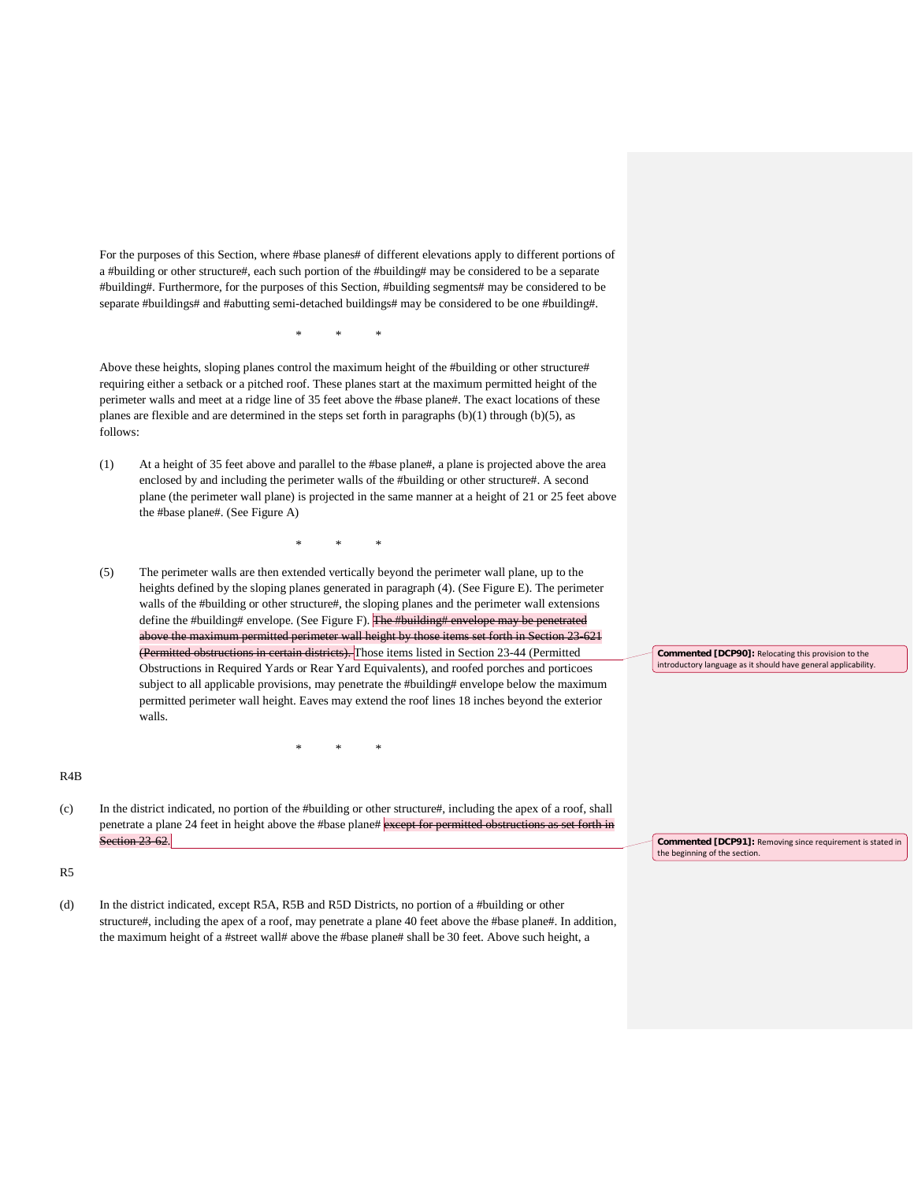For the purposes of this Section, where #base planes# of different elevations apply to different portions of a #building or other structure#, each such portion of the #building# may be considered to be a separate #building#. Furthermore, for the purposes of this Section, #building segments# may be considered to be separate #buildings# and #abutting semi-detached buildings# may be considered to be one #building#.

Above these heights, sloping planes control the maximum height of the #building or other structure# requiring either a setback or a pitched roof. These planes start at the maximum permitted height of the perimeter walls and meet at a ridge line of 35 feet above the #base plane#. The exact locations of these planes are flexible and are determined in the steps set forth in paragraphs (b)(1) through (b)(5), as follows:

\* \* \*

(1) At a height of 35 feet above and parallel to the #base plane#, a plane is projected above the area enclosed by and including the perimeter walls of the #building or other structure#. A second plane (the perimeter wall plane) is projected in the same manner at a height of 21 or 25 feet above the #base plane#. (See Figure A)

\* \* \*

(5) The perimeter walls are then extended vertically beyond the perimeter wall plane, up to the heights defined by the sloping planes generated in paragraph (4). (See Figure E). The perimeter walls of the #building or other structure#, the sloping planes and the perimeter wall extensions define the #building# envelope. (See Figure F). The #building# envelope may be penetrated above the maximum permitted perimeter wall height by those items set forth in Section 23-621 (Permitted obstructions in certain districts). Those items listed in Section 23-44 (Permitted Obstructions in Required Yards or Rear Yard Equivalents), and roofed porches and porticoes subject to all applicable provisions, may penetrate the #building# envelope below the maximum permitted perimeter wall height. Eaves may extend the roof lines 18 inches beyond the exterior walls.

## R4B

(c) In the district indicated, no portion of the #building or other structure#, including the apex of a roof, shall penetrate a plane 24 feet in height above the #base plane# except for permitted obstructions as set forth in Section 23 62.

\* \* \*

**Commented [DCP91]:** Removing since requirement is stated in the beginning of the section.

**Commented [DCP90]:** Relocating this provision to the introductory language as it should have general applicability.

R5

(d) In the district indicated, except R5A, R5B and R5D Districts, no portion of a #building or other structure#, including the apex of a roof, may penetrate a plane 40 feet above the #base plane#. In addition, the maximum height of a #street wall# above the #base plane# shall be 30 feet. Above such height, a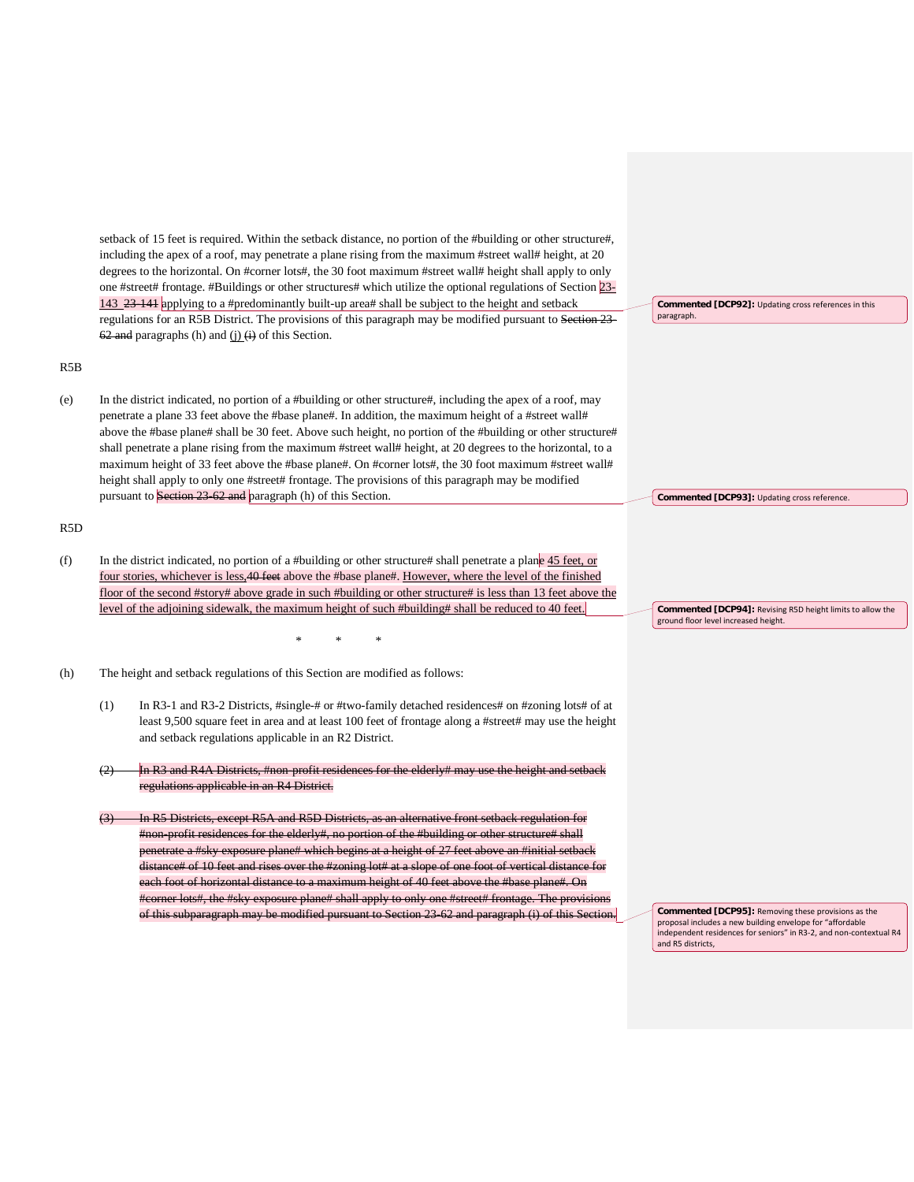setback of 15 feet is required. Within the setback distance, no portion of the #building or other structure#, including the apex of a roof, may penetrate a plane rising from the maximum #street wall# height, at 20 degrees to the horizontal. On #corner lots#, the 30 foot maximum #street wall# height shall apply to only one #street# frontage. #Buildings or other structures# which utilize the optional regulations of Section 23- 143 23-141 applying to a #predominantly built-up area# shall be subject to the height and setback regulations for an R5B District. The provisions of this paragraph may be modified pursuant to Section 23-  $62$  and paragraphs (h) and (j)  $\overrightarrow{(i)}$  of this Section. R5B (e) In the district indicated, no portion of a #building or other structure#, including the apex of a roof, may penetrate a plane 33 feet above the #base plane#. In addition, the maximum height of a #street wall# above the #base plane# shall be 30 feet. Above such height, no portion of the #building or other structure# shall penetrate a plane rising from the maximum #street wall# height, at 20 degrees to the horizontal, to a maximum height of 33 feet above the #base plane#. On #corner lots#, the 30 foot maximum #street wall# height shall apply to only one #street# frontage. The provisions of this paragraph may be modified pursuant to Section 23-62 and paragraph (h) of this Section. R5D (f) In the district indicated, no portion of a #building or other structure# shall penetrate a plane 45 feet, or four stories, whichever is less,40 feet above the #base plane#. However, where the level of the finished floor of the second #story# above grade in such #building or other structure# is less than 13 feet above the level of the adjoining sidewalk, the maximum height of such #building# shall be reduced to 40 feet. \* \* \* (h) The height and setback regulations of this Section are modified as follows: (1) In R3-1 and R3-2 Districts, #single-# or #two-family detached residences# on #zoning lots# of at least 9,500 square feet in area and at least 100 feet of frontage along a #street# may use the height and setback regulations applicable in an R2 District. In R3 and R4A Districts, #non-profit residences for the elderly# may use the height and regulations applicable in an R4 District. **Commented [DCP92]:** Updating cross references in this paragraph. **Commented [DCP93]:** Updating cross reference. **Commented [DCP94]:** Revising R5D height limits to allow the ground floor level increased height.

In R5 Districts, except R5A and R5D Districts, as an alternative front setback regulation for #non-profit residences for the elderly#, no portion of the #building or other structure# shall penetrate a #sky exposure plane# which begins at a height of 27 feet above an #initial setba distance# of 10 feet and rises over the #zoning lot# at a slope of one foot of vertical distance for each foot of horizontal distance to a maximum height of 40 feet above the #base plane#. On #corner lots#, the #sky exposure plane# shall apply to only one #street# frontage. The provisions of this subparagraph may be modified pursuant to Section 23-62 and paragraph (i) of this

**Commented [DCP95]:** Removing these provisions as the proposal includes a new building envelope for "affordable independent residences for seniors" in R3-2, and non-contextual R4 and R5 districts,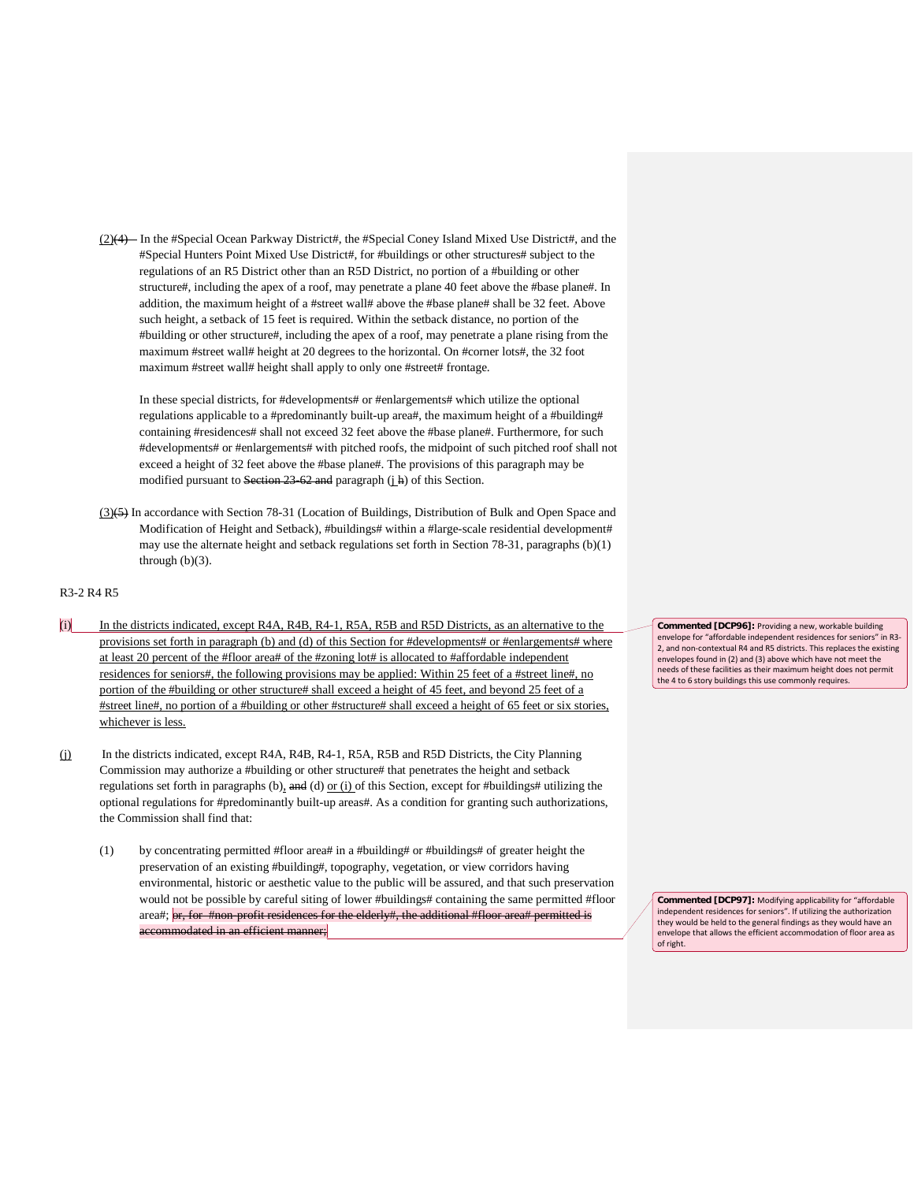(2)(4) In the #Special Ocean Parkway District#, the #Special Coney Island Mixed Use District#, and the #Special Hunters Point Mixed Use District#, for #buildings or other structures# subject to the regulations of an R5 District other than an R5D District, no portion of a #building or other structure#, including the apex of a roof, may penetrate a plane 40 feet above the #base plane#. In addition, the maximum height of a #street wall# above the #base plane# shall be 32 feet. Above such height, a setback of 15 feet is required. Within the setback distance, no portion of the #building or other structure#, including the apex of a roof, may penetrate a plane rising from the maximum #street wall# height at 20 degrees to the horizontal. On #corner lots#, the 32 foot maximum #street wall# height shall apply to only one #street# frontage.

In these special districts, for #developments# or #enlargements# which utilize the optional regulations applicable to a #predominantly built-up area#, the maximum height of a #building# containing #residences# shall not exceed 32 feet above the #base plane#. Furthermore, for such #developments# or #enlargements# with pitched roofs, the midpoint of such pitched roof shall not exceed a height of 32 feet above the #base plane#. The provisions of this paragraph may be modified pursuant to Section  $23-62$  and paragraph (j h) of this Section.

(3)(5) In accordance with Section 78-31 (Location of Buildings, Distribution of Bulk and Open Space and Modification of Height and Setback), #buildings# within a #large-scale residential development# may use the alternate height and setback regulations set forth in Section 78-31, paragraphs (b)(1) through  $(b)(3)$ .

## R3-2 R4 R5

- $(i)$  In the districts indicated, except R4A, R4B, R4-1, R5A, R5B and R5D Districts, as an alternative to the provisions set forth in paragraph (b) and (d) of this Section for #developments# or #enlargements# where at least 20 percent of the #floor area# of the #zoning lot# is allocated to #affordable independent residences for seniors#, the following provisions may be applied: Within 25 feet of a #street line#, no portion of the #building or other structure# shall exceed a height of 45 feet, and beyond 25 feet of a #street line#, no portion of a #building or other #structure# shall exceed a height of 65 feet or six stories, whichever is less.
- (j) In the districts indicated, except R4A, R4B, R4-1, R5A, R5B and R5D Districts, the City Planning Commission may authorize a #building or other structure# that penetrates the height and setback regulations set forth in paragraphs (b), and (d) or (i) of this Section, except for #buildings# utilizing the optional regulations for #predominantly built-up areas#. As a condition for granting such authorizations, the Commission shall find that:
	- (1) by concentrating permitted #floor area# in a #building# or #buildings# of greater height the preservation of an existing #building#, topography, vegetation, or view corridors having environmental, historic or aesthetic value to the public will be assured, and that such preservation would not be possible by careful siting of lower #buildings# containing the same permitted #floor area#; or, for #non-profit residences for the elderly#, the additional #floor area# permitted is accommodated in an efficient manner;

**Commented [DCP96]:** Providing a new, workable building envelope for "affordable independent residences for seniors" in R3- 2, and non-contextual R4 and R5 districts. This replaces the existing envelopes found in (2) and (3) above which have not meet the needs of these facilities as their maximum height does not permit the 4 to 6 story buildings this use commonly requires.

**Commented [DCP97]:** Modifying applicability for "affordable independent residences for seniors". If utilizing the authorization they would be held to the general findings as they would have an envelope that allows the efficient accommodation of floor area as of right.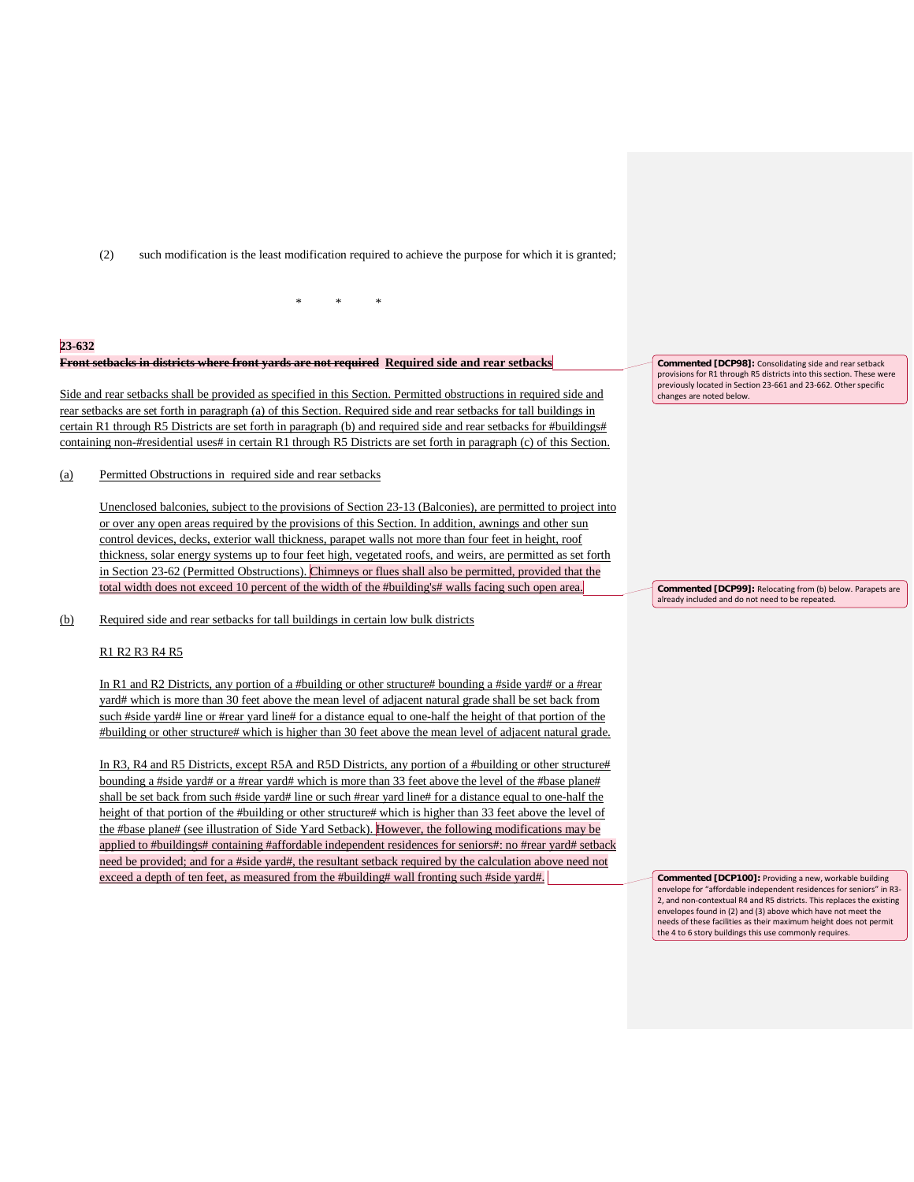(2) such modification is the least modification required to achieve the purpose for which it is granted;

#### **23-632**

### **Front setbacks in districts where front yards are not required Required side and rear setbacks**

Side and rear setbacks shall be provided as specified in this Section. Permitted obstructions in required side and rear setbacks are set forth in paragraph (a) of this Section. Required side and rear setbacks for tall buildings in certain R1 through R5 Districts are set forth in paragraph (b) and required side and rear setbacks for #buildings# containing non-#residential uses# in certain R1 through R5 Districts are set forth in paragraph (c) of this Section.

\* \* \*

(a) Permitted Obstructions in required side and rear setbacks

Unenclosed balconies, subject to the provisions of Section 23-13 (Balconies), are permitted to project into or over any open areas required by the provisions of this Section. In addition, awnings and other sun control devices, decks, exterior wall thickness, parapet walls not more than four feet in height, roof thickness, solar energy systems up to four feet high, vegetated roofs, and weirs, are permitted as set forth in Section 23-62 (Permitted Obstructions). Chimneys or flues shall also be permitted, provided that the total width does not exceed 10 percent of the width of the #building's# walls facing such open area.

(b) Required side and rear setbacks for tall buildings in certain low bulk districts

## R1 R2 R3 R4 R5

In R1 and R2 Districts, any portion of a #building or other structure# bounding a #side yard# or a #rear yard# which is more than 30 feet above the mean level of adjacent natural grade shall be set back from such #side yard# line or #rear yard line# for a distance equal to one-half the height of that portion of the #building or other structure# which is higher than 30 feet above the mean level of adjacent natural grade.

In R3, R4 and R5 Districts, except R5A and R5D Districts, any portion of a #building or other structure# bounding a #side yard# or a #rear yard# which is more than 33 feet above the level of the #base plane# shall be set back from such #side yard# line or such #rear yard line# for a distance equal to one-half the height of that portion of the #building or other structure# which is higher than 33 feet above the level of the #base plane# (see illustration of Side Yard Setback). However, the following modifications may be applied to #buildings# containing #affordable independent residences for seniors#: no #rear yard# setback need be provided; and for a #side yard#, the resultant setback required by the calculation above need not exceed a depth of ten feet, as measured from the #building# wall fronting such #side yard#.

**Commented [DCP98]:** Consolidating side and rear setback provisions for R1 through R5 districts into this section. These were previously located in Section 23-661 and 23-662. Other specific changes are noted below.

**Commented [DCP99]:** Relocating from (b) below. Parapets are already included and do not need to be repeated.

**Commented [DCP100]:** Providing a new, workable building envelope for "affordable independent residences for seniors" in R3- 2, and non-contextual R4 and R5 districts. This replaces the existing envelopes found in (2) and (3) above which have not meet the needs of these facilities as their maximum height does not permit the 4 to 6 story buildings this use commonly requires.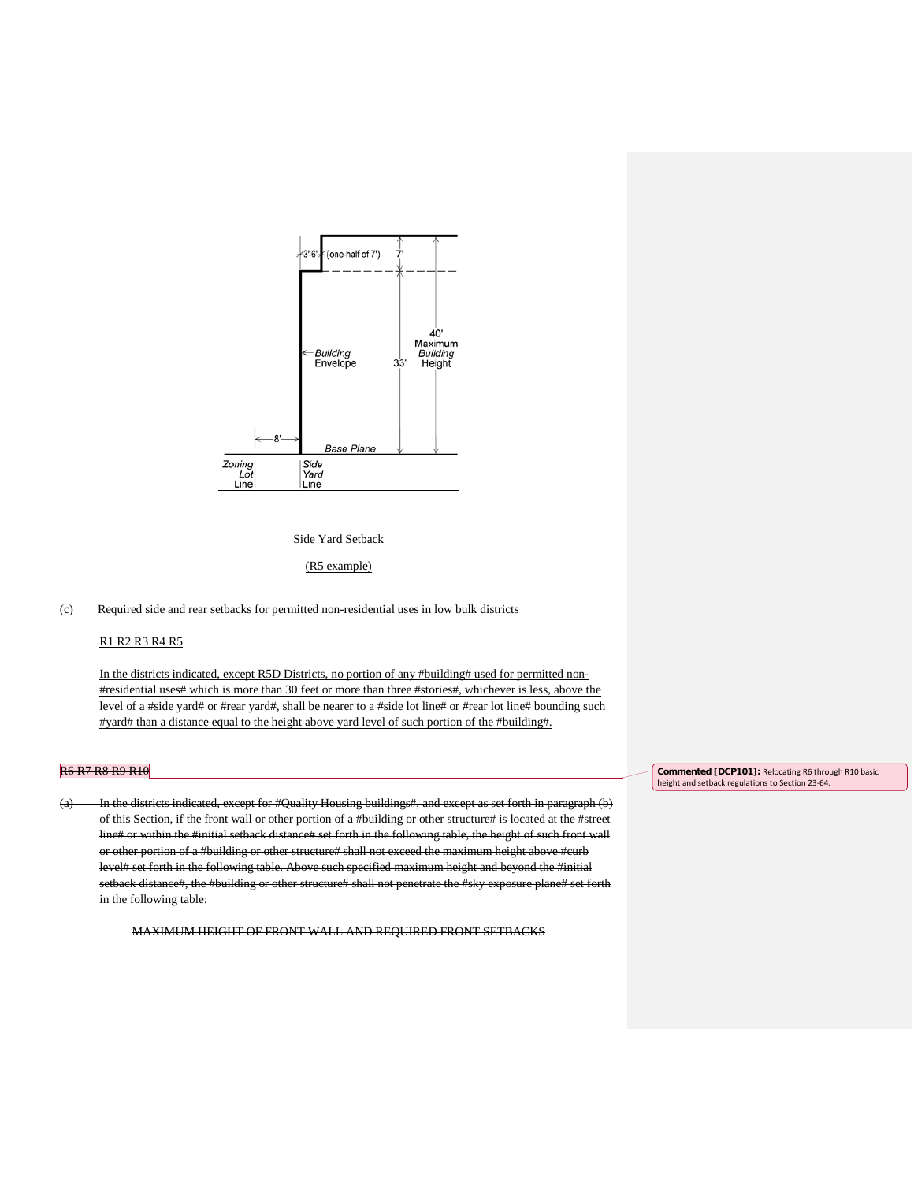

#### Side Yard Setback

(R5 example)

# (c) Required side and rear setbacks for permitted non-residential uses in low bulk districts

## R1 R2 R3 R4 R5

In the districts indicated, except R5D Districts, no portion of any #building# used for permitted non-#residential uses# which is more than 30 feet or more than three #stories#, whichever is less, above the level of a #side yard# or #rear yard#, shall be nearer to a #side lot line# or #rear lot line# bounding such #yard# than a distance equal to the height above yard level of such portion of the #building#.

### R6 R7 R8 R9 R10

(a) In the districts indicated, except for #Quality Housing buildings#, and except as set forth in paragraph (b) of this Section, if the front wall or other portion of a #building or other structure# is located at the #street line# or within the #initial setback distance# set forth in the following table, the height of such front wall or other portion of a #building or other structure# shall not exceed the maximum height above #curb level# set forth in the following table. Above such specified maximum height and beyond the #initial setback distance#, the #building or other structure# shall not penetrate the #sky exposure plane# set forth in the following table:

MAXIMUM HEIGHT OF FRONT WALL AND REQUIRED FRONT SETBACKS

**Commented [DCP101]:** Relocating R6 through R10 basic height and setback regulations to Section 23-64.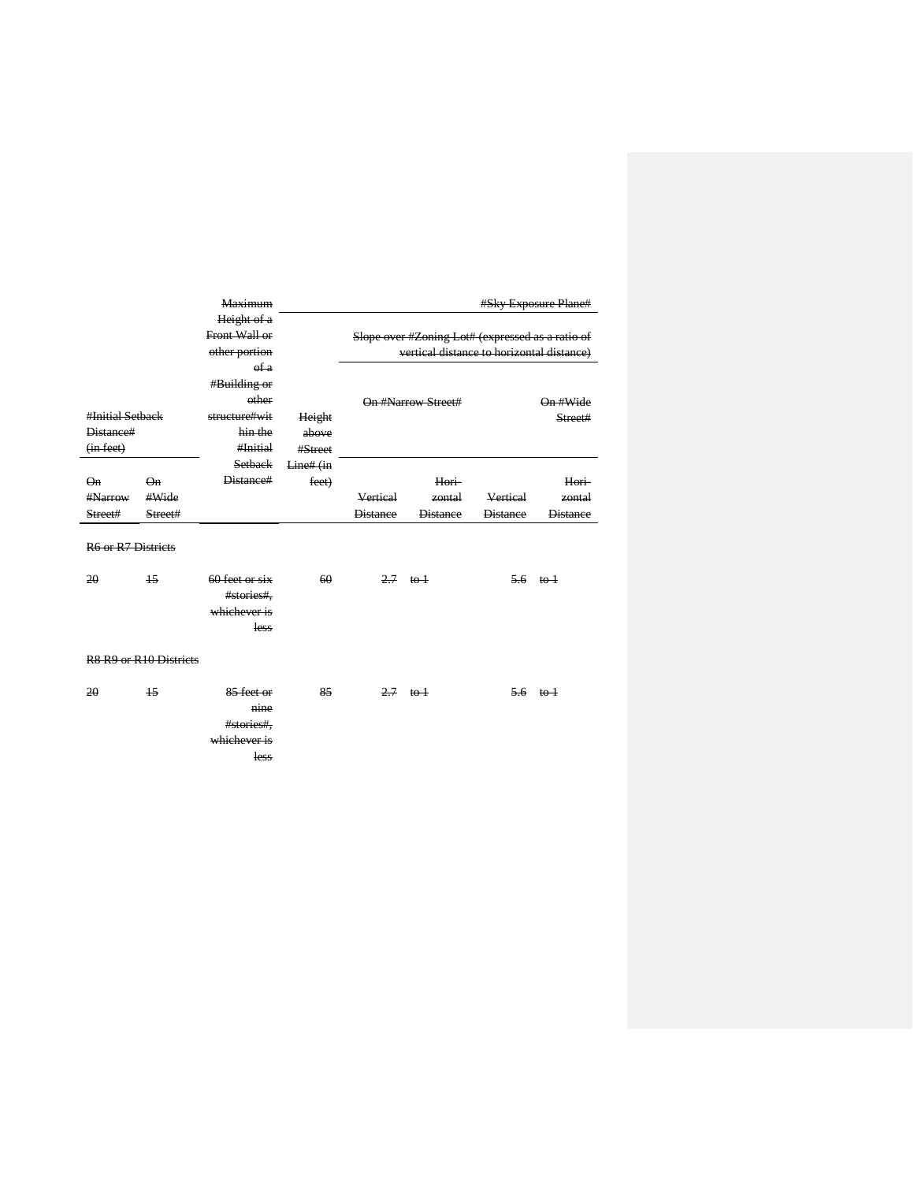|                           |                                                            | <b>Maximum</b> |           |                 |                                                  |                 | #Sky Exposure Plane#             |
|---------------------------|------------------------------------------------------------|----------------|-----------|-----------------|--------------------------------------------------|-----------------|----------------------------------|
|                           |                                                            | Height of a    |           |                 |                                                  |                 |                                  |
|                           |                                                            | Front Wall or  |           |                 | Slope over #Zoning Lot# (expressed as a ratio of |                 |                                  |
|                           |                                                            | other portion  |           |                 | vertical distance to horizontal distance)        |                 |                                  |
|                           |                                                            | of a           |           |                 |                                                  |                 |                                  |
|                           |                                                            | #Building or   |           |                 |                                                  |                 |                                  |
|                           |                                                            | other          |           |                 | On #Narrow Street#                               |                 | On #Wide                         |
| #Initial Setback          |                                                            | structure#wit  | Height    |                 |                                                  |                 | Street#                          |
| Distance#                 |                                                            | hin the        | above     |                 |                                                  |                 |                                  |
| (in feet)                 |                                                            | #Initial       | #Street   |                 |                                                  |                 |                                  |
|                           |                                                            | <b>Setback</b> | Line# (in |                 |                                                  |                 |                                  |
| Qn                        | Qn                                                         | Distance#      | feet)     |                 | Hori                                             |                 | Hori-                            |
| #Narrow                   | #Wide                                                      |                |           | Vertical        | zontal                                           | Vertical        | zontal                           |
| Street#                   | Street#                                                    |                |           | <b>Distance</b> | <b>Distance</b>                                  | <b>Distance</b> | <b>Distance</b>                  |
| <b>R6 or R7 Districts</b> |                                                            |                |           |                 |                                                  |                 |                                  |
| 20                        | $\overline{15}$                                            | 60 feet or six | 60        |                 | $2.7 \text{ to } 1$                              |                 | $\frac{5.6}{ }$ to $\frac{1}{2}$ |
|                           |                                                            | #stories#,     |           |                 |                                                  |                 |                                  |
|                           |                                                            | whichever is   |           |                 |                                                  |                 |                                  |
|                           |                                                            | less           |           |                 |                                                  |                 |                                  |
|                           |                                                            |                |           |                 |                                                  |                 |                                  |
|                           | R <sub>8</sub> R <sub>9</sub> or R <sub>10</sub> Districts |                |           |                 |                                                  |                 |                                  |
| 20                        | $\overline{15}$                                            | 85 feet or     | 85        |                 | $2.7$ to $+$                                     |                 | $5.6 \text{ to } 1$              |
|                           |                                                            | nine           |           |                 |                                                  |                 |                                  |
|                           |                                                            | #stories#,     |           |                 |                                                  |                 |                                  |
|                           |                                                            | whichever is   |           |                 |                                                  |                 |                                  |
|                           |                                                            | less           |           |                 |                                                  |                 |                                  |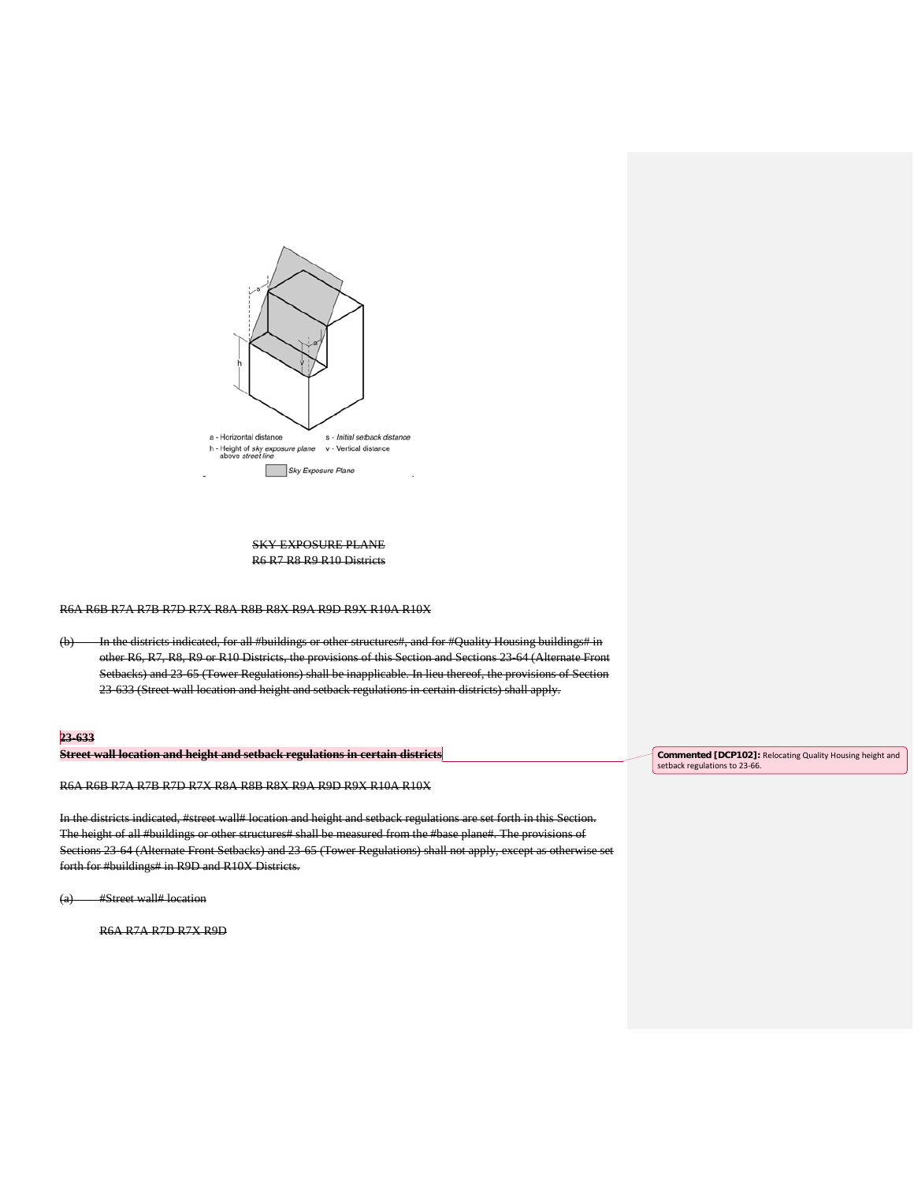

# SKY EXPOSURE PLANE R6 R7 R8 R9 R10 Districts

R6A R6B R7A R7B R7D R7X R8A R8B R8X R9A R9D R9X R10A R10X

(b) In the districts indicated, for all #buildings or other structures#, and for #Quality Housing buildings# in other R6, R7, R8, R9 or R10 Districts, the provisions of this Section and Sections 23-64 (Alternate Front Setbacks) and 23-65 (Tower Regulations) shall be inapplicable. In lieu thereof, the provisions of Section 23-633 (Street wall location and height and setback regulations in certain districts) shall apply.

# **23-633**

**Street wall location and height and setback regulations in certain districts**

R6A R6B R7A R7B R7D R7X R8A R8B R8X R9A R9D R9X R10A R10X

In the districts indicated, #street wall# location and height and setback regulations are set forth in this Section. The height of all #buildings or other structures# shall be measured from the #base plane#. The provisions of Sections 23-64 (Alternate Front Setbacks) and 23-65 (Tower Regulations) shall not apply, except as otherwise set forth for #buildings# in R9D and R10X Districts.

(a) #Street wall# location

R6A R7A R7D R7X R9D

**Commented [DCP102]:** Relocating Quality Housing height and setback regulations to 23-66.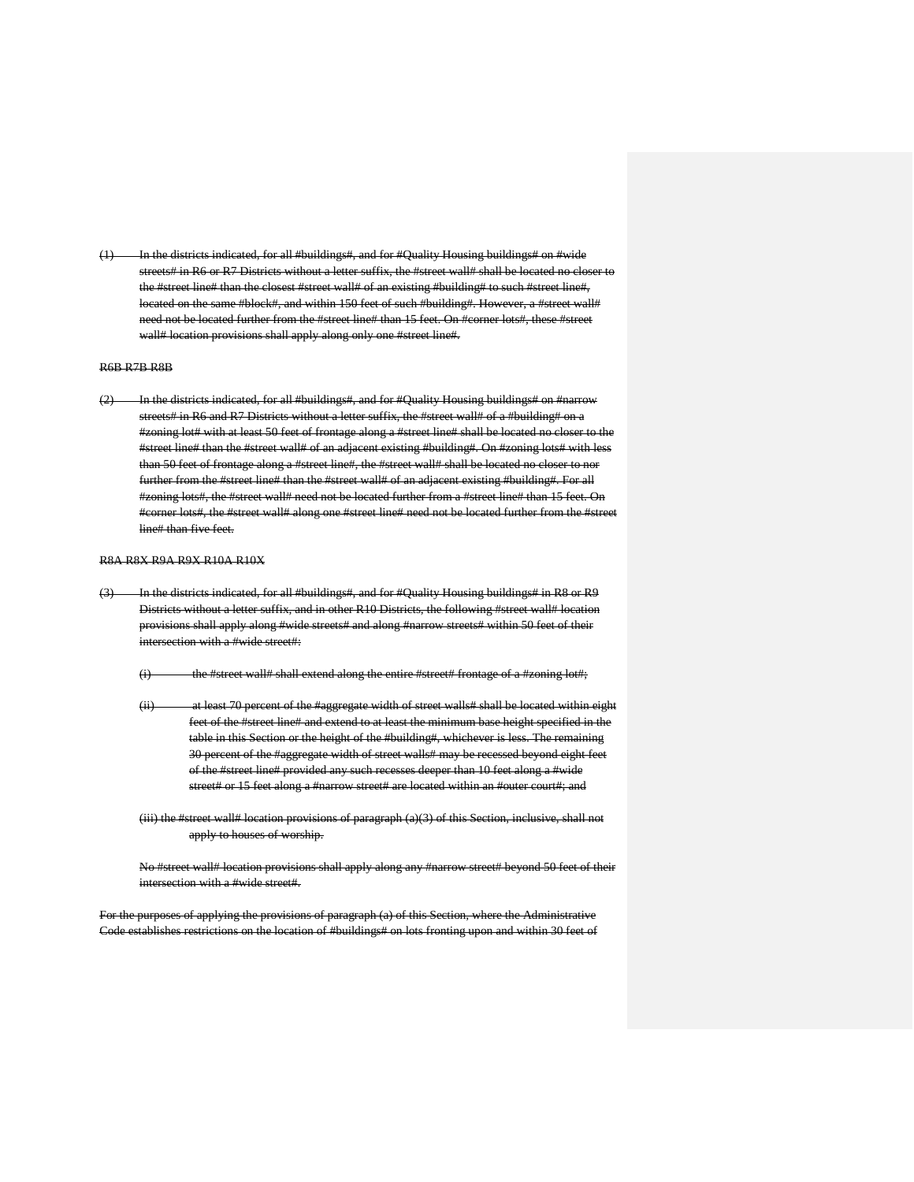tted, for all #buildings#, and for #Quality Housing buildings# on #wide streets# in R6 or R7 Districts without a letter suffix, the #street wall# shall be located no closer to the #street line# than the closest #street wall# of an existing #building# to such #street line#, located on the same #block#, and within 150 feet of such #building#. However, a #street wall# need not be located further from the #street line# than 15 feet. On #corner lots#, these #street wall# location provisions shall apply along only one #street line#.

#### R6B R7B R8B

(2) In the districts indicated, for all #buildings#, and for #Quality Housing buildings# on #narrow streets# in R6 and R7 Districts without a letter suffix, the #street wall# of a #building# on a #zoning lot# with at least 50 feet of frontage along a #street line# shall be located no closer to the #street line# than the #street wall# of an adjacent existing #building#. On #zoning lots# with less than 50 feet of frontage along a #street line#, the #street wall# shall be located no closer to nor further from the #street line# than the #street wall# of an adjacent existing #building#. For all #zoning lots#, the #street wall# need not be located further from a #street line# than 15 feet. On #corner lots#, the #street wall# along one #street line# need not be located further from the #street line# than five feet.

#### R8A R8X R9A R9X R10A R10X

- (3) In the districts indicated, for all #buildings#, and for #Quality Housing buildings# in R8 or R9 Districts without a letter suffix, and in other R10 Districts, the following #street wall# location provisions shall apply along #wide streets# and along #narrow streets# within 50 feet of their intersection with a #wide street#:
	- (i) the #street wall# shall extend along the entire #street# frontage of a #zoning lot#;
	- (ii) at least 70 percent of the #aggregate width of street walls# shall be located within eight feet of the #street line# and extend to at least the minimum base height specified in the table in this Section or the height of the #building#, whichever is less. The remaining 30 percent of the #aggregate width of street walls# may be recessed beyond eight feet of the #street line# provided any such recesses deeper than 10 feet along a #wide street# or 15 feet along a #narrow street# are located within an #outer court#; and
	- (iii) the #street wall# location provisions of paragraph (a)(3) of this Section, inclusive, shall not apply to houses of worship.

No #street wall# location provisions shall apply along any #narrow street# beyond 50 feet of their intersection with a #wide street#.

For the purposes of applying the provisions of paragraph (a) of this Section, where the Administrative Code establishes restrictions on the location of #buildings# on lots fronting upon and within 30 feet of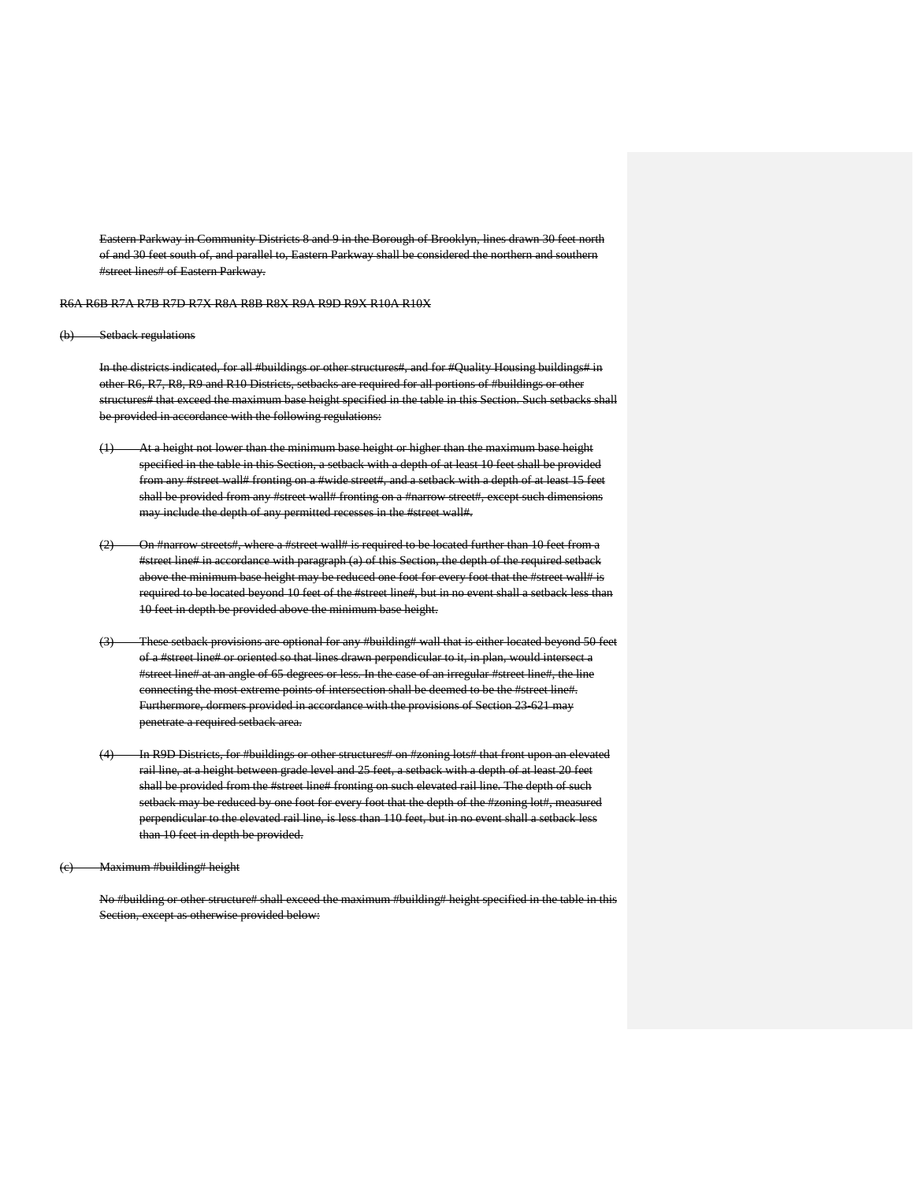Eastern Parkway in Community Districts 8 and 9 in the Borough of Brooklyn, lines drawn 30 feet of and 30 feet south of, and parallel to, Eastern Parkway shall be considered the no #street lines# of Eastern Parkway.

R6A R6B R7A R7B R7D R7X R8A R8B R8X R9A R9D R9X R10A R10X

#### (b) Setback regulations

In the districts indicated, for all #buildings or other structures#, and for #Quality Housing buildings# in other R6, R7, R8, R9 and R10 Districts, setbacks are required for all portions of #buildings or other structures# that exceed the maximum base height specified in the table in this Section. Such setbacks shall be provided in accordance with the following regulations:

- (1) At a height not lower than the minimum base height or higher than the maximum base height specified in the table in this Section, a setback with a depth of at least 10 feet shall be provided from any #street wall# fronting on a #wide street#, and a setback with a depth of at least 15 feet shall be provided from any #street wall# fronting on a #narrow street#, except such dimensions may include the depth of any permitted recesses in the #street wall#.
- (2) On #narrow streets#, where a #street wall# is required to be located further than 10 feet from a #street line# in accordance with paragraph (a) of this Section, the depth of the required setback above the minimum base height may be reduced one foot for every foot that the #street wall# is required to be located beyond 10 feet of the #street line#, but in no event shall a setback less than 10 feet in depth be provided above the minimum base height.
- (3) These setback provisions are optional for any #building# wall that is either located beyond 50 feet of a #street line# or oriented so that lines drawn perpendicular to it, in plan, would intersect a #street line# at an angle of 65 degrees or less. In the case of an irregular #street line#, the line connecting the most extreme points of intersection shall be deemed to be the #street line#. Furthermore, dormers provided in accordance with the provisions of Section 23-621 may penetrate a required setback area.
- (4) In R9D Districts, for #buildings or other structures# on #zoning lots# that front upon an elevated rail line, at a height between grade level and 25 feet, a setback with a depth of at least 20 feet shall be provided from the #street line# fronting on such elevated rail line. The depth of such setback may be reduced by one foot for every foot that the depth of the #zoning lot#, measured perpendicular to the elevated rail line, is less than 110 feet, but in no event shall a setback less than 10 feet in depth be provided.

(c) Maximum #building# height

No #building or other structure# shall exceed the maximum #building# height specified in the table in this Section, except as otherwise provided below: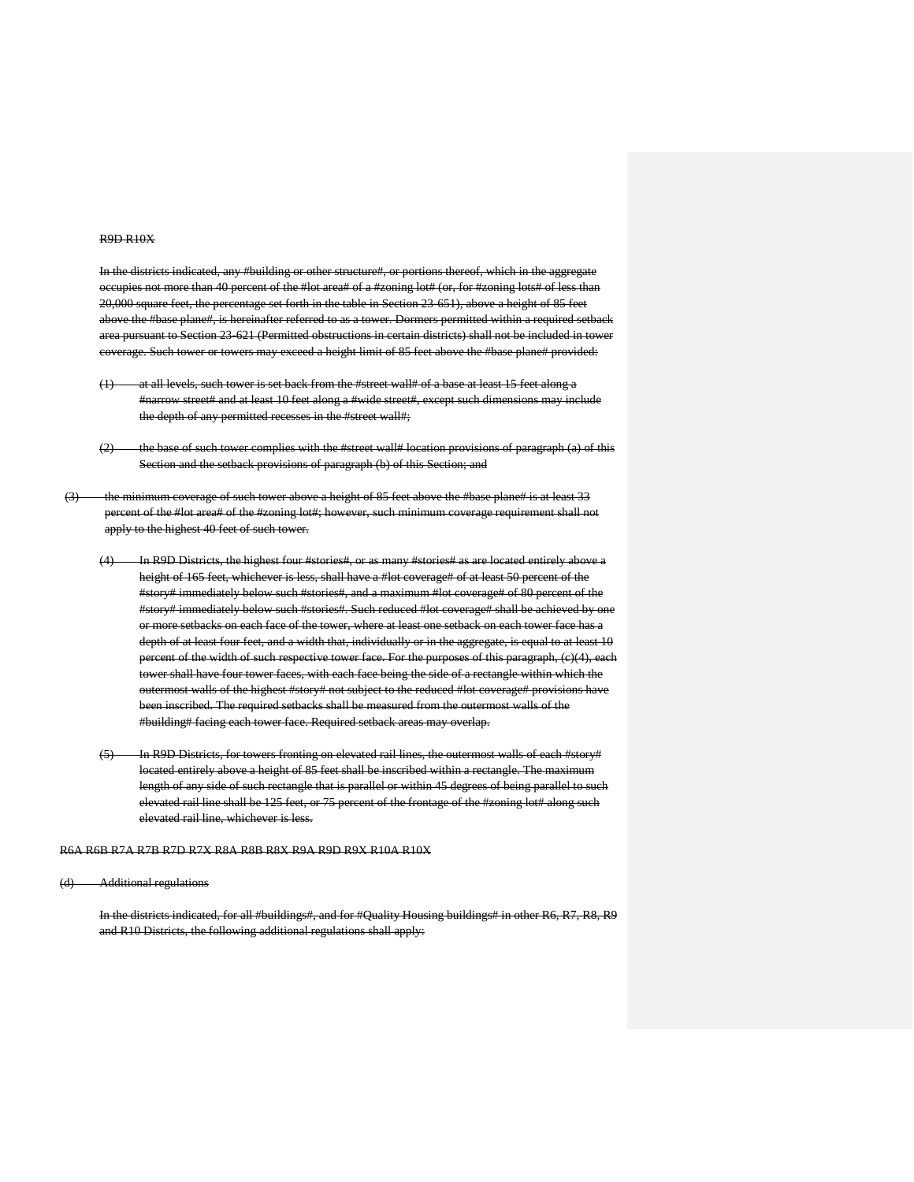#### R9D R10X

In the districts indicated, any #building or other structure#, or portions thereof, which in the aggregate occupies not more than 40 percent of the #lot area# of a #zoning lot# (or, for #zoning lots# of less than 20,000 square feet, the percentage set forth in the table in Section 23-651), above a height of 85 feet above the #base plane#, is hereinafter referred to as a tower. Dormers permitted within a required setback area pursuant to Section 23-621 (Permitted obstructions in certain districts) shall not be included in tower coverage. Such tower or towers may exceed a height limit of 85 feet above the #base plane# provided:

- (1) at all levels, such tower is set back from the #street wall# of a base at least 15 feet along a #narrow street# and at least 10 feet along a #wide street#, except such dimensions may include the depth of any permitted recesses in the #street wall#;
- $(2)$  the base of such tower complies with the #street wall# location provisions of paragraph (a) of this Section and the setback provisions of paragraph (b) of this Section; and
- (3) the minimum coverage of such tower above a height of 85 feet above the #base plane# is at least 33 percent of the #lot area# of the #zoning lot#; however, such minimum coverage requirement shall not apply to the highest 40 feet of such tower.
	- (4) In R9D Districts, the highest four #stories#, or as many #stories# as are located entirely above a height of 165 feet, whichever is less, shall have a #lot coverage# of at least 50 percent of the #story# immediately below such #stories#, and a maximum #lot coverage# of 80 percent of the #story# immediately below such #stories#. Such reduced #lot coverage# shall be achieved by one e setbacks on each face of the tower, where at least one setback on each tower face has a depth of at least four feet, and a width that, individually or in the aggregate, is equal to at least 10 percent of the width of such respective tower face. For the purposes of this paragraph, (c)(4), each tower shall have four tower faces, with each face being the side of a rectangle within which the outermost walls of the highest #story# not subject to the reduced #lot coverage# provisions have been inscribed. The required setbacks shall be measured from the outermost walls of the #building# facing each tower face. Required setback areas may overlap.
	- (5) In R9D Districts, for towers fronting on elevated rail lines, the outermost walls of each #story# located entirely above a height of 85 feet shall be inscribed within a rectangle. The maximum length of any side of such rectangle that is parallel or within 45 degrees of being parallel to such elevated rail line shall be 125 feet, or 75 percent of the frontage of the #zoning lot# along such elevated rail line, whichever is less.

R6A R6B R7A R7B R7D R7X R8A R8B R8X R9A R9D R9X R10A R10X

(d) Additional regulations

In the districts indicated, for all #buildings#, and for #Quality Housing buildings# in other R6, R7, R8, R9 and R10 Districts, the following additional regulations shall apply: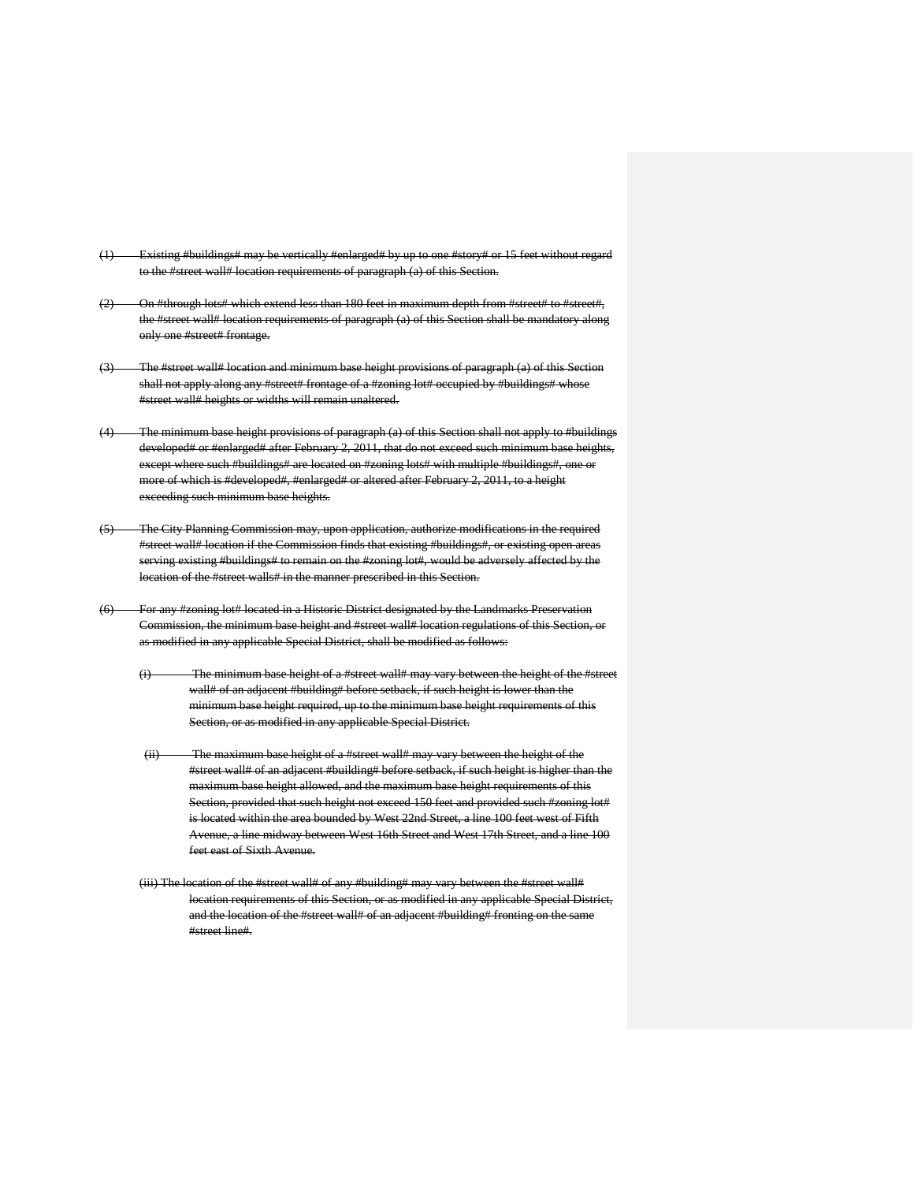- ldings# may be vertically #enlarged# by up to one #story# or 15 feet without regard to the #street wall# location requirements of paragraph (a) of this Section.
- (2) On #through lots# which extend less than 180 feet in maximum depth from #street# to #street#, the #street wall# location requirements of paragraph (a) of this Section shall be mandatory along only one #street# frontage.
- (3) The #street wall# location and minimum base height provisions of paragraph (a) of this Section shall not apply along any #street# frontage of a #zoning lot# occupied by #buildings# whose #street wall# heights or widths will remain unaltered.
- (4) The minimum base height provisions of paragraph (a) of this Section shall not apply to #buildings developed# or #enlarged# after February 2, 2011, that do not exceed such minimum base heights, except where such #buildings# are located on #zoning lots# with multiple #buildings#, one or more of which is #developed#, #enlarged# or altered after February 2, 2011, to a height exceeding such minimum base heights.
- (5) The City Planning Commission may, upon application, authorize modifications in the required #street wall# location if the Commission finds that existing #buildings#, or existing open areas serving existing #buildings# to remain on the #zoning lot#, would be adversely affected by the location of the #street walls# in the manner prescribed in this Section.
- (6) For any #zoning lot# located in a Historic District designated by the Landmarks Preservation Commission, the minimum base height and #street wall# location regulations of this Section, as modified in any applicable Special District, shall be modified as follows:
	- (i) The minimum base height of a #street wall# may vary between the height of the #street wall# of an adjacent #building# before setback, if such height is lower than the minimum base height required, up to the minimum base height requirements of this Section, or as modified in any applicable Special District.
	- (ii) The maximum base height of a #street wall# may vary between the height of the #street wall# of an adjacent #building# before setback, if such height is higher than the maximum base height allowed, and the maximum base height requirements of this Section, provided that such height not exceed 150 feet and provided such #zoning lot# is located within the area bounded by West 22nd Street, a line 100 feet west of Fifth Avenue, a line midway between West 16th Street and West 17th Street, and a line 100 feet east of Sixth Avenue.
	- (iii) The location of the #street wall# of any #building# may vary between the #street wall# location requirements of this Section, or as modified in any applicable Special District, and the location of the #street wall# of an adjacent #building# fronting on the same #street line#.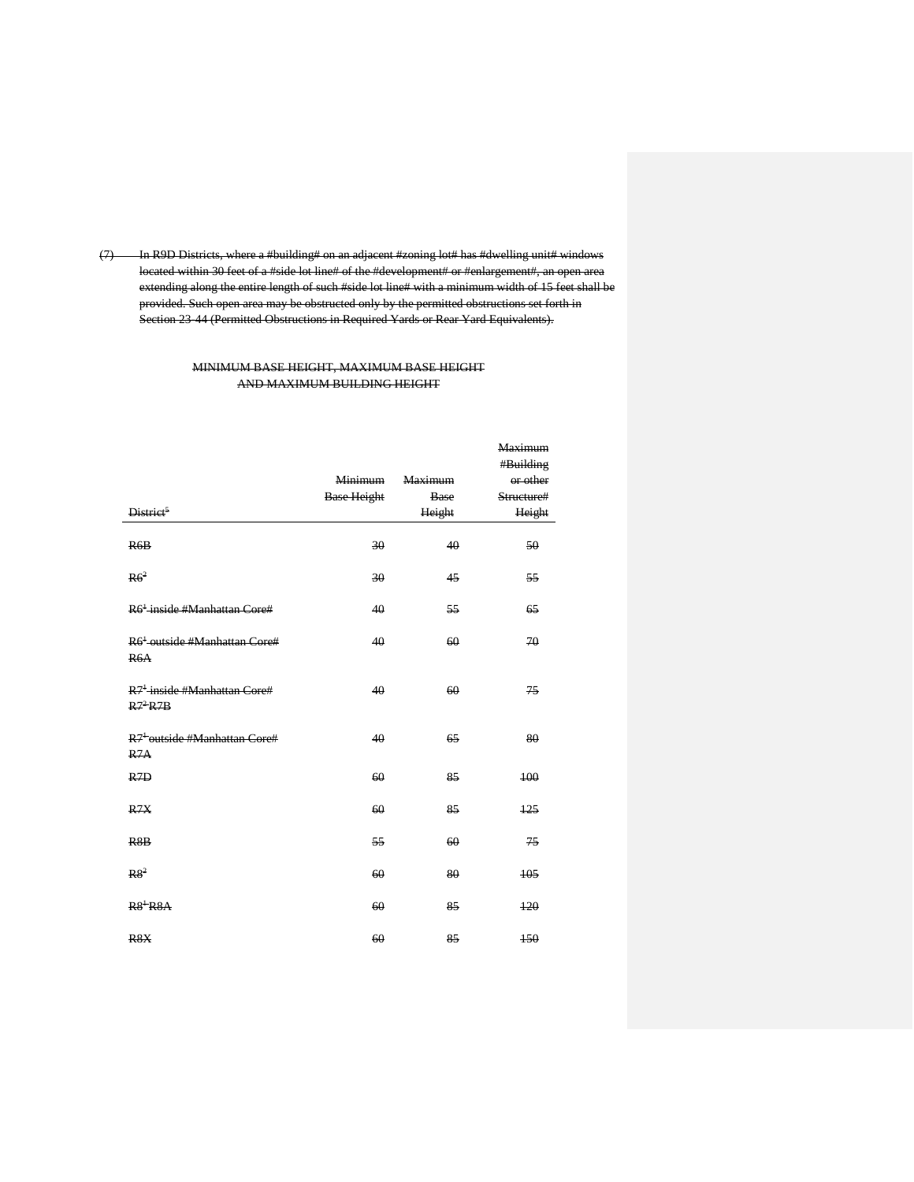(7) In R9D Districts, where a #building# on an adjacent #zoning lot# has #dwelling unit# windows located within 30 feet of a #side lot line# of the #development# or #enlargement#, an open area extending along the entire length of such #side lot line# with a minimum width of 15 feet shall be provided. Such open area may be obstructed only by the permitted obstructions set forth in Section 23-44 (Permitted Obstructions in Required Yards or Rear Yard Equivalents).

# MINIMUM BASE HEIGHT, MAXIMUM BASE HEIGHT AND MAXIMUM BUILDING HEIGHT

|                                                                  |                    |                | <b>Maximum</b> |
|------------------------------------------------------------------|--------------------|----------------|----------------|
|                                                                  |                    |                | #Building      |
|                                                                  | <b>Minimum</b>     | <b>Maximum</b> | or other       |
|                                                                  | <b>Base Height</b> | Base           | Structure#     |
| District <sup>5</sup>                                            |                    | Height         | Height         |
| R6B                                                              | 30                 | 40             | 50             |
| R6 <sup>2</sup>                                                  | 30                 | 45             | 55             |
| R6 <sup>+</sup> inside #Manhattan Core#                          | 40                 | 55             | 65             |
| R6 <sup>+</sup> outside #Manhattan Core#<br>R6A                  | 40                 | 60             | 70             |
| R <sup>7<sup>+</sup> inside #Manhattan Core#</sup><br>$R7^2 R7B$ | 40                 | 60             | 75             |
| R <sup>7+</sup> outside #Manhattan Core#<br>R7A                  | 40                 | 65             | 80             |
| R <sub>7D</sub>                                                  | 60                 | 85             | 100            |
| R7X                                                              | 60                 | 85             | 125            |
| R <sub>8</sub> B                                                 | 55                 | 60             | 75             |
| R8 <sup>2</sup>                                                  | 60                 | 80             | 105            |
| $R8$ <sup>+</sup> $R8A$                                          | 60                 | 85             | $+20$          |
| R <sub>8</sub> X                                                 | 60                 | 85             | 150            |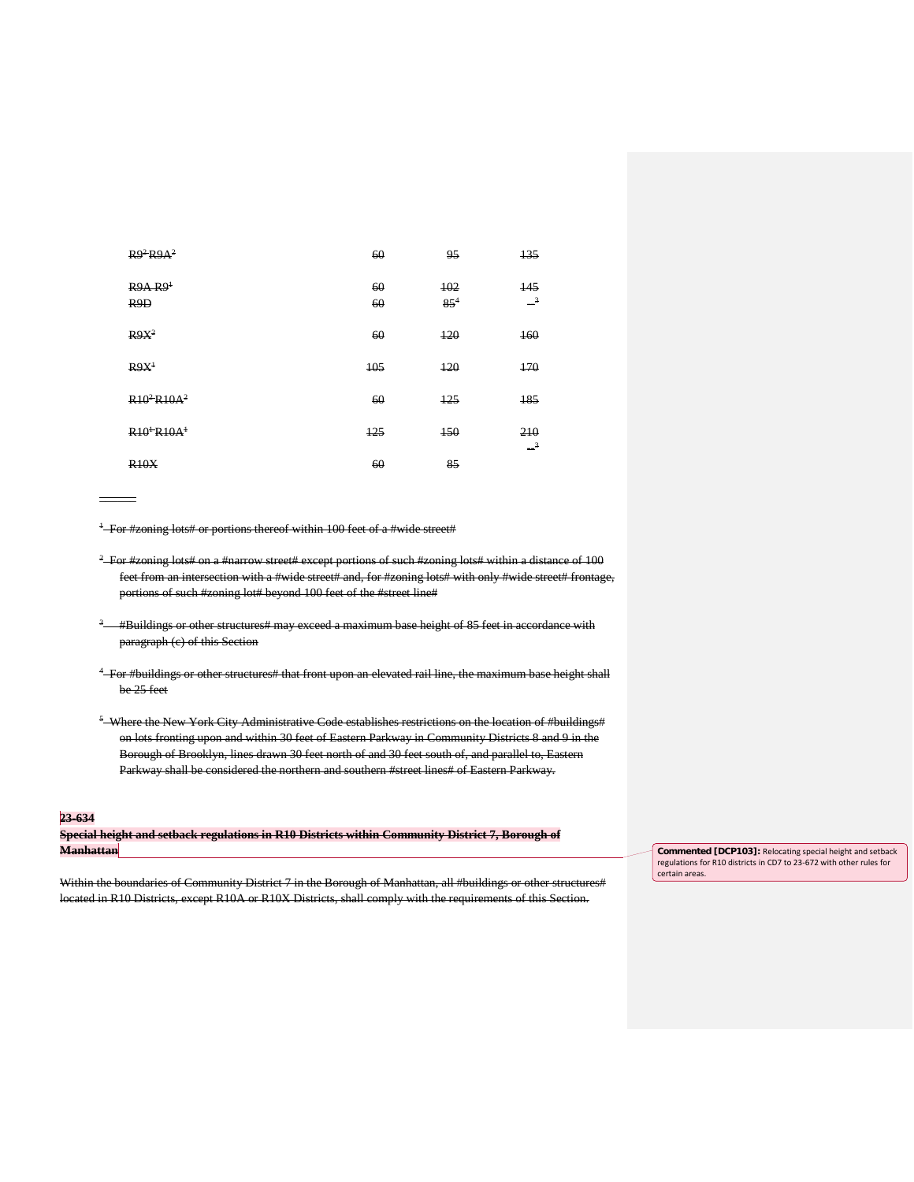| $R9^2 R9A^2$                            | 60       | 95              | 135                               |
|-----------------------------------------|----------|-----------------|-----------------------------------|
| R9A R9 <sup>1</sup><br>R <sub>9</sub> D | 60<br>60 | 102<br>$85^{4}$ | 145<br>$\overline{\phantom{0}}^3$ |
| $R9X^2$                                 | 60       | 120             | 160                               |
| R9X <sup>1</sup>                        | 105      | 120             | 470                               |
| $R10^2R10A^2$                           | 60       | 125             | 185                               |
| $R10+R10A+$                             | $+25$    | 150             | 210<br>$\rightarrow$              |
| R10X                                    | 60       | 85              |                                   |

<sup>1</sup> For #zoning lots# or portions thereof within 100 feet of a #wide street#

- 2 For #zoning lots# on a #narrow street# except portions of such #zoning lots# within a distance of 100 feet from an intersection with a #wide street# and, for #zoning lots# with only #wide street# frontage, portions of such #zoning lot# beyond 100 feet of the #street line#
- <sup>3</sup> #Buildings or other structures# may exceed a maximum base height of 85 feet in accordance with paragraph (c) of this Section
- 4 For #buildings or other structures# that front upon an elevated rail line, the maximum base height shall be 25 feet
- $^5$  Where the New York City Administrative Code establishes restrictions on the location of #buildings# on lots fronting upon and within 30 feet of Eastern Parkway in Community Districts 8 and 9 in the Borough of Brooklyn, lines drawn 30 feet north of and 30 feet south of, and parallel to, Eastern Parkway shall be considered the northern and southern #street lines# of Eastern Parkway.

#### **23-634**

\_\_\_\_\_\_

**Special height and setback regulations in R10 Districts within Community District 7, Borough of Manhattan**

Within the boundaries of Community District 7 in the Borough of Manhattan, all #buildings or other structures# located in R10 Districts, except R10A or R10X Districts, shall comply with the requirements of this Section.

**Commented [DCP103]:** Relocating special height and setback regulations for R10 districts in CD7 to 23-672 with other rules for certain areas.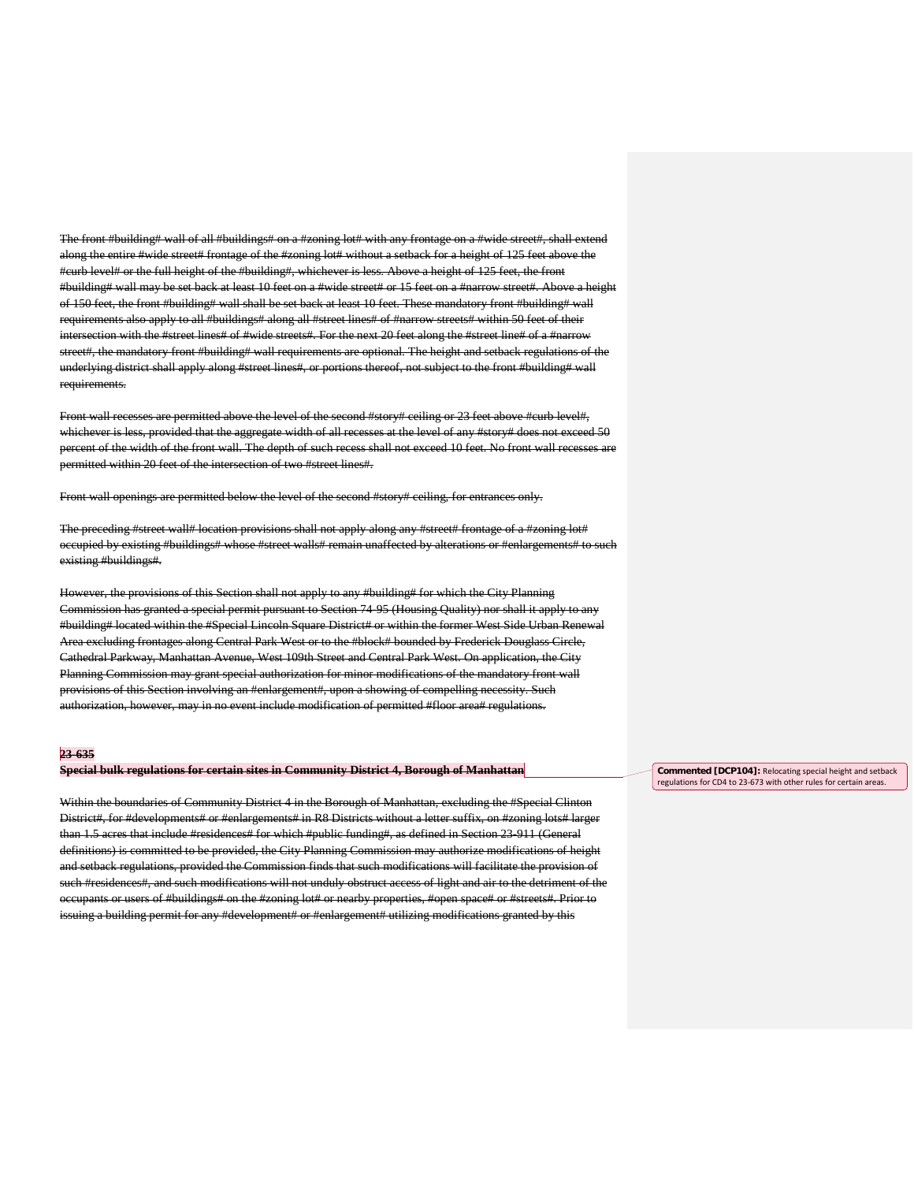The front #building# wall of all #buildings# on a #zoning lot# with any frontage on a #wide along the entire #wide street# frontage of the #zoning lot# without a setback for a height of 125 feet above the #curb level# or the full height of the #building#, whichever is less. Above a height of 125 feet, the front #building# wall may be set back at least 10 feet on a #wide street# or 15 feet on a #narrow street#. Above a height of 150 feet, the front #building# wall shall be set back at least 10 feet. These mandatory front #building# wall requirements also apply to all #buildings# along all #street lines# of #narrow streets# within 50 feet of their intersection with the #street lines# of #wide streets#. For the next 20 feet along the #street line# of a #narrow street#, the mandatory front #building# wall requirements are optional. The height and setback regulations of the underlying district shall apply along #street lines#, or portions thereof, not subject to the front #building# wall requirements.

Front wall recesses are permitted above the level of the second #story# ceiling or 23 feet above #curb level#, whichever is less, provided that the aggregate width of all recesses at the level of any #story# does not exceed 50 percent of the width of the front wall. The depth of such recess shall not exceed 10 feet. No front wall recesses are permitted within 20 feet of the intersection of two #street lines#.

Front wall openings are permitted below the level of the second #story# ceiling, for entrances only.

The preceding #street wall# location provisions shall not apply along any #street# frontage of a #zoning lot# occupied by existing #buildings# whose #street walls# remain unaffected by alterations or #enlargements# to such existing #buildings#.

However, the provisions of this Section shall not apply to any #building# for which the City Planning Commission has granted a special permit pursuant to Section 74-95 (Housing Quality) nor shall it apply to any #building# located within the #Special Lincoln Square District# or within the former West Side Urban Renewal Area excluding frontages along Central Park West or to the #block# bounded by Frederick Douglass Circle, Cathedral Parkway, Manhattan Avenue, West 109th Street and Central Park West. On application, the City Planning Commission may grant special authorization for minor modifications of the mandatory front wall provisions of this Section involving an #enlargement#, upon a showing of compelling necessity. Such authorization, however, may in no event include modification of permitted #floor area# regulations.

#### **23-635**

### **Special bulk regulations for certain sites in Community District 4, Borough of Manhattan**

Within the boundaries of Community District 4 in the Borough of Manhattan, excluding the #Special Clinton District#, for #developments# or #enlargements# in R8 Districts without a letter suffix, on #zoning lots# larger than 1.5 acres that include #residences# for which #public funding#, as defined in Section 23-911 (General definitions) is committed to be provided, the City Planning Commission may authorize modifications of height and setback regulations, provided the Commission finds that such modifications will facilitate the provision of such #residences#, and such modifications will not unduly obstruct access of light and air to the detriment of the occupants or users of #buildings# on the #zoning lot# or nearby properties, #open space# or #streets#. Prior to issuing a building permit for any #development# or #enlargement# utilizing modifications granted by this

**Commented [DCP104]:** Relocating special height and setback regulations for CD4 to 23-673 with other rules for certain areas.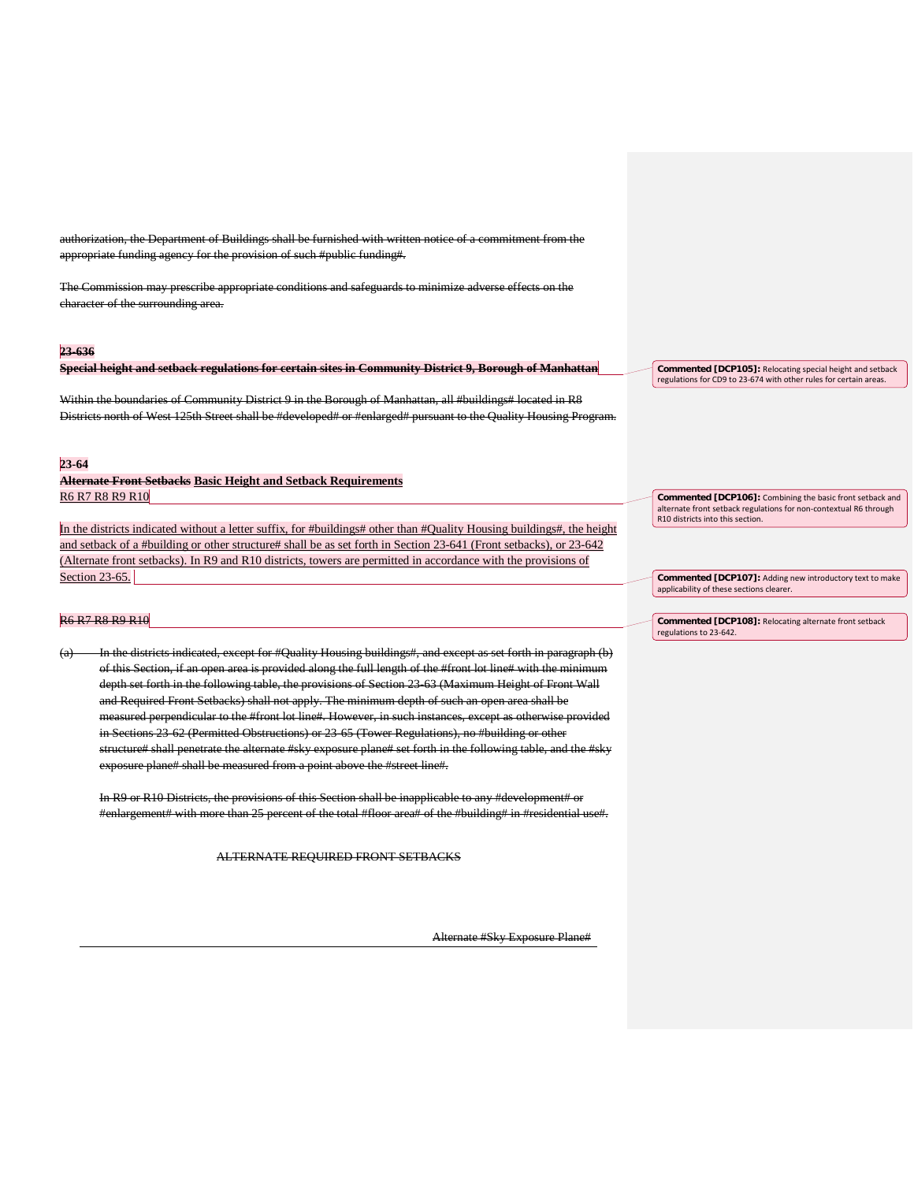n, the Department of Buildings shall be fur appropriate funding agency for the provision of such #public funding#.

The Commission may prescribe appropriate conditions and safeguards to minimize adverse effects on the character of the surrounding area.

#### **23-636**

**Special height and setback regulations for certain sites in Community District 9, Borough of Manhattan**

Within the boundaries of Community District 9 in the Borough of Manhattan, all #buildings# located in R8 Districts north of West 125th Street shall be #developed# or #enlarged# pursuant to the Quality Housing Program.

#### **23-64**

**Alternate Front Setbacks Basic Height and Setback Requirements**  R6 R7 R8 R9 R10

In the districts indicated without a letter suffix, for #buildings# other than #Quality Housing buildings#, the height and setback of a #building or other structure# shall be as set forth in Section 23-641 (Front setbacks), or 23-642 (Alternate front setbacks). In R9 and R10 districts, towers are permitted in accordance with the provisions of Section 23-65.

# R6 R7 R8 R9 R10

In the districts indicated, except for #Quality Housing buildings#, and except as set forth in paragraph (b) of this Section, if an open area is provided along the full length of the #front lot line# with the minimum depth set forth in the following table, the provisions of Section 23-63 (Maximum Height of Front Wall and Required Front Setbacks) shall not apply. The minimum depth of such an open area shall be measured perpendicular to the #front lot line#. However, in such instances, except as otherwise provided in Sections 23-62 (Permitted Obstructions) or 23-65 (Tower Regulations), no #building or other structure# shall penetrate the alternate #sky exposure plane# set forth in the following table, and the #sky exposure plane# shall be measured from a point above the #street line#.

In R9 or R10 Districts, the provisions of this Section shall be inapplicable to any #development# or #enlargement# with more than 25 percent of the total #floor area# of the #building# in #residential use#.

ALTERNATE REQUIRED FRONT SETBACKS

Alternate #Sky Exposure Plane#

**Commented [DCP105]:** Relocating special height and setback regulations for CD9 to 23-674 with other rules for certain areas.

**Commented [DCP106]:** Combining the basic front setback and alternate front setback regulations for non-contextual R6 through R10 districts into this section.

**Commented [DCP107]:** Adding new introductory text to make applicability of these sections clearer.

**Commented [DCP108]:** Relocating alternate front setback regulations to 23-642.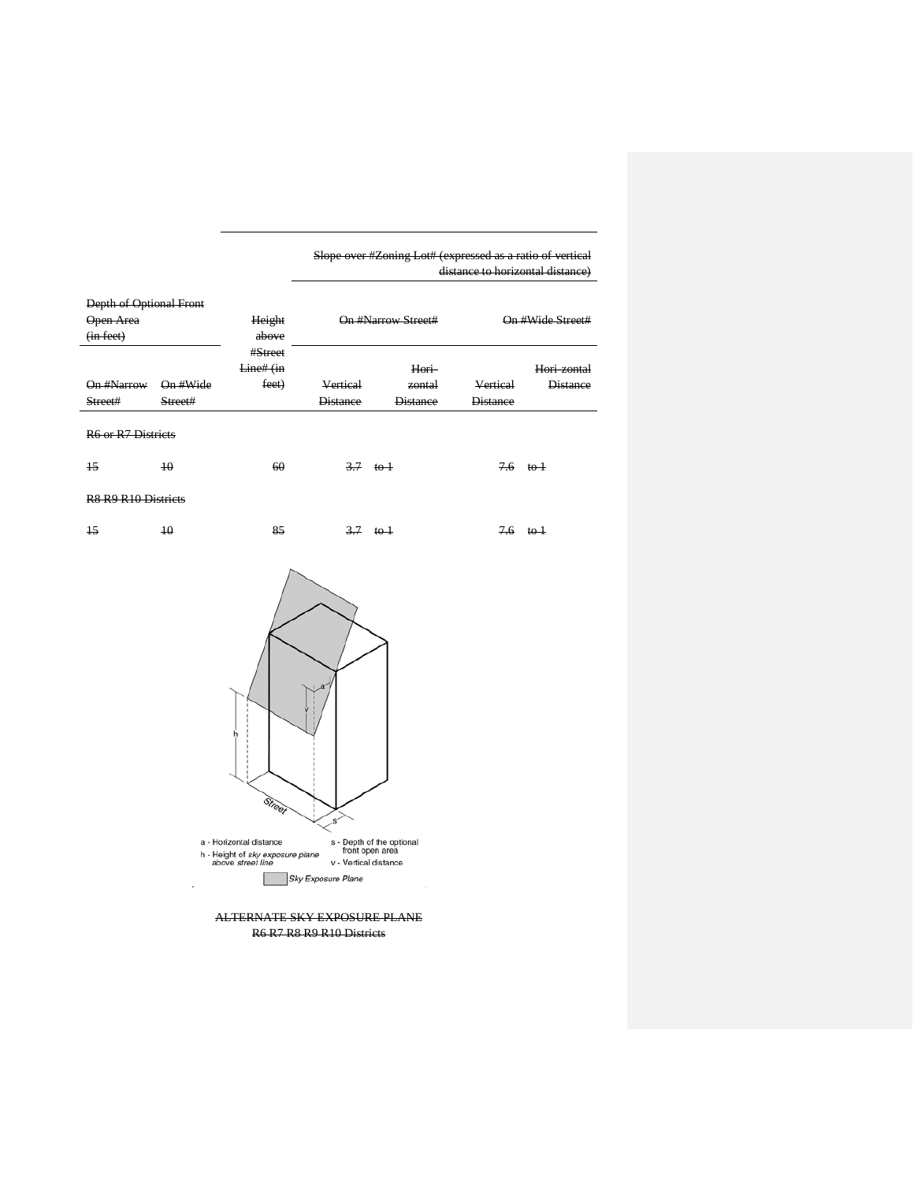|  | Slope over #Zoning Lot# (expressed as a ratio of vertical |                                  |  |
|--|-----------------------------------------------------------|----------------------------------|--|
|  |                                                           | distance to horizontal distance) |  |

| Depth of Optional Front                                 |                 |           |                 |                      |                 |                     |
|---------------------------------------------------------|-----------------|-----------|-----------------|----------------------|-----------------|---------------------|
| Open-Area                                               |                 | Height    |                 | On #Narrow Street#   |                 | On #Wide Street#    |
| (in feet)                                               |                 | above     |                 |                      |                 |                     |
|                                                         |                 | #Street   |                 |                      |                 |                     |
|                                                         |                 | Line# (in |                 | Hori                 |                 | Hori zontal         |
| On #Narrow On #Wide                                     |                 | feet)     | Vertical        | zontal               | Vertical        | <b>Distance</b>     |
| Street#                                                 | Street#         |           | <b>Distance</b> | <b>Distance</b>      | <b>Distance</b> |                     |
| R6 or R7 Districts                                      |                 |           |                 |                      |                 |                     |
| 15                                                      | 10 <sup>°</sup> | 60        |                 | $\frac{3.7}{ }$ to 1 |                 | $7.6 \tto 1$        |
| R <sub>8</sub> R <sub>9</sub> R <sub>10</sub> Districts |                 |           |                 |                      |                 |                     |
| $\overline{15}$                                         | 10 <sup>°</sup> | 85        |                 | $\frac{3.7}{ }$ to 1 |                 | $7.6 \text{ to } 1$ |
|                                                         |                 | h         |                 |                      |                 |                     |

ALTERNATE SKY EXPOSURE PLANE R6 R7 R8 R9 R10 Districts

Sky Exposure Plane

a - Horizontal distance<br>
h - Height of *sky exposure plane*<br>
above *street line*<br>
v - Vertical distance

 $\overline{\mathcal{S}}$ 

s - Depth of the optional<br>front open area

Street

 $\bar{z}$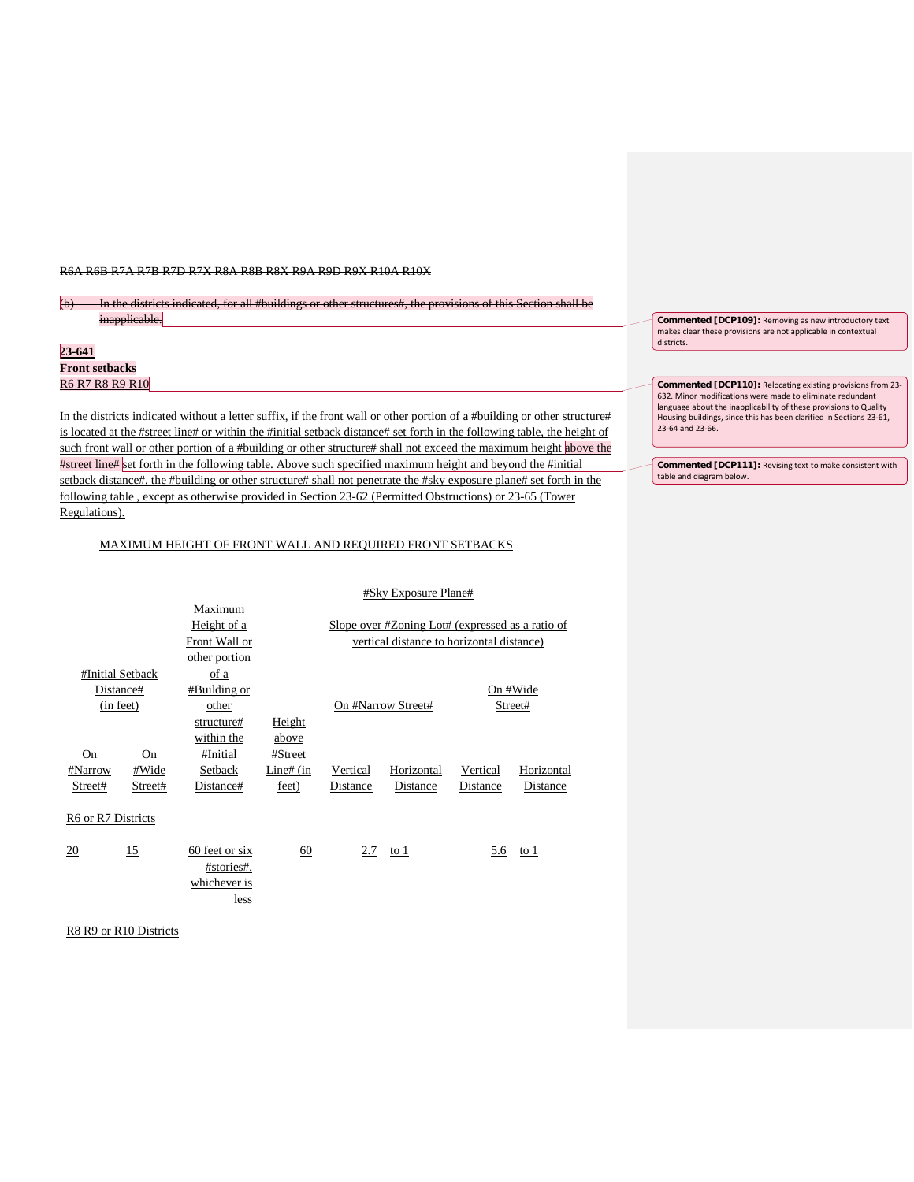#### R6A R6B R7A R7B R7D R7X R8A R8B R8X R9A R9D R9X R10A R10X

# (b) In the districts indicated, for all #buildings or other structures#, the provisions of this Section shall be inapplicable.

| $23 - 641$            |  |
|-----------------------|--|
| <b>Front setbacks</b> |  |
| R6 R7 R8 R9 R10       |  |

In the districts indicated without a letter suffix, if the front wall or other portion of a #building or other structure# is located at the #street line# or within the #initial setback distance# set forth in the following table, the height of such front wall or other portion of a #building or other structure# shall not exceed the maximum height above the #street line# set forth in the following table. Above such specified maximum height and beyond the #initial setback distance#, the #building or other structure# shall not penetrate the #sky exposure plane# set forth in the following table , except as otherwise provided in Section 23-62 (Permitted Obstructions) or 23-65 (Tower Regulations).

# MAXIMUM HEIGHT OF FRONT WALL AND REQUIRED FRONT SETBACKS

#### #Sky Exposure Plane#

|                    |         | Maximum                                              |             |                                           |                                                  |          |            |
|--------------------|---------|------------------------------------------------------|-------------|-------------------------------------------|--------------------------------------------------|----------|------------|
|                    |         | Height of a                                          |             |                                           | Slope over #Zoning Lot# (expressed as a ratio of |          |            |
|                    |         | Front Wall or                                        |             | vertical distance to horizontal distance) |                                                  |          |            |
|                    |         | other portion                                        |             |                                           |                                                  |          |            |
| #Initial Setback   |         | of a                                                 |             |                                           |                                                  |          |            |
| Distance#          |         | #Building or                                         |             |                                           |                                                  |          | On #Wide   |
| (in feet)          |         | other                                                |             | On #Narrow Street#                        |                                                  | Street#  |            |
|                    |         | structure#                                           | Height      |                                           |                                                  |          |            |
|                    |         | within the                                           | above       |                                           |                                                  |          |            |
| On                 | On      | #Initial                                             | #Street     |                                           |                                                  |          |            |
| #Narrow            | #Wide   | Setback                                              | Line# $(in$ | Vertical                                  | Horizontal                                       | Vertical | Horizontal |
| Street#            | Street# | Distance#                                            | feet)       | Distance                                  | Distance                                         | Distance | Distance   |
| R6 or R7 Districts |         |                                                      |             |                                           |                                                  |          |            |
| 20                 | 15      | 60 feet or six<br>#stories#.<br>whichever is<br>less | 60          |                                           | 2.7 to 1                                         | 5.6      | to 1       |

R8 R9 or R10 Districts

**Commented [DCP109]:** Removing as new introductory text makes clear these provisions are not applicable in contextual districts.

**Commented [DCP110]:** Relocating existing provisions from 23- 632. Minor modifications were made to eliminate redundant language about the inapplicability of these provisions to Quality Housing buildings, since this has been clarified in Sections 23-61, 23-64 and 23-66.

**Commented [DCP111]:** Revising text to make consistent with table and diagram below.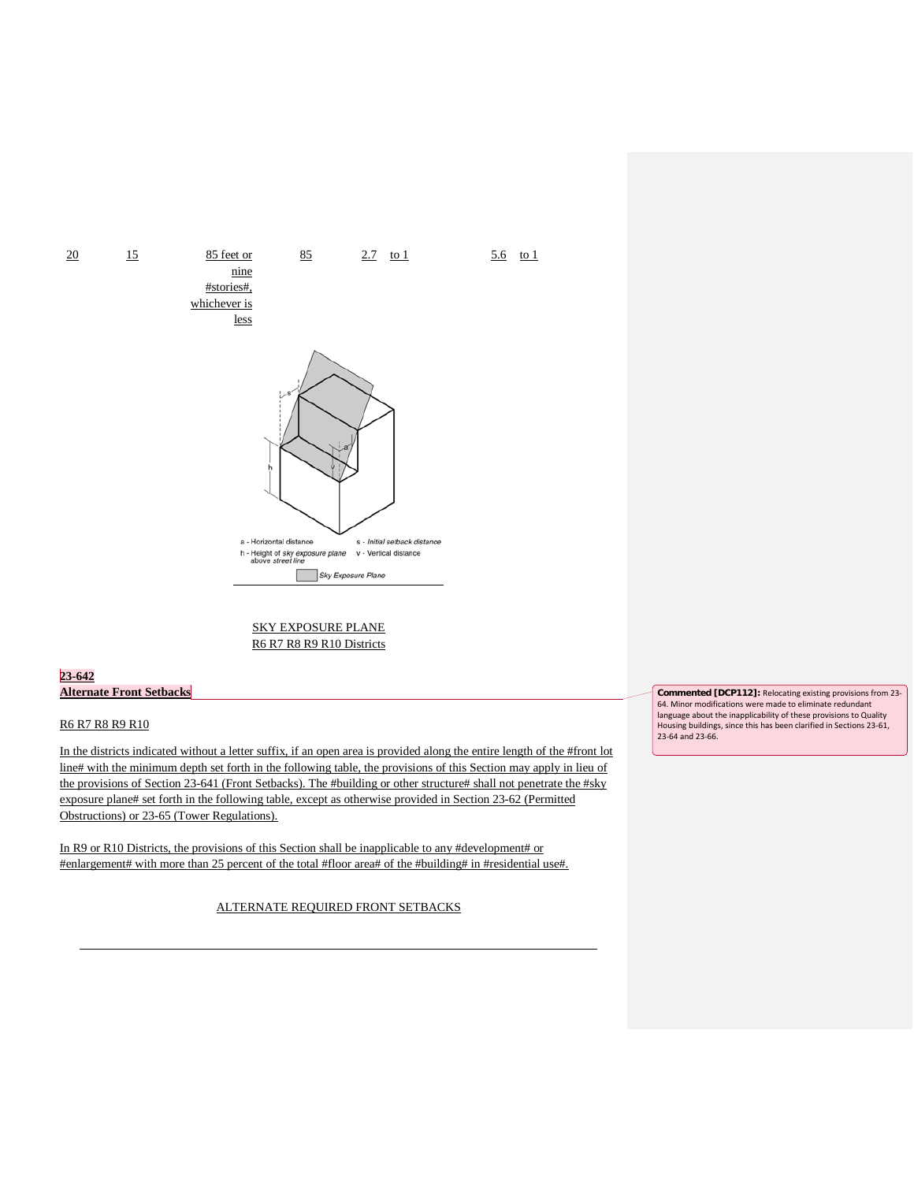

SKY EXPOSURE PLANE R6 R7 R8 R9 R10 Districts

# **23-642 Alternate Front Setbacks**

# R6 R7 R8 R9 R10

In the districts indicated without a letter suffix, if an open area is provided along the entire length of the #front lot line# with the minimum depth set forth in the following table, the provisions of this Section may apply in lieu of the provisions of Section 23-641 (Front Setbacks). The #building or other structure# shall not penetrate the #sky exposure plane# set forth in the following table, except as otherwise provided in Section 23-62 (Permitted Obstructions) or 23-65 (Tower Regulations).

In R9 or R10 Districts, the provisions of this Section shall be inapplicable to any #development# or #enlargement# with more than 25 percent of the total #floor area# of the #building# in #residential use#.

ALTERNATE REQUIRED FRONT SETBACKS

**Commented [DCP112]:** Relocating existing provisions from 23- 64. Minor modifications were made to eliminate redundant language about the inapplicability of these provisions to Quality Housing buildings, since this has been clarified in Sections 23-61, 23-64 and 23-66.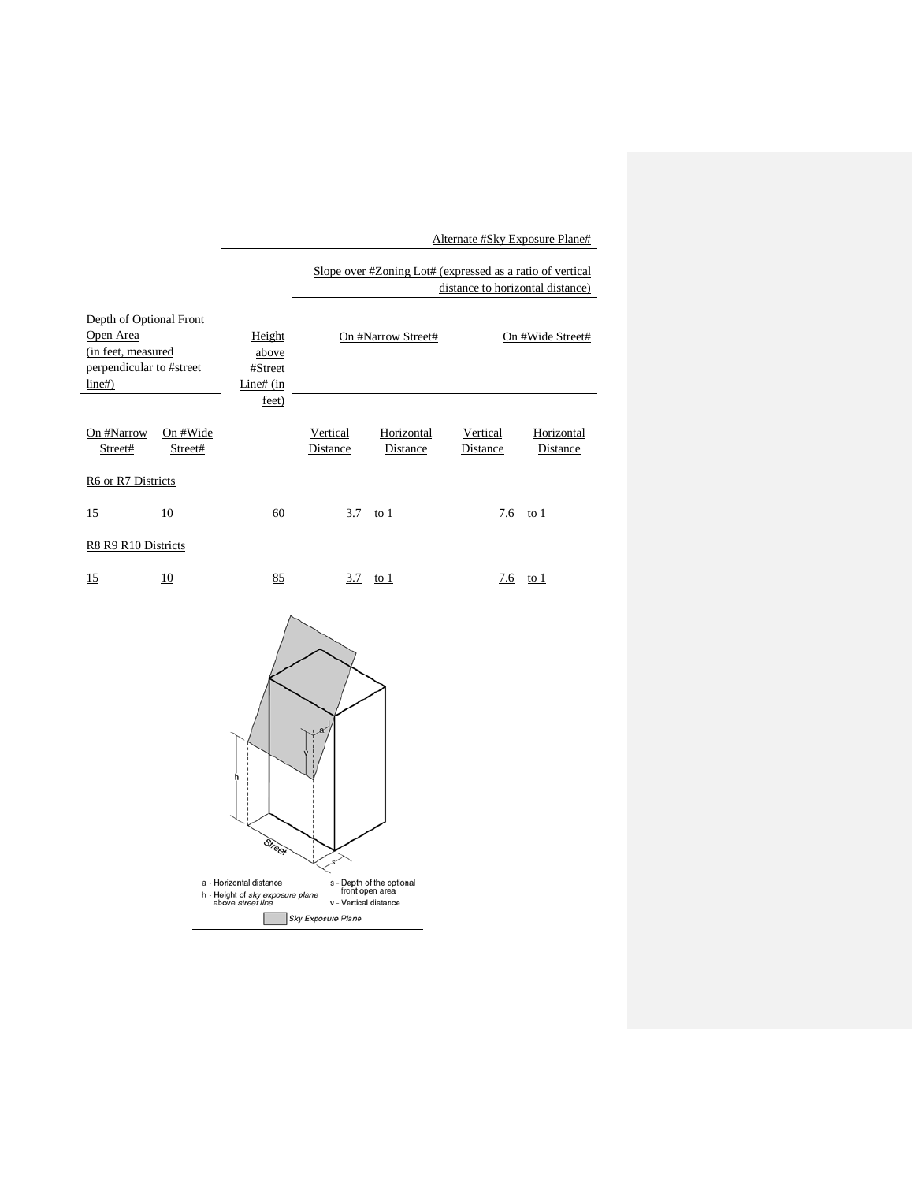Alternate #Sky Exposure Plane#

Slope over #Zoning Lot# (expressed as a ratio of vertical distance to horizontal distance)

| Depth of Optional Front<br>Open Area<br>(in feet, measured)<br>perpendicular to #street<br>line#) |                     | Height<br>above<br>#Street<br>Line# $(in$<br>feet) |                      | On #Narrow Street#     |                      | On #Wide Street#       |
|---------------------------------------------------------------------------------------------------|---------------------|----------------------------------------------------|----------------------|------------------------|----------------------|------------------------|
| On #Narrow<br>Street#                                                                             | On #Wide<br>Street# |                                                    | Vertical<br>Distance | Horizontal<br>Distance | Vertical<br>Distance | Horizontal<br>Distance |
| R6 or R7 Districts                                                                                |                     |                                                    |                      |                        |                      |                        |
| 15                                                                                                | 10                  | 60                                                 | 3.7                  | to 1                   | 7.6                  | to 1                   |
| R8 R9 R10 Districts                                                                               |                     |                                                    |                      |                        |                      |                        |
| 15                                                                                                | 10                  | 85                                                 | 3.7                  | to 1                   | 7.6                  | to 1                   |

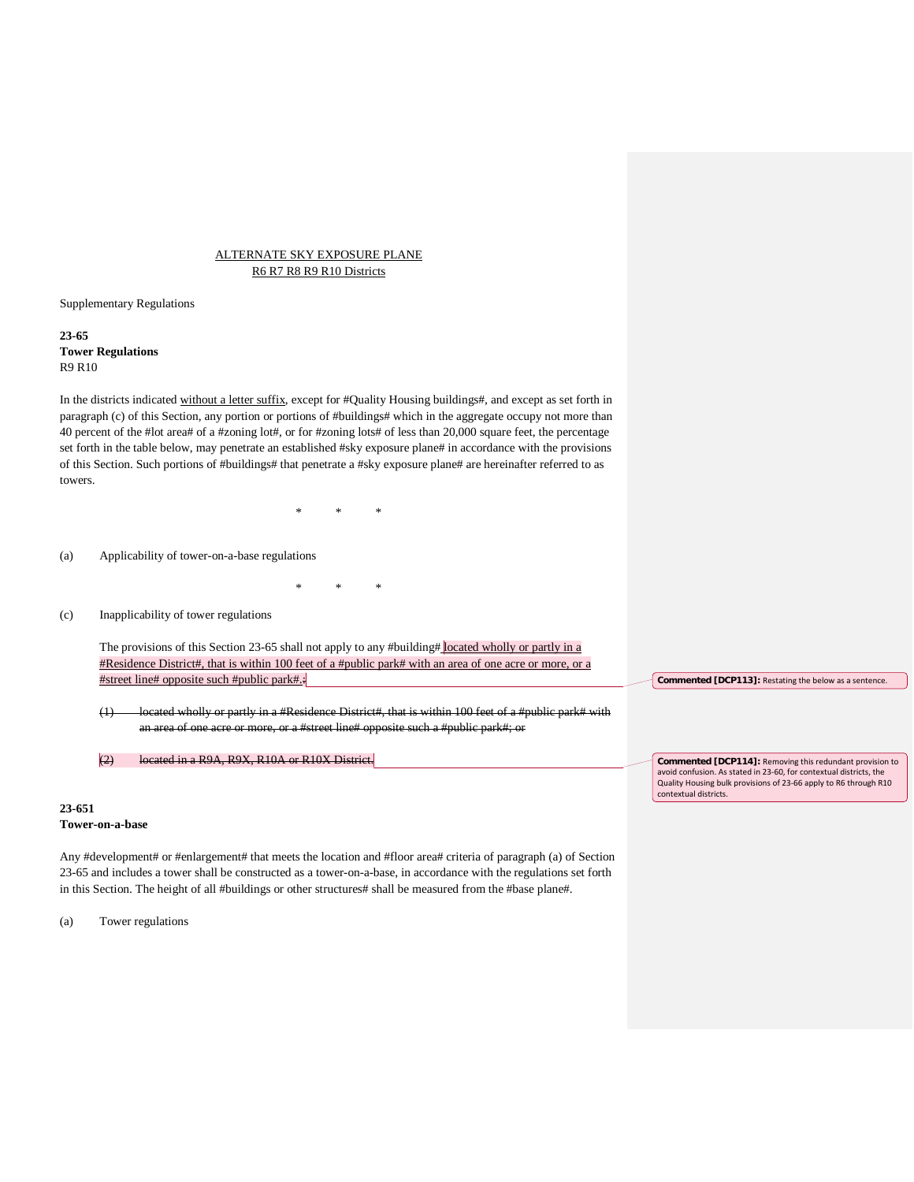# ALTERNATE SKY EXPOSURE PLANE R6 R7 R8 R9 R10 Districts

Supplementary Regulations

**23-65 Tower Regulations**  R9 R10

In the districts indicated without a letter suffix, except for #Quality Housing buildings#, and except as set forth in paragraph (c) of this Section, any portion or portions of #buildings# which in the aggregate occupy not more than 40 percent of the #lot area# of a #zoning lot#, or for #zoning lots# of less than 20,000 square feet, the percentage set forth in the table below, may penetrate an established #sky exposure plane# in accordance with the provisions of this Section. Such portions of #buildings# that penetrate a #sky exposure plane# are hereinafter referred to as towers.

\* \* \*

\* \* \*

(a) Applicability of tower-on-a-base regulations

(c) Inapplicability of tower regulations

The provisions of this Section 23-65 shall not apply to any #building# located wholly or partly in a #Residence District#, that is within 100 feet of a #public park# with an area of one acre or more, or a #street line# opposite such #public park#.:

(1) located wholly or partly in a #Residence District#, that is within 100 feet of a #public park# with an area of one acre or more, or a #street line# opposite such a #public park#; or

(2) located in a R9A, R9X, R10A or R10X District.

# **23-651**

### **Tower-on-a-base**

Any #development# or #enlargement# that meets the location and #floor area# criteria of paragraph (a) of Section 23-65 and includes a tower shall be constructed as a tower-on-a-base, in accordance with the regulations set forth in this Section. The height of all #buildings or other structures# shall be measured from the #base plane#.

(a) Tower regulations

**Commented [DCP114]:** Removing this redundant provision to avoid confusion. As stated in 23-60, for contextual districts, the

**Commented [DCP113]:** Restating the below as a sentence.

Quality Housing bulk provisions of 23-66 apply to R6 through R10 contextual districts.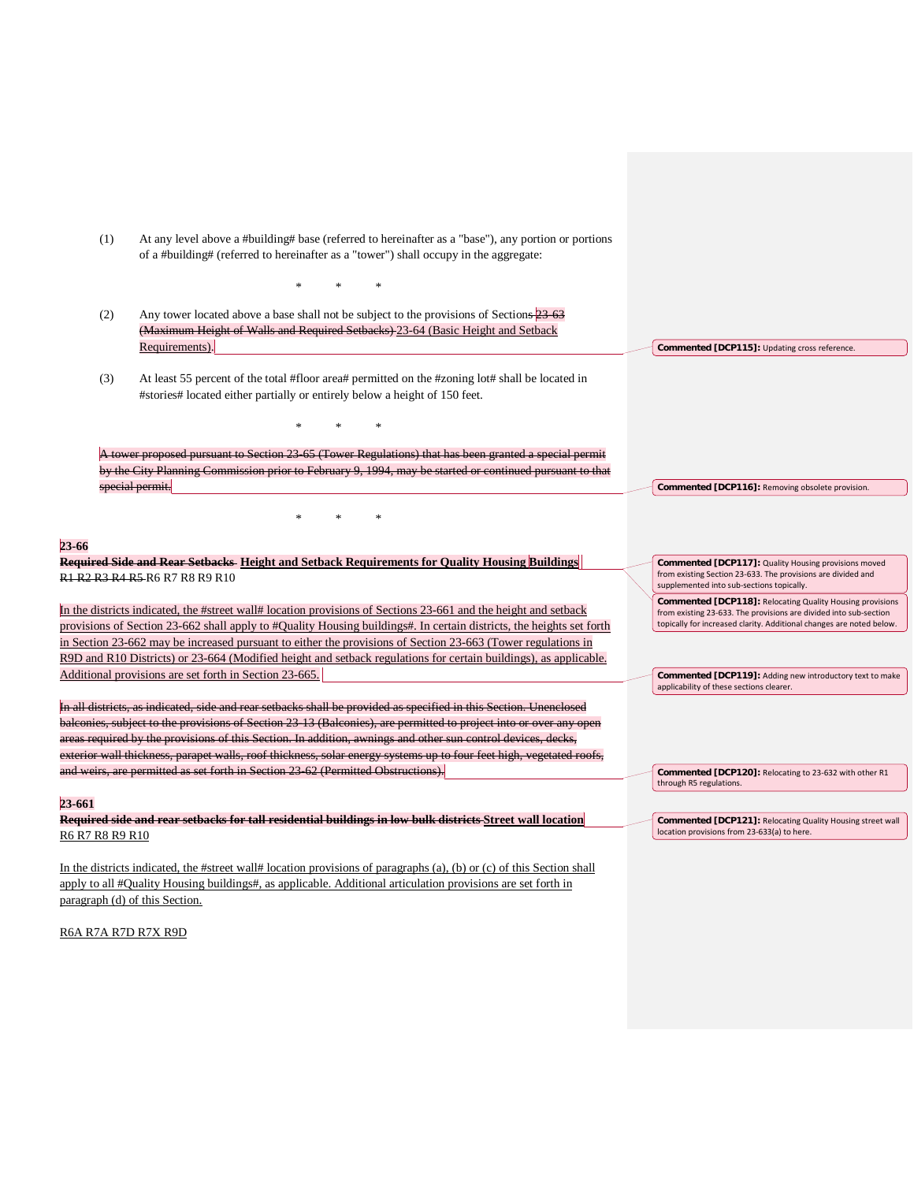| (1)             | At any level above a #building# base (referred to hereinafter as a "base"), any portion or portions<br>of a #building# (referred to hereinafter as a "tower") shall occupy in the aggregate: |                                                                                                                                                                   |
|-----------------|----------------------------------------------------------------------------------------------------------------------------------------------------------------------------------------------|-------------------------------------------------------------------------------------------------------------------------------------------------------------------|
|                 |                                                                                                                                                                                              |                                                                                                                                                                   |
|                 |                                                                                                                                                                                              |                                                                                                                                                                   |
| (2)             | Any tower located above a base shall not be subject to the provisions of Sections 23 63<br>(Maximum Height of Walls and Required Setbacks) 23-64 (Basic Height and Setback                   |                                                                                                                                                                   |
|                 | Requirements).                                                                                                                                                                               | Commented [DCP115]: Updating cross reference.                                                                                                                     |
| (3)             | At least 55 percent of the total #floor area# permitted on the #zoning lot# shall be located in<br>#stories# located either partially or entirely below a height of 150 feet.                |                                                                                                                                                                   |
|                 |                                                                                                                                                                                              |                                                                                                                                                                   |
|                 | A tower proposed pursuant to Section 23 65 (Tower Regulations) that has been granted a special permit                                                                                        |                                                                                                                                                                   |
|                 | by the City Planning Commission prior to February 9, 1994, may be started or continued pursuant to that                                                                                      |                                                                                                                                                                   |
|                 | special permit.                                                                                                                                                                              | Commented [DCP116]: Removing obsolete provision.                                                                                                                  |
|                 |                                                                                                                                                                                              |                                                                                                                                                                   |
|                 |                                                                                                                                                                                              |                                                                                                                                                                   |
|                 |                                                                                                                                                                                              |                                                                                                                                                                   |
| 23-66           | Required Side and Rear Setbacks-Height and Setback Requirements for Quality Housing Buildings                                                                                                |                                                                                                                                                                   |
|                 | R1 R2 R3 R4 R5 R6 R7 R8 R9 R10                                                                                                                                                               | Commented [DCP117]: Quality Housing provisions moved<br>from existing Section 23-633. The provisions are divided and<br>supplemented into sub-sections topically. |
|                 | In the districts indicated, the #street wall# location provisions of Sections 23-661 and the height and setback                                                                              | <b>Commented [DCP118]: Relocating Quality Housing provisions</b>                                                                                                  |
|                 | provisions of Section 23-662 shall apply to #Quality Housing buildings#. In certain districts, the heights set forth                                                                         | from existing 23-633. The provisions are divided into sub-section<br>topically for increased clarity. Additional changes are noted below.                         |
|                 | in Section 23-662 may be increased pursuant to either the provisions of Section 23-663 (Tower regulations in                                                                                 |                                                                                                                                                                   |
|                 | R9D and R10 Districts) or 23-664 (Modified height and setback regulations for certain buildings), as applicable.                                                                             |                                                                                                                                                                   |
|                 | Additional provisions are set forth in Section 23-665.                                                                                                                                       | Commented [DCP119]: Adding new introductory text to make                                                                                                          |
|                 |                                                                                                                                                                                              | applicability of these sections clearer.                                                                                                                          |
|                 | In all districts, as indicated, side and rear setbacks shall be provided as specified in this Section. Unenclosed                                                                            |                                                                                                                                                                   |
|                 | balconies, subject to the provisions of Section 23-13 (Balconies), are permitted to project into or over any open                                                                            |                                                                                                                                                                   |
|                 | areas required by the provisions of this Section. In addition, awnings and other sun control devices, decks,                                                                                 |                                                                                                                                                                   |
|                 | exterior wall thickness, parapet walls, roof thickness, solar energy systems up to four feet high, vegetated roofs,                                                                          |                                                                                                                                                                   |
|                 | and weirs, are permitted as set forth in Section 23 62 (Permitted Obstructions).                                                                                                             | Commented [DCP120]: Relocating to 23-632 with other R1<br>through R5 regulations.                                                                                 |
| 23-661          |                                                                                                                                                                                              |                                                                                                                                                                   |
|                 | Required side and rear setbacks for tall residential buildings in low bulk districts Street wall location                                                                                    | Commented [DCP121]: Relocating Quality Housing street wall                                                                                                        |
| R6 R7 R8 R9 R10 |                                                                                                                                                                                              | location provisions from 23-633(a) to here.                                                                                                                       |
|                 |                                                                                                                                                                                              |                                                                                                                                                                   |

In the districts indicated, the #street wall# location provisions of paragraphs (a), (b) or (c) of this Section shall apply to all #Quality Housing buildings#, as applicable. Additional articulation provisions are set forth in paragraph (d) of this Section.

R6A R7A R7D R7X R9D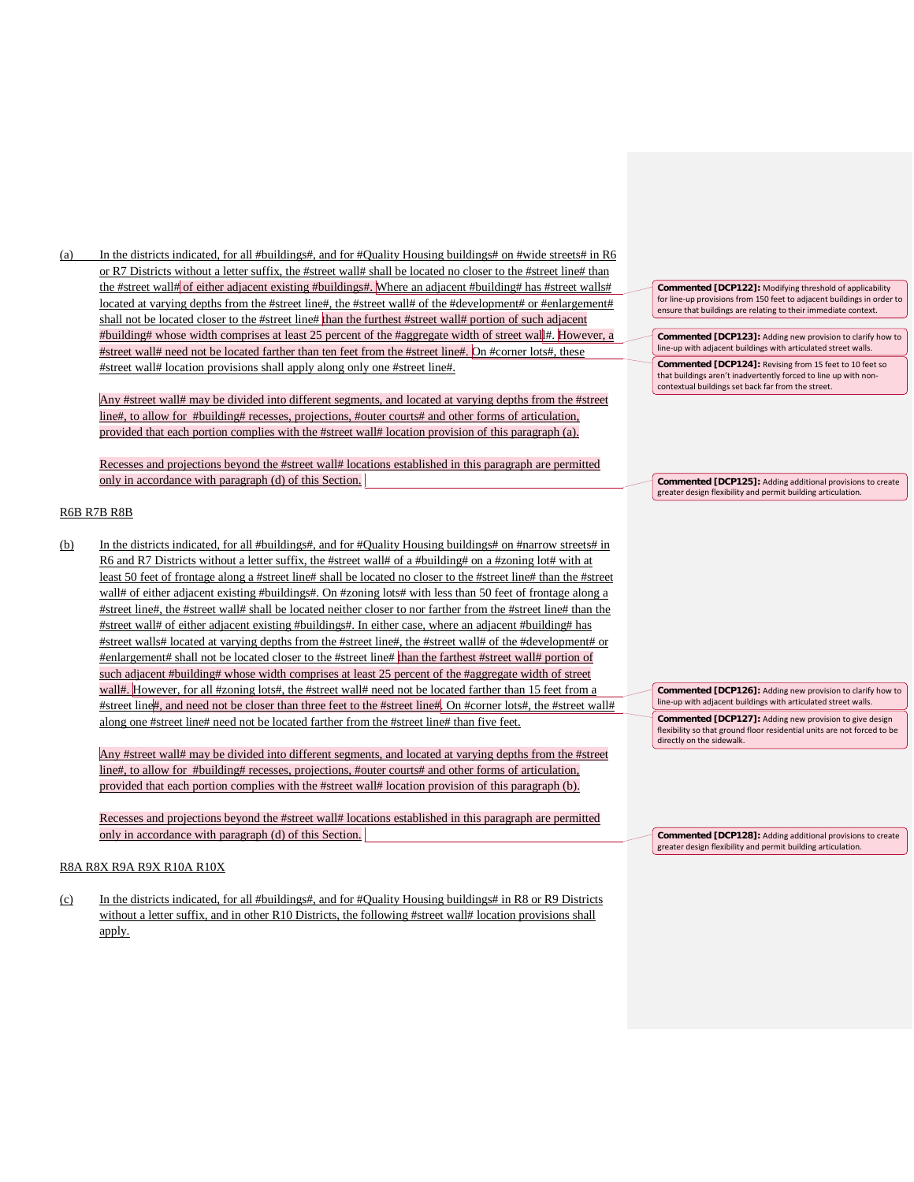(a) In the districts indicated, for all #buildings#, and for #Quality Housing buildings# on #wide streets# in R6 or R7 Districts without a letter suffix, the #street wall# shall be located no closer to the #street line# than the #street wall# of either adjacent existing #buildings#. Where an adjacent #building# has #street walls# located at varying depths from the #street line#, the #street wall# of the #development# or #enlargement# shall not be located closer to the #street line# than the furthest #street wall# portion of such adjacent #building# whose width comprises at least 25 percent of the #aggregate width of street wall#. However, a #street wall# need not be located farther than ten feet from the #street line#. On #corner lots#, these #street wall# location provisions shall apply along only one #street line#.

Any #street wall# may be divided into different segments, and located at varying depths from the #street line#, to allow for #building# recesses, projections, #outer courts# and other forms of articulation, provided that each portion complies with the #street wall# location provision of this paragraph (a).

Recesses and projections beyond the #street wall# locations established in this paragraph are permitted only in accordance with paragraph (d) of this Section.

# R6B R7B R8B

(b) In the districts indicated, for all #buildings#, and for #Quality Housing buildings# on #narrow streets# in R6 and R7 Districts without a letter suffix, the #street wall# of a #building# on a #zoning lot# with at least 50 feet of frontage along a #street line# shall be located no closer to the #street line# than the #street wall# of either adjacent existing #buildings#. On #zoning lots# with less than 50 feet of frontage along a #street line#, the #street wall# shall be located neither closer to nor farther from the #street line# than the #street wall# of either adjacent existing #buildings#. In either case, where an adjacent #building# has #street walls# located at varying depths from the #street line#, the #street wall# of the #development# or #enlargement# shall not be located closer to the #street line# than the farthest #street wall# portion of such adjacent #building# whose width comprises at least 25 percent of the #aggregate width of street wall#. However, for all #zoning lots#, the #street wall# need not be located farther than 15 feet from a #street line#, and need not be closer than three feet to the #street line#. On #corner lots#, the #street wall# along one #street line# need not be located farther from the #street line# than five feet.

Any #street wall# may be divided into different segments, and located at varying depths from the #street line#, to allow for #building# recesses, projections, #outer courts# and other forms of articulation, provided that each portion complies with the #street wall# location provision of this paragraph (b).

Recesses and projections beyond the #street wall# locations established in this paragraph are permitted only in accordance with paragraph (d) of this Section.

# R8A R8X R9A R9X R10A R10X

(c) In the districts indicated, for all #buildings#, and for #Quality Housing buildings# in R8 or R9 Districts without a letter suffix, and in other R10 Districts, the following #street wall# location provisions shall apply.

**Commented [DCP122]:** Modifying threshold of applicability for line-up provisions from 150 feet to adjacent buildings in order to ensure that buildings are relating to their immediate context.

**Commented [DCP123]:** Adding new provision to clarify how to line-up with adjacent buildings with articulated street walls.

**Commented [DCP124]:** Revising from 15 feet to 10 feet so that buildings aren't inadvertently forced to line up with noncontextual buildings set back far from the street.

**Commented [DCP125]:** Adding additional provisions to create greater design flexibility and permit building articulation.

**Commented [DCP126]:** Adding new provision to clarify how to line-up with adjacent buildings with articulated street walls. **Commented [DCP127]:** Adding new provision to give design flexibility so that ground floor residential units are not forced to be

directly on the sidewalk.

**Commented [DCP128]:** Adding additional provisions to create greater design flexibility and permit building articulation.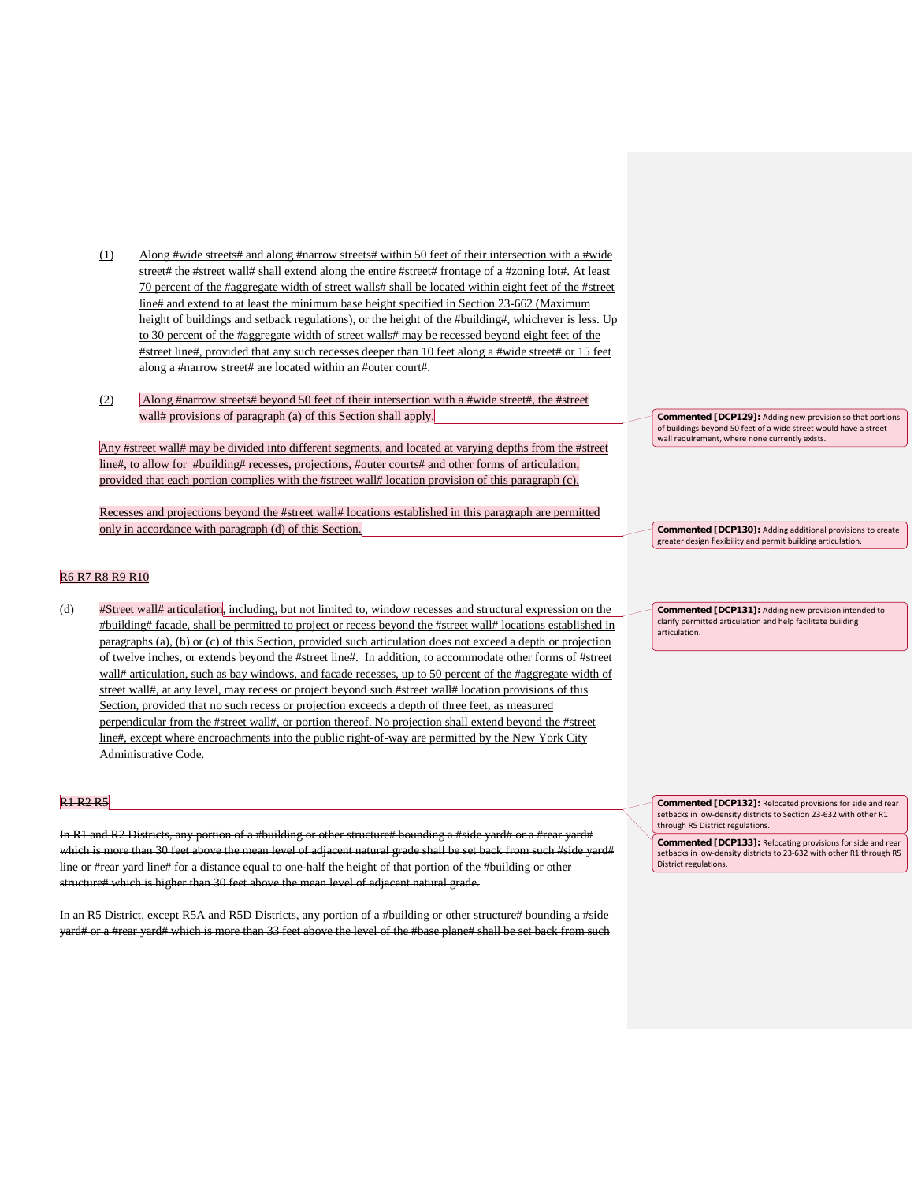- (1) Along #wide streets# and along #narrow streets# within 50 feet of their intersection with a #wide street# the #street wall# shall extend along the entire #street# frontage of a #zoning lot#. At least 70 percent of the #aggregate width of street walls# shall be located within eight feet of the #street line# and extend to at least the minimum base height specified in Section 23-662 (Maximum height of buildings and setback regulations), or the height of the #building#, whichever is less. Up to 30 percent of the #aggregate width of street walls# may be recessed beyond eight feet of the #street line#, provided that any such recesses deeper than 10 feet along a #wide street# or 15 feet along a #narrow street# are located within an #outer court#.
- (2) Along #narrow streets# beyond 50 feet of their intersection with a #wide street#, the #street wall# provisions of paragraph (a) of this Section shall apply.

Any #street wall# may be divided into different segments, and located at varying depths from the #street line#, to allow for #building# recesses, projections, #outer courts# and other forms of articulation, provided that each portion complies with the #street wall# location provision of this paragraph (c).

Recesses and projections beyond the #street wall# locations established in this paragraph are permitted only in accordance with paragraph (d) of this Section.

# R6 R7 R8 R9 R10

(d) #Street wall# articulation, including, but not limited to, window recesses and structural expression on the #building# facade, shall be permitted to project or recess beyond the #street wall# locations established in paragraphs (a), (b) or (c) of this Section, provided such articulation does not exceed a depth or projection of twelve inches, or extends beyond the #street line#. In addition, to accommodate other forms of #street wall# articulation, such as bay windows, and facade recesses, up to 50 percent of the #aggregate width of street wall#, at any level, may recess or project beyond such #street wall# location provisions of this Section, provided that no such recess or projection exceeds a depth of three feet, as measured perpendicular from the #street wall#, or portion thereof. No projection shall extend beyond the #street line#, except where encroachments into the public right-of-way are permitted by the New York City Administrative Code.

## **R1 R2 R5**

In R1 and R2 Districts, any portion of a #building or other structure# bounding a #side yard# or a #rear yard# which is more than 30 feet above the mean level of adjacent natural grade shall be set back from such #side yard# line or #rear yard line# for a distance equal to one-half the height of that portion of the #building or other structure# which is higher than 30 feet above the mean level of adjacent natural grade.

In an R5 District, except R5A and R5D Districts, any portion of a #building or other structure# bounding a #sid yard# or a #rear yard# which is more than 33 feet above the level of the #base plane# shall be set back from such **Commented [DCP129]:** Adding new provision so that portions of buildings beyond 50 feet of a wide street would have a street wall requirement, where none currently exists.

**Commented [DCP130]:** Adding additional provisions to create greater design flexibility and permit building articulation.

**Commented [DCP131]:** Adding new provision intended to clarify permitted articulation and help facilitate building articulation.

**Commented [DCP132]:** Relocated provisions for side and rear setbacks in low-density districts to Section 23-632 with other R1 through R5 District regulations.

**Commented [DCP133]:** Relocating provisions for side and rear setbacks in low-density districts to 23-632 with other R1 through R5 District regulations.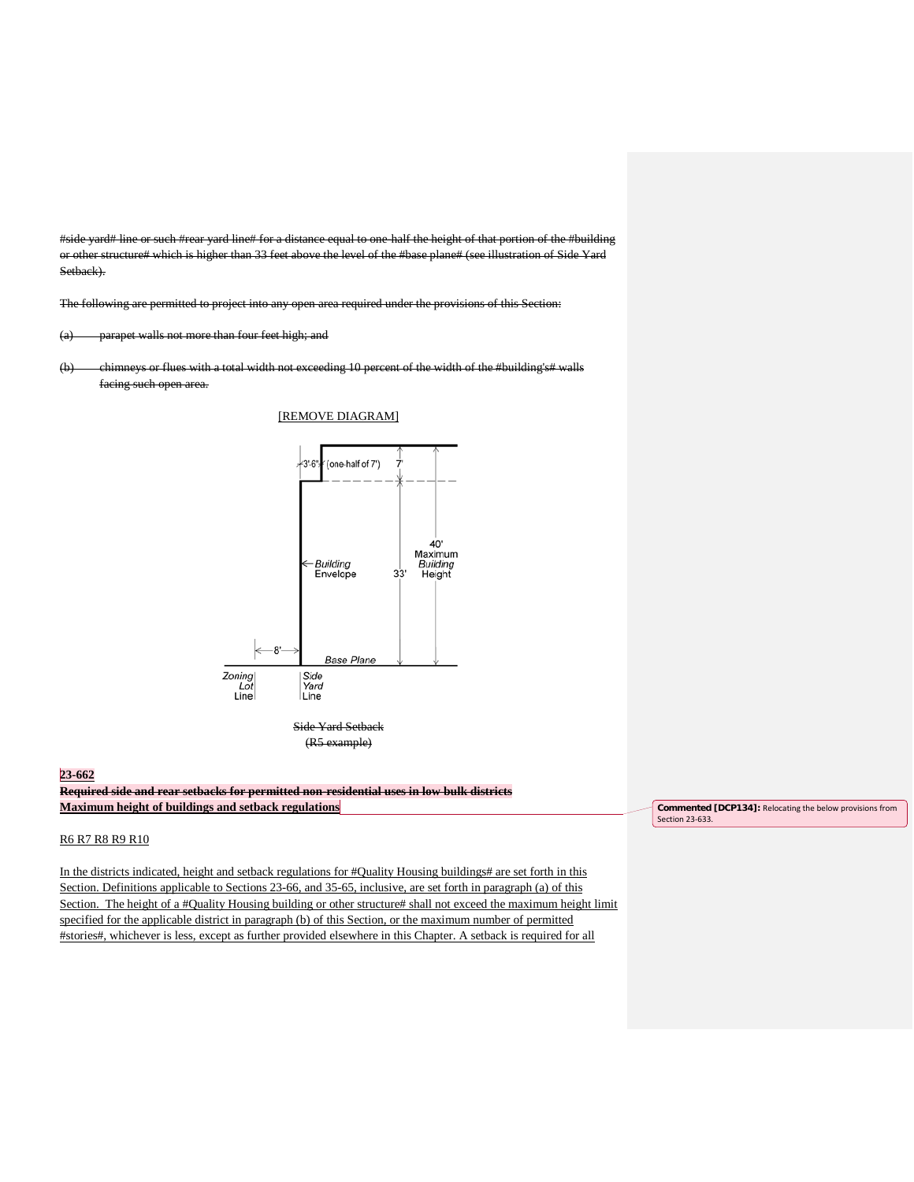#side yard# line or such #rear yard line# for a distance equal to one-half the height of that portion of the #building or other structure# which is higher than 33 feet above the level of the #base plane# (see illustration of Side Yard Setback).

The following are permitted to project into any open area required under the provisions of this Section:

(a) parapet walls not more than four feet high; and

(b) chimneys or flues with a total width not exceeding 10 percent of the width of the #building's# walls facing such open area.

# [REMOVE DIAGRAM]



(R5 example)

### **23-662**

**Required side and rear setbacks for permitted non-residential uses in low bulk districts Maximum height of buildings and setback regulations**

## R6 R7 R8 R9 R10

In the districts indicated, height and setback regulations for #Quality Housing buildings# are set forth in this Section. Definitions applicable to Sections 23-66, and 35-65, inclusive, are set forth in paragraph (a) of this Section. The height of a #Quality Housing building or other structure# shall not exceed the maximum height limit specified for the applicable district in paragraph (b) of this Section, or the maximum number of permitted #stories#, whichever is less, except as further provided elsewhere in this Chapter. A setback is required for all

**Commented [DCP134]:** Relocating the below provisions from Section 23-633.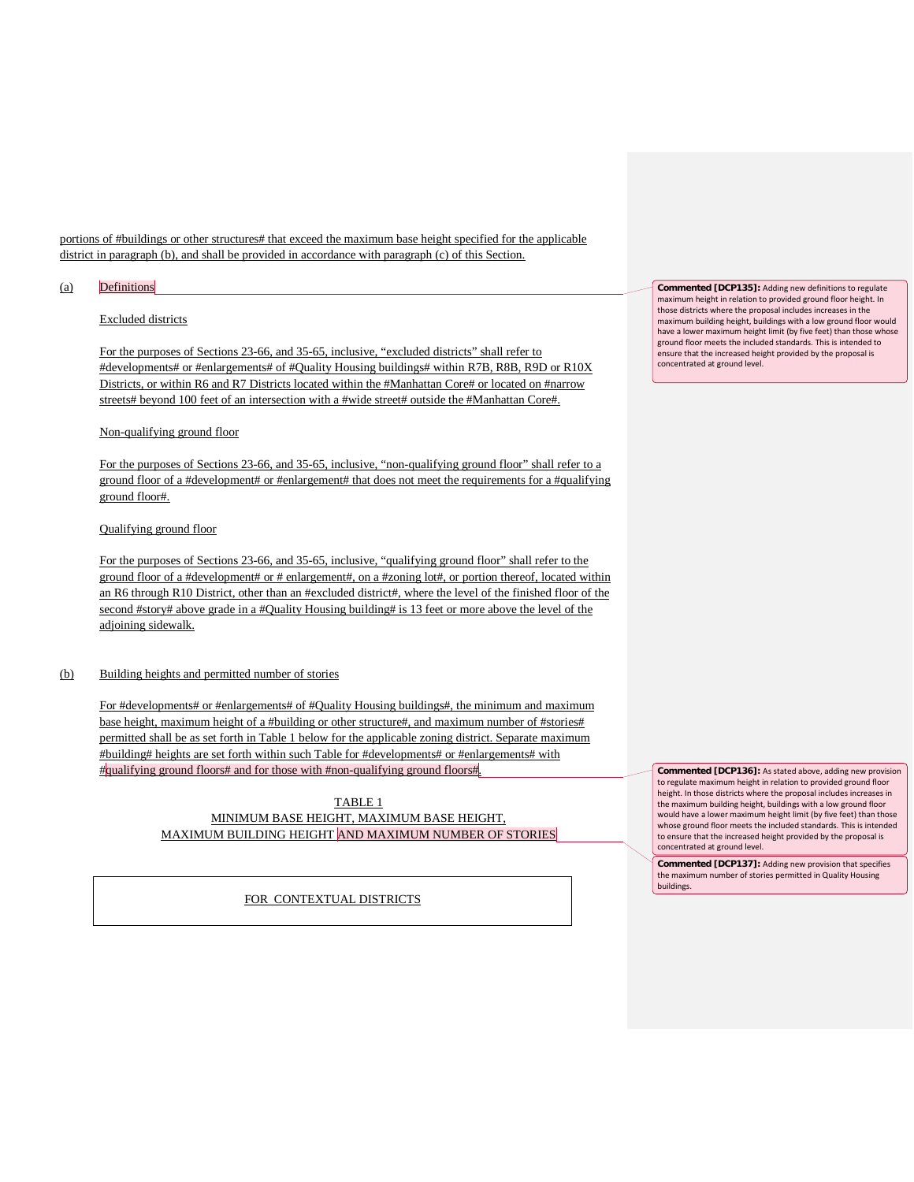portions of #buildings or other structures# that exceed the maximum base height specified for the applicable district in paragraph (b), and shall be provided in accordance with paragraph (c) of this Section.

## (a) Definitions

# Excluded districts

For the purposes of Sections 23-66, and 35-65, inclusive, "excluded districts" shall refer to #developments# or #enlargements# of #Quality Housing buildings# within R7B, R8B, R9D or R10X Districts, or within R6 and R7 Districts located within the #Manhattan Core# or located on #narrow streets# beyond 100 feet of an intersection with a #wide street# outside the #Manhattan Core#.

#### Non-qualifying ground floor

For the purposes of Sections 23-66, and 35-65, inclusive, "non-qualifying ground floor" shall refer to a ground floor of a #development# or #enlargement# that does not meet the requirements for a #qualifying ground floor#.

# Qualifying ground floor

For the purposes of Sections 23-66, and 35-65, inclusive, "qualifying ground floor" shall refer to the ground floor of a #development# or # enlargement#, on a #zoning lot#, or portion thereof, located within an R6 through R10 District, other than an #excluded district#, where the level of the finished floor of the second #story# above grade in a #Quality Housing building# is 13 feet or more above the level of the adjoining sidewalk.

#### (b) Building heights and permitted number of stories

For #developments# or #enlargements# of #Quality Housing buildings#, the minimum and maximum base height, maximum height of a #building or other structure#, and maximum number of #stories# permitted shall be as set forth in Table 1 below for the applicable zoning district. Separate maximum #building# heights are set forth within such Table for #developments# or #enlargements# with #qualifying ground floors# and for those with #non-qualifying ground floors#.

# TABLE 1 MINIMUM BASE HEIGHT, MAXIMUM BASE HEIGHT, MAXIMUM BUILDING HEIGHT AND MAXIMUM NUMBER OF STORIES

FOR CONTEXTUAL DISTRICTS

**Commented [DCP135]:** Adding new definitions to regulate maximum height in relation to provided ground floor height. In those districts where the proposal includes increases in the maximum building height, buildings with a low ground floor would have a lower maximum height limit (by five feet) than those whose ground floor meets the included standards. This is intended to ensure that the increased height provided by the proposal is concentrated at ground level.

**Commented [DCP136]:** As stated above, adding new provision to regulate maximum height in relation to provided ground floor height. In those districts where the proposal includes increases in the maximum building height, buildings with a low ground floor would have a lower maximum height limit (by five feet) than those whose ground floor meets the included standards. This is intended to ensure that the increased height provided by the proposal is concentrated at ground level.

**Commented [DCP137]:** Adding new provision that specifies the maximum number of stories permitted in Quality Housing buildings.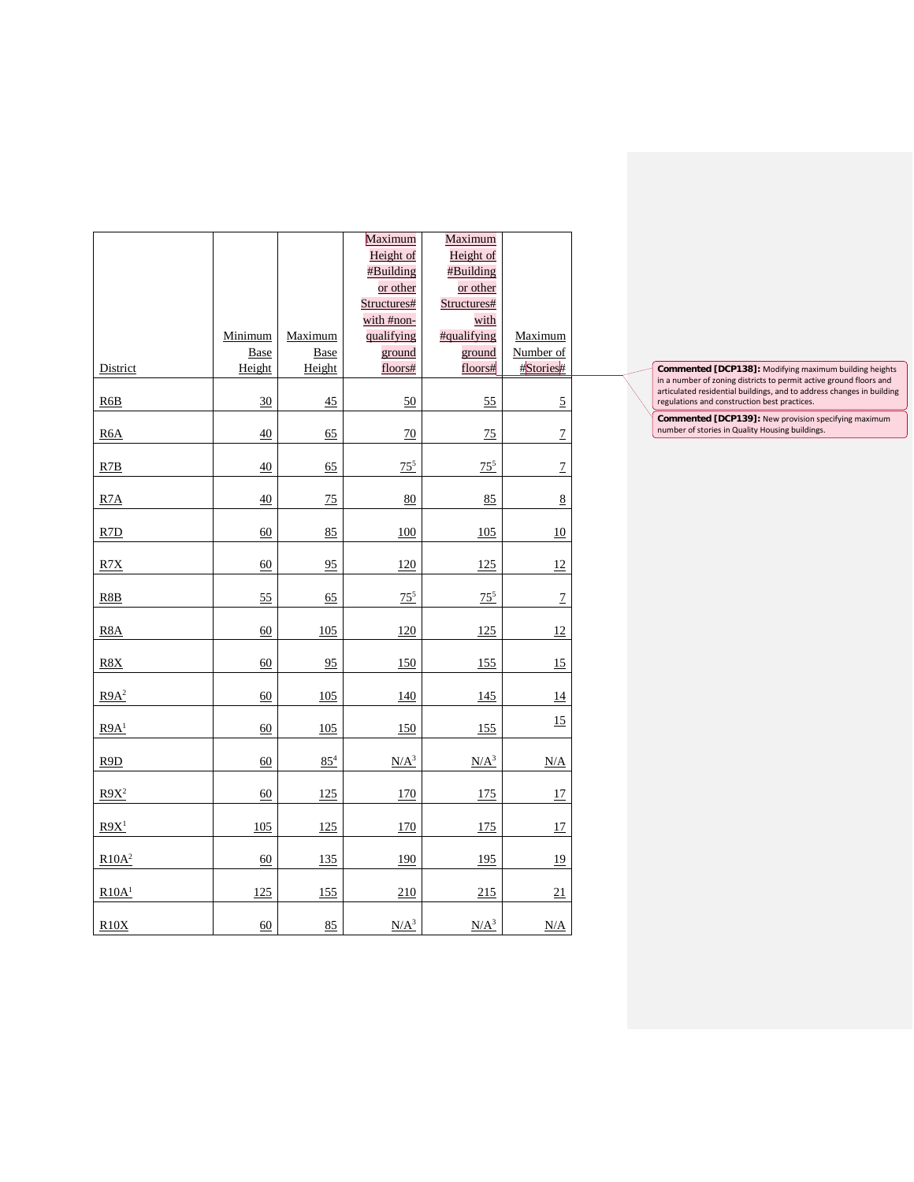|                   | Minimum<br><b>Base</b> | Maximum<br><b>Base</b> | Maximum<br>Height of<br>#Building<br>or other<br>Structures#<br>with #non-<br>qualifying<br>ground | Maximum<br>Height of<br>#Building<br>or other<br>Structures#<br>with<br>#qualifying<br>ground | Maximum<br>Number of |
|-------------------|------------------------|------------------------|----------------------------------------------------------------------------------------------------|-----------------------------------------------------------------------------------------------|----------------------|
| District          | Height                 | Height                 | floors#                                                                                            | floors#                                                                                       | #Stories#            |
| R6B               | 30                     | 45                     | 50                                                                                                 | 55                                                                                            | $\overline{2}$       |
| R <sub>6</sub> A  | 40                     | 65                     | 70                                                                                                 | 75                                                                                            | $\overline{1}$       |
| R7B               | 40                     | 65                     | $75^{5}$                                                                                           | $75^{5}$                                                                                      | $\overline{1}$       |
| R7A               | 40                     | 75                     | 80                                                                                                 | 85                                                                                            | 8                    |
| R7D               | 60                     | 85                     | 100                                                                                                | 105                                                                                           | 10                   |
| R7X               | 60                     | 95                     | 120                                                                                                | 125                                                                                           | 12                   |
| R8B               | 55                     | 65                     | $75^{5}$                                                                                           | $75^{5}$                                                                                      | $\overline{1}$       |
| R8A               | 60                     | 105                    | 120                                                                                                | 125                                                                                           | 12                   |
| R8X               | 60                     | 95                     | 150                                                                                                | 155                                                                                           | 15                   |
| R9A <sup>2</sup>  | 60                     | 105                    | 140                                                                                                | 145                                                                                           | 14                   |
| R9A <sup>1</sup>  | 60                     | 105                    | 150                                                                                                | 155                                                                                           | 15                   |
| R9D               | 60                     | $85^{4}$               | $N/A^3$                                                                                            | $N/A^3$                                                                                       | N/A                  |
| $R9X^2$           | 60                     | 125                    | 170                                                                                                | 175                                                                                           | 17                   |
| R9X <sup>1</sup>  | 105                    | <u>125</u>             | <u>170</u>                                                                                         | <u>175</u>                                                                                    | 17                   |
| R10A <sup>2</sup> | $\underline{60}$       | 135                    | 190                                                                                                | 195                                                                                           | <u>19</u>            |
| R10A <sup>1</sup> | 125                    | 155                    | 210                                                                                                | 215                                                                                           | 21                   |
| R10X              | $\underline{60}$       | 85                     | $N/A^3$                                                                                            | $N/A^3$                                                                                       | N/A                  |

**Commented [DCP138]:** Modifying maximum building heights<br>in a number of zoning districts to permit active ground floors and<br>articulated residential buildings, and to address changes in building<br>regulations and construction

**Commented [DCP139]:** New provision specifying maximum number of stories in Quality Housing buildings.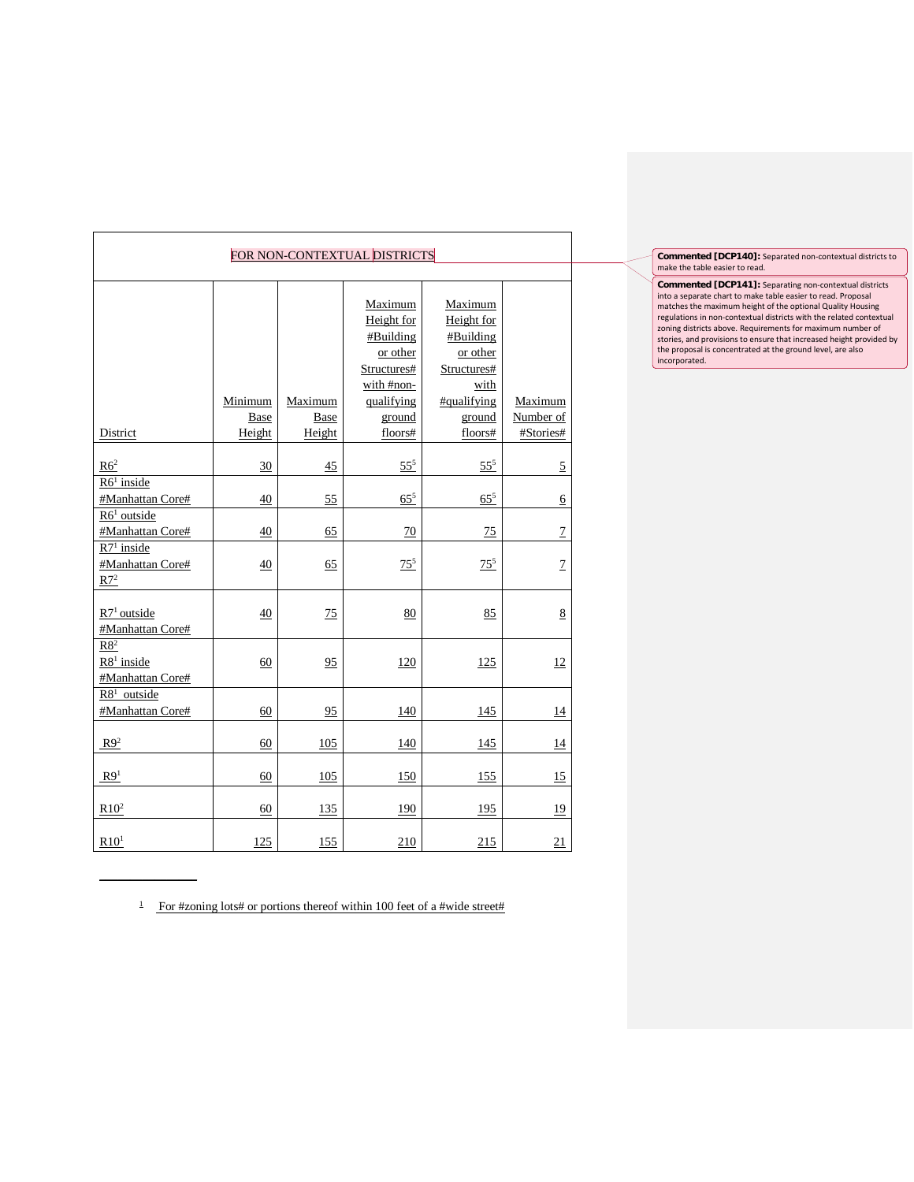| FOR NON-CONTEXTUAL DISTRICTS                        |                 |                 |                                                                                                     |                                                                                                |                      |  |  |
|-----------------------------------------------------|-----------------|-----------------|-----------------------------------------------------------------------------------------------------|------------------------------------------------------------------------------------------------|----------------------|--|--|
|                                                     |                 |                 |                                                                                                     |                                                                                                |                      |  |  |
|                                                     | Minimum<br>Base | Maximum<br>Base | Maximum<br>Height for<br>#Building<br>or other<br>Structures#<br>with #non-<br>qualifying<br>ground | Maximum<br>Height for<br>#Building<br>or other<br>Structures#<br>with<br>#qualifying<br>ground | Maximum<br>Number of |  |  |
| District                                            | Height          | Height          | floors#                                                                                             | floors#                                                                                        | #Stories#            |  |  |
| R6 <sup>2</sup><br>$R61$ inside<br>#Manhattan Core# | 30<br>40        | 45<br>55        | $55^{5}$<br>$65^{5}$                                                                                | $55^{5}$<br>$65^{5}$                                                                           | $\overline{5}$       |  |  |
|                                                     |                 |                 |                                                                                                     |                                                                                                | $\underline{6}$      |  |  |
| $R61$ outside<br>#Manhattan Core#                   | 40              | 65              | 70                                                                                                  | 75                                                                                             | $\overline{1}$       |  |  |
| $R71$ inside<br>#Manhattan Core#<br>$R7^2$          | 40              | 65              | $75^{5}$                                                                                            | $75^{5}$                                                                                       | $\overline{1}$       |  |  |
| $R71$ outside<br>#Manhattan Core#                   | 40              | 75              | 80                                                                                                  | 85                                                                                             | 8                    |  |  |
| R8 <sup>2</sup><br>$R81$ inside<br>#Manhattan Core# | 60              | 95              | 120                                                                                                 | 125                                                                                            | 12                   |  |  |
| $R8$ <sup>1</sup> outside<br>#Manhattan Core#       | 60              | 95              | 140                                                                                                 | 145                                                                                            | 14                   |  |  |
| $R9^2$                                              | 60              | 105             | 140                                                                                                 | 145                                                                                            | 14                   |  |  |
| R9 <sup>1</sup>                                     | 60              | 105             | 150                                                                                                 | 155                                                                                            | 15                   |  |  |
| $R10^2$                                             | 60              | 135             | 190                                                                                                 | 195                                                                                            | <u>19</u>            |  |  |
| R10 <sup>1</sup>                                    | 125             | 155             | 210                                                                                                 | 215                                                                                            | 21                   |  |  |

 $\ddot{\phantom{a}}$ 

**Commented [DCP140]:** Separated non-contextual districts to make the table easier to read.

**Commented [DCP141]:** Separating non-contextual districts into a separate chart to make table easier to read. Proposal matches the maximum height of the optional Quality Housing<br>regulations in non-contextual districts with the related contextual<br>zoning districts above. Requirements for maximum number of<br>stories, and provisions to ensure th incorporated.

 $\frac{1}{1}$  For #zoning lots# or portions thereof within 100 feet of a #wide street#

 $\overline{\phantom{a}}$  , where  $\overline{\phantom{a}}$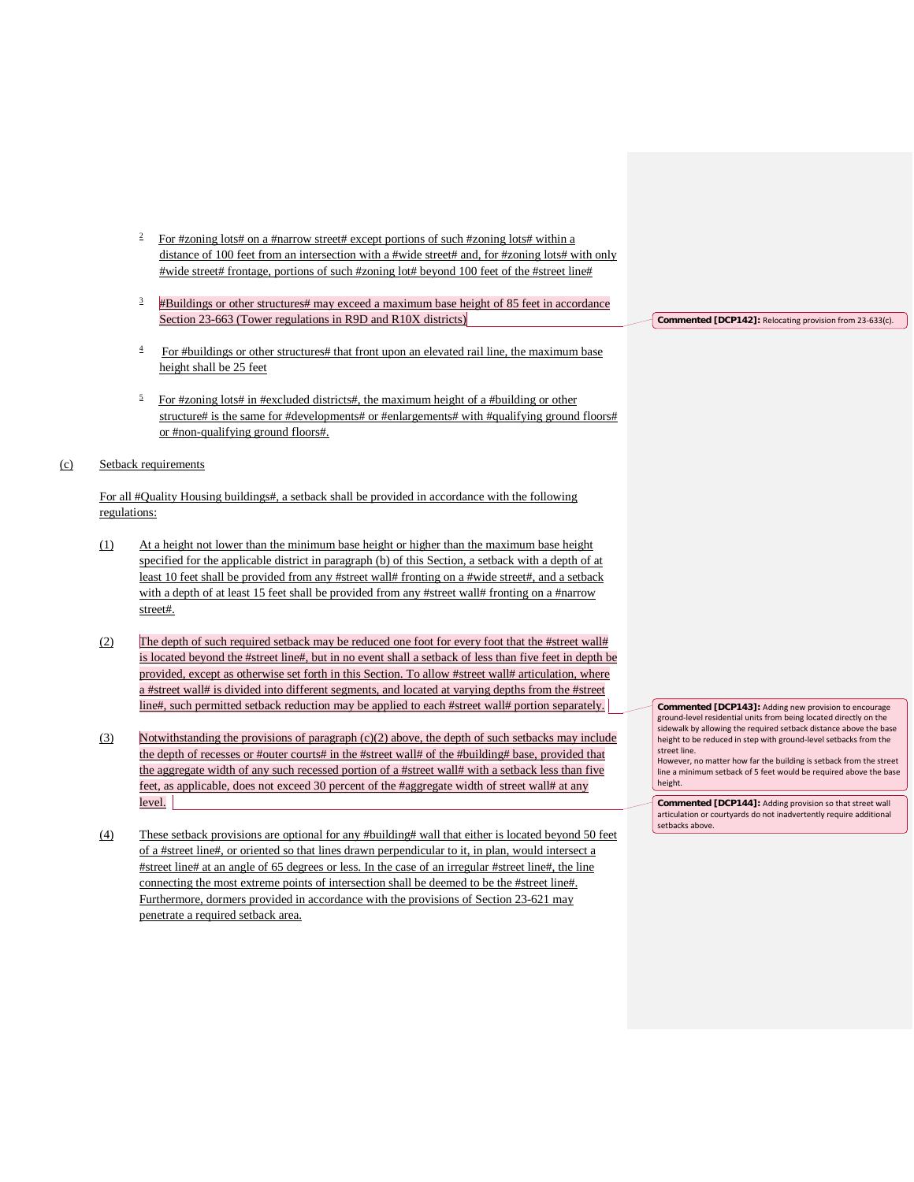- $\frac{2}{2}$  For #zoning lots# on a #narrow street# except portions of such #zoning lots# within a distance of 100 feet from an intersection with a #wide street# and, for #zoning lots# with only #wide street# frontage, portions of such #zoning lot# beyond 100 feet of the #street line#
- <sup>3</sup> #Buildings or other structures# may exceed a maximum base height of 85 feet in accordance Section 23-663 (Tower regulations in R9D and R10X districts)
- $\frac{4}{1}$  For #buildings or other structures# that front upon an elevated rail line, the maximum base height shall be 25 feet
- $5$  For #zoning lots# in #excluded districts#, the maximum height of a #building or other structure# is the same for #developments# or #enlargements# with #qualifying ground floors# or #non-qualifying ground floors#.

#### (c) Setback requirements

For all #Quality Housing buildings#, a setback shall be provided in accordance with the following regulations:

- (1) At a height not lower than the minimum base height or higher than the maximum base height specified for the applicable district in paragraph (b) of this Section, a setback with a depth of at least 10 feet shall be provided from any #street wall# fronting on a #wide street#, and a setback with a depth of at least 15 feet shall be provided from any #street wall# fronting on a #narrow street#.
- (2) The depth of such required setback may be reduced one foot for every foot that the #street wall# is located beyond the #street line#, but in no event shall a setback of less than five feet in depth be provided, except as otherwise set forth in this Section. To allow #street wall# articulation, where a #street wall# is divided into different segments, and located at varying depths from the #street line#, such permitted setback reduction may be applied to each #street wall# portion separately.
- (3) Notwithstanding the provisions of paragraph (c)(2) above, the depth of such setbacks may include the depth of recesses or #outer courts# in the #street wall# of the #building# base, provided that the aggregate width of any such recessed portion of a #street wall# with a setback less than five feet, as applicable, does not exceed 30 percent of the #aggregate width of street wall# at any level.
- (4) These setback provisions are optional for any #building# wall that either is located beyond 50 feet of a #street line#, or oriented so that lines drawn perpendicular to it, in plan, would intersect a #street line# at an angle of 65 degrees or less. In the case of an irregular #street line#, the line connecting the most extreme points of intersection shall be deemed to be the #street line#. Furthermore, dormers provided in accordance with the provisions of Section 23-621 may penetrate a required setback area.

**Commented [DCP142]:** Relocating provision from 23-633(c).

**Commented [DCP143]:** Adding new provision to encourage ground-level residential units from being located directly on the sidewalk by allowing the required setback distance above the base height to be reduced in step with ground-level setbacks from the street line. However, no matter how far the building is setback from the street

line a minimum setback of 5 feet would be required above the base height.

**Commented [DCP144]:** Adding provision so that street wall articulation or courtyards do not inadvertently require additional setbacks above.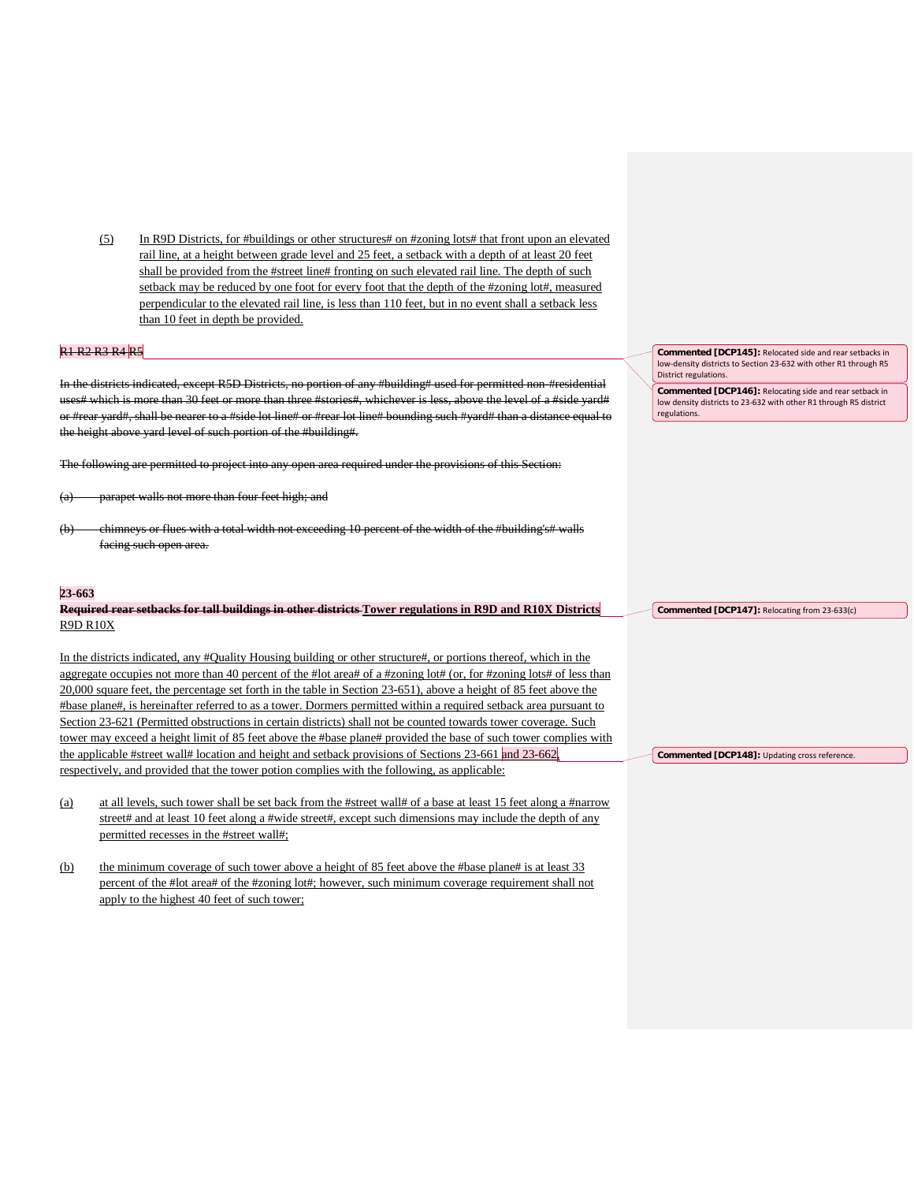(5) In R9D Districts, for #buildings or other structures# on #zoning lots# that front upon an elevated rail line, at a height between grade level and 25 feet, a setback with a depth of at least 20 feet shall be provided from the #street line# fronting on such elevated rail line. The depth of such setback may be reduced by one foot for every foot that the depth of the #zoning lot#, measured perpendicular to the elevated rail line, is less than 110 feet, but in no event shall a setback less than 10 feet in depth be provided.

## R1 R2 R3 R4 R5

In the districts indicated, except R5D Districts, no portion of any #building# used for permitted non-#residential uses# which is more than 30 feet or more than three #stories#, whichever is less, above the level of a #side yard# or #rear vard#, shall be nearer to a #side lot line# or #rear lot line# bounding such #yard# than a distance equal to the height above yard level of such portion of the #building#.

The following are permitted to project into any open area required under the provisions of this Section:

- (a) parapet walls not more than four feet high; and
- (b) chimneys or flues with a total width not exceeding 10 percent of the width of the #building's# walls facing such open area.

#### **23-663**

# **Required rear setbacks for tall buildings in other districts Tower regulations in R9D and R10X Districts** R9D R10X

In the districts indicated, any #Quality Housing building or other structure#, or portions thereof, which in the aggregate occupies not more than 40 percent of the #lot area# of a #zoning lot# (or, for #zoning lots# of less than 20,000 square feet, the percentage set forth in the table in Section 23-651), above a height of 85 feet above the #base plane#, is hereinafter referred to as a tower. Dormers permitted within a required setback area pursuant to Section 23-621 (Permitted obstructions in certain districts) shall not be counted towards tower coverage. Such tower may exceed a height limit of 85 feet above the #base plane# provided the base of such tower complies with the applicable #street wall# location and height and setback provisions of Sections 23-661 and 23-662, respectively, and provided that the tower potion complies with the following, as applicable:

- (a) at all levels, such tower shall be set back from the #street wall# of a base at least 15 feet along a #narrow street# and at least 10 feet along a #wide street#, except such dimensions may include the depth of any permitted recesses in the #street wall#;
- (b) the minimum coverage of such tower above a height of 85 feet above the #base plane# is at least 33 percent of the #lot area# of the #zoning lot#; however, such minimum coverage requirement shall not apply to the highest 40 feet of such tower;

**Commented [DCP145]:** Relocated side and rear setbacks in low-density districts to Section 23-632 with other R1 through R5 District regulations.

**Commented [DCP146]:** Relocating side and rear setback in low density districts to 23-632 with other R1 through R5 district regulations.

**Commented [DCP147]:** Relocating from 23-633(c)

**Commented [DCP148]:** Updating cross reference.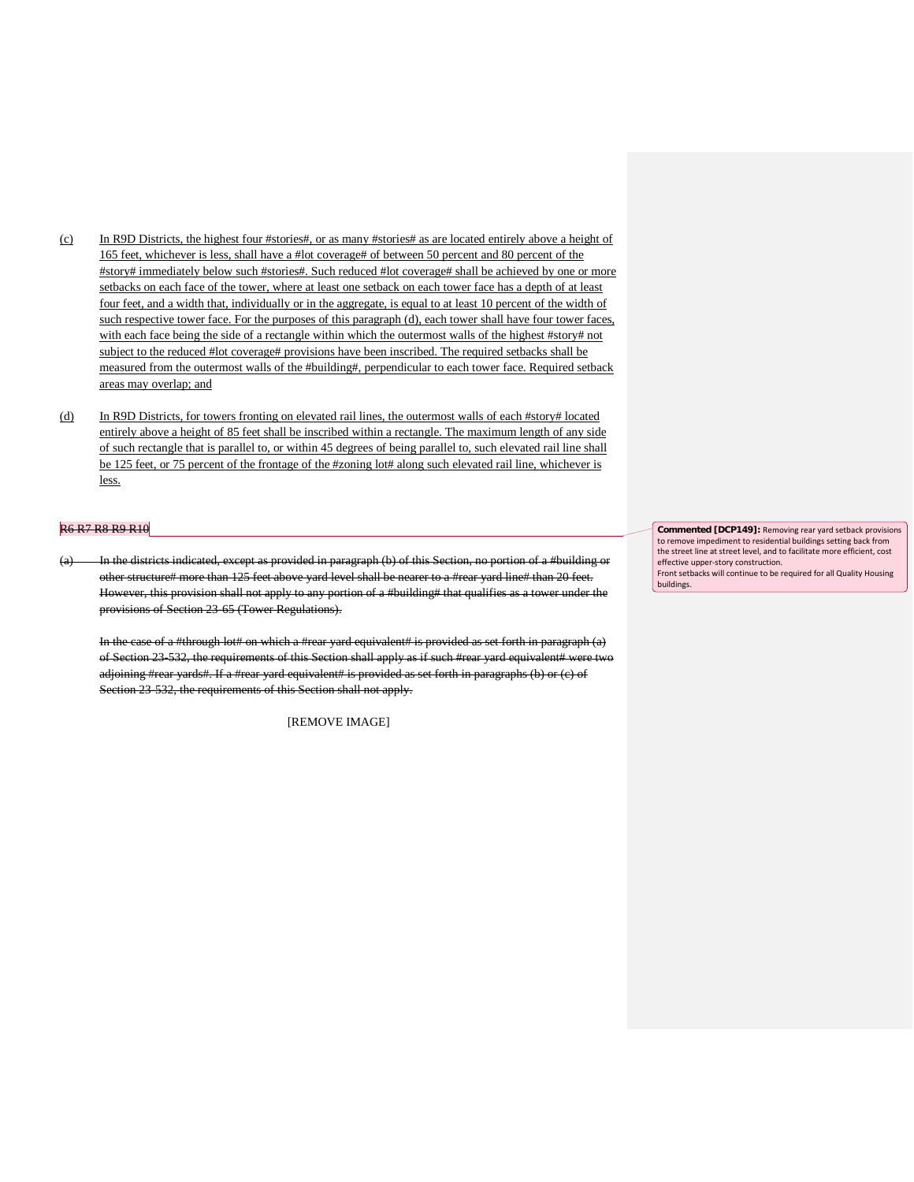- (c) In R9D Districts, the highest four #stories#, or as many #stories# as are located entirely above a height of 165 feet, whichever is less, shall have a #lot coverage# of between 50 percent and 80 percent of the #story# immediately below such #stories#. Such reduced #lot coverage# shall be achieved by one or more setbacks on each face of the tower, where at least one setback on each tower face has a depth of at least four feet, and a width that, individually or in the aggregate, is equal to at least 10 percent of the width of such respective tower face. For the purposes of this paragraph (d), each tower shall have four tower faces, with each face being the side of a rectangle within which the outermost walls of the highest #story# not subject to the reduced #lot coverage# provisions have been inscribed. The required setbacks shall be measured from the outermost walls of the #building#, perpendicular to each tower face. Required setback areas may overlap; and
- (d) In R9D Districts, for towers fronting on elevated rail lines, the outermost walls of each #story# located entirely above a height of 85 feet shall be inscribed within a rectangle. The maximum length of any side of such rectangle that is parallel to, or within 45 degrees of being parallel to, such elevated rail line shall be 125 feet, or 75 percent of the frontage of the #zoning lot# along such elevated rail line, whichever is less.

#### R6 R7 R8 R9 R10

In the districts indicated, except as provided in paragraph (b) of this Section, no portion of a #building or other structure# more than 125 feet above yard level shall be nearer to a #rear yard line# than 20 feet. However, this provision shall not apply to any portion of a #building# that qualifies as a tower under the provisions of Section 23-65 (Tower Regulations).

In the case of a #through lot# on which a #rear yard equivalent# is provided as set forth in paragraph (a) of Section 23-532, the requirements of this Section shall apply as if such #rear yard equivalent# were two adjoining #rear yards#. If a #rear yard equivalent# is provided as set forth in paragraphs (b) or (c) of Section 23-532, the requirements of this Section shall not apply.

[REMOVE IMAGE]

**Commented [DCP149]:** Removing rear yard setback provisions to remove impediment to residential buildings setting back from the street line at street level, and to facilitate more efficient, cost effective upper-story construction. Front setbacks will continue to be required for all Quality Housing buildings.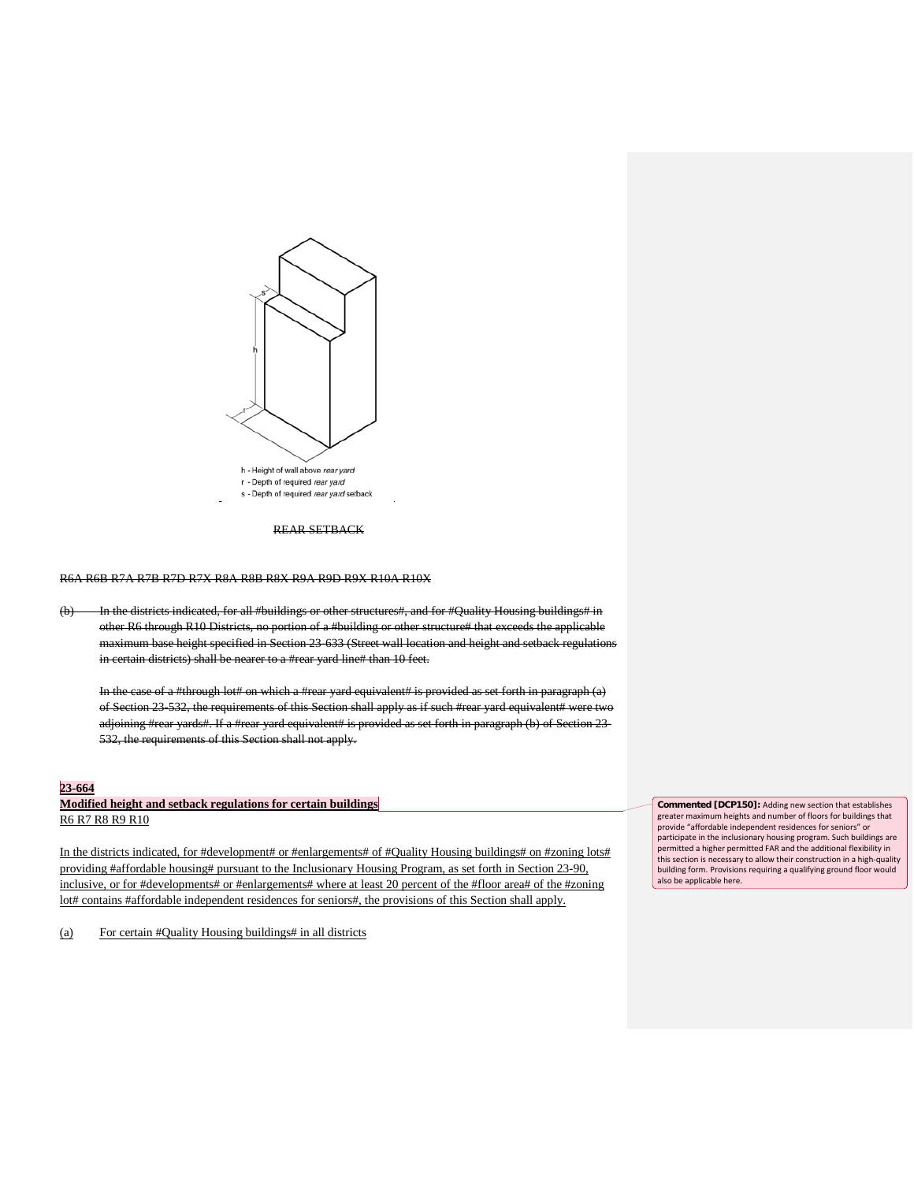

#### REAR SETBACK

R6A R6B R7A R7B R7D R7X R8A R8B R8X R9A R9D R9X R10A R10X

(b) In the districts indicated, for all #buildings or other structures#, and for #Quality Housing buildings# in other R6 through R10 Districts, no portion of a #building or other structure# that exceeds the applicable maximum base height specified in Section 23-633 (Street wall location and height and setback regulations in certain districts) shall be nearer to a #rear yard line# than 10 feet.

In the case of a #through lot# on which a #rear yard equivalent# is provided as set forth in paragraph  $(a)$ of Section 23-532, the requirements of this Section shall apply as if such #rear yard equivalent# were two adjoining #rear yards#. If a #rear yard equivalent# is provided as set forth in paragraph (b) of Section 23-532, the requirements of this Section shall not apply.

### **23-664**

## **Modified height and setback regulations for certain buildings** R6 R7 R8 R9 R10

In the districts indicated, for #development# or #enlargements# of #Quality Housing buildings# on #zoning lots# providing #affordable housing# pursuant to the Inclusionary Housing Program, as set forth in Section 23-90, inclusive, or for #developments# or #enlargements# where at least 20 percent of the #floor area# of the #zoning lot# contains #affordable independent residences for seniors#, the provisions of this Section shall apply.

(a) For certain #Quality Housing buildings# in all districts

**Commented [DCP150]:** Adding new section that establishes greater maximum heights and number of floors for buildings that provide "affordable independent residences for seniors" or participate in the inclusionary housing program. Such buildings are permitted a higher permitted FAR and the additional flexibility in this section is necessary to allow their construction in a high-quality building form. Provisions requiring a qualifying ground floor would also be applicable here.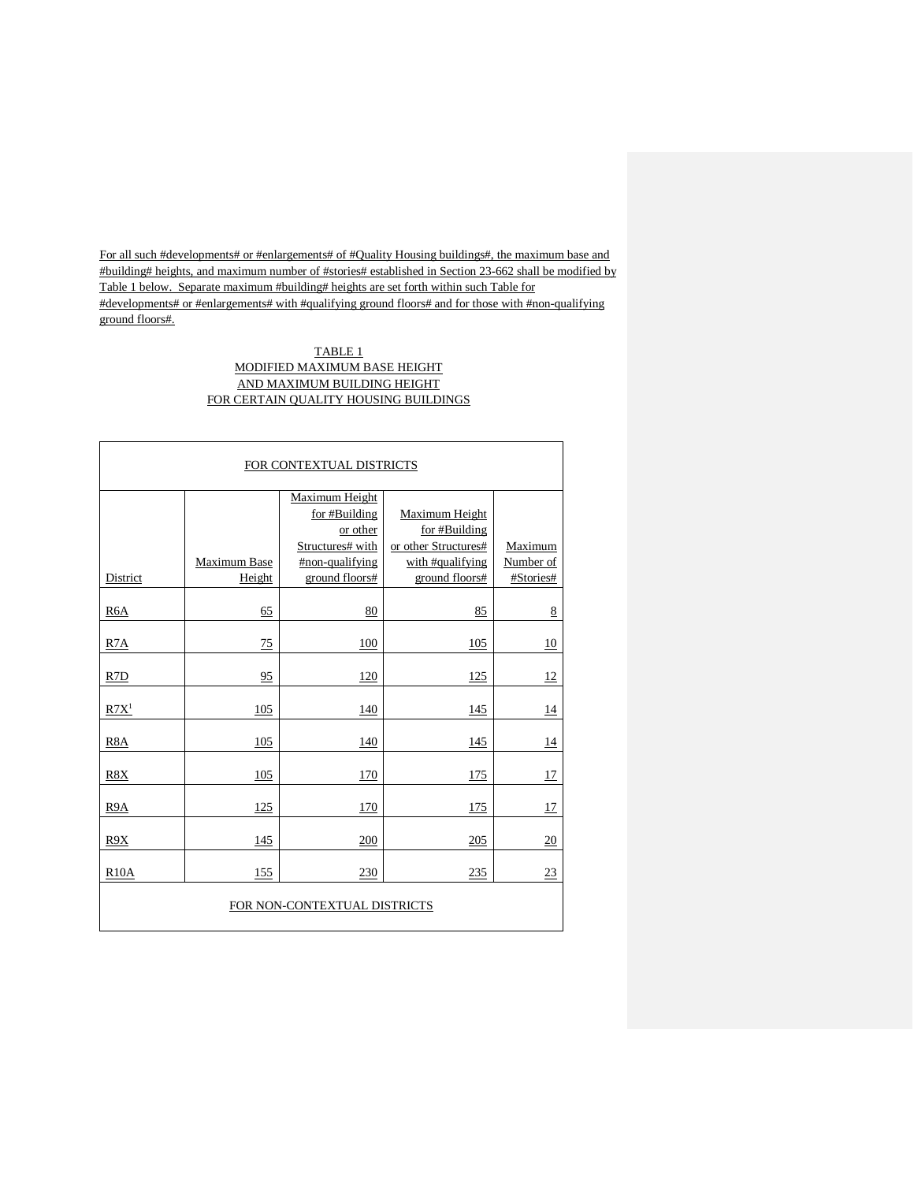For all such #developments# or #enlargements# of #Quality Housing buildings#, the maximum base and #building# heights, and maximum number of #stories# established in Section 23-662 shall be modified by Table 1 below. Separate maximum #building# heights are set forth within such Table for #developments# or #enlargements# with #qualifying ground floors# and for those with #non-qualifying ground floors#.

# TABLE 1 MODIFIED MAXIMUM BASE HEIGHT AND MAXIMUM BUILDING HEIGHT FOR CERTAIN QUALITY HOUSING BUILDINGS

|                              | FOR CONTEXTUAL DISTRICTS |                  |                      |           |  |  |  |  |  |
|------------------------------|--------------------------|------------------|----------------------|-----------|--|--|--|--|--|
|                              | Maximum Height           |                  |                      |           |  |  |  |  |  |
|                              |                          | for #Building    | Maximum Height       |           |  |  |  |  |  |
|                              |                          | or other         | for #Building        |           |  |  |  |  |  |
|                              |                          | Structures# with | or other Structures# | Maximum   |  |  |  |  |  |
|                              | Maximum Base             | #non-qualifying  | with #qualifying     | Number of |  |  |  |  |  |
| District                     | Height                   | ground floors#   | ground floors#       | #Stories# |  |  |  |  |  |
| R <sub>6</sub> A             | 65                       | 80               | 85                   | 8         |  |  |  |  |  |
|                              |                          |                  |                      |           |  |  |  |  |  |
| R <sub>7</sub> A             | 75                       | 100              | 105                  | 10        |  |  |  |  |  |
| R <sub>7</sub> D             | 95                       | 120              | 125                  | 12        |  |  |  |  |  |
| R7X <sup>1</sup>             | 105                      | 140              | 145                  | 14        |  |  |  |  |  |
| R <sub>8</sub> A             | 105                      | 140              | 145                  | 14        |  |  |  |  |  |
| R8X                          | 105                      | 170              | 175                  | 17        |  |  |  |  |  |
| R9A                          | 125                      | 170              | 175                  | 17        |  |  |  |  |  |
| R9X                          | 145                      | 200              | 205                  | 20        |  |  |  |  |  |
| R10A                         | 155                      | 230              | 235                  | 23        |  |  |  |  |  |
| FOR NON-CONTEXTUAL DISTRICTS |                          |                  |                      |           |  |  |  |  |  |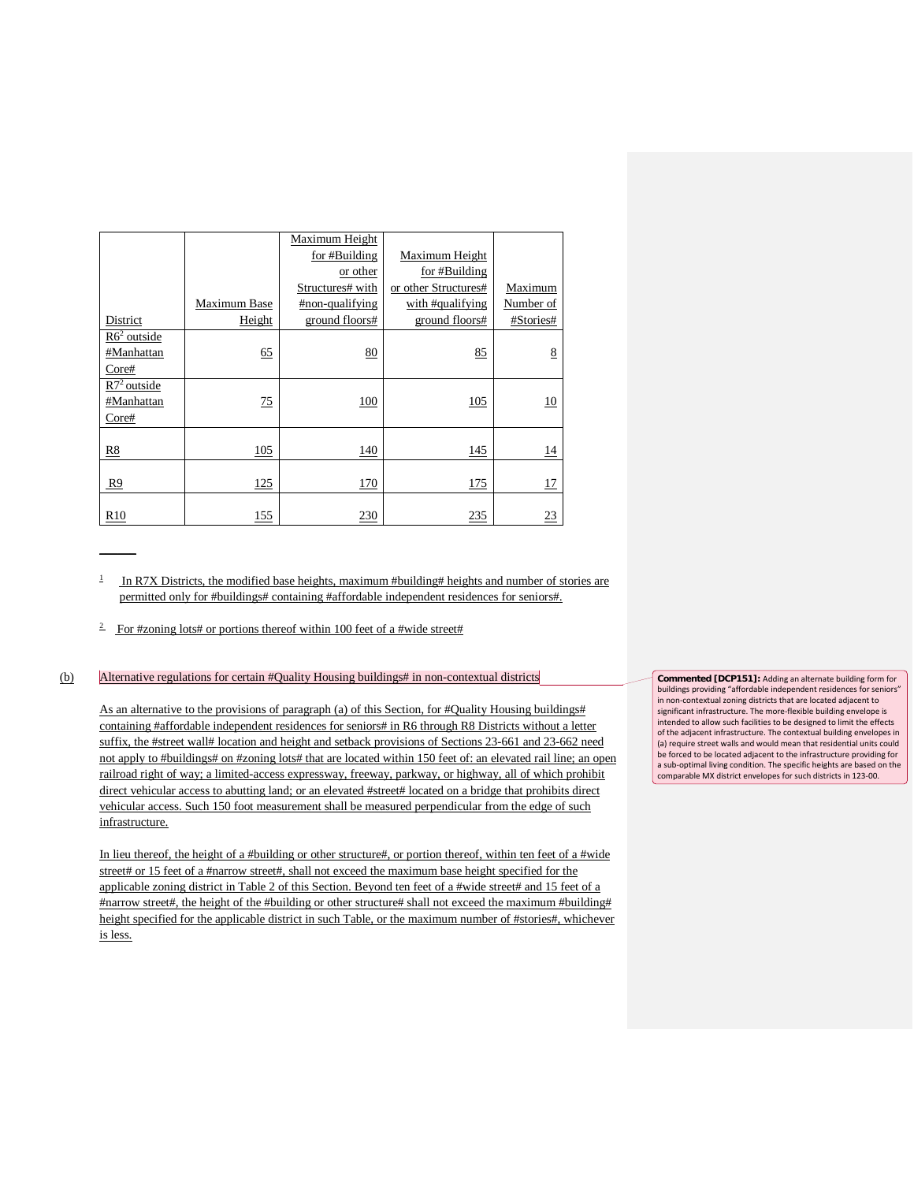|                 |              | Maximum Height   |                      |                 |
|-----------------|--------------|------------------|----------------------|-----------------|
|                 |              | for #Building    | Maximum Height       |                 |
|                 |              | or other         | for #Building        |                 |
|                 |              | Structures# with | or other Structures# | Maximum         |
|                 | Maximum Base | #non-qualifying  | with #qualifying     | Number of       |
| District        | Height       | ground floors#   | ground floors#       | #Stories#       |
| $R62$ outside   |              |                  |                      |                 |
| #Manhattan      | 65           | 80               | 85                   | 8               |
| Core#           |              |                  |                      |                 |
| $R72$ outside   |              |                  |                      |                 |
| #Manhattan      | 75           | 100              | 105                  | 10              |
| Core#           |              |                  |                      |                 |
|                 |              |                  |                      |                 |
| R8              | 105          | 140              | 145                  | $\overline{14}$ |
|                 |              |                  |                      |                 |
| R <sub>9</sub>  | 125          | 170              | 175                  | 17              |
|                 |              |                  |                      |                 |
| R <sub>10</sub> | 155          | 230              | 235                  | 23              |

1 In R7X Districts, the modified base heights, maximum #building# heights and number of stories are permitted only for #buildings# containing #affordable independent residences for seniors#.

<sup>2</sup> For #zoning lots# or portions thereof within 100 feet of a #wide street#

 $\overline{\phantom{a}}$ 

#### (b) Alternative regulations for certain #Quality Housing buildings# in non-contextual districts

As an alternative to the provisions of paragraph (a) of this Section, for #Quality Housing buildings# containing #affordable independent residences for seniors# in R6 through R8 Districts without a letter suffix, the #street wall# location and height and setback provisions of Sections 23-661 and 23-662 need not apply to #buildings# on #zoning lots# that are located within 150 feet of: an elevated rail line; an open railroad right of way; a limited-access expressway, freeway, parkway, or highway, all of which prohibit direct vehicular access to abutting land; or an elevated #street# located on a bridge that prohibits direct vehicular access. Such 150 foot measurement shall be measured perpendicular from the edge of such infrastructure.

In lieu thereof, the height of a #building or other structure#, or portion thereof, within ten feet of a #wide street# or 15 feet of a #narrow street#, shall not exceed the maximum base height specified for the applicable zoning district in Table 2 of this Section. Beyond ten feet of a #wide street# and 15 feet of a #narrow street#, the height of the #building or other structure# shall not exceed the maximum #building# height specified for the applicable district in such Table, or the maximum number of #stories#, whichever is less.

**Commented [DCP151]:** Adding an alternate building form for buildings providing "affordable independent residences for seniors" in non-contextual zoning districts that are located adjacent to significant infrastructure. The more-flexible building envelope is intended to allow such facilities to be designed to limit the effects of the adjacent infrastructure. The contextual building envelopes in (a) require street walls and would mean that residential units could be forced to be located adjacent to the infrastructure providing for a sub-optimal living condition. The specific heights are based on the comparable MX district envelopes for such districts in 123-00.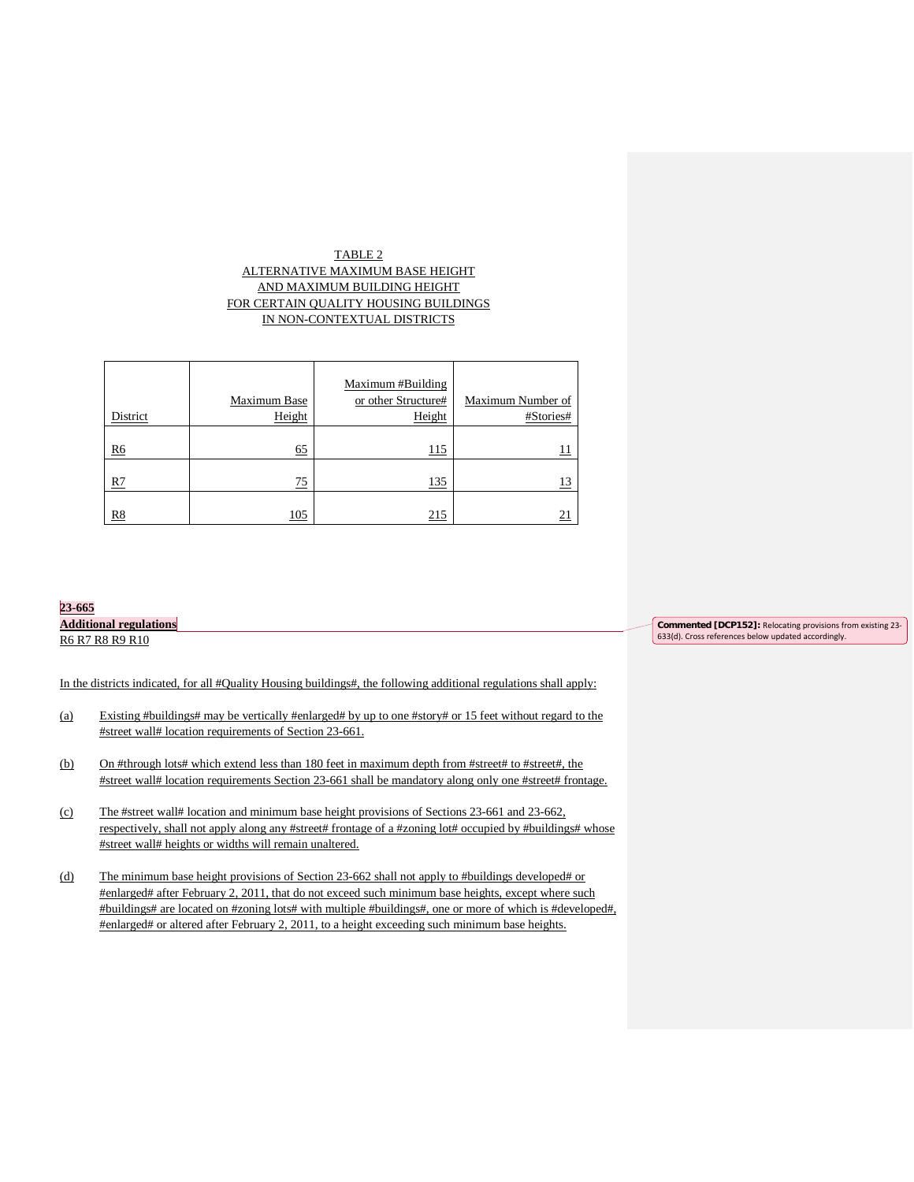# TABLE 2 ALTERNATIVE MAXIMUM BASE HEIGHT AND MAXIMUM BUILDING HEIGHT FOR CERTAIN QUALITY HOUSING BUILDINGS IN NON-CONTEXTUAL DISTRICTS

|          | Maximum Base | Maximum #Building<br>or other Structure# | Maximum Number of |
|----------|--------------|------------------------------------------|-------------------|
| District | Height       | Height                                   | #Stories#         |
| R6       | 65           | 115                                      | <u>11</u>         |
| R7       | 75           | 135                                      | <u>13</u>         |
| R8       | 105          | 215                                      | 21                |

# **23-665 Additional regulations** R6 R7 R8 R9 R10

In the districts indicated, for all #Quality Housing buildings#, the following additional regulations shall apply:

- (a) Existing #buildings# may be vertically #enlarged# by up to one #story# or 15 feet without regard to the #street wall# location requirements of Section 23-661.
- (b) On #through lots# which extend less than 180 feet in maximum depth from #street# to #street#, the #street wall# location requirements Section 23-661 shall be mandatory along only one #street# frontage.
- (c) The #street wall# location and minimum base height provisions of Sections 23-661 and 23-662, respectively, shall not apply along any #street# frontage of a #zoning lot# occupied by #buildings# whose #street wall# heights or widths will remain unaltered.
- (d) The minimum base height provisions of Section 23-662 shall not apply to #buildings developed# or #enlarged# after February 2, 2011, that do not exceed such minimum base heights, except where such #buildings# are located on #zoning lots# with multiple #buildings#, one or more of which is #developed#, #enlarged# or altered after February 2, 2011, to a height exceeding such minimum base heights.

**Commented [DCP152]:** Relocating provisions from existing 23- 633(d). Cross references below updated accordingly.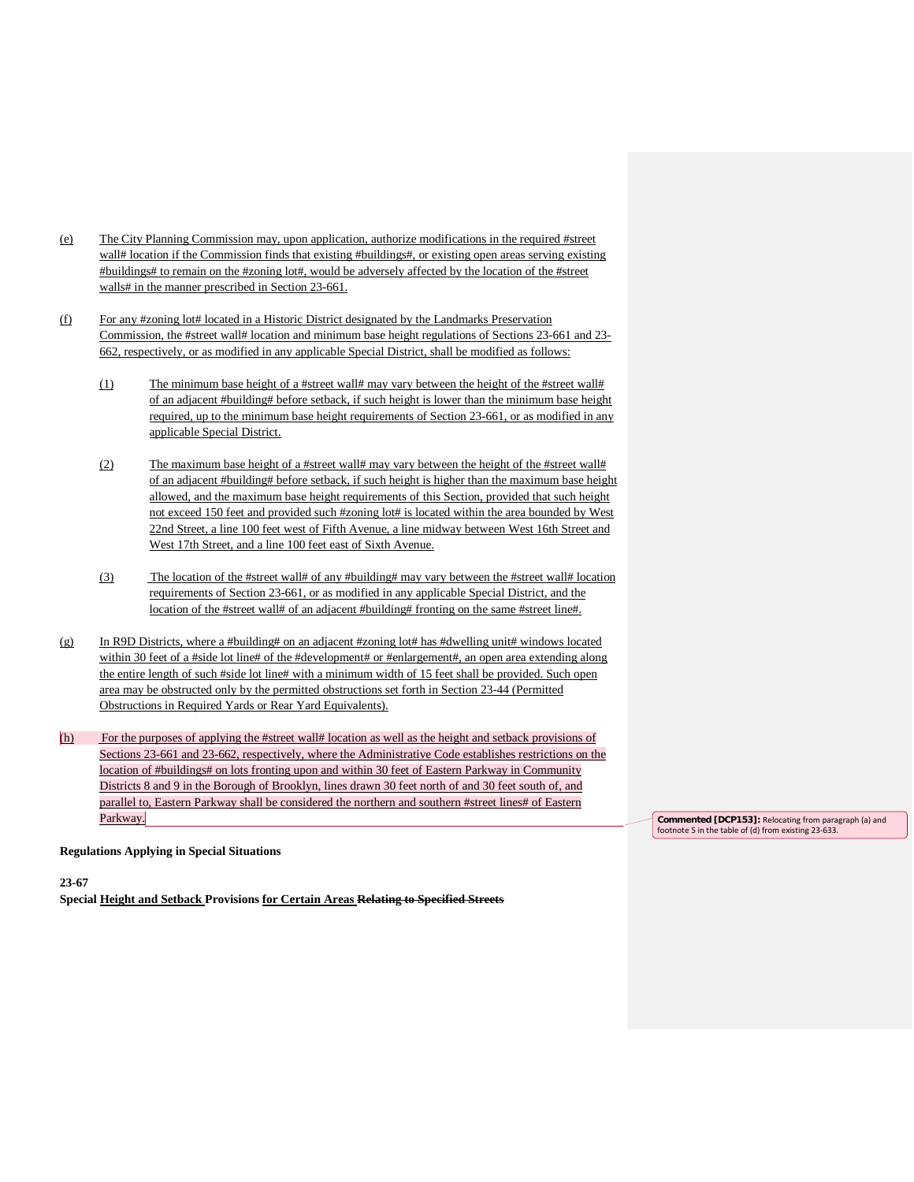- (e) The City Planning Commission may, upon application, authorize modifications in the required #street wall# location if the Commission finds that existing #buildings#, or existing open areas serving existing #buildings# to remain on the #zoning lot#, would be adversely affected by the location of the #street walls# in the manner prescribed in Section 23-661.
- (f) For any #zoning lot# located in a Historic District designated by the Landmarks Preservation Commission, the #street wall# location and minimum base height regulations of Sections 23-661 and 23- 662, respectively, or as modified in any applicable Special District, shall be modified as follows:
	- (1) The minimum base height of a #street wall# may vary between the height of the #street wall# of an adjacent #building# before setback, if such height is lower than the minimum base height required, up to the minimum base height requirements of Section 23-661, or as modified in any applicable Special District.
	- (2) The maximum base height of a #street wall# may vary between the height of the #street wall# of an adjacent #building# before setback, if such height is higher than the maximum base height allowed, and the maximum base height requirements of this Section, provided that such height not exceed 150 feet and provided such #zoning lot# is located within the area bounded by West 22nd Street, a line 100 feet west of Fifth Avenue, a line midway between West 16th Street and West 17th Street, and a line 100 feet east of Sixth Avenue.
	- (3) The location of the #street wall# of any #building# may vary between the #street wall# location requirements of Section 23-661, or as modified in any applicable Special District, and the location of the #street wall# of an adjacent #building# fronting on the same #street line#.
- $(g)$  In R9D Districts, where a #building# on an adjacent #zoning lot# has #dwelling unit# windows located within 30 feet of a #side lot line# of the #development# or #enlargement#, an open area extending along the entire length of such #side lot line# with a minimum width of 15 feet shall be provided. Such open area may be obstructed only by the permitted obstructions set forth in Section 23-44 (Permitted Obstructions in Required Yards or Rear Yard Equivalents).
- (h) For the purposes of applying the #street wall# location as well as the height and setback provisions of Sections 23-661 and 23-662, respectively, where the Administrative Code establishes restrictions on the location of #buildings# on lots fronting upon and within 30 feet of Eastern Parkway in Community Districts 8 and 9 in the Borough of Brooklyn, lines drawn 30 feet north of and 30 feet south of, and parallel to, Eastern Parkway shall be considered the northern and southern #street lines# of Eastern Parkway.

**Commented [DCP153]:** Relocating from paragraph (a) and footnote 5 in the table of (d) from existing 23-633.

**Regulations Applying in Special Situations**

**23-67** 

**Special Height and Setback Provisions for Certain Areas Relating to Specified Streets**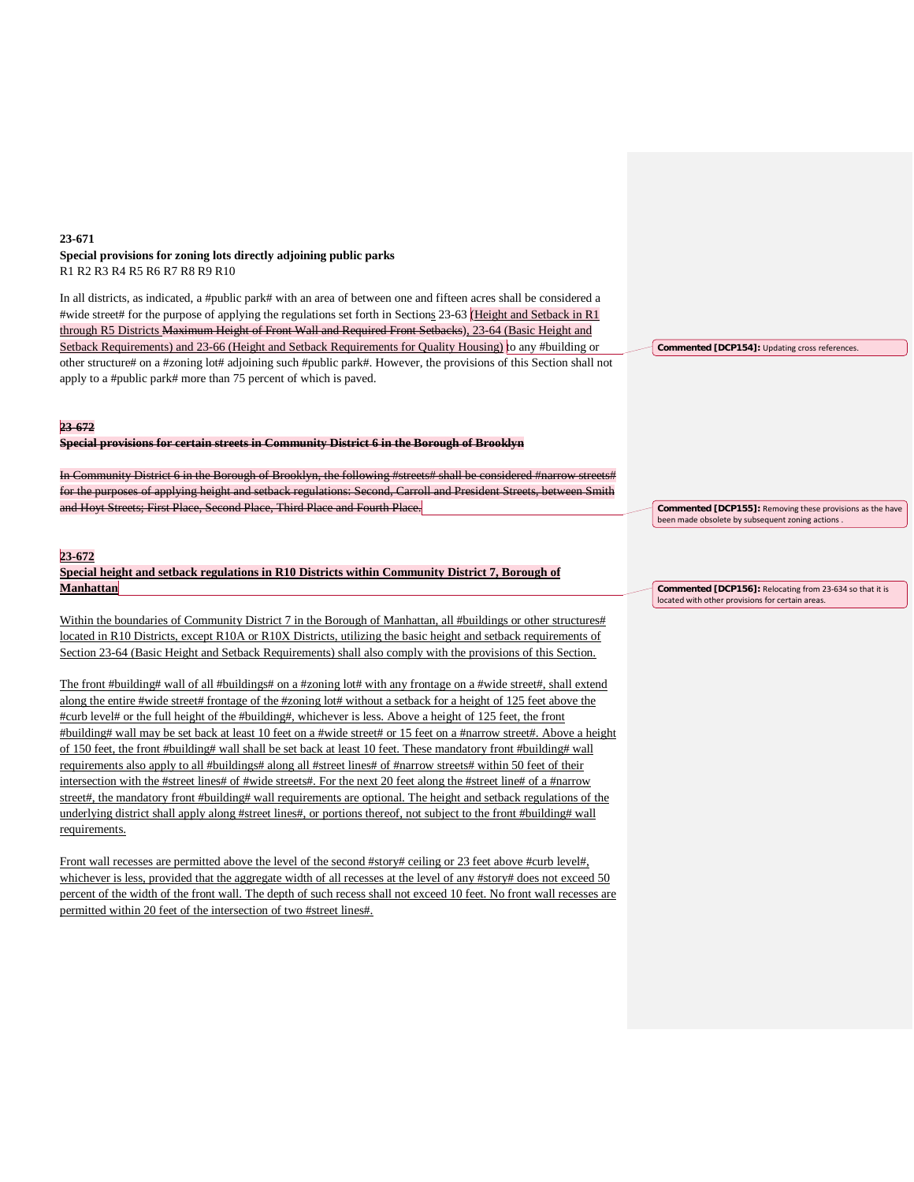# **23-671 Special provisions for zoning lots directly adjoining public parks** R1 R2 R3 R4 R5 R6 R7 R8 R9 R10

In all districts, as indicated, a #public park# with an area of between one and fifteen acres shall be considered a #wide street# for the purpose of applying the regulations set forth in Sections 23-63 (Height and Setback in R1 through R5 Districts Maximum Height of Front Wall and Required Front Setbacks), 23-64 (Basic Height and Setback Requirements) and 23-66 (Height and Setback Requirements for Quality Housing) to any #building or other structure# on a #zoning lot# adjoining such #public park#. However, the provisions of this Section shall not apply to a #public park# more than 75 percent of which is paved.

#### **23-672**

**Special provisions for certain streets in Community District 6 in the Borough of Brooklyn**

In Aries Community District 6 in the Borough of Brooklyn, the following #streets 6 in the Borough 5 for the purposes of applying height and setback regulations: Second, Carroll and President Streets, between Smith and Hoyt Streets; First Place, Second Place, Third Place and Fourth Place.

# **23-672**

**Special height and setback regulations in R10 Districts within Community District 7, Borough of Manhattan**

Within the boundaries of Community District 7 in the Borough of Manhattan, all #buildings or other structures# located in R10 Districts, except R10A or R10X Districts, utilizing the basic height and setback requirements of Section 23-64 (Basic Height and Setback Requirements) shall also comply with the provisions of this Section.

The front #building# wall of all #buildings# on a #zoning lot# with any frontage on a #wide street#, shall extend along the entire #wide street# frontage of the #zoning lot# without a setback for a height of 125 feet above the #curb level# or the full height of the #building#, whichever is less. Above a height of 125 feet, the front #building# wall may be set back at least 10 feet on a #wide street# or 15 feet on a #narrow street#. Above a height of 150 feet, the front #building# wall shall be set back at least 10 feet. These mandatory front #building# wall requirements also apply to all #buildings# along all #street lines# of #narrow streets# within 50 feet of their intersection with the #street lines# of #wide streets#. For the next 20 feet along the #street line# of a #narrow street#, the mandatory front #building# wall requirements are optional. The height and setback regulations of the underlying district shall apply along #street lines#, or portions thereof, not subject to the front #building# wall requirements.

Front wall recesses are permitted above the level of the second #story# ceiling or 23 feet above #curb level#, whichever is less, provided that the aggregate width of all recesses at the level of any #story# does not exceed 50 percent of the width of the front wall. The depth of such recess shall not exceed 10 feet. No front wall recesses are permitted within 20 feet of the intersection of two #street lines#.

**Commented [DCP155]:** Removing these provisions as the have been made obsolete by subsequent zoning actions .

**Commented [DCP154]:** Updating cross references.

**Commented [DCP156]:** Relocating from 23-634 so that it is located with other provisions for certain areas.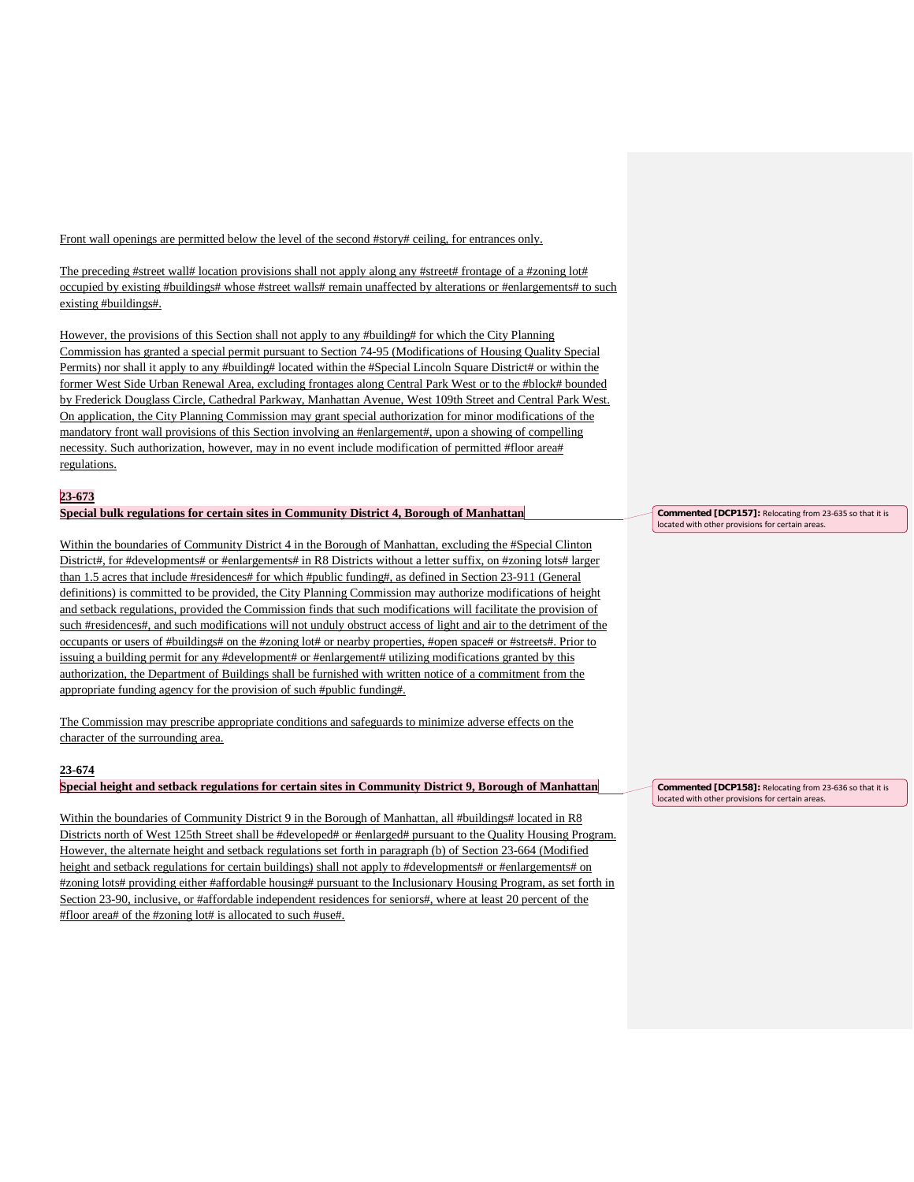Front wall openings are permitted below the level of the second #story# ceiling, for entrances only.

The preceding #street wall# location provisions shall not apply along any #street# frontage of a #zoning lot# occupied by existing #buildings# whose #street walls# remain unaffected by alterations or #enlargements# to such existing #buildings#.

However, the provisions of this Section shall not apply to any #building# for which the City Planning Commission has granted a special permit pursuant to Section 74-95 (Modifications of Housing Quality Special Permits) nor shall it apply to any #building# located within the #Special Lincoln Square District# or within the former West Side Urban Renewal Area, excluding frontages along Central Park West or to the #block# bounded by Frederick Douglass Circle, Cathedral Parkway, Manhattan Avenue, West 109th Street and Central Park West. On application, the City Planning Commission may grant special authorization for minor modifications of the mandatory front wall provisions of this Section involving an #enlargement#, upon a showing of compelling necessity. Such authorization, however, may in no event include modification of permitted #floor area# regulations.

# **23-673**

#### **Special bulk regulations for certain sites in Community District 4, Borough of Manhattan**

Within the boundaries of Community District 4 in the Borough of Manhattan, excluding the #Special Clinton District#, for #developments# or #enlargements# in R8 Districts without a letter suffix, on #zoning lots# larger than 1.5 acres that include #residences# for which #public funding#, as defined in Section 23-911 (General definitions) is committed to be provided, the City Planning Commission may authorize modifications of height and setback regulations, provided the Commission finds that such modifications will facilitate the provision of such #residences#, and such modifications will not unduly obstruct access of light and air to the detriment of the occupants or users of #buildings# on the #zoning lot# or nearby properties, #open space# or #streets#. Prior to issuing a building permit for any #development# or #enlargement# utilizing modifications granted by this authorization, the Department of Buildings shall be furnished with written notice of a commitment from the appropriate funding agency for the provision of such #public funding#.

The Commission may prescribe appropriate conditions and safeguards to minimize adverse effects on the character of the surrounding area.

# **23-674**

**Special height and setback regulations for certain sites in Community District 9, Borough of Manhattan**

Within the boundaries of Community District 9 in the Borough of Manhattan, all #buildings# located in R8 Districts north of West 125th Street shall be #developed# or #enlarged# pursuant to the Quality Housing Program. However, the alternate height and setback regulations set forth in paragraph (b) of Section 23-664 (Modified height and setback regulations for certain buildings) shall not apply to #developments# or #enlargements# on #zoning lots# providing either #affordable housing# pursuant to the Inclusionary Housing Program, as set forth in Section 23-90, inclusive, or #affordable independent residences for seniors#, where at least 20 percent of the #floor area# of the #zoning lot# is allocated to such #use#.

**Commented [DCP157]:** Relocating from 23-635 so that it is located with other provisions for certain areas.

**Commented [DCP158]:** Relocating from 23-636 so that it is located with other provisions for certain areas.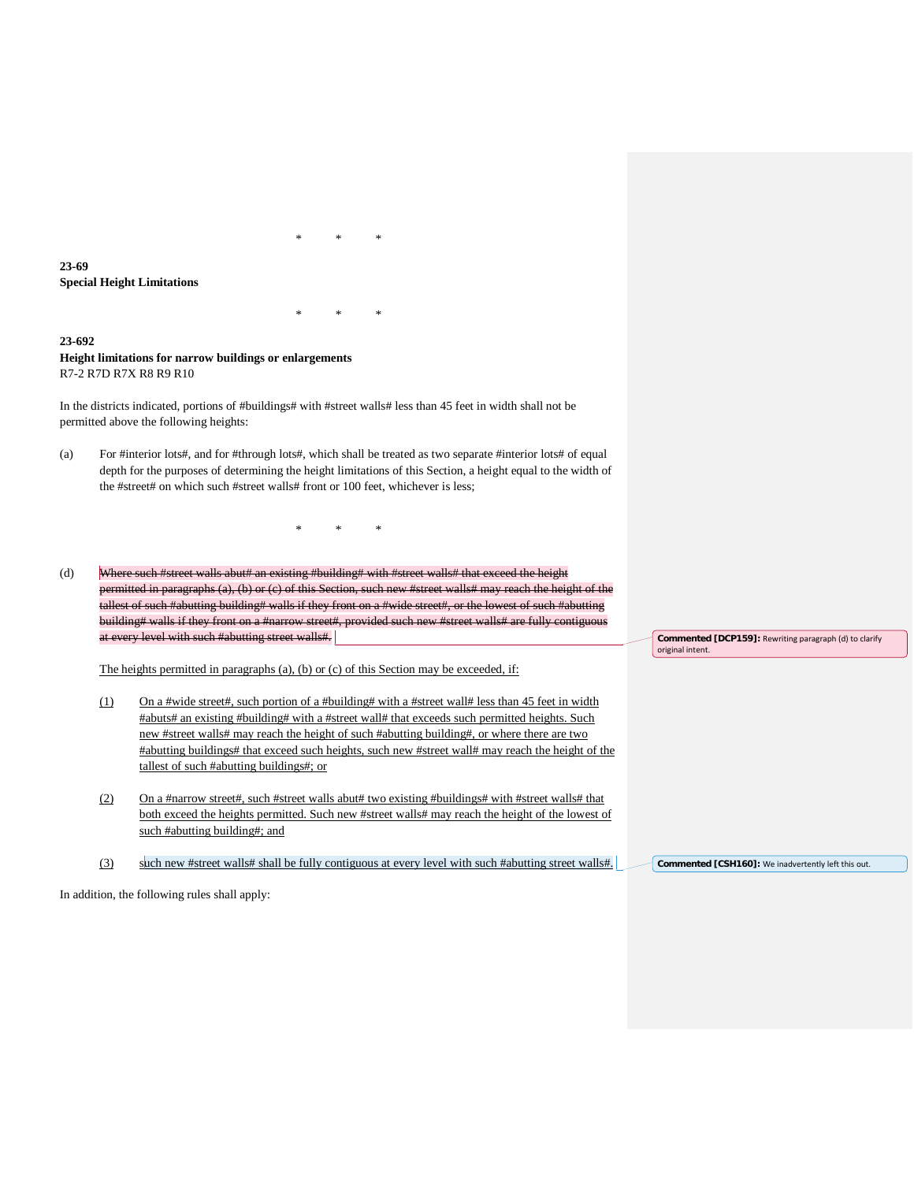**23-69 Special Height Limitations**

## **23-692 Height limitations for narrow buildings or enlargements** R7-2 R7D R7X R8 R9 R10

In the districts indicated, portions of #buildings# with #street walls# less than 45 feet in width shall not be permitted above the following heights:

(a) For #interior lots#, and for #through lots#, which shall be treated as two separate #interior lots# of equal depth for the purposes of determining the height limitations of this Section, a height equal to the width of the #street# on which such #street walls# front or 100 feet, whichever is less;

\* \* \*

\* \* \*

\* \* \*

(d) Where such #street walls abut# an existing #building# with #street walls# that exceed the height permitted in paragraphs (a), (b) or (c) of this Section, such new #street walls# may reach the height of the tallest of such #abutting building# walls if they front on a #wide street#, or the lowest of such #abutting building# walls if they front on a #narrow street#, provided such new #street walls# are fully contiguous at every level with such #abutting street walls#.

The heights permitted in paragraphs (a), (b) or (c) of this Section may be exceeded, if:

- (1) On a #wide street#, such portion of a #building# with a #street wall# less than 45 feet in width #abuts# an existing #building# with a #street wall# that exceeds such permitted heights. Such new #street walls# may reach the height of such #abutting building#, or where there are two #abutting buildings# that exceed such heights, such new #street wall# may reach the height of the tallest of such #abutting buildings#; or
- (2) On a #narrow street#, such #street walls abut# two existing #buildings# with #street walls# that both exceed the heights permitted. Such new #street walls# may reach the height of the lowest of such #abutting building#; and
- (3) such new #street walls# shall be fully contiguous at every level with such #abutting street walls#.

**Commented [DCP159]:** Rewriting paragraph (d) to clarify original intent.

Commented [CSH160]: We inadvertently left this out.

In addition, the following rules shall apply: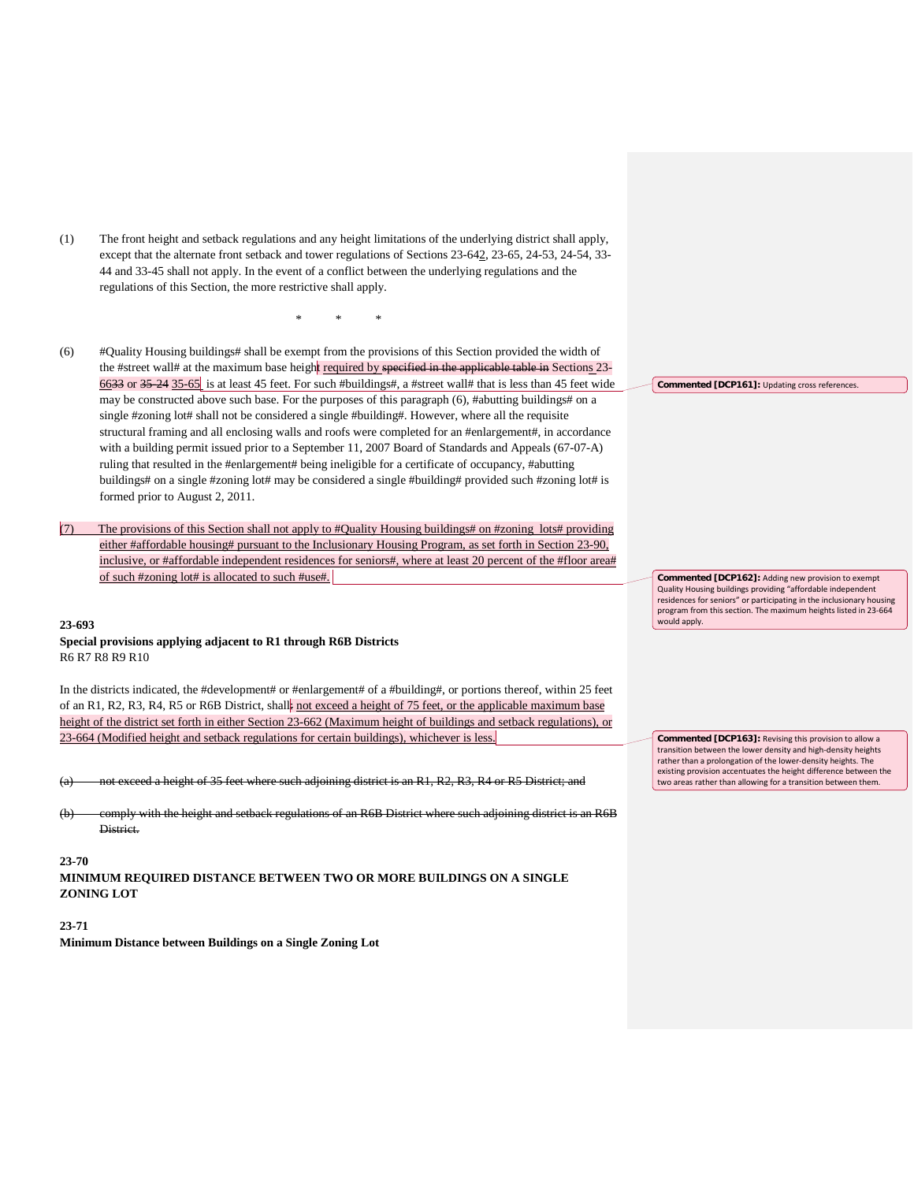(1) The front height and setback regulations and any height limitations of the underlying district shall apply, except that the alternate front setback and tower regulations of Sections 23-642, 23-65, 24-53, 24-54, 33- 44 and 33-45 shall not apply. In the event of a conflict between the underlying regulations and the regulations of this Section, the more restrictive shall apply.

\* \* \*

- (6) #Quality Housing buildings# shall be exempt from the provisions of this Section provided the width of the #street wall# at the maximum base height required by specified in the applicable table in Sections 23-6633 or 35-24 35-65 is at least 45 feet. For such #buildings#, a #street wall# that is less than 45 feet wide may be constructed above such base. For the purposes of this paragraph (6), #abutting buildings# on a single #zoning lot# shall not be considered a single #building#. However, where all the requisite structural framing and all enclosing walls and roofs were completed for an #enlargement#, in accordance with a building permit issued prior to a September 11, 2007 Board of Standards and Appeals (67-07-A) ruling that resulted in the #enlargement# being ineligible for a certificate of occupancy, #abutting buildings# on a single #zoning lot# may be considered a single #building# provided such #zoning lot# is formed prior to August 2, 2011.
- (7) The provisions of this Section shall not apply to #Quality Housing buildings# on #zoning lots# providing either #affordable housing# pursuant to the Inclusionary Housing Program, as set forth in Section 23-90, inclusive, or #affordable independent residences for seniors#, where at least 20 percent of the #floor area# of such #zoning lot# is allocated to such #use#.

#### **23-693**

**Special provisions applying adjacent to R1 through R6B Districts** R6 R7 R8 R9 R10

In the districts indicated, the #development# or #enlargement# of a #building#, or portions thereof, within 25 feet of an R1, R2, R3, R4, R5 or R6B District, shall not exceed a height of 75 feet, or the applicable maximum base height of the district set forth in either Section 23-662 (Maximum height of buildings and setback regulations), or 23-664 (Modified height and setback regulations for certain buildings), whichever is less.

exceed a height of 35 feet where such adjoining district is an R1, R2, R3, R4 or R5 District; and

(b) comply with the height and setback regulations of an R6B District where such adjoining district is an R6B District.

### **23-70**

**MINIMUM REQUIRED DISTANCE BETWEEN TWO OR MORE BUILDINGS ON A SINGLE ZONING LOT**

#### **23-71**

**Minimum Distance between Buildings on a Single Zoning Lot**

**Commented [DCP161]:** Updating cross references.

**Commented [DCP162]:** Adding new provision to exempt Quality Housing buildings providing "affordable independent residences for seniors" or participating in the inclusionary housing program from this section. The maximum heights listed in 23-664 would apply.

**Commented [DCP163]:** Revising this provision to allow a transition between the lower density and high-density heights rather than a prolongation of the lower-density heights. The existing provision accentuates the height difference between the two areas rather than allowing for a transition between them.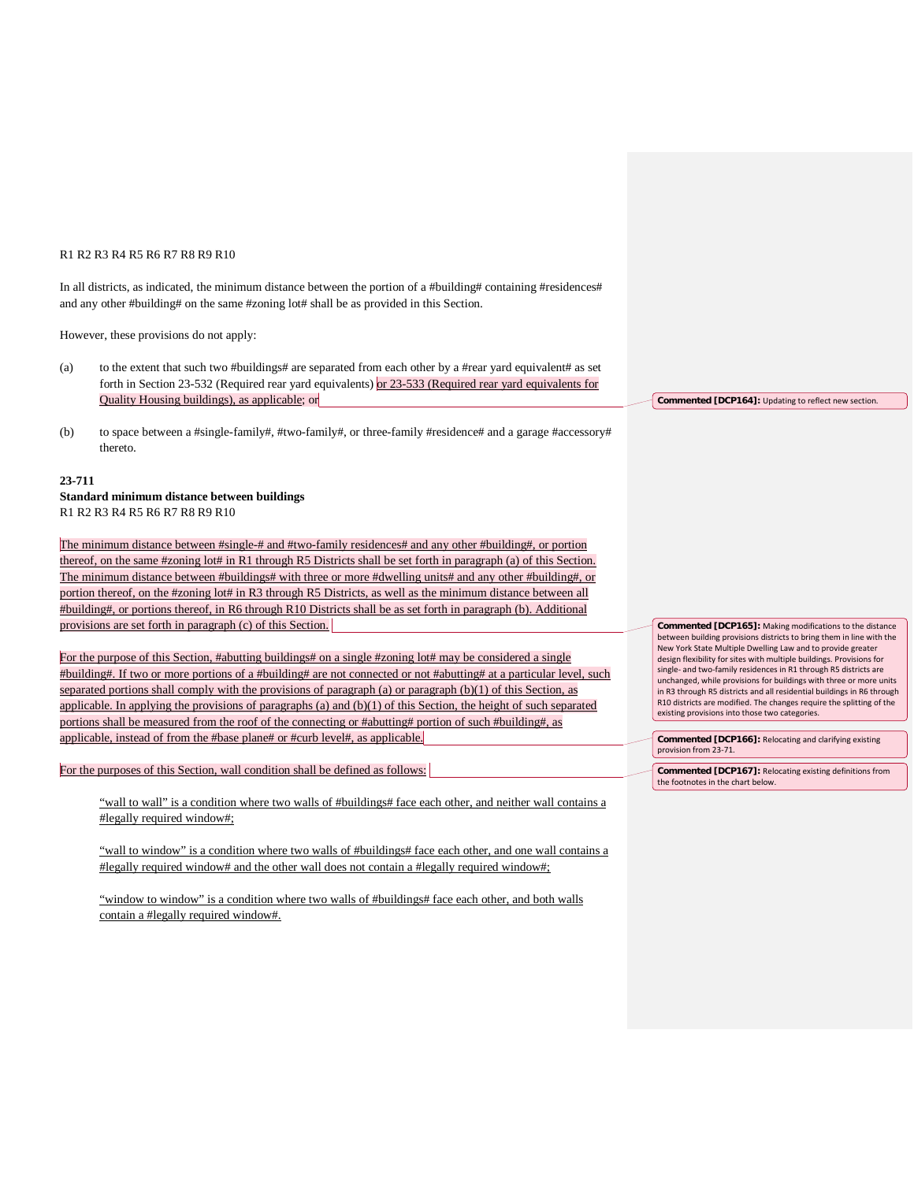#### R1 R2 R3 R4 R5 R6 R7 R8 R9 R10

In all districts, as indicated, the minimum distance between the portion of a #building# containing #residences# and any other #building# on the same #zoning lot# shall be as provided in this Section.

However, these provisions do not apply:

- (a) to the extent that such two #buildings# are separated from each other by a #rear yard equivalent# as set forth in Section 23-532 (Required rear yard equivalents) or 23-533 (Required rear yard equivalents for Quality Housing buildings), as applicable; or
- (b) to space between a #single-family#, #two-family#, or three-family #residence# and a garage #accessory# thereto.

#### **23-711**

**Standard minimum distance between buildings**  R1 R2 R3 R4 R5 R6 R7 R8 R9 R10

The minimum distance between #single-# and #two-family residences# and any other #building#, or portion thereof, on the same #zoning lot# in R1 through R5 Districts shall be set forth in paragraph (a) of this Section. The minimum distance between #buildings# with three or more #dwelling units# and any other #building#, or portion thereof, on the #zoning lot# in R3 through R5 Districts, as well as the minimum distance between all #building#, or portions thereof, in R6 through R10 Districts shall be as set forth in paragraph (b). Additional provisions are set forth in paragraph (c) of this Section.

For the purpose of this Section, #abutting buildings# on a single #zoning lot# may be considered a single #building#. If two or more portions of a #building# are not connected or not #abutting# at a particular level, such separated portions shall comply with the provisions of paragraph (a) or paragraph (b)(1) of this Section, as applicable. In applying the provisions of paragraphs  $(a)$  and  $(b)(1)$  of this Section, the height of such separated portions shall be measured from the roof of the connecting or #abutting# portion of such #building#, as applicable, instead of from the #base plane# or #curb level#, as applicable.

For the purposes of this Section, wall condition shall be defined as follows:

"wall to wall" is a condition where two walls of #buildings# face each other, and neither wall contains a #legally required window#;

"wall to window" is a condition where two walls of #buildings# face each other, and one wall contains a #legally required window# and the other wall does not contain a #legally required window#;

"window to window" is a condition where two walls of #buildings# face each other, and both walls contain a #legally required window#.

**Commented [DCP164]:** Updating to reflect new section.

**Commented [DCP165]:** Making modifications to the distance between building provisions districts to bring them in line with the New York State Multiple Dwelling Law and to provide greater design flexibility for sites with multiple buildings. Provisions for single- and two-family residences in R1 through R5 districts are unchanged, while provisions for buildings with three or more units in R3 through R5 districts and all residential buildings in R6 through R10 districts are modified. The changes require the splitting of the existing provisions into those two categories.

**Commented [DCP166]:** Relocating and clarifying existing provision from 23-71.

**Commented [DCP167]:** Relocating existing definitions from the footnotes in the chart below.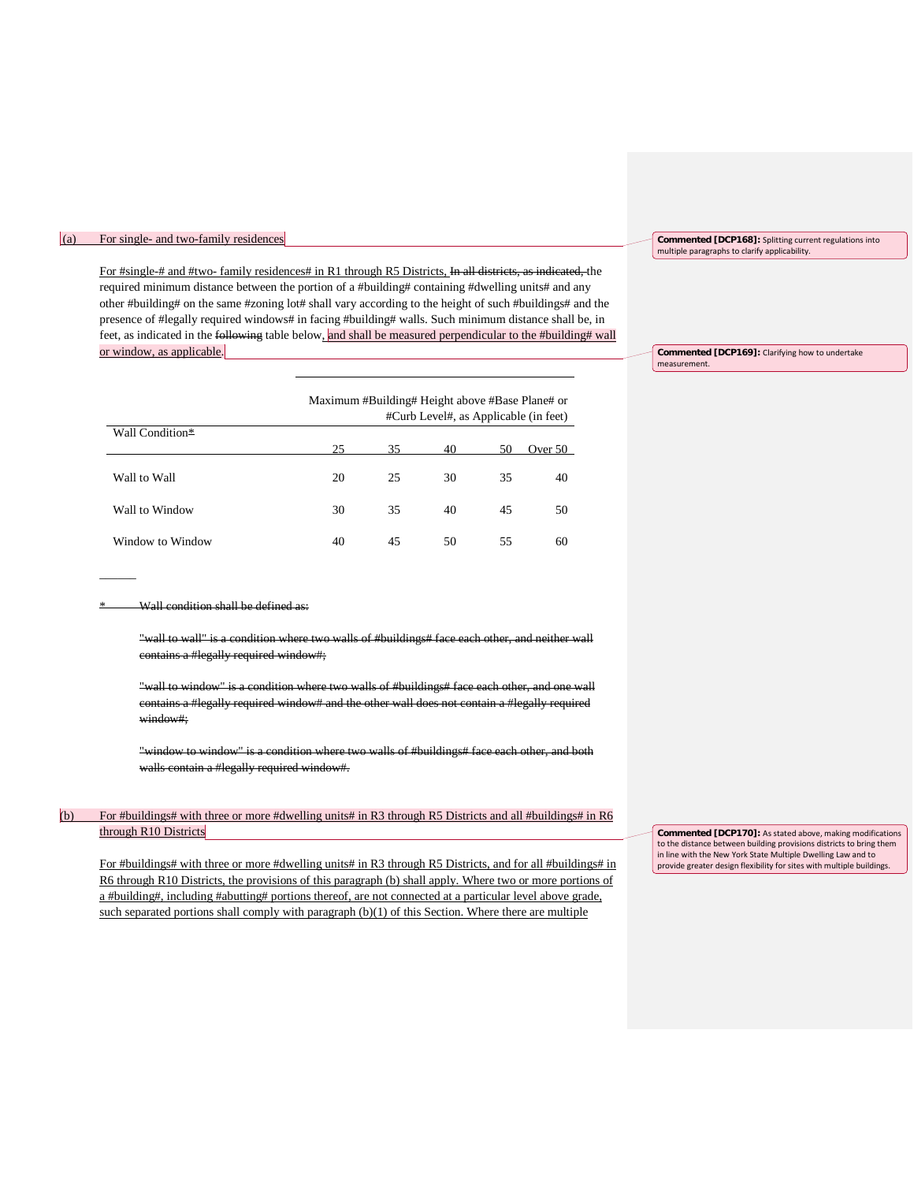### (a) For single- and two-family residences

For #single-# and #two- family residences# in R1 through R5 Districts, In all districts, as indicated, the required minimum distance between the portion of a #building# containing #dwelling units# and any other #building# on the same #zoning lot# shall vary according to the height of such #buildings# and the presence of #legally required windows# in facing #building# walls. Such minimum distance shall be, in feet, as indicated in the following table below, and shall be measured perpendicular to the #building# wall or window, as applicable.

|                  | Maximum #Building# Height above #Base Plane# or<br>#Curb Level#, as Applicable (in feet) |                           |    |    |    |  |
|------------------|------------------------------------------------------------------------------------------|---------------------------|----|----|----|--|
| Wall Condition*  | 25                                                                                       | 35<br>40<br>50<br>Over 50 |    |    |    |  |
| Wall to Wall     | 20                                                                                       | 25                        | 30 | 35 | 40 |  |
| Wall to Window   | 30                                                                                       | 35                        | 40 | 45 | 50 |  |
| Window to Window | 40                                                                                       | 45                        | 50 | 55 | 60 |  |

Wall condition shall be defined as:

 $\overline{\phantom{a}}$ 

"wall to wall" is a condition where two walls of #buildings# face each other, and neither wall contains a #legally required window#;

"wall to window" is a condition where two walls of #buildings# face each other, and one wall contains a #legally required window# and the other wall does not contain a #legally required window#;

"window to window" is a condition where two walls of #buildings# face each other, and both walls contain a #legally required window#.

# (b) For #buildings# with three or more #dwelling units# in R3 through R5 Districts and all #buildings# in R6 through R10 Districts

For #buildings# with three or more #dwelling units# in R3 through R5 Districts, and for all #buildings# in R6 through R10 Districts, the provisions of this paragraph (b) shall apply. Where two or more portions of a #building#, including #abutting# portions thereof, are not connected at a particular level above grade, such separated portions shall comply with paragraph  $(b)(1)$  of this Section. Where there are multiple

**Commented [DCP168]:** Splitting current regulations into multiple paragraphs to clarify applicability.

**Commented [DCP169]:** Clarifying how to undertake measurement.

**Commented [DCP170]:** As stated above, making modifications to the distance between building provisions districts to bring them in line with the New York State Multiple Dwelling Law and to provide greater design flexibility for sites with multiple buildings.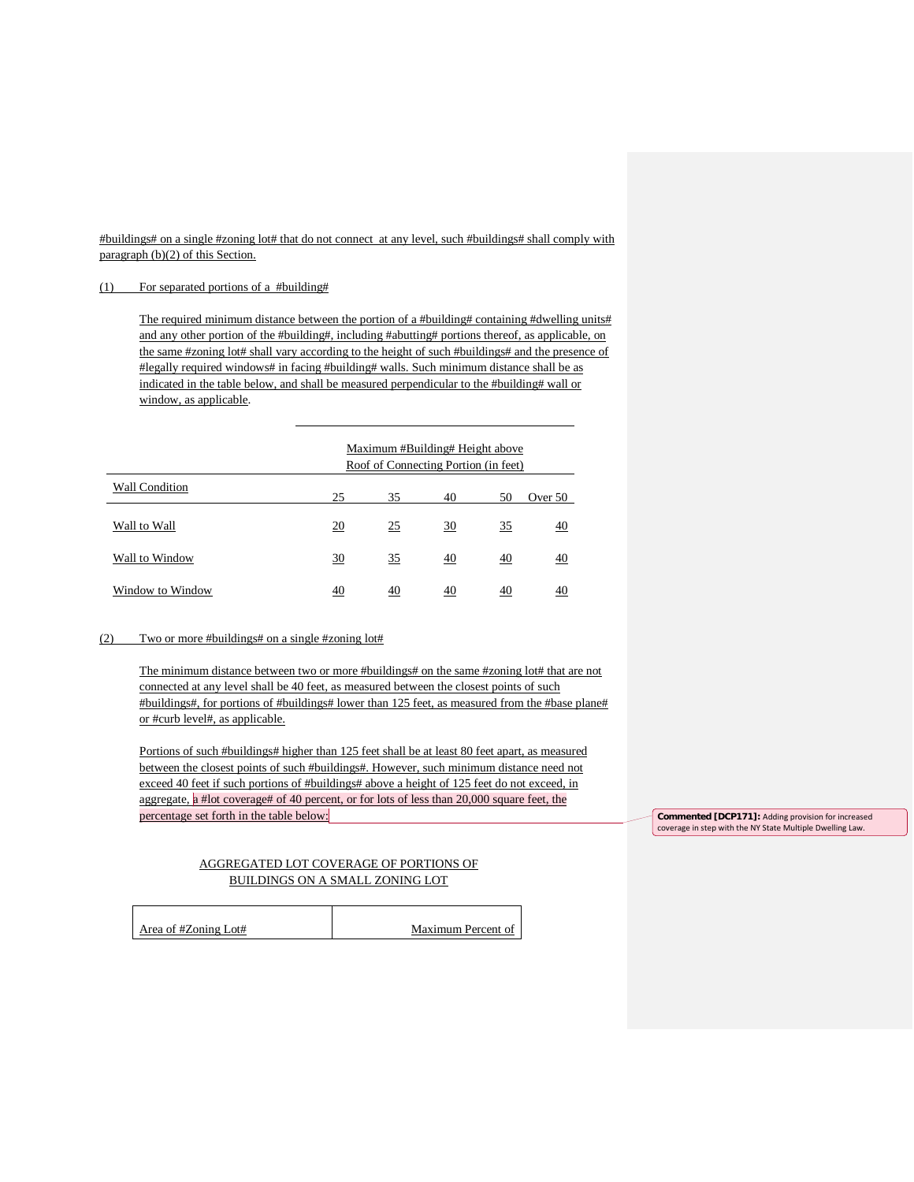#buildings# on a single #zoning lot# that do not connect at any level, such #buildings# shall comply with paragraph (b)(2) of this Section.

#### (1) For separated portions of a #building#

The required minimum distance between the portion of a #building# containing #dwelling units# and any other portion of the #building#, including #abutting# portions thereof, as applicable, on the same #zoning lot# shall vary according to the height of such #buildings# and the presence of #legally required windows# in facing #building# walls. Such minimum distance shall be as indicated in the table below, and shall be measured perpendicular to the #building# wall or window, as applicable.

|                  | Maximum #Building# Height above<br>Roof of Connecting Portion (in feet) |    |    |    |    |  |
|------------------|-------------------------------------------------------------------------|----|----|----|----|--|
| Wall Condition   | 25<br>35<br>40<br>50<br>Over 50                                         |    |    |    |    |  |
| Wall to Wall     | 20                                                                      | 25 | 30 | 35 | 40 |  |
| Wall to Window   | 30                                                                      | 35 | 40 | 40 | 40 |  |
| Window to Window | 40                                                                      | 40 | 40 | 40 | 40 |  |

# (2) Two or more #buildings# on a single #zoning lot#

The minimum distance between two or more #buildings# on the same #zoning lot# that are not connected at any level shall be 40 feet, as measured between the closest points of such #buildings#, for portions of #buildings# lower than 125 feet, as measured from the #base plane# or #curb level#, as applicable.

Portions of such #buildings# higher than 125 feet shall be at least 80 feet apart, as measured between the closest points of such #buildings#. However, such minimum distance need not exceed 40 feet if such portions of #buildings# above a height of 125 feet do not exceed, in aggregate, a #lot coverage# of 40 percent, or for lots of less than 20,000 square feet, the percentage set forth in the table below:

# AGGREGATED LOT COVERAGE OF PORTIONS OF BUILDINGS ON A SMALL ZONING LOT

| Area of #Zoning Lot# |  |
|----------------------|--|
|                      |  |

Maximum Percent of

**Commented [DCP171]:** Adding provision for increased coverage in step with the NY State Multiple Dwelling Law.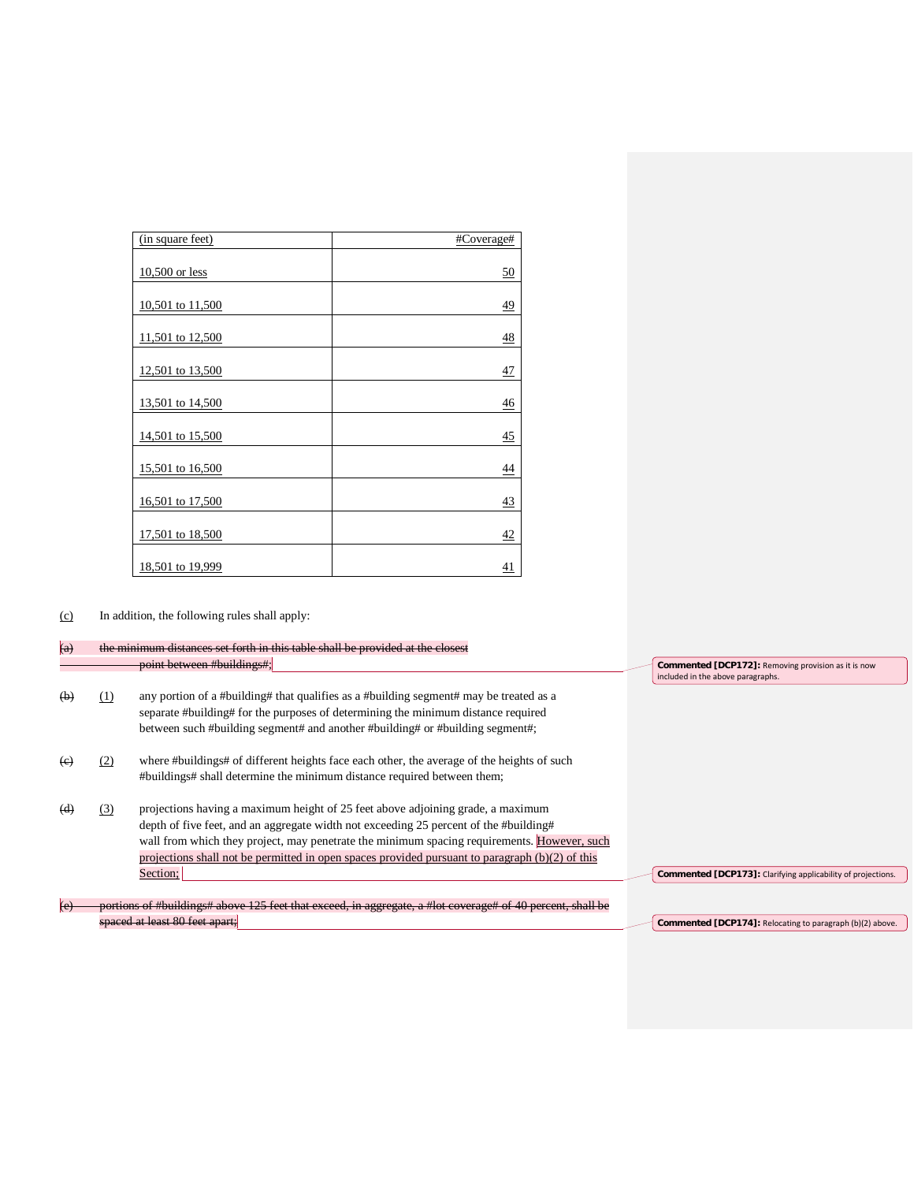| (in square feet) | #Coverage#      |
|------------------|-----------------|
|                  |                 |
| $10,500$ or less | <u>50</u>       |
|                  |                 |
| 10,501 to 11,500 | 49              |
|                  |                 |
| 11,501 to 12,500 | 48              |
|                  |                 |
| 12,501 to 13,500 | $\frac{47}{1}$  |
|                  |                 |
| 13,501 to 14,500 | $\frac{46}{5}$  |
|                  |                 |
| 14,501 to 15,500 | $\frac{45}{5}$  |
|                  |                 |
| 15,501 to 16,500 | $\overline{44}$ |
|                  |                 |
| 16,501 to 17,500 | 43              |
|                  |                 |
| 17,501 to 18,500 | 42              |
|                  |                 |
| 18,501 to 19,999 | 41              |

(c) In addition, the following rules shall apply:

| $\left( a\right)$ |     | the minimum distances set forth in this table shall be provided at the closest                                                                                                                                                                                                                                                                                                           |                                                                                          |
|-------------------|-----|------------------------------------------------------------------------------------------------------------------------------------------------------------------------------------------------------------------------------------------------------------------------------------------------------------------------------------------------------------------------------------------|------------------------------------------------------------------------------------------|
|                   |     | point between #buildings#;                                                                                                                                                                                                                                                                                                                                                               | Commented [DCP172]: Removing provision as it is now<br>included in the above paragraphs. |
| (b)               | (1) | any portion of a #building# that qualifies as a #building segment# may be treated as a<br>separate #building# for the purposes of determining the minimum distance required<br>between such #building segment# and another #building# or #building segment#;                                                                                                                             |                                                                                          |
| (e)               | (2) | where #buildings# of different heights face each other, the average of the heights of such<br>#buildings# shall determine the minimum distance required between them;                                                                                                                                                                                                                    |                                                                                          |
| (d)               | (3) | projections having a maximum height of 25 feet above adjoining grade, a maximum<br>depth of five feet, and an aggregate width not exceeding 25 percent of the #building#<br>wall from which they project, may penetrate the minimum spacing requirements. However, such<br>projections shall not be permitted in open spaces provided pursuant to paragraph $(b)(2)$ of this<br>Section: | Commented [DCP173]: Clarifying applicability of projections.                             |
| (e)               |     | portions of #buildings# above 125 feet that execed, in aggregate, a #lot eoverage# of 40 percent, shall be                                                                                                                                                                                                                                                                               |                                                                                          |
|                   |     | <del>spaced at least 80 feet apart;</del>                                                                                                                                                                                                                                                                                                                                                | Commented [DCP174]: Relocating to paragraph (b)(2) above.                                |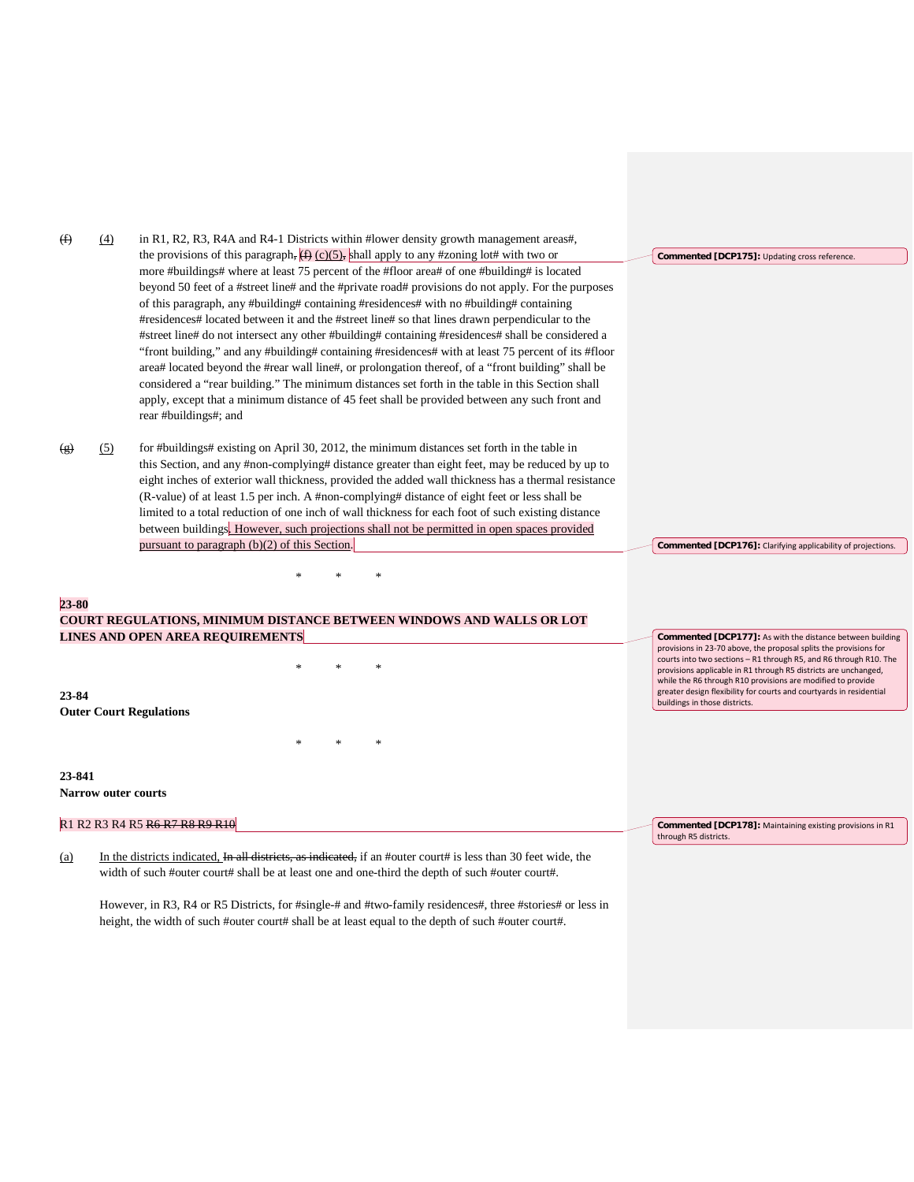| (f)     | (4) | in R1, R2, R3, R4A and R4-1 Districts within #lower density growth management areas#,                          |                                                                                                                                      |
|---------|-----|----------------------------------------------------------------------------------------------------------------|--------------------------------------------------------------------------------------------------------------------------------------|
|         |     | the provisions of this paragraph, $(f)$ (c)(5), shall apply to any #zoning lot# with two or                    | Commented [DCP175]: Updating cross reference.                                                                                        |
|         |     | more #buildings# where at least 75 percent of the #floor area# of one #building# is located                    |                                                                                                                                      |
|         |     | beyond 50 feet of a #street line# and the #private road# provisions do not apply. For the purposes             |                                                                                                                                      |
|         |     | of this paragraph, any #building# containing #residences# with no #building# containing                        |                                                                                                                                      |
|         |     | #residences# located between it and the #street line# so that lines drawn perpendicular to the                 |                                                                                                                                      |
|         |     | #street line# do not intersect any other #building# containing #residences# shall be considered a              |                                                                                                                                      |
|         |     | "front building," and any #building# containing #residences# with at least 75 percent of its #floor            |                                                                                                                                      |
|         |     | area# located beyond the #rear wall line#, or prolongation thereof, of a "front building" shall be             |                                                                                                                                      |
|         |     | considered a "rear building." The minimum distances set forth in the table in this Section shall               |                                                                                                                                      |
|         |     | apply, except that a minimum distance of 45 feet shall be provided between any such front and                  |                                                                                                                                      |
|         |     | rear #buildings#; and                                                                                          |                                                                                                                                      |
|         |     |                                                                                                                |                                                                                                                                      |
| $\circ$ | (5) | for #buildings# existing on April 30, 2012, the minimum distances set forth in the table in                    |                                                                                                                                      |
|         |     | this Section, and any #non-complying# distance greater than eight feet, may be reduced by up to                |                                                                                                                                      |
|         |     | eight inches of exterior wall thickness, provided the added wall thickness has a thermal resistance            |                                                                                                                                      |
|         |     | (R-value) of at least 1.5 per inch. A #non-complying# distance of eight feet or less shall be                  |                                                                                                                                      |
|         |     | limited to a total reduction of one inch of wall thickness for each foot of such existing distance             |                                                                                                                                      |
|         |     | between buildings. However, such projections shall not be permitted in open spaces provided                    |                                                                                                                                      |
|         |     | pursuant to paragraph $(b)(2)$ of this Section.                                                                | Commented [DCP176]: Clarifying applicability of projections.                                                                         |
|         |     |                                                                                                                |                                                                                                                                      |
|         |     |                                                                                                                |                                                                                                                                      |
| 23-80   |     |                                                                                                                |                                                                                                                                      |
|         |     | <b>COURT REGULATIONS, MINIMUM DISTANCE BETWEEN WINDOWS AND WALLS OR LOT</b>                                    |                                                                                                                                      |
|         |     | LINES AND OPEN AREA REQUIREMENTS                                                                               | <b>Commented [DCP177]:</b> As with the distance between building                                                                     |
|         |     |                                                                                                                | provisions in 23-70 above, the proposal splits the provisions for                                                                    |
|         |     |                                                                                                                | courts into two sections - R1 through R5, and R6 through R10. The<br>provisions applicable in R1 through R5 districts are unchanged, |
|         |     |                                                                                                                | while the R6 through R10 provisions are modified to provide                                                                          |
| 23-84   |     |                                                                                                                | greater design flexibility for courts and courtyards in residential<br>buildings in those districts.                                 |
|         |     | <b>Outer Court Regulations</b>                                                                                 |                                                                                                                                      |
|         |     |                                                                                                                |                                                                                                                                      |
|         |     |                                                                                                                |                                                                                                                                      |
|         |     |                                                                                                                |                                                                                                                                      |
| 23-841  |     |                                                                                                                |                                                                                                                                      |
|         |     | <b>Narrow outer courts</b>                                                                                     |                                                                                                                                      |
|         |     | R1 R2 R3 R4 R5 <del>R6 R7 R8 R9 R10</del>                                                                      | Commented [DCP178]: Maintaining existing provisions in R1                                                                            |
|         |     |                                                                                                                | through R5 districts.                                                                                                                |
| (a)     |     | In the districts indicated, In all districts, as indicated, if an #outer court# is less than 30 feet wide, the |                                                                                                                                      |
|         |     | width of such #outer court# shall be at least one and one-third the depth of such #outer court#.               |                                                                                                                                      |
|         |     |                                                                                                                |                                                                                                                                      |

However, in R3, R4 or R5 Districts, for #single-# and #two-family residences#, three #stories# or less in height, the width of such #outer court# shall be at least equal to the depth of such #outer court#.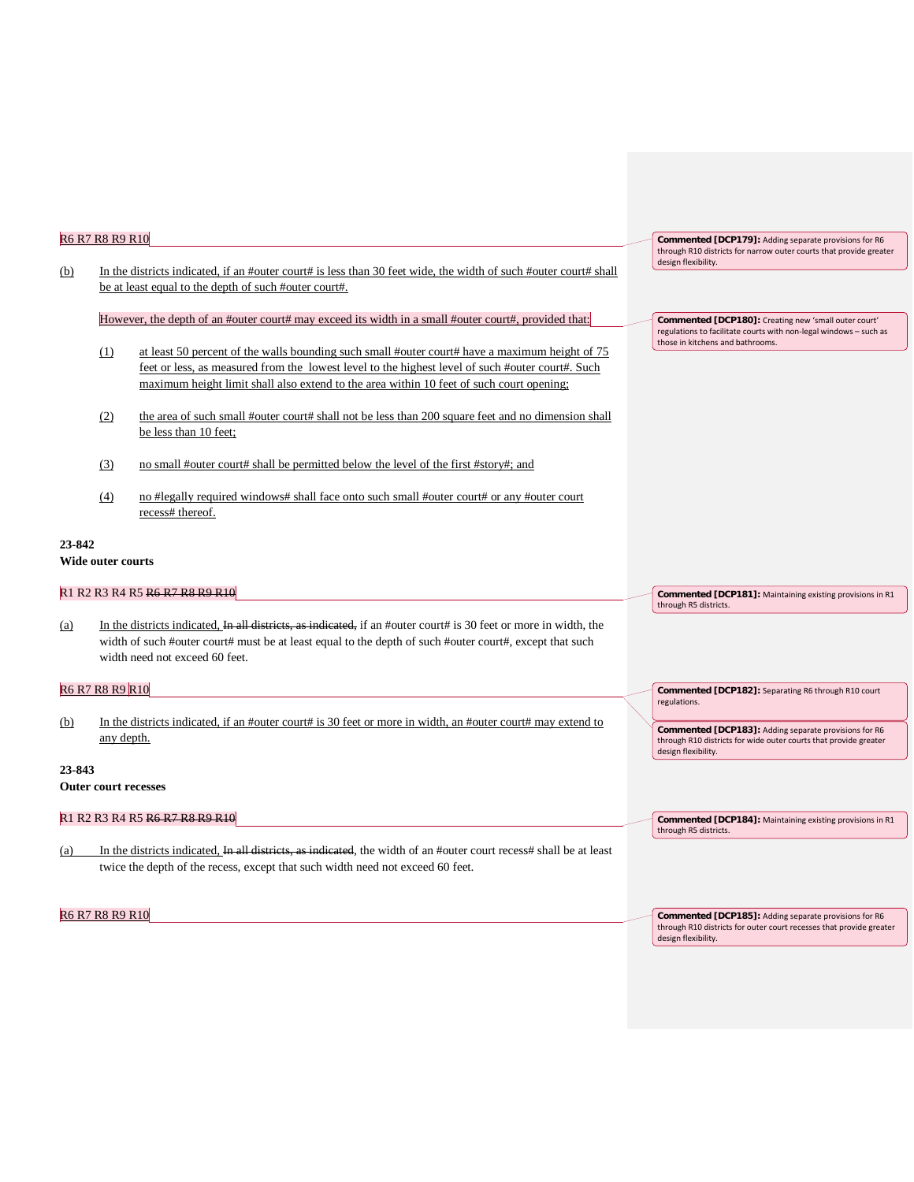| (b)        | R6 R7 R8 R9 R10          | In the districts indicated, if an #outer court# is less than 30 feet wide, the width of such #outer court# shall<br>be at least equal to the depth of such #outer court#.                                                                                                                      | Commented [DCP179]: Adding separate provisions for R6<br>through R10 districts for narrow outer courts that provide greater<br>design flexibility.               |
|------------|--------------------------|------------------------------------------------------------------------------------------------------------------------------------------------------------------------------------------------------------------------------------------------------------------------------------------------|------------------------------------------------------------------------------------------------------------------------------------------------------------------|
|            |                          | However, the depth of an #outer court# may exceed its width in a small #outer court#, provided that:                                                                                                                                                                                           | Commented [DCP180]: Creating new 'small outer court'<br>regulations to facilitate courts with non-legal windows - such as                                        |
|            | (1)                      | at least 50 percent of the walls bounding such small #outer court# have a maximum height of 75<br>feet or less, as measured from the lowest level to the highest level of such #outer court#. Such<br>maximum height limit shall also extend to the area within 10 feet of such court opening; | those in kitchens and bathrooms.                                                                                                                                 |
|            | (2)                      | the area of such small #outer court# shall not be less than 200 square feet and no dimension shall<br>be less than 10 feet;                                                                                                                                                                    |                                                                                                                                                                  |
|            | (3)                      | no small #outer court# shall be permitted below the level of the first #story#; and                                                                                                                                                                                                            |                                                                                                                                                                  |
|            | (4)                      | no #legally required windows# shall face onto such small #outer court# or any #outer court<br>recess# thereof.                                                                                                                                                                                 |                                                                                                                                                                  |
| 23-842     | <b>Wide outer courts</b> |                                                                                                                                                                                                                                                                                                |                                                                                                                                                                  |
|            |                          | R1 R2 R3 R4 R5 R6 R7 R8 R9 R10                                                                                                                                                                                                                                                                 | Commented [DCP181]: Maintaining existing provisions in R1<br>through R5 districts.                                                                               |
| <u>(a)</u> |                          | In the districts indicated, In all districts, as indicated, if an #outer court# is 30 feet or more in width, the<br>width of such #outer court# must be at least equal to the depth of such #outer court#, except that such<br>width need not exceed 60 feet.                                  |                                                                                                                                                                  |
|            | R6 R7 R8 R9 R10          |                                                                                                                                                                                                                                                                                                | Commented [DCP182]: Separating R6 through R10 court                                                                                                              |
| (b)        | any depth.               | In the districts indicated, if an #outer court# is 30 feet or more in width, an #outer court# may extend to                                                                                                                                                                                    | regulations.<br>Commented [DCP183]: Adding separate provisions for R6<br>through R10 districts for wide outer courts that provide greater<br>design flexibility. |
| 23-843     |                          | <b>Outer court recesses</b>                                                                                                                                                                                                                                                                    |                                                                                                                                                                  |
|            |                          | R <sub>1</sub> R <sub>2</sub> R <sub>3</sub> R <sub>4</sub> R <sub>5</sub> R <sub>6</sub> R <sub>7</sub> R <sub>8</sub> R <sub>9</sub> R <sub>10</sub>                                                                                                                                         | Commented [DCP184]: Maintaining existing provisions in R1<br>through R5 districts.                                                                               |
| (a)        |                          | In the districts indicated, In all districts, as indicated, the width of an #outer court recess# shall be at least<br>twice the depth of the recess, except that such width need not exceed 60 feet.                                                                                           |                                                                                                                                                                  |
|            | R6 R7 R8 R9 R10          |                                                                                                                                                                                                                                                                                                | Commented [DCP185]: Adding separate provisions for R6<br>through R10 districts for outer court recesses that provide greater<br>design flexibility.              |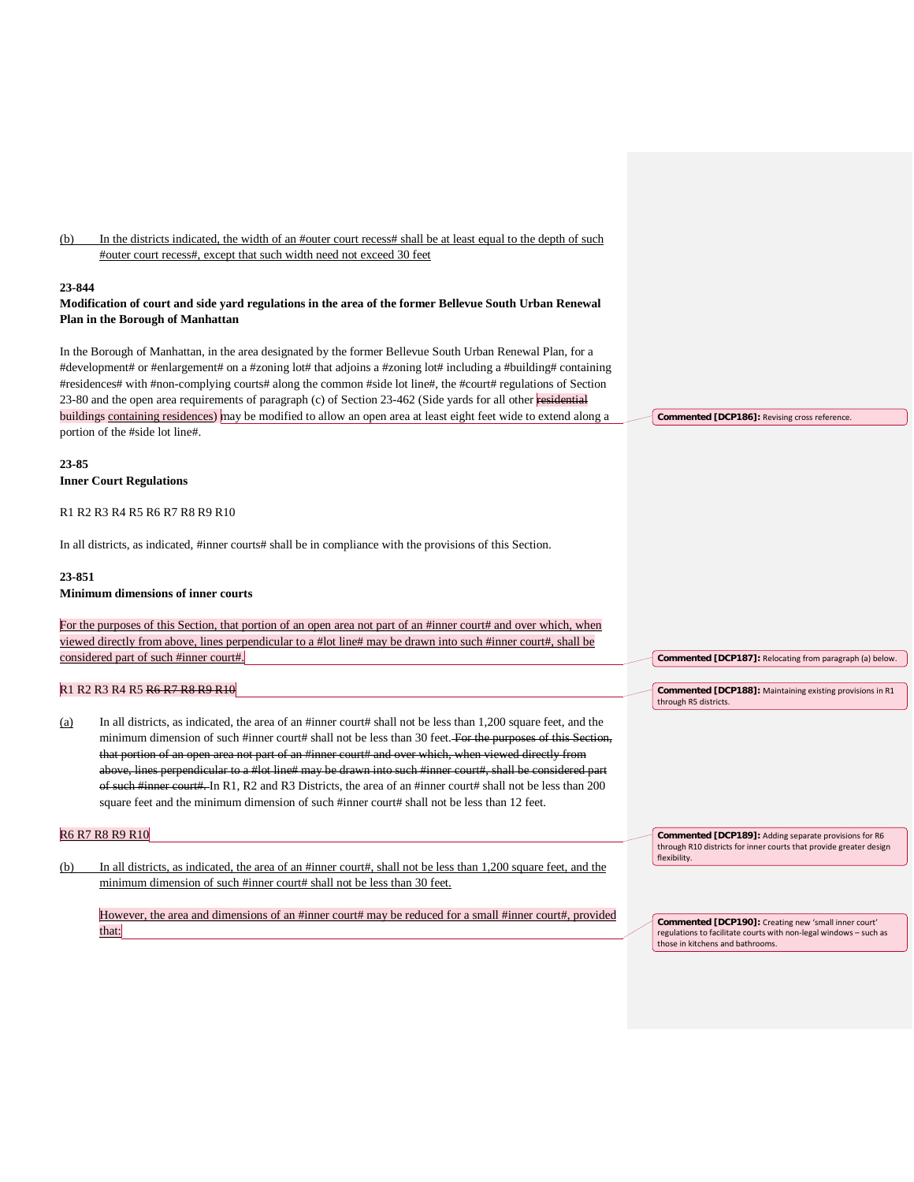(b) In the districts indicated, the width of an #outer court recess# shall be at least equal to the depth of such #outer court recess#, except that such width need not exceed 30 feet

#### **23-844**

# **Modification of court and side yard regulations in the area of the former Bellevue South Urban Renewal Plan in the Borough of Manhattan**

In the Borough of Manhattan, in the area designated by the former Bellevue South Urban Renewal Plan, for a #development# or #enlargement# on a #zoning lot# that adjoins a #zoning lot# including a #building# containing #residences# with #non-complying courts# along the common #side lot line#, the #court# regulations of Section 23-80 and the open area requirements of paragraph (c) of Section 23-462 (Side yards for all other residential buildings containing residences) may be modified to allow an open area at least eight feet wide to extend along a portion of the #side lot line#.

**23-85 Inner Court Regulations**

#### R1 R2 R3 R4 R5 R6 R7 R8 R9 R10

In all districts, as indicated, #inner courts# shall be in compliance with the provisions of this Section.

# **23-851**

## **Minimum dimensions of inner courts**

For the purposes of this Section, that portion of an open area not part of an #inner court# and over which, when viewed directly from above, lines perpendicular to a #lot line# may be drawn into such #inner court#, shall be considered part of such #inner court#.

## R1 R2 R3 R4 R5 R6 R7 R8 R9 R10

(a) In all districts, as indicated, the area of an #inner court# shall not be less than 1,200 square feet, and the minimum dimension of such #inner court# shall not be less than 30 feet. For the purposes of this Section, that portion of an open area not part of an #inner court# and over which, when viewed directly from above, lines perpendicular to a #lot line# may be drawn into such #inner court#, shall be considered part of such #inner court#. In R1, R2 and R3 Districts, the area of an #inner court# shall not be less than 200 square feet and the minimum dimension of such #inner court# shall not be less than 12 feet.

#### R6 R7 R8 R9 R10

(b) In all districts, as indicated, the area of an #inner court#, shall not be less than 1,200 square feet, and the minimum dimension of such #inner court# shall not be less than 30 feet.

However, the area and dimensions of an #inner court# may be reduced for a small #inner court#, provided that:

**Commented [DCP189]:** Adding separate provisions for R6 through R10 districts for inner courts that provide greater design flexibility.

**Commented [DCP187]:** Relocating from paragraph (a) below.

**Commented [DCP188]:** Maintaining existing provisions in R1

through R5 districts.

**Commented [DCP190]:** Creating new 'small inner court' regulations to facilitate courts with non-legal windows – such as those in kitchens and bathrooms.

**Commented [DCP186]:** Revising cross reference.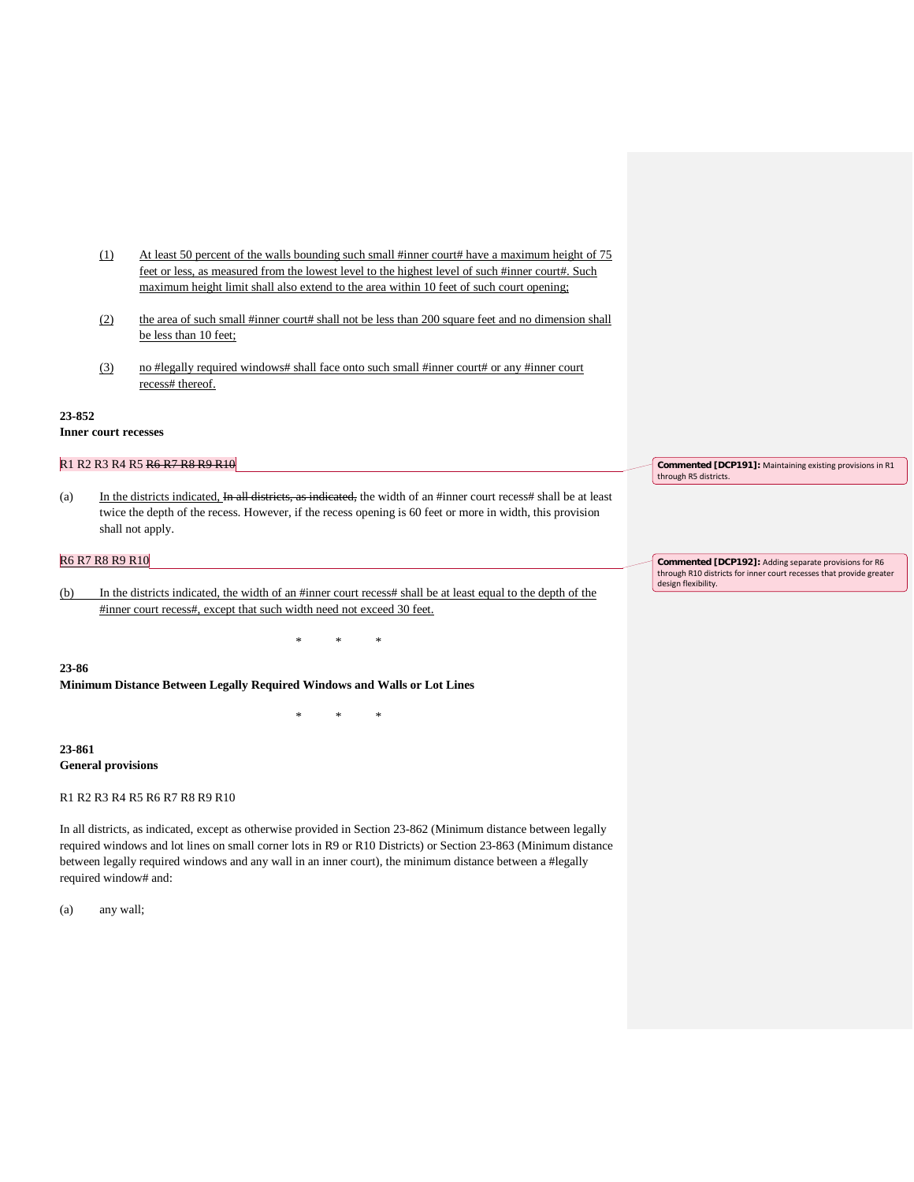- (1) At least 50 percent of the walls bounding such small #inner court# have a maximum height of 75 feet or less, as measured from the lowest level to the highest level of such #inner court#. Such maximum height limit shall also extend to the area within 10 feet of such court opening;
- (2) the area of such small #inner court# shall not be less than 200 square feet and no dimension shall be less than 10 feet;
- (3) no #legally required windows# shall face onto such small #inner court# or any #inner court recess# thereof.

#### **23-852**

**Inner court recesses**

# R1 R2 R3 R4 R5 R6 R7 R8 R9 R10

(a) In the districts indicated,  $\overline{In}$  all districts, as indicated, the width of an #inner court recess# shall be at least twice the depth of the recess. However, if the recess opening is 60 feet or more in width, this provision shall not apply.

# R6 R7 R8 R9 R10

(b) In the districts indicated, the width of an #inner court recess# shall be at least equal to the depth of the #inner court recess#, except that such width need not exceed 30 feet.

\* \* \*

\* \* \*

#### **23-86**

**Minimum Distance Between Legally Required Windows and Walls or Lot Lines**

**23-861 General provisions**

R1 R2 R3 R4 R5 R6 R7 R8 R9 R10

In all districts, as indicated, except as otherwise provided in Section 23-862 (Minimum distance between legally required windows and lot lines on small corner lots in R9 or R10 Districts) or Section 23-863 (Minimum distance between legally required windows and any wall in an inner court), the minimum distance between a #legally required window# and:

(a) any wall;

**Commented [DCP191]:** Maintaining existing provisions in R1 through R5 districts.

**Commented [DCP192]:** Adding separate provisions for R6 through R10 districts for inner court recesses that provide greater design flexibility.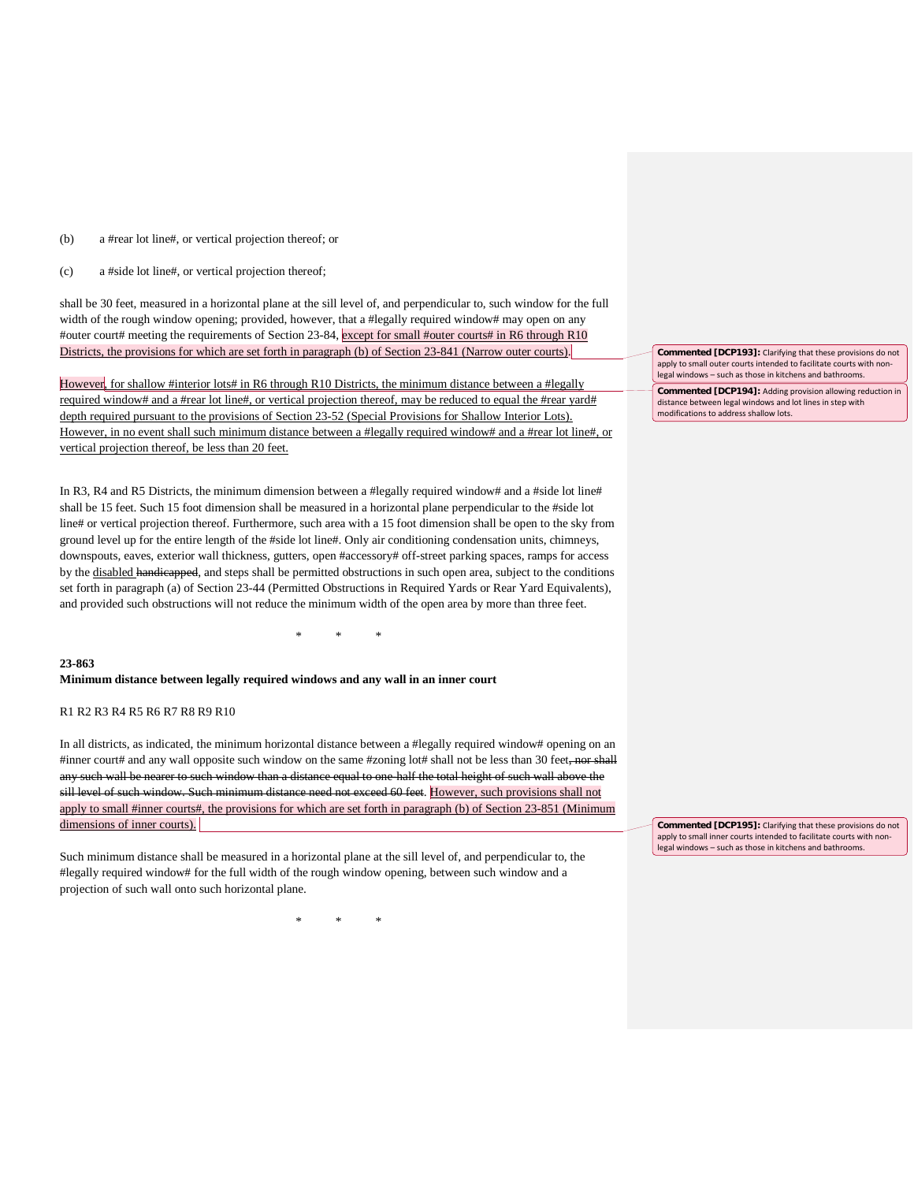(b) a #rear lot line#, or vertical projection thereof; or

(c) a #side lot line#, or vertical projection thereof;

shall be 30 feet, measured in a horizontal plane at the sill level of, and perpendicular to, such window for the full width of the rough window opening; provided, however, that a #legally required window# may open on any #outer court# meeting the requirements of Section 23-84, except for small #outer courts# in R6 through R10 Districts, the provisions for which are set forth in paragraph (b) of Section 23-841 (Narrow outer courts).

However, for shallow #interior lots# in R6 through R10 Districts, the minimum distance between a #legally required window# and a #rear lot line#, or vertical projection thereof, may be reduced to equal the #rear yard# depth required pursuant to the provisions of Section 23-52 (Special Provisions for Shallow Interior Lots). However, in no event shall such minimum distance between a #legally required window# and a #rear lot line#, or vertical projection thereof, be less than 20 feet.

In R3, R4 and R5 Districts, the minimum dimension between a #legally required window# and a #side lot line# shall be 15 feet. Such 15 foot dimension shall be measured in a horizontal plane perpendicular to the #side lot line# or vertical projection thereof. Furthermore, such area with a 15 foot dimension shall be open to the sky from ground level up for the entire length of the #side lot line#. Only air conditioning condensation units, chimneys, downspouts, eaves, exterior wall thickness, gutters, open #accessory# off-street parking spaces, ramps for access by the disabled handicapped, and steps shall be permitted obstructions in such open area, subject to the conditions set forth in paragraph (a) of Section 23-44 (Permitted Obstructions in Required Yards or Rear Yard Equivalents), and provided such obstructions will not reduce the minimum width of the open area by more than three feet.

# \* \* \*

#### **23-863**

**Minimum distance between legally required windows and any wall in an inner court**

R1 R2 R3 R4 R5 R6 R7 R8 R9 R10

In all districts, as indicated, the minimum horizontal distance between a #legally required window# opening on an #inner court# and any wall opposite such window on the same #zoning lot# shall not be less than 30 feet, nor shall any such wall be nearer to such window than a distance equal to one-half the total height of such wall above the sill level of such window. Such minimum distance need not exceed 60 feet. However, such provisions shall not apply to small #inner courts#, the provisions for which are set forth in paragraph (b) of Section 23-851 (Minimum dimensions of inner courts).

Such minimum distance shall be measured in a horizontal plane at the sill level of, and perpendicular to, the #legally required window# for the full width of the rough window opening, between such window and a projection of such wall onto such horizontal plane.

\* \* \*

**Commented [DCP193]:** Clarifying that these provisions do not apply to small outer courts intended to facilitate courts with nonlegal windows – such as those in kitchens and bathrooms.

**Commented [DCP194]:** Adding provision allowing reduction in distance between legal windows and lot lines in step with modifications to address shallow lots.

**Commented [DCP195]:** Clarifying that these provisions do not apply to small inner courts intended to facilitate courts with nonlegal windows – such as those in kitchens and bathrooms.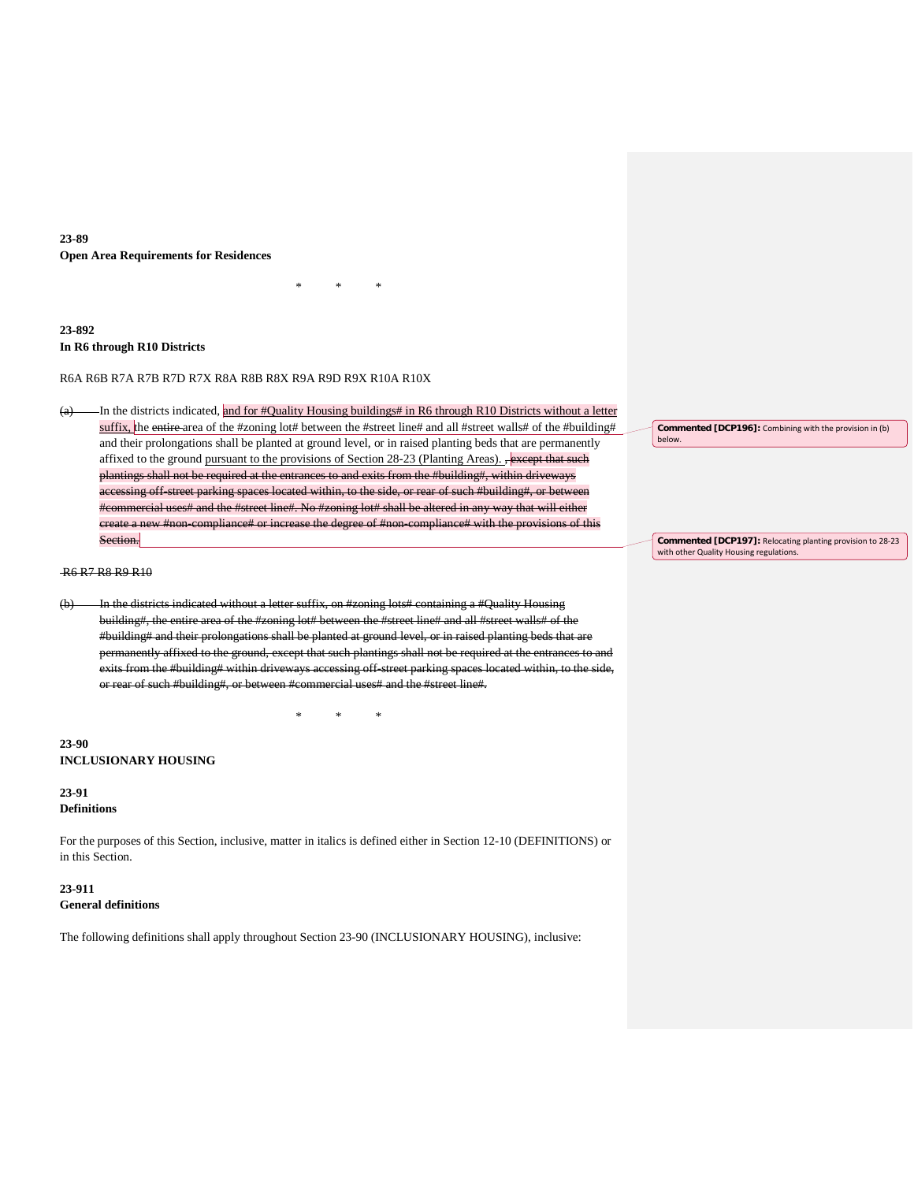# **23-89 Open Area Requirements for Residences**

# **23-892 In R6 through R10 Districts**

R6A R6B R7A R7B R7D R7X R8A R8B R8X R9A R9D R9X R10A R10X

(a) In the districts indicated, and for #Quality Housing buildings# in R6 through R10 Districts without a letter suffix, the entire area of the #zoning lot# between the #street line# and all #street walls# of the #building# and their prolongations shall be planted at ground level, or in raised planting beds that are permanently affixed to the ground pursuant to the provisions of Section 28-23 (Planting Areas). , except that such plantings shall not be required at the entrances to and exits from the #building#, within driveways accessing off-street parking spaces located within, to the side, or rear of such #building#, or between #commercial uses# and the #street line#. No #zoning lot# shall be altered in any way that will either create a new #non-compliance# or increase the degree of #non-compliance# with the provisions of this Section.

\* \* \*

R6 R7 R8 R9 R10

(b) In the districts indicated without a letter suffix, on #zoning lots# containing a #Quality Housing building#, the entire area of the #zoning lot# between the #street line# and all #street walls# of the #building# and their prolongations shall be planted at ground level, or in raised planting beds that are permanently affixed to the ground, except that such plantings shall not be required at the entrances to and exits from the #building# within driveways accessing off-street parking spaces located within, to the side, or rear of such #building#, or between #commercial uses# and the #street line#.

\* \* \*

**23-90 INCLUSIONARY HOUSING**

# **23-91**

**Definitions**

For the purposes of this Section, inclusive, matter in italics is defined either in Section 12-10 (DEFINITIONS) or in this Section.

# **23-911**

# **General definitions**

The following definitions shall apply throughout Section 23-90 (INCLUSIONARY HOUSING), inclusive:

**Commented [DCP196]:** Combining with the provision in (b) below.

**Commented [DCP197]:** Relocating planting provision to 28-23 with other Quality Housing regulations.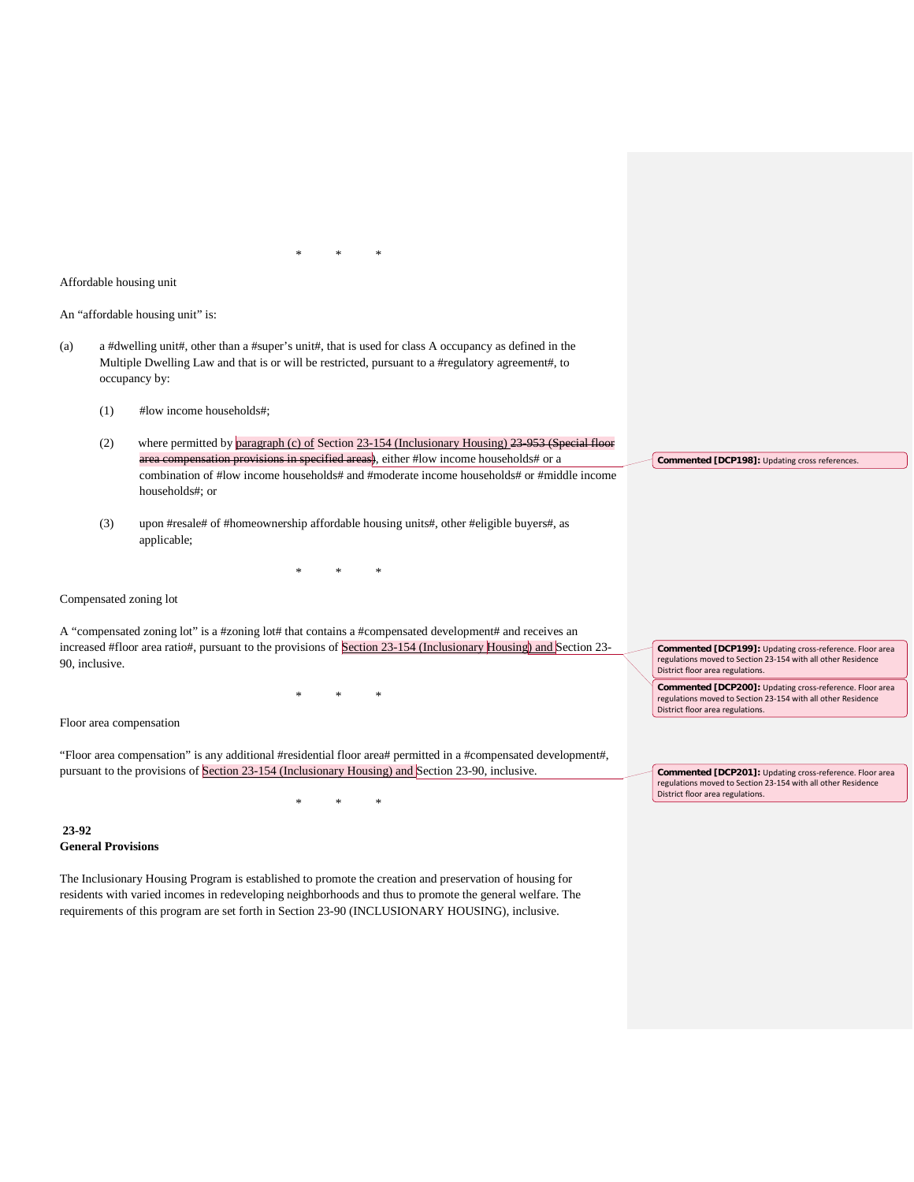Affordable housing unit

An "affordable housing unit" is:

- (a) a #dwelling unit#, other than a #super's unit#, that is used for class A occupancy as defined in the Multiple Dwelling Law and that is or will be restricted, pursuant to a #regulatory agreement#, to occupancy by:
	- (1) #low income households#;
	- (2) where permitted by paragraph (c) of Section 23-154 (Inclusionary Housing) 23-953 (Special floor ns in specified areas), either #low income households# or a combination of #low income households# and #moderate income households# or #middle income households#; or
	- (3) upon #resale# of #homeownership affordable housing units#, other #eligible buyers#, as applicable;

\* \* \*

Compensated zoning lot

A "compensated zoning lot" is a #zoning lot# that contains a #compensated development# and receives an increased #floor area ratio#, pursuant to the provisions of Section 23-154 (Inclusionary Housing) and Section 23-90, inclusive.

\* \* \*

Floor area compensation

"Floor area compensation" is any additional #residential floor area# permitted in a #compensated development#, pursuant to the provisions of Section 23-154 (Inclusionary Housing) and Section 23-90, inclusive.

\* \* \*

**23-92 General Provisions**

The Inclusionary Housing Program is established to promote the creation and preservation of housing for residents with varied incomes in redeveloping neighborhoods and thus to promote the general welfare. The requirements of this program are set forth in Section 23-90 (INCLUSIONARY HOUSING), inclusive.

**Commented [DCP198]:** Updating cross references.

**Commented [DCP199]:** Updating cross-reference. Floor area regulations moved to Section 23-154 with all other Residence District floor area regulations.

**Commented [DCP200]:** Updating cross-reference. Floor area regulations moved to Section 23-154 with all other Residence District floor area regulations.

**Commented [DCP201]:** Updating cross-reference. Floor area regulations moved to Section 23-154 with all other Residence District floor area regulations.

\* \* \*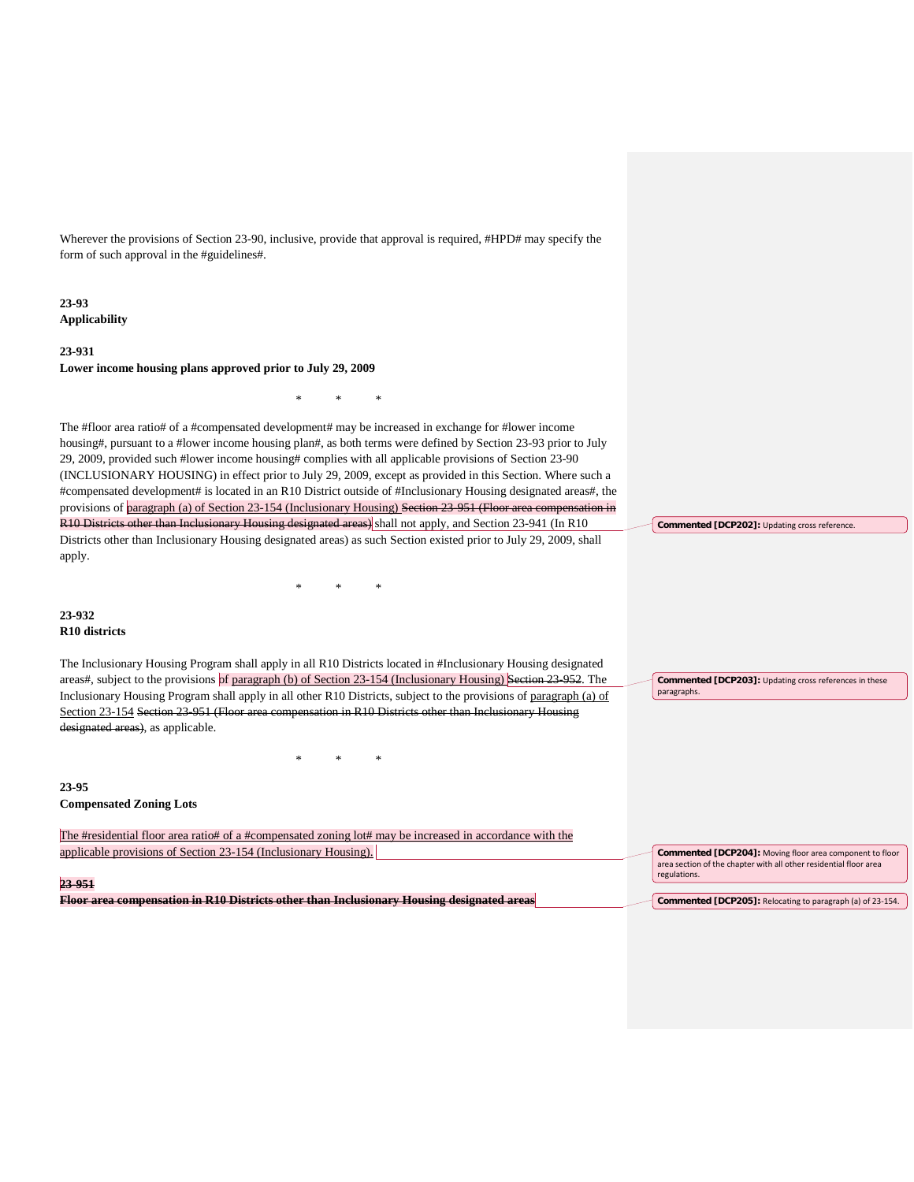Wherever the provisions of Section 23-90, inclusive, provide that approval is required, #HPD# may specify the form of such approval in the #guidelines#.

**23-93 Applicability**

# **23-931 Lower income housing plans approved prior to July 29, 2009**

The #floor area ratio# of a #compensated development# may be increased in exchange for #lower income housing#, pursuant to a #lower income housing plan#, as both terms were defined by Section 23-93 prior to July 29, 2009, provided such #lower income housing# complies with all applicable provisions of Section 23-90 (INCLUSIONARY HOUSING) in effect prior to July 29, 2009, except as provided in this Section. Where such a #compensated development# is located in an R10 District outside of #Inclusionary Housing designated areas#, the provisions of paragraph (a) of Section 23-154 (Inclusionary Housing) Section 23-951 (Floor area compensation in R10 Districts other than Inclusionary Housing designated areas) shall not apply, and Section 23-941 (In R10 Districts other than Inclusionary Housing designated areas) as such Section existed prior to July 29, 2009, shall apply.

\* \* \*

\* \* \*

**23-932 R10 districts**

The Inclusionary Housing Program shall apply in all R10 Districts located in #Inclusionary Housing designated areas#, subject to the provisions of paragraph (b) of Section 23-154 (Inclusionary Housing) Section 23-952. The Inclusionary Housing Program shall apply in all other R10 Districts, subject to the provisions of paragraph (a) of Section 23-154 Section 23-951 (Floor area compensation in R10 Districts other than Inclusionary Housing designated areas), as applicable.

\* \* \*

**Commented [DCP203]:** Updating cross references in these paragraphs.

**Commented [DCP202]:** Updating cross reference.

**23-95**

**Compensated Zoning Lots**

| The #residential floor area ratio# of a #compensated zoning lot# may be increased in accordance with the |                                                                                                                                                      |
|----------------------------------------------------------------------------------------------------------|------------------------------------------------------------------------------------------------------------------------------------------------------|
| applicable provisions of Section 23-154 (Inclusionary Housing).                                          | <b>Commented [DCP204]:</b> Moving floor area component to floor<br>area section of the chapter with all other residential floor area<br>regulations. |
| 23-951                                                                                                   |                                                                                                                                                      |
| Floor area compensation in R10 Districts other than Inclusionary Housing designated areas                | Commented [DCP205]: Relocating to paragraph (a) of 23-154.                                                                                           |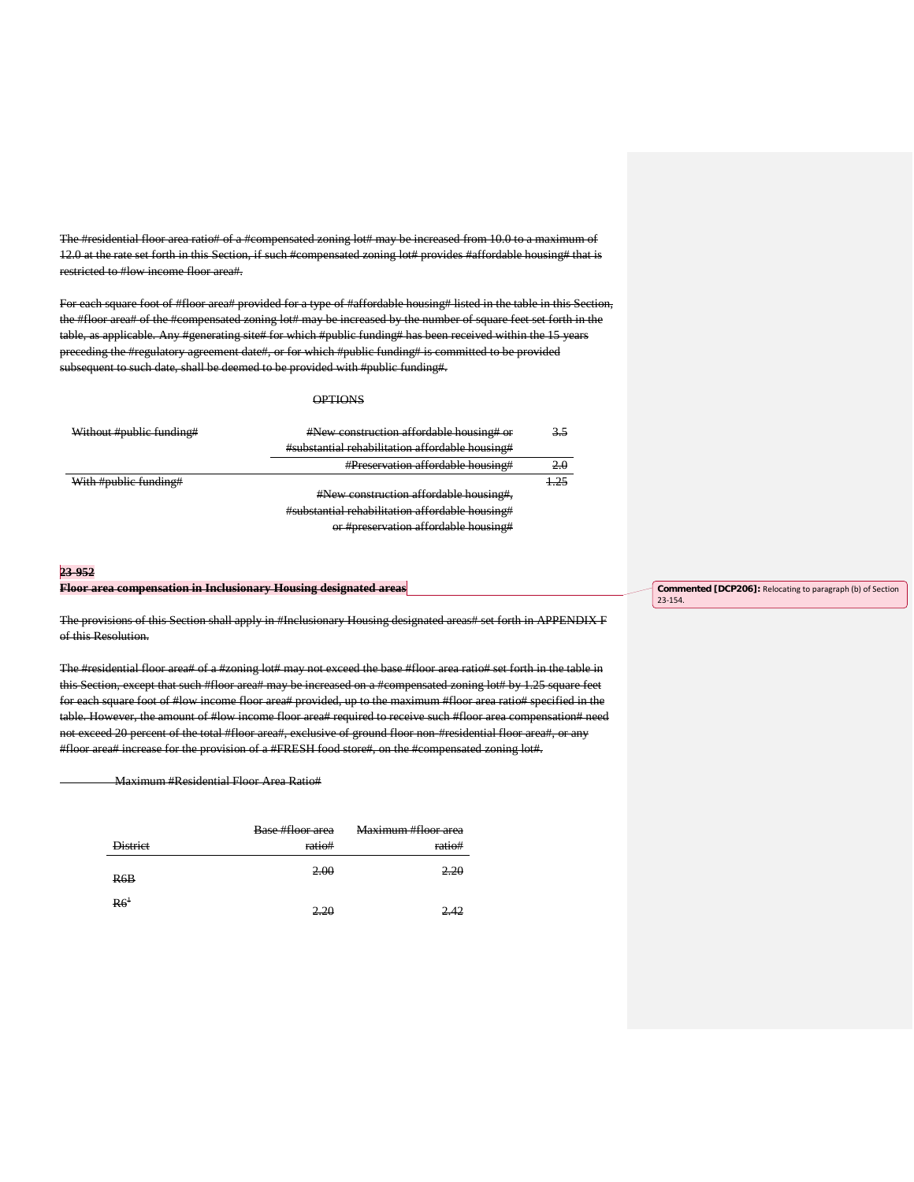The #residential floor area ratio# of a #compensated zoning lot# may be increased from 10.0 to a maximum of<br>12.0 at the rate set forth in this Section, if such #compensated zoning lot# provides #affordable housing# that i 12.0 at the rate set forth in this Section, if such #compensated zoning lot# provides #affordable housing# that is restricted to #low income floor area#.

For each square foot of #floor area# provided for a type of #affordable housing# listed in the table in this Section, the #floor area# of the #compensated zoning lot# may be increased by the number of square feet set forth in the table, as applicable. Any #generating site# for which #public funding# has been received within the 15 years preceding the #regulatory agreement date#, or for which #public funding# is committed to be provided subsequent to such date, shall be deemed to be provided with #public funding#.

# **OPTIONS**

| #New construction affordable housing# or        |  |
|-------------------------------------------------|--|
| #substantial rehabilitation affordable housing# |  |
| <b>#Preservation affordable housing#</b>        |  |
|                                                 |  |
| #New construction affordable housing#,          |  |
| #substantial rehabilitation affordable housing# |  |
| or #preservation affordable housing#            |  |
|                                                 |  |

#### **23-952**

#### **Floor area compensation in Inclusionary Housing designated areas**

The provisions of this Section shall apply in #Inclusionary Housing designated areas# set forth in APPENDIX F of this Resolution.

The #residential floor area# of a #zoning lot# may not exceed the base #floor area ratio# set forth in the table in this Section, except that such #floor area# may be increased on a #compensated zoning lot# by 1.25 square feet for each square foot of #low income floor area# provided, up to the maximum #floor area ratio# specified in the table. However, the amount of #low income floor area# required to receive such #floor area compensation# need not exceed 20 percent of the total #floor area#, exclusive of ground floor non-#residential floor area#, or any #floor area# increase for the provision of a #FRESH food store#, on the #compensated zoning lot#.

Maximum #Residential Floor Area Ratio#

|                 | Base #floor area | Maximum #floor area |
|-----------------|------------------|---------------------|
| <b>District</b> | ratio#           | ratio#              |
| R6B             | 2.00             | 2.20                |
| R6 <sup>1</sup> |                  |                     |

**Commented [DCP206]:** Relocating to paragraph (b) of Section 23-154.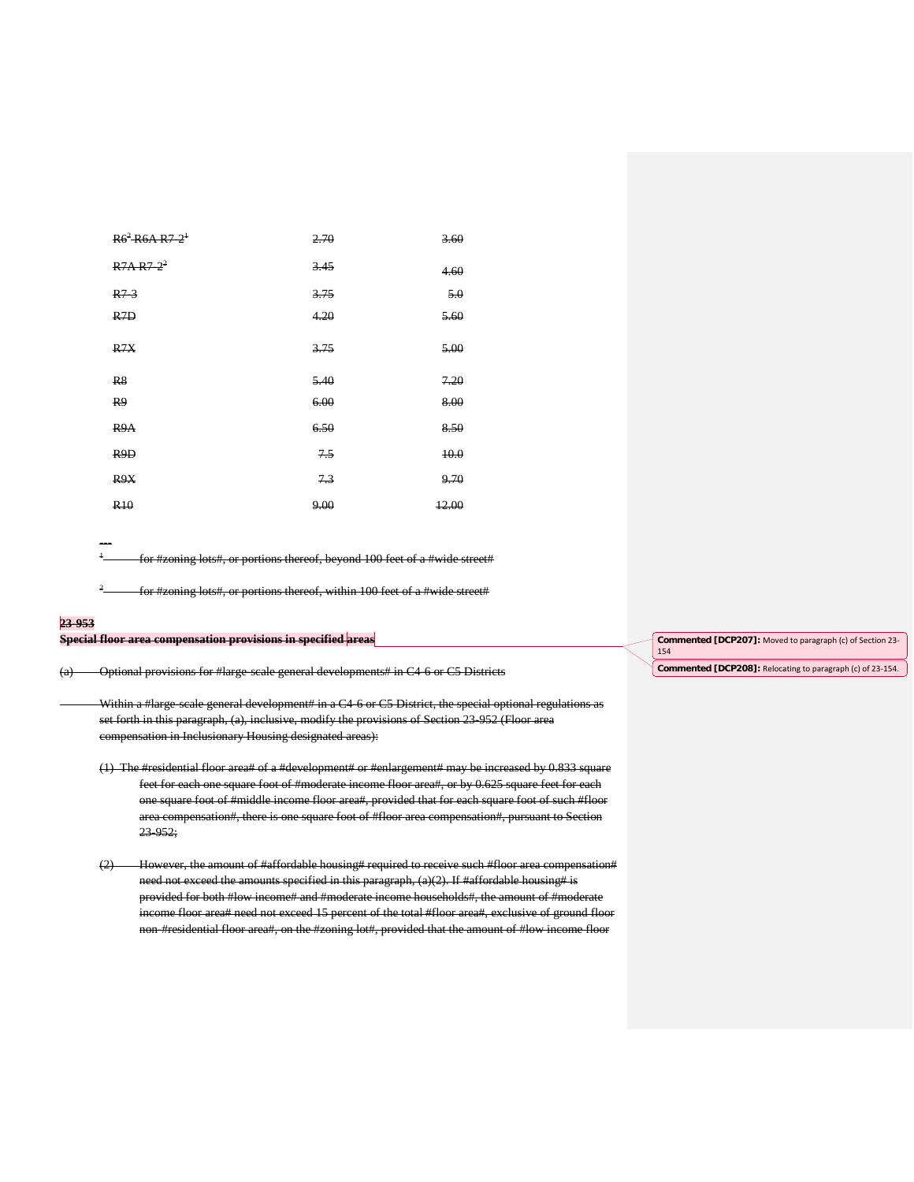| $R6^2$ R6A R7-2 <sup>+</sup> | 2.70 | 3.60  |
|------------------------------|------|-------|
| $R7A R7 - 2^2$               | 3.45 | 4.60  |
| $R7-3$                       | 3.75 | 5.0   |
| R <sub>7D</sub>              | 4.20 | 5.60  |
| R7X                          | 3.75 | 5.00  |
| R <sub>8</sub>               | 5.40 | 7.20  |
| R <sub>9</sub>               | 6.00 | 8.00  |
| R <sub>9</sub> A             | 6.50 | 8.50  |
| R <sub>9</sub> D             | 7.5  | 10.0  |
| R <sub>9</sub> X             | 7.3  | 9.70  |
| R <sub>10</sub>              | 9.00 | 12.00 |

-- for #zoning lots#, or portions thereof, beyond 100 feet of a #wide street#

 $2$  for #zoning lots#, or portions thereof, within 100 feet of a #wide street#

# **23-953**

**Special floor area compensation provisions in specified areas**

(a) Optional provisions for #large-scale general developments# in C4-6 or C5 Districts

Within a #large-scale general development# in a C4-6 or C5 District, the special optional regulations as set forth in this paragraph, (a), inclusive, modify the provisions of Section 23-952 (Floor area compensation in Inclusionary Housing designated areas):

(1) The #residential floor area# of a #development# or #enlargement# may be increased by 0.833 square feet for each one square foot of #moderate income floor area#, or by 0.625 square feet for each one square foot of #middle income floor area#, provided that for each square foot of such #floor area compensation#, there is one square foot of #floor area compensation#, pursuant to Section 23-952;

(2) However, the amount of #affordable housing# required to receive such #floor area compensation# need not exceed the amounts specified in this paragraph, (a)(2). If #affordable housing# is provided for both #low income# and #moderate income households#, the amount of #moderate income floor area# need not exceed 15 percent of the total #floor area#, exclusive of ground floor non-#residential floor area#, on the #zoning lot#, provided that the amount of #low income floor

**Commented [DCP207]:** Moved to paragraph (c) of Section 23-

154

**Commented [DCP208]:** Relocating to paragraph (c) of 23-154.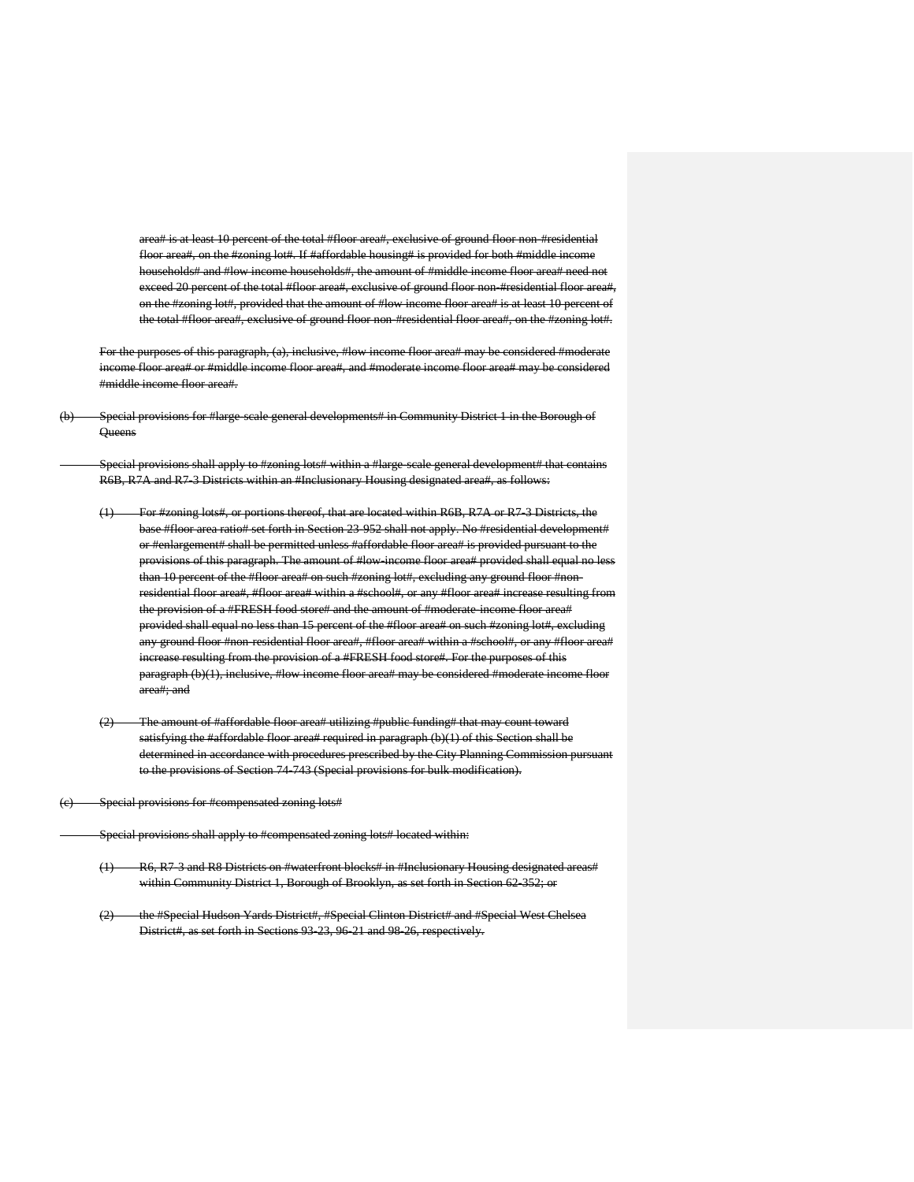a# is at least 10 percent of the total #floor area#, exclusive of ground floor non-#r floor area#, on the #zoning lot#. If #affordable housing# is provided for both #middle inc households# and #low income households#, the amount of #middle income floor area# need not exceed 20 percent of the total #floor area#, exclusive of ground floor non-#residential floor area#, on the #zoning lot#, provided that the amount of #low income floor area# is at least 10 percent of the total #floor area#, exclusive of ground floor non-#residential floor area#, on the #zoning lot#.

For the purposes of this paragraph, (a), inclusive, #low income floor area# may be considered #moderate income floor area# or #middle income floor area#, and #moderate income floor area# may be considered #middle income floor area#.

Special provisions for #large-scale general developments# in Community District 1 in the Borough of **Queens** 

Special provisions shall apply to #zoning lots# within a #large-scale general development# that contains R6B, R7A and R7-3 Districts within an #Inclusionary Housing designated area#, as follows:

- (1) For #zoning lots#, or portions thereof, that are located within R6B, R7A or R7-3 Districts, the base #floor area ratio# set forth in Section 23-952 shall not apply. No #residential development# or #enlargement# shall be permitted unless #affordable floor area# is provided pursuant to the provisions of this paragraph. The amount of #low-income floor area# provided shall equal no less than 10 percent of the #floor area# on such #zoning lot#, excluding any ground floor #nonresidential floor area#, #floor area# within a #school#, or any #floor area# increase resulting from the provision of a #FRESH food store# and the amount of #moderate-income floor area# provided shall equal no less than 15 percent of the #floor area# on such #zoning lot#, exclu any ground floor #non-residential floor area#, #floor area# within a #school#, or any #floor area# increase resulting from the provision of a #FRESH food store#. For the purposes of this paragraph (b)(1), inclusive, #low income floor area# may be considered #moderate income floor area#; and
- (2) The amount of #affordable floor area# utilizing #public funding# that may count toward satisfying the #affordable floor area# required in paragraph (b)(1) of this Section shall be determined in accordance with procedures prescribed by the City Planning Commission pursuant to the provisions of Section 74-743 (Special provisions for bulk modification).

(c) Special provisions for #compensated zoning lots#

Special provisions shall apply to #compensated zoning lots# located within:

- (1) R6, R7-3 and R8 Districts on #waterfront blocks# in #Inclusionary Housing designated areas# within Community District 1, Borough of Brooklyn, as set forth in Section 62-352; or
- (2) the #Special Hudson Yards District#, #Special Clinton District# and #Special West Chelsea District#, as set forth in Sections 93-23, 96-21 and 98-26, respectively.